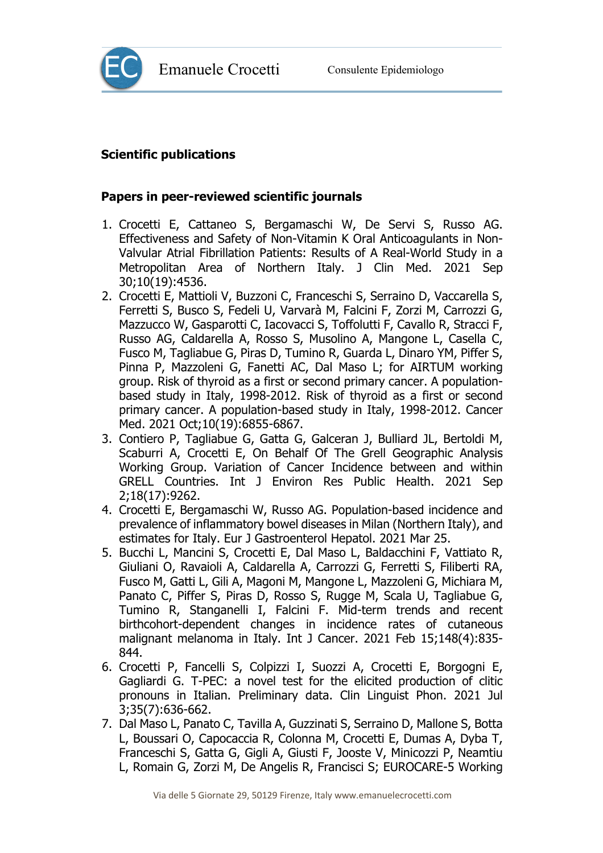



## **Scientific publications**

## **Papers in peer-reviewed scientific journals**

- 1. Crocetti E, Cattaneo S, Bergamaschi W, De Servi S, Russo AG. Effectiveness and Safety of Non-Vitamin K Oral Anticoagulants in Non-Valvular Atrial Fibrillation Patients: Results of A Real-World Study in a Metropolitan Area of Northern Italy. J Clin Med. 2021 Sep 30;10(19):4536.
- 2. Crocetti E, Mattioli V, Buzzoni C, Franceschi S, Serraino D, Vaccarella S, Ferretti S, Busco S, Fedeli U, Varvarà M, Falcini F, Zorzi M, Carrozzi G, Mazzucco W, Gasparotti C, Iacovacci S, Toffolutti F, Cavallo R, Stracci F, Russo AG, Caldarella A, Rosso S, Musolino A, Mangone L, Casella C, Fusco M, Tagliabue G, Piras D, Tumino R, Guarda L, Dinaro YM, Piffer S, Pinna P, Mazzoleni G, Fanetti AC, Dal Maso L; for AIRTUM working group. Risk of thyroid as a first or second primary cancer. A populationbased study in Italy, 1998-2012. Risk of thyroid as a first or second primary cancer. A population-based study in Italy, 1998-2012. Cancer Med. 2021 Oct;10(19):6855-6867.
- 3. Contiero P, Tagliabue G, Gatta G, Galceran J, Bulliard JL, Bertoldi M, Scaburri A, Crocetti E, On Behalf Of The Grell Geographic Analysis Working Group. Variation of Cancer Incidence between and within GRELL Countries. Int J Environ Res Public Health. 2021 Sep 2;18(17):9262.
- 4. Crocetti E, Bergamaschi W, Russo AG. Population-based incidence and prevalence of inflammatory bowel diseases in Milan (Northern Italy), and estimates for Italy. Eur J Gastroenterol Hepatol. 2021 Mar 25.
- 5. Bucchi L, Mancini S, Crocetti E, Dal Maso L, Baldacchini F, Vattiato R, Giuliani O, Ravaioli A, Caldarella A, Carrozzi G, Ferretti S, Filiberti RA, Fusco M, Gatti L, Gili A, Magoni M, Mangone L, Mazzoleni G, Michiara M, Panato C, Piffer S, Piras D, Rosso S, Rugge M, Scala U, Tagliabue G, Tumino R, Stanganelli I, Falcini F. Mid-term trends and recent birthcohort-dependent changes in incidence rates of cutaneous malignant melanoma in Italy. Int J Cancer. 2021 Feb 15;148(4):835- 844.
- 6. Crocetti P, Fancelli S, Colpizzi I, Suozzi A, Crocetti E, Borgogni E, Gagliardi G. T-PEC: a novel test for the elicited production of clitic pronouns in Italian. Preliminary data. Clin Linguist Phon. 2021 Jul 3;35(7):636-662.
- 7. Dal Maso L, Panato C, Tavilla A, Guzzinati S, Serraino D, Mallone S, Botta L, Boussari O, Capocaccia R, Colonna M, Crocetti E, Dumas A, Dyba T, Franceschi S, Gatta G, Gigli A, Giusti F, Jooste V, Minicozzi P, Neamtiu L, Romain G, Zorzi M, De Angelis R, Francisci S; EUROCARE-5 Working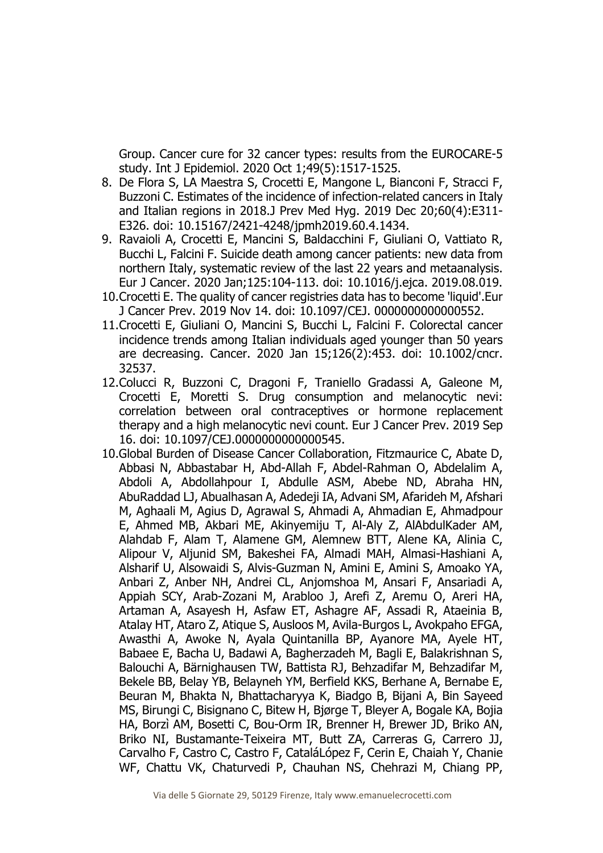Group. Cancer cure for 32 cancer types: results from the EUROCARE-5 study. Int J Epidemiol. 2020 Oct 1;49(5):1517-1525.

- 8. De Flora S, LA Maestra S, Crocetti E, Mangone L, Bianconi F, Stracci F, Buzzoni C. Estimates of the incidence of infection-related cancers in Italy and Italian regions in 2018.J Prev Med Hyg. 2019 Dec 20;60(4):E311- E326. doi: 10.15167/2421-4248/jpmh2019.60.4.1434.
- 9. Ravaioli A, Crocetti E, Mancini S, Baldacchini F, Giuliani O, Vattiato R, Bucchi L, Falcini F. Suicide death among cancer patients: new data from northern Italy, systematic review of the last 22 years and metaanalysis. Eur J Cancer. 2020 Jan;125:104-113. doi: 10.1016/j.ejca. 2019.08.019.
- 10.Crocetti E. The quality of cancer registries data has to become 'liquid'.Eur J Cancer Prev. 2019 Nov 14. doi: 10.1097/CEJ. 0000000000000552.
- 11.Crocetti E, Giuliani O, Mancini S, Bucchi L, Falcini F. Colorectal cancer incidence trends among Italian individuals aged younger than 50 years are decreasing. Cancer. 2020 Jan 15;126(2):453. doi: 10.1002/cncr. 32537.
- 12.Colucci R, Buzzoni C, Dragoni F, Traniello Gradassi A, Galeone M, Crocetti E, Moretti S. Drug consumption and melanocytic nevi: correlation between oral contraceptives or hormone replacement therapy and a high melanocytic nevi count. Eur J Cancer Prev. 2019 Sep 16. doi: 10.1097/CEJ.0000000000000545.
- 10.Global Burden of Disease Cancer Collaboration, Fitzmaurice C, Abate D, Abbasi N, Abbastabar H, Abd-Allah F, Abdel-Rahman O, Abdelalim A, Abdoli A, Abdollahpour I, Abdulle ASM, Abebe ND, Abraha HN, AbuRaddad LJ, Abualhasan A, Adedeji IA, Advani SM, Afarideh M, Afshari M, Aghaali M, Agius D, Agrawal S, Ahmadi A, Ahmadian E, Ahmadpour E, Ahmed MB, Akbari ME, Akinyemiju T, Al-Aly Z, AlAbdulKader AM, Alahdab F, Alam T, Alamene GM, Alemnew BTT, Alene KA, Alinia C, Alipour V, Aljunid SM, Bakeshei FA, Almadi MAH, Almasi-Hashiani A, Alsharif U, Alsowaidi S, Alvis-Guzman N, Amini E, Amini S, Amoako YA, Anbari Z, Anber NH, Andrei CL, Anjomshoa M, Ansari F, Ansariadi A, Appiah SCY, Arab-Zozani M, Arabloo J, Arefi Z, Aremu O, Areri HA, Artaman A, Asayesh H, Asfaw ET, Ashagre AF, Assadi R, Ataeinia B, Atalay HT, Ataro Z, Atique S, Ausloos M, Avila-Burgos L, Avokpaho EFGA, Awasthi A, Awoke N, Ayala Quintanilla BP, Ayanore MA, Ayele HT, Babaee E, Bacha U, Badawi A, Bagherzadeh M, Bagli E, Balakrishnan S, Balouchi A, Bärnighausen TW, Battista RJ, Behzadifar M, Behzadifar M, Bekele BB, Belay YB, Belayneh YM, Berfield KKS, Berhane A, Bernabe E, Beuran M, Bhakta N, Bhattacharyya K, Biadgo B, Bijani A, Bin Sayeed MS, Birungi C, Bisignano C, Bitew H, Bjørge T, Bleyer A, Bogale KA, Bojia HA, Borzì AM, Bosetti C, Bou-Orm IR, Brenner H, Brewer JD, Briko AN, Briko NI, Bustamante-Teixeira MT, Butt ZA, Carreras G, Carrero JJ, Carvalho F, Castro C, Castro F, CataláLópez F, Cerin E, Chaiah Y, Chanie WF, Chattu VK, Chaturvedi P, Chauhan NS, Chehrazi M, Chiang PP,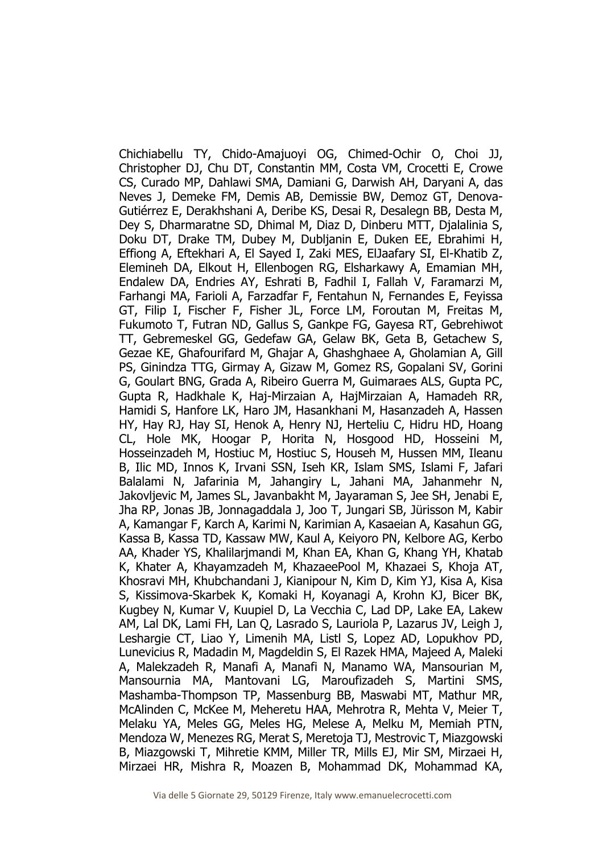Chichiabellu TY, Chido-Amajuoyi OG, Chimed-Ochir O, Choi JJ, Christopher DJ, Chu DT, Constantin MM, Costa VM, Crocetti E, Crowe CS, Curado MP, Dahlawi SMA, Damiani G, Darwish AH, Daryani A, das Neves J, Demeke FM, Demis AB, Demissie BW, Demoz GT, Denova-Gutiérrez E, Derakhshani A, Deribe KS, Desai R, Desalegn BB, Desta M, Dey S, Dharmaratne SD, Dhimal M, Diaz D, Dinberu MTT, Djalalinia S, Doku DT, Drake TM, Dubey M, Dubljanin E, Duken EE, Ebrahimi H, Effiong A, Eftekhari A, El Sayed I, Zaki MES, ElJaafary SI, El-Khatib Z, Elemineh DA, Elkout H, Ellenbogen RG, Elsharkawy A, Emamian MH, Endalew DA, Endries AY, Eshrati B, Fadhil I, Fallah V, Faramarzi M, Farhangi MA, Farioli A, Farzadfar F, Fentahun N, Fernandes E, Feyissa GT, Filip I, Fischer F, Fisher JL, Force LM, Foroutan M, Freitas M, Fukumoto T, Futran ND, Gallus S, Gankpe FG, Gayesa RT, Gebrehiwot TT, Gebremeskel GG, Gedefaw GA, Gelaw BK, Geta B, Getachew S, Gezae KE, Ghafourifard M, Ghajar A, Ghashghaee A, Gholamian A, Gill PS, Ginindza TTG, Girmay A, Gizaw M, Gomez RS, Gopalani SV, Gorini G, Goulart BNG, Grada A, Ribeiro Guerra M, Guimaraes ALS, Gupta PC, Gupta R, Hadkhale K, Haj-Mirzaian A, HajMirzaian A, Hamadeh RR, Hamidi S, Hanfore LK, Haro JM, Hasankhani M, Hasanzadeh A, Hassen HY, Hay RJ, Hay SI, Henok A, Henry NJ, Herteliu C, Hidru HD, Hoang CL, Hole MK, Hoogar P, Horita N, Hosgood HD, Hosseini M, Hosseinzadeh M, Hostiuc M, Hostiuc S, Househ M, Hussen MM, Ileanu B, Ilic MD, Innos K, Irvani SSN, Iseh KR, Islam SMS, Islami F, Jafari Balalami N, Jafarinia M, Jahangiry L, Jahani MA, Jahanmehr N, Jakovljevic M, James SL, Javanbakht M, Jayaraman S, Jee SH, Jenabi E, Jha RP, Jonas JB, Jonnagaddala J, Joo T, Jungari SB, Jürisson M, Kabir A, Kamangar F, Karch A, Karimi N, Karimian A, Kasaeian A, Kasahun GG, Kassa B, Kassa TD, Kassaw MW, Kaul A, Keiyoro PN, Kelbore AG, Kerbo AA, Khader YS, Khalilarjmandi M, Khan EA, Khan G, Khang YH, Khatab K, Khater A, Khayamzadeh M, KhazaeePool M, Khazaei S, Khoja AT, Khosravi MH, Khubchandani J, Kianipour N, Kim D, Kim YJ, Kisa A, Kisa S, Kissimova-Skarbek K, Komaki H, Koyanagi A, Krohn KJ, Bicer BK, Kugbey N, Kumar V, Kuupiel D, La Vecchia C, Lad DP, Lake EA, Lakew AM, Lal DK, Lami FH, Lan Q, Lasrado S, Lauriola P, Lazarus JV, Leigh J, Leshargie CT, Liao Y, Limenih MA, Listl S, Lopez AD, Lopukhov PD, Lunevicius R, Madadin M, Magdeldin S, El Razek HMA, Majeed A, Maleki A, Malekzadeh R, Manafi A, Manafi N, Manamo WA, Mansourian M, Mansournia MA, Mantovani LG, Maroufizadeh S, Martini SMS, Mashamba-Thompson TP, Massenburg BB, Maswabi MT, Mathur MR, McAlinden C, McKee M, Meheretu HAA, Mehrotra R, Mehta V, Meier T, Melaku YA, Meles GG, Meles HG, Melese A, Melku M, Memiah PTN, Mendoza W, Menezes RG, Merat S, Meretoja TJ, Mestrovic T, Miazgowski B, Miazgowski T, Mihretie KMM, Miller TR, Mills EJ, Mir SM, Mirzaei H, Mirzaei HR, Mishra R, Moazen B, Mohammad DK, Mohammad KA,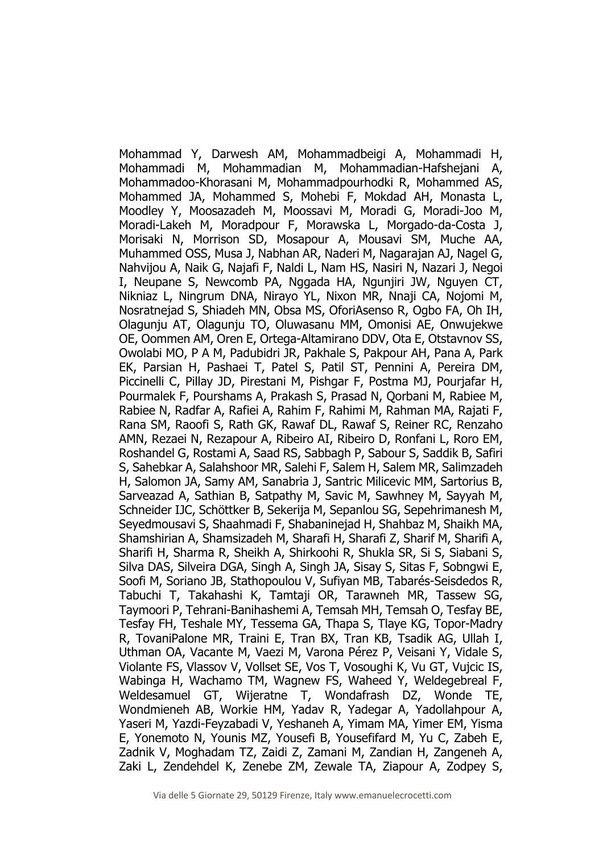Mohammad Y, Darwesh AM, Mohammadbeigi A, Mohammadi H, Mohammadi M, Mohammadian M, Mohammadian-Hafshejani A, Mohammadoo-Khorasani M, Mohammadpourhodki R, Mohammed AS, Mohammed JA, Mohammed S, Mohebi F, Mokdad AH, Monasta L, Moodley Y, Moosazadeh M, Moossavi M, Moradi G, Moradi-Joo M, Moradi-Lakeh M, Moradpour F, Morawska L, Morgado-da-Costa J, Morisaki N, Morrison SD, Mosapour A, Mousavi SM, Muche AA, Muhammed OSS, Musa J, Nabhan AR, Naderi M, Nagarajan AJ, Nagel G, Nahvijou A, Naik G, Najafi F, Naldi L, Nam HS, Nasiri N, Nazari J, Negoi I, Neupane S, Newcomb PA, Nggada HA, Ngunjiri JW, Nguyen CT, Nikniaz L, Ningrum DNA, Nirayo YL, Nixon MR, Nnaji CA, Nojomi M, Nosratnejad S, Shiadeh MN, Obsa MS, OforiAsenso R, Ogbo FA, Oh IH, Olagunju AT, Olagunju TO, Oluwasanu MM, Omonisi AE, Onwujekwe OE, Oommen AM, Oren E, Ortega-Altamirano DDV, Ota E, Otstavnov SS, Owolabi MO, P A M, Padubidri JR, Pakhale S, Pakpour AH, Pana A, Park EK, Parsian H, Pashaei T, Patel S, Patil ST, Pennini A, Pereira DM, Piccinelli C, Pillay JD, Pirestani M, Pishgar F, Postma MJ, Pourjafar H, Pourmalek F, Pourshams A, Prakash S, Prasad N, Qorbani M, Rabiee M, Rabiee N, Radfar A, Rafiei A, Rahim F, Rahimi M, Rahman MA, Rajati F, Rana SM, Raoofi S, Rath GK, Rawaf DL, Rawaf S, Reiner RC, Renzaho AMN, Rezaei N, Rezapour A, Ribeiro AI, Ribeiro D, Ronfani L, Roro EM, Roshandel G, Rostami A, Saad RS, Sabbagh P, Sabour S, Saddik B, Safiri S, Sahebkar A, Salahshoor MR, Salehi F, Salem H, Salem MR, Salimzadeh H, Salomon JA, Samy AM, Sanabria J, Santric Milicevic MM, Sartorius B, Sarveazad A, Sathian B, Satpathy M, Savic M, Sawhney M, Sayyah M, Schneider IJC, Schöttker B, Sekerija M, Sepanlou SG, Sepehrimanesh M, Seyedmousavi S, Shaahmadi F, Shabaninejad H, Shahbaz M, Shaikh MA, Shamshirian A, Shamsizadeh M, Sharafi H, Sharafi Z, Sharif M, Sharifi A, Sharifi H, Sharma R, Sheikh A, Shirkoohi R, Shukla SR, Si S, Siabani S, Silva DAS, Silveira DGA, Singh A, Singh JA, Sisay S, Sitas F, Sobngwi E, Soofi M, Soriano JB, Stathopoulou V, Sufiyan MB, Tabarés-Seisdedos R, Tabuchi T, Takahashi K, Tamtaji OR, Tarawneh MR, Tassew SG, Taymoori P, Tehrani-Banihashemi A, Temsah MH, Temsah O, Tesfay BE, Tesfay FH, Teshale MY, Tessema GA, Thapa S, Tlaye KG, Topor-Madry R, TovaniPalone MR, Traini E, Tran BX, Tran KB, Tsadik AG, Ullah I, Uthman OA, Vacante M, Vaezi M, Varona Pérez P, Veisani Y, Vidale S, Violante FS, Vlassov V, Vollset SE, Vos T, Vosoughi K, Vu GT, Vujcic IS, Wabinga H, Wachamo TM, Wagnew FS, Waheed Y, Weldegebreal F, Weldesamuel GT, Wijeratne T, Wondafrash DZ, Wonde TE, Wondmieneh AB, Workie HM, Yadav R, Yadegar A, Yadollahpour A, Yaseri M, Yazdi-Feyzabadi V, Yeshaneh A, Yimam MA, Yimer EM, Yisma E, Yonemoto N, Younis MZ, Yousefi B, Yousefifard M, Yu C, Zabeh E, Zadnik V, Moghadam TZ, Zaidi Z, Zamani M, Zandian H, Zangeneh A, Zaki L, Zendehdel K, Zenebe ZM, Zewale TA, Ziapour A, Zodpey S,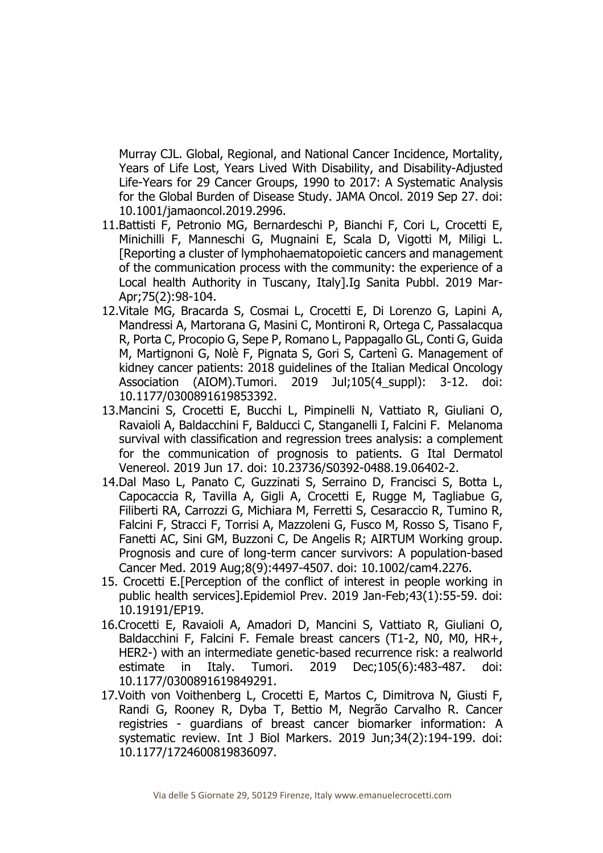Murray CJL. Global, Regional, and National Cancer Incidence, Mortality, Years of Life Lost, Years Lived With Disability, and Disability-Adjusted Life-Years for 29 Cancer Groups, 1990 to 2017: A Systematic Analysis for the Global Burden of Disease Study. JAMA Oncol. 2019 Sep 27. doi: 10.1001/jamaoncol.2019.2996.

- 11.Battisti F, Petronio MG, Bernardeschi P, Bianchi F, Cori L, Crocetti E, Minichilli F, Manneschi G, Mugnaini E, Scala D, Vigotti M, Miligi L. [Reporting a cluster of lymphohaematopoietic cancers and management of the communication process with the community: the experience of a Local health Authority in Tuscany, Italy].Ig Sanita Pubbl. 2019 Mar-Apr;75(2):98-104.
- 12.Vitale MG, Bracarda S, Cosmai L, Crocetti E, Di Lorenzo G, Lapini A, Mandressi A, Martorana G, Masini C, Montironi R, Ortega C, Passalacqua R, Porta C, Procopio G, Sepe P, Romano L, Pappagallo GL, Conti G, Guida M, Martignoni G, Nolè F, Pignata S, Gori S, Cartenì G. Management of kidney cancer patients: 2018 guidelines of the Italian Medical Oncology Association (AIOM).Tumori. 2019 Jul;105(4 suppl): 3-12. doi: 10.1177/0300891619853392.
- 13.Mancini S, Crocetti E, Bucchi L, Pimpinelli N, Vattiato R, Giuliani O, Ravaioli A, Baldacchini F, Balducci C, Stanganelli I, Falcini F. Melanoma survival with classification and regression trees analysis: a complement for the communication of prognosis to patients. G Ital Dermatol Venereol. 2019 Jun 17. doi: 10.23736/S0392-0488.19.06402-2.
- 14.Dal Maso L, Panato C, Guzzinati S, Serraino D, Francisci S, Botta L, Capocaccia R, Tavilla A, Gigli A, Crocetti E, Rugge M, Tagliabue G, Filiberti RA, Carrozzi G, Michiara M, Ferretti S, Cesaraccio R, Tumino R, Falcini F, Stracci F, Torrisi A, Mazzoleni G, Fusco M, Rosso S, Tisano F, Fanetti AC, Sini GM, Buzzoni C, De Angelis R; AIRTUM Working group. Prognosis and cure of long-term cancer survivors: A population-based Cancer Med. 2019 Aug;8(9):4497-4507. doi: 10.1002/cam4.2276.
- 15. Crocetti E.[Perception of the conflict of interest in people working in public health services].Epidemiol Prev. 2019 Jan-Feb;43(1):55-59. doi: 10.19191/EP19.
- 16.Crocetti E, Ravaioli A, Amadori D, Mancini S, Vattiato R, Giuliani O, Baldacchini F, Falcini F. Female breast cancers (T1-2, N0, M0, HR+, HER2-) with an intermediate genetic-based recurrence risk: a realworld estimate in Italy. Tumori. 2019 Dec;105(6):483-487. doi: 10.1177/0300891619849291.
- 17.Voith von Voithenberg L, Crocetti E, Martos C, Dimitrova N, Giusti F, Randi G, Rooney R, Dyba T, Bettio M, Negrão Carvalho R. Cancer registries - guardians of breast cancer biomarker information: A systematic review. Int J Biol Markers. 2019 Jun;34(2):194-199. doi: 10.1177/1724600819836097.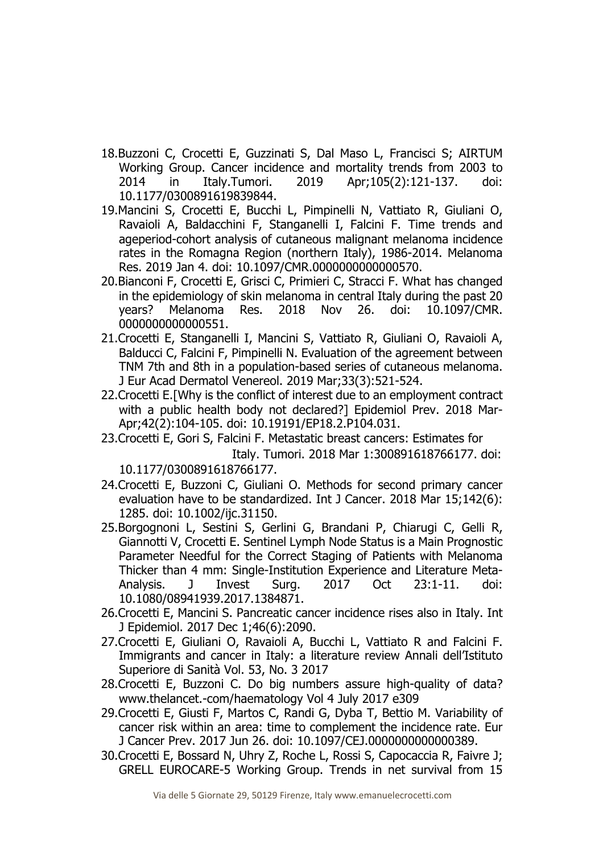- 18.Buzzoni C, Crocetti E, Guzzinati S, Dal Maso L, Francisci S; AIRTUM Working Group. Cancer incidence and mortality trends from 2003 to 2014 in Italy.Tumori. 2019 Apr;105(2):121-137. doi: 10.1177/0300891619839844.
- 19.Mancini S, Crocetti E, Bucchi L, Pimpinelli N, Vattiato R, Giuliani O, Ravaioli A, Baldacchini F, Stanganelli I, Falcini F. Time trends and ageperiod-cohort analysis of cutaneous malignant melanoma incidence rates in the Romagna Region (northern Italy), 1986-2014. Melanoma Res. 2019 Jan 4. doi: 10.1097/CMR.0000000000000570.
- 20.Bianconi F, Crocetti E, Grisci C, Primieri C, Stracci F. What has changed in the epidemiology of skin melanoma in central Italy during the past 20 years? Melanoma Res. 2018 Nov 26. doi: 10.1097/CMR. 0000000000000551.
- 21.Crocetti E, Stanganelli I, Mancini S, Vattiato R, Giuliani O, Ravaioli A, Balducci C, Falcini F, Pimpinelli N. Evaluation of the agreement between TNM 7th and 8th in a population-based series of cutaneous melanoma. J Eur Acad Dermatol Venereol. 2019 Mar;33(3):521-524.
- 22.Crocetti E.[Why is the conflict of interest due to an employment contract with a public health body not declared?] Epidemiol Prev. 2018 Mar-Apr;42(2):104-105. doi: 10.19191/EP18.2.P104.031.
- 23.Crocetti E, Gori S, Falcini F. Metastatic breast cancers: Estimates for Italy. Tumori. 2018 Mar 1:300891618766177. doi: 10.1177/0300891618766177.
- 24.Crocetti E, Buzzoni C, Giuliani O. Methods for second primary cancer evaluation have to be standardized. Int J Cancer. 2018 Mar 15;142(6): 1285. doi: 10.1002/ijc.31150.
- 25.Borgognoni L, Sestini S, Gerlini G, Brandani P, Chiarugi C, Gelli R, Giannotti V, Crocetti E. Sentinel Lymph Node Status is a Main Prognostic Parameter Needful for the Correct Staging of Patients with Melanoma Thicker than 4 mm: Single-Institution Experience and Literature Meta-Analysis. J Invest Surg. 2017 Oct 23:1-11. doi: 10.1080/08941939.2017.1384871.
- 26.Crocetti E, Mancini S. Pancreatic cancer incidence rises also in Italy. Int J Epidemiol. 2017 Dec 1;46(6):2090.
- 27.Crocetti E, Giuliani O, Ravaioli A, Bucchi L, Vattiato R and Falcini F. Immigrants and cancer in Italy: a literature review Annali dell'Istituto Superiore di Sanità Vol. 53, No. 3 2017
- 28.Crocetti E, Buzzoni C. Do big numbers assure high-quality of data? www.thelancet.-com/haematology Vol 4 July 2017 e309
- 29.Crocetti E, Giusti F, Martos C, Randi G, Dyba T, Bettio M. Variability of cancer risk within an area: time to complement the incidence rate. Eur J Cancer Prev. 2017 Jun 26. doi: 10.1097/CEJ.0000000000000389.
- 30.Crocetti E, Bossard N, Uhry Z, Roche L, Rossi S, Capocaccia R, Faivre J; GRELL EUROCARE-5 Working Group. Trends in net survival from 15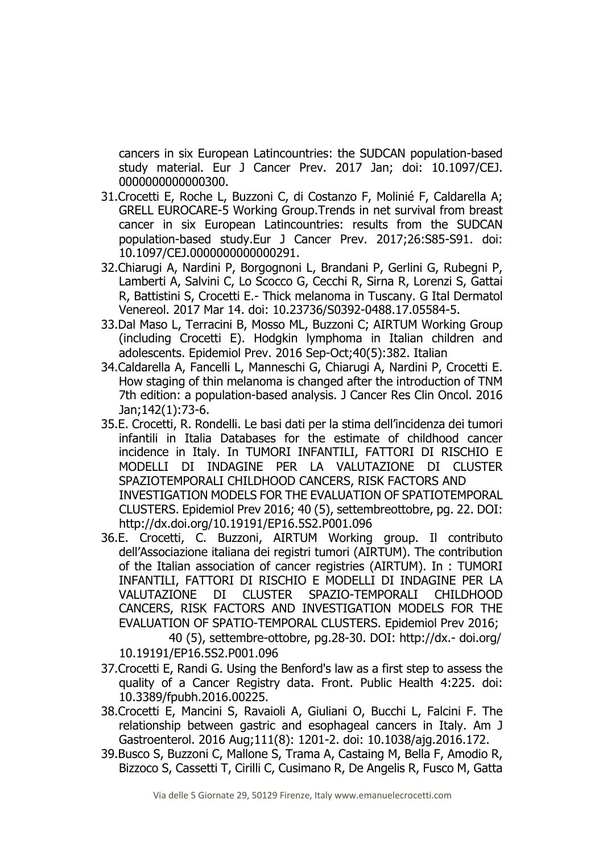cancers in six European Latincountries: the SUDCAN population-based study material. Eur J Cancer Prev. 2017 Jan; doi: 10.1097/CEJ. 0000000000000300.

- 31.Crocetti E, Roche L, Buzzoni C, di Costanzo F, Molinié F, Caldarella A; GRELL EUROCARE-5 Working Group.Trends in net survival from breast cancer in six European Latincountries: results from the SUDCAN population-based study.Eur J Cancer Prev. 2017;26:S85-S91. doi: 10.1097/CEJ.0000000000000291.
- 32.Chiarugi A, Nardini P, Borgognoni L, Brandani P, Gerlini G, Rubegni P, Lamberti A, Salvini C, Lo Scocco G, Cecchi R, Sirna R, Lorenzi S, Gattai R, Battistini S, Crocetti E.- Thick melanoma in Tuscany. G Ital Dermatol Venereol. 2017 Mar 14. doi: 10.23736/S0392-0488.17.05584-5.
- 33.Dal Maso L, Terracini B, Mosso ML, Buzzoni C; AIRTUM Working Group (including Crocetti E). Hodgkin lymphoma in Italian children and adolescents. Epidemiol Prev. 2016 Sep-Oct;40(5):382. Italian
- 34.Caldarella A, Fancelli L, Manneschi G, Chiarugi A, Nardini P, Crocetti E. How staging of thin melanoma is changed after the introduction of TNM 7th edition: a population-based analysis. J Cancer Res Clin Oncol. 2016 Jan;142(1):73-6.
- 35.E. Crocetti, R. Rondelli. Le basi dati per la stima dell'incidenza dei tumori infantili in Italia Databases for the estimate of childhood cancer incidence in Italy. In TUMORI INFANTILI, FATTORI DI RISCHIO E MODELLI DI INDAGINE PER LA VALUTAZIONE DI CLUSTER SPAZIOTEMPORALI CHILDHOOD CANCERS, RISK FACTORS AND INVESTIGATION MODELS FOR THE EVALUATION OF SPATIOTEMPORAL CLUSTERS. Epidemiol Prev 2016; 40 (5), settembreottobre, pg. 22. DOI: http://dx.doi.org/10.19191/EP16.5S2.P001.096
- 36.E. Crocetti, C. Buzzoni, AIRTUM Working group. Il contributo dell'Associazione italiana dei registri tumori (AIRTUM). The contribution of the Italian association of cancer registries (AIRTUM). In : TUMORI INFANTILI, FATTORI DI RISCHIO E MODELLI DI INDAGINE PER LA VALUTAZIONE DI CLUSTER SPAZIO-TEMPORALI CHILDHOOD CANCERS, RISK FACTORS AND INVESTIGATION MODELS FOR THE EVALUATION OF SPATIO-TEMPORAL CLUSTERS. Epidemiol Prev 2016; 40 (5), settembre-ottobre, pg.28-30. DOI: http://dx.- doi.org/

10.19191/EP16.5S2.P001.096

- 37.Crocetti E, Randi G. Using the Benford's law as a first step to assess the quality of a Cancer Registry data. Front. Public Health 4:225. doi: 10.3389/fpubh.2016.00225.
- 38.Crocetti E, Mancini S, Ravaioli A, Giuliani O, Bucchi L, Falcini F. The relationship between gastric and esophageal cancers in Italy. Am J Gastroenterol. 2016 Aug;111(8): 1201-2. doi: 10.1038/ajg.2016.172.
- 39.Busco S, Buzzoni C, Mallone S, Trama A, Castaing M, Bella F, Amodio R, Bizzoco S, Cassetti T, Cirilli C, Cusimano R, De Angelis R, Fusco M, Gatta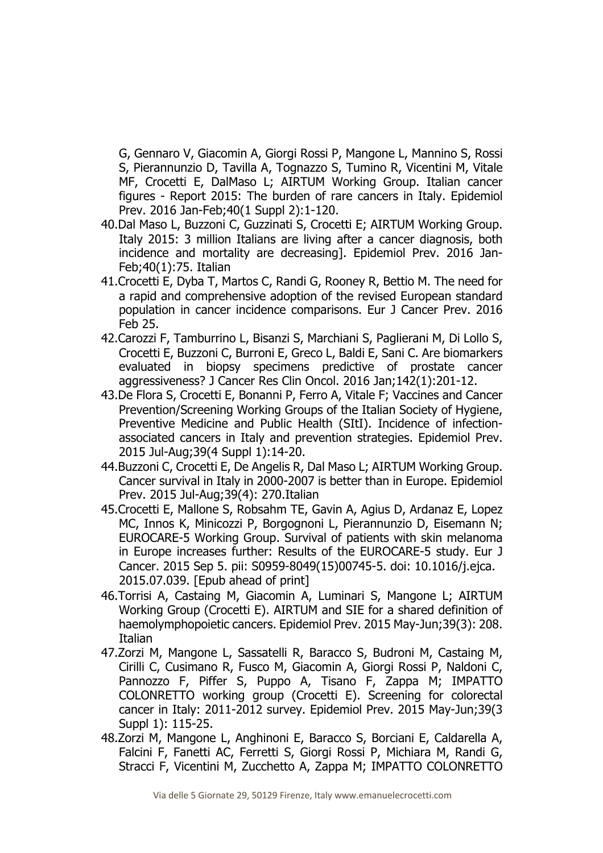G, Gennaro V, Giacomin A, Giorgi Rossi P, Mangone L, Mannino S, Rossi S, Pierannunzio D, Tavilla A, Tognazzo S, Tumino R, Vicentini M, Vitale MF, Crocetti E, DalMaso L; AIRTUM Working Group. Italian cancer figures - Report 2015: The burden of rare cancers in Italy. Epidemiol Prev. 2016 Jan-Feb;40(1 Suppl 2):1-120.

- 40.Dal Maso L, Buzzoni C, Guzzinati S, Crocetti E; AIRTUM Working Group. Italy 2015: 3 million Italians are living after a cancer diagnosis, both incidence and mortality are decreasing]. Epidemiol Prev. 2016 Jan-Feb;40(1):75. Italian
- 41.Crocetti E, Dyba T, Martos C, Randi G, Rooney R, Bettio M. The need for a rapid and comprehensive adoption of the revised European standard population in cancer incidence comparisons. Eur J Cancer Prev. 2016 Feb 25.
- 42.Carozzi F, Tamburrino L, Bisanzi S, Marchiani S, Paglierani M, Di Lollo S, Crocetti E, Buzzoni C, Burroni E, Greco L, Baldi E, Sani C. Are biomarkers evaluated in biopsy specimens predictive of prostate cancer aggressiveness? J Cancer Res Clin Oncol. 2016 Jan;142(1):201-12.
- 43.De Flora S, Crocetti E, Bonanni P, Ferro A, Vitale F; Vaccines and Cancer Prevention/Screening Working Groups of the Italian Society of Hygiene, Preventive Medicine and Public Health (SItI). Incidence of infectionassociated cancers in Italy and prevention strategies. Epidemiol Prev. 2015 Jul-Aug;39(4 Suppl 1):14-20.
- 44.Buzzoni C, Crocetti E, De Angelis R, Dal Maso L; AIRTUM Working Group. Cancer survival in Italy in 2000-2007 is better than in Europe. Epidemiol Prev. 2015 Jul-Aug;39(4): 270.Italian
- 45.Crocetti E, Mallone S, Robsahm TE, Gavin A, Agius D, Ardanaz E, Lopez MC, Innos K, Minicozzi P, Borgognoni L, Pierannunzio D, Eisemann N; EUROCARE-5 Working Group. Survival of patients with skin melanoma in Europe increases further: Results of the EUROCARE-5 study. Eur J Cancer. 2015 Sep 5. pii: S0959-8049(15)00745-5. doi: 10.1016/j.ejca. 2015.07.039. [Epub ahead of print]
- 46.Torrisi A, Castaing M, Giacomin A, Luminari S, Mangone L; AIRTUM Working Group (Crocetti E). AIRTUM and SIE for a shared definition of haemolymphopoietic cancers. Epidemiol Prev. 2015 May-Jun;39(3): 208. **Italian**
- 47.Zorzi M, Mangone L, Sassatelli R, Baracco S, Budroni M, Castaing M, Cirilli C, Cusimano R, Fusco M, Giacomin A, Giorgi Rossi P, Naldoni C, Pannozzo F, Piffer S, Puppo A, Tisano F, Zappa M; IMPATTO COLONRETTO working group (Crocetti E). Screening for colorectal cancer in Italy: 2011-2012 survey. Epidemiol Prev. 2015 May-Jun;39(3 Suppl 1): 115-25.
- 48.Zorzi M, Mangone L, Anghinoni E, Baracco S, Borciani E, Caldarella A, Falcini F, Fanetti AC, Ferretti S, Giorgi Rossi P, Michiara M, Randi G, Stracci F, Vicentini M, Zucchetto A, Zappa M; IMPATTO COLONRETTO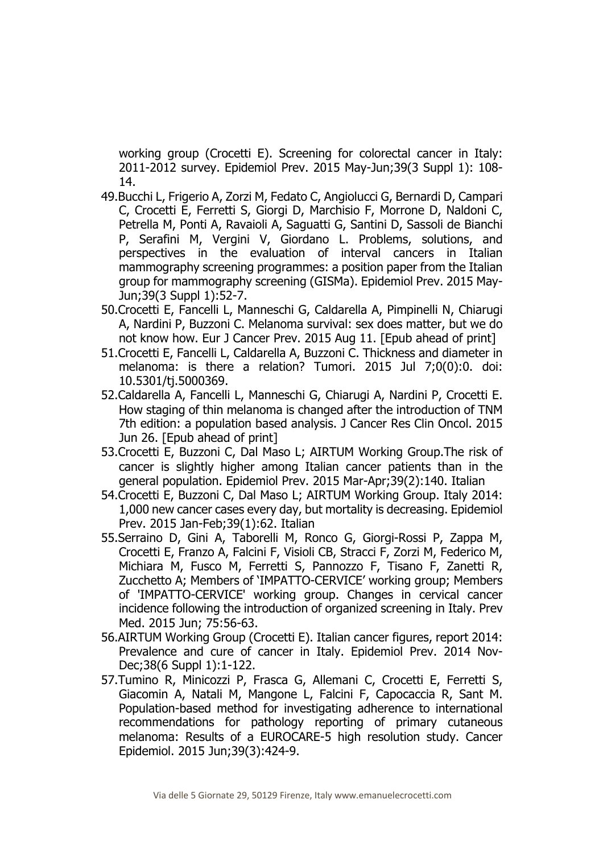working group (Crocetti E). Screening for colorectal cancer in Italy: 2011-2012 survey. Epidemiol Prev. 2015 May-Jun;39(3 Suppl 1): 108- 14.

- 49.Bucchi L, Frigerio A, Zorzi M, Fedato C, Angiolucci G, Bernardi D, Campari C, Crocetti E, Ferretti S, Giorgi D, Marchisio F, Morrone D, Naldoni C, Petrella M, Ponti A, Ravaioli A, Saguatti G, Santini D, Sassoli de Bianchi P, Serafini M, Vergini V, Giordano L. Problems, solutions, and perspectives in the evaluation of interval cancers in Italian mammography screening programmes: a position paper from the Italian group for mammography screening (GISMa). Epidemiol Prev. 2015 May-Jun;39(3 Suppl 1):52-7.
- 50.Crocetti E, Fancelli L, Manneschi G, Caldarella A, Pimpinelli N, Chiarugi A, Nardini P, Buzzoni C. Melanoma survival: sex does matter, but we do not know how. Eur J Cancer Prev. 2015 Aug 11. [Epub ahead of print]
- 51.Crocetti E, Fancelli L, Caldarella A, Buzzoni C. Thickness and diameter in melanoma: is there a relation? Tumori. 2015 Jul 7;0(0):0. doi: 10.5301/tj.5000369.
- 52.Caldarella A, Fancelli L, Manneschi G, Chiarugi A, Nardini P, Crocetti E. How staging of thin melanoma is changed after the introduction of TNM 7th edition: a population based analysis. J Cancer Res Clin Oncol. 2015 Jun 26. [Epub ahead of print]
- 53.Crocetti E, Buzzoni C, Dal Maso L; AIRTUM Working Group.The risk of cancer is slightly higher among Italian cancer patients than in the general population. Epidemiol Prev. 2015 Mar-Apr;39(2):140. Italian
- 54.Crocetti E, Buzzoni C, Dal Maso L; AIRTUM Working Group. Italy 2014: 1,000 new cancer cases every day, but mortality is decreasing. Epidemiol Prev. 2015 Jan-Feb;39(1):62. Italian
- 55.Serraino D, Gini A, Taborelli M, Ronco G, Giorgi-Rossi P, Zappa M, Crocetti E, Franzo A, Falcini F, Visioli CB, Stracci F, Zorzi M, Federico M, Michiara M, Fusco M, Ferretti S, Pannozzo F, Tisano F, Zanetti R, Zucchetto A; Members of 'IMPATTO-CERVICE' working group; Members of 'IMPATTO-CERVICE' working group. Changes in cervical cancer incidence following the introduction of organized screening in Italy. Prev Med. 2015 Jun; 75:56-63.
- 56.AIRTUM Working Group (Crocetti E). Italian cancer figures, report 2014: Prevalence and cure of cancer in Italy. Epidemiol Prev. 2014 Nov-Dec;38(6 Suppl 1):1-122.
- 57.Tumino R, Minicozzi P, Frasca G, Allemani C, Crocetti E, Ferretti S, Giacomin A, Natali M, Mangone L, Falcini F, Capocaccia R, Sant M. Population-based method for investigating adherence to international recommendations for pathology reporting of primary cutaneous melanoma: Results of a EUROCARE-5 high resolution study. Cancer Epidemiol. 2015 Jun;39(3):424-9.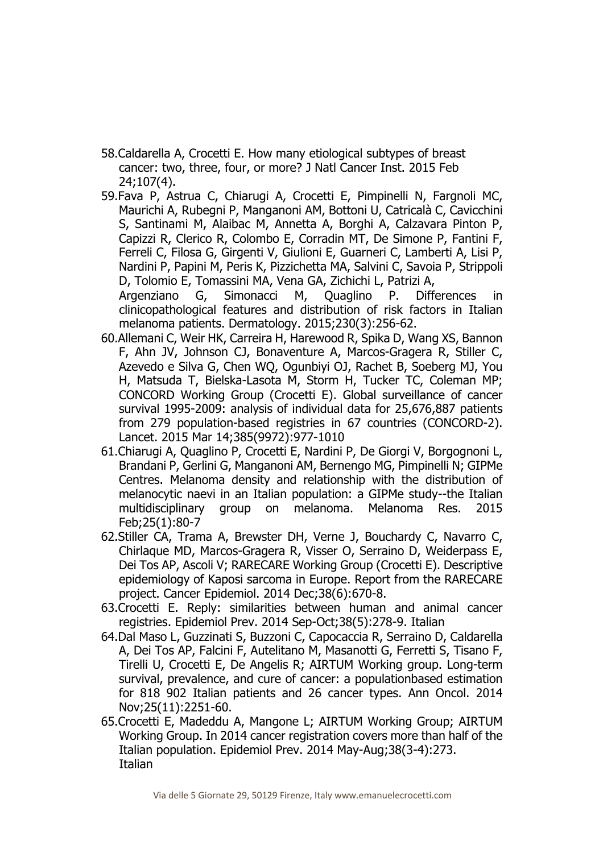- 58.Caldarella A, Crocetti E. How many etiological subtypes of breast cancer: two, three, four, or more? J Natl Cancer Inst. 2015 Feb 24;107(4).
- 59.Fava P, Astrua C, Chiarugi A, Crocetti E, Pimpinelli N, Fargnoli MC, Maurichi A, Rubegni P, Manganoni AM, Bottoni U, Catricalà C, Cavicchini S, Santinami M, Alaibac M, Annetta A, Borghi A, Calzavara Pinton P, Capizzi R, Clerico R, Colombo E, Corradin MT, De Simone P, Fantini F, Ferreli C, Filosa G, Girgenti V, Giulioni E, Guarneri C, Lamberti A, Lisi P, Nardini P, Papini M, Peris K, Pizzichetta MA, Salvini C, Savoia P, Strippoli D, Tolomio E, Tomassini MA, Vena GA, Zichichi L, Patrizi A, Argenziano G, Simonacci M, Quaglino P. Differences in

clinicopathological features and distribution of risk factors in Italian melanoma patients. Dermatology. 2015;230(3):256-62.

- 60.Allemani C, Weir HK, Carreira H, Harewood R, Spika D, Wang XS, Bannon F, Ahn JV, Johnson CJ, Bonaventure A, Marcos-Gragera R, Stiller C, Azevedo e Silva G, Chen WQ, Ogunbiyi OJ, Rachet B, Soeberg MJ, You H, Matsuda T, Bielska-Lasota M, Storm H, Tucker TC, Coleman MP; CONCORD Working Group (Crocetti E). Global surveillance of cancer survival 1995-2009: analysis of individual data for 25,676,887 patients from 279 population-based registries in 67 countries (CONCORD-2). Lancet. 2015 Mar 14;385(9972):977-1010
- 61.Chiarugi A, Quaglino P, Crocetti E, Nardini P, De Giorgi V, Borgognoni L, Brandani P, Gerlini G, Manganoni AM, Bernengo MG, Pimpinelli N; GIPMe Centres. Melanoma density and relationship with the distribution of melanocytic naevi in an Italian population: a GIPMe study--the Italian multidisciplinary group on melanoma. Melanoma Res. 2015 Feb;25(1):80-7
- 62.Stiller CA, Trama A, Brewster DH, Verne J, Bouchardy C, Navarro C, Chirlaque MD, Marcos-Gragera R, Visser O, Serraino D, Weiderpass E, Dei Tos AP, Ascoli V; RARECARE Working Group (Crocetti E). Descriptive epidemiology of Kaposi sarcoma in Europe. Report from the RARECARE project. Cancer Epidemiol. 2014 Dec;38(6):670-8.
- 63.Crocetti E. Reply: similarities between human and animal cancer registries. Epidemiol Prev. 2014 Sep-Oct;38(5):278-9. Italian
- 64.Dal Maso L, Guzzinati S, Buzzoni C, Capocaccia R, Serraino D, Caldarella A, Dei Tos AP, Falcini F, Autelitano M, Masanotti G, Ferretti S, Tisano F, Tirelli U, Crocetti E, De Angelis R; AIRTUM Working group. Long-term survival, prevalence, and cure of cancer: a populationbased estimation for 818 902 Italian patients and 26 cancer types. Ann Oncol. 2014 Nov;25(11):2251-60.
- 65.Crocetti E, Madeddu A, Mangone L; AIRTUM Working Group; AIRTUM Working Group. In 2014 cancer registration covers more than half of the Italian population. Epidemiol Prev. 2014 May-Aug;38(3-4):273. **Italian**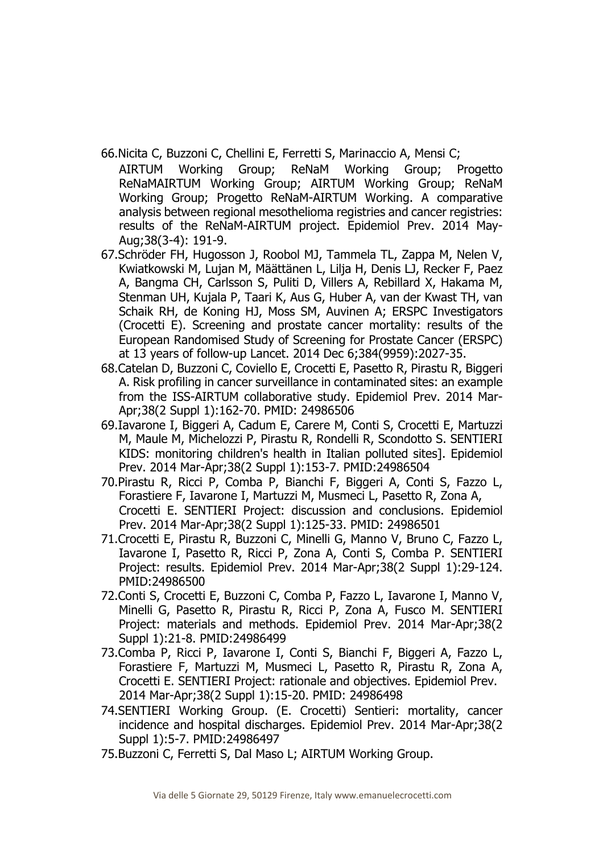- 66.Nicita C, Buzzoni C, Chellini E, Ferretti S, Marinaccio A, Mensi C;
- AIRTUM Working Group; ReNaM Working Group; Progetto ReNaMAIRTUM Working Group; AIRTUM Working Group; ReNaM Working Group; Progetto ReNaM-AIRTUM Working. A comparative analysis between regional mesothelioma registries and cancer registries: results of the ReNaM-AIRTUM project. Epidemiol Prev. 2014 May-Aug;38(3-4): 191-9.
- 67.Schröder FH, Hugosson J, Roobol MJ, Tammela TL, Zappa M, Nelen V, Kwiatkowski M, Lujan M, Määttänen L, Lilja H, Denis LJ, Recker F, Paez A, Bangma CH, Carlsson S, Puliti D, Villers A, Rebillard X, Hakama M, Stenman UH, Kujala P, Taari K, Aus G, Huber A, van der Kwast TH, van Schaik RH, de Koning HJ, Moss SM, Auvinen A; ERSPC Investigators (Crocetti E). Screening and prostate cancer mortality: results of the European Randomised Study of Screening for Prostate Cancer (ERSPC) at 13 years of follow-up Lancet. 2014 Dec 6;384(9959):2027-35.
- 68.Catelan D, Buzzoni C, Coviello E, Crocetti E, Pasetto R, Pirastu R, Biggeri A. Risk profiling in cancer surveillance in contaminated sites: an example from the ISS-AIRTUM collaborative study. Epidemiol Prev. 2014 Mar-Apr;38(2 Suppl 1):162-70. PMID: 24986506
- 69.Iavarone I, Biggeri A, Cadum E, Carere M, Conti S, Crocetti E, Martuzzi M, Maule M, Michelozzi P, Pirastu R, Rondelli R, Scondotto S. SENTIERI KIDS: monitoring children's health in Italian polluted sites]. Epidemiol Prev. 2014 Mar-Apr;38(2 Suppl 1):153-7. PMID:24986504
- 70.Pirastu R, Ricci P, Comba P, Bianchi F, Biggeri A, Conti S, Fazzo L, Forastiere F, Iavarone I, Martuzzi M, Musmeci L, Pasetto R, Zona A, Crocetti E. SENTIERI Project: discussion and conclusions. Epidemiol Prev. 2014 Mar-Apr;38(2 Suppl 1):125-33. PMID: 24986501
- 71.Crocetti E, Pirastu R, Buzzoni C, Minelli G, Manno V, Bruno C, Fazzo L, Iavarone I, Pasetto R, Ricci P, Zona A, Conti S, Comba P. SENTIERI Project: results. Epidemiol Prev. 2014 Mar-Apr;38(2 Suppl 1):29-124. PMID:24986500
- 72.Conti S, Crocetti E, Buzzoni C, Comba P, Fazzo L, Iavarone I, Manno V, Minelli G, Pasetto R, Pirastu R, Ricci P, Zona A, Fusco M. SENTIERI Project: materials and methods. Epidemiol Prev. 2014 Mar-Apr;38(2 Suppl 1):21-8. PMID:24986499
- 73.Comba P, Ricci P, Iavarone I, Conti S, Bianchi F, Biggeri A, Fazzo L, Forastiere F, Martuzzi M, Musmeci L, Pasetto R, Pirastu R, Zona A, Crocetti E. SENTIERI Project: rationale and objectives. Epidemiol Prev. 2014 Mar-Apr;38(2 Suppl 1):15-20. PMID: 24986498
- 74.SENTIERI Working Group. (E. Crocetti) Sentieri: mortality, cancer incidence and hospital discharges. Epidemiol Prev. 2014 Mar-Apr;38(2 Suppl 1):5-7. PMID:24986497
- 75.Buzzoni C, Ferretti S, Dal Maso L; AIRTUM Working Group.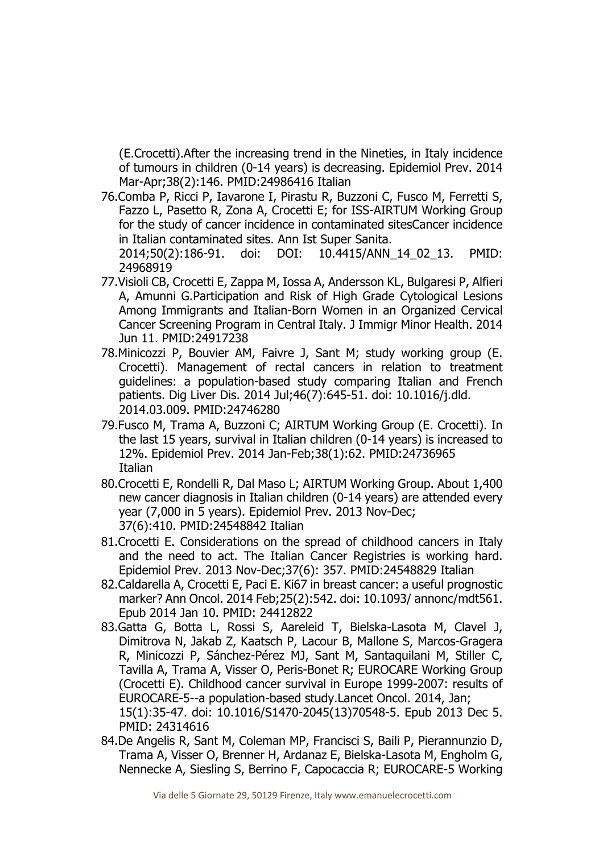(E.Crocetti).After the increasing trend in the Nineties, in Italy incidence of tumours in children (0-14 years) is decreasing. Epidemiol Prev. 2014 Mar-Apr;38(2):146. PMID:24986416 Italian

76.Comba P, Ricci P, Iavarone I, Pirastu R, Buzzoni C, Fusco M, Ferretti S, Fazzo L, Pasetto R, Zona A, Crocetti E; for ISS-AIRTUM Working Group for the study of cancer incidence in contaminated sitesCancer incidence in Italian contaminated sites. Ann Ist Super Sanita.

2014;50(2):186-91. doi: DOI: 10.4415/ANN\_14\_02\_13. PMID: 24968919

- 77.Visioli CB, Crocetti E, Zappa M, Iossa A, Andersson KL, Bulgaresi P, Alfieri A, Amunni G.Participation and Risk of High Grade Cytological Lesions Among Immigrants and Italian-Born Women in an Organized Cervical Cancer Screening Program in Central Italy. J Immigr Minor Health. 2014 Jun 11. PMID:24917238
- 78.Minicozzi P, Bouvier AM, Faivre J, Sant M; study working group (E. Crocetti). Management of rectal cancers in relation to treatment guidelines: a population-based study comparing Italian and French patients. Dig Liver Dis. 2014 Jul;46(7):645-51. doi: 10.1016/j.dld. 2014.03.009. PMID:24746280
- 79.Fusco M, Trama A, Buzzoni C; AIRTUM Working Group (E. Crocetti). In the last 15 years, survival in Italian children (0-14 years) is increased to 12%. Epidemiol Prev. 2014 Jan-Feb;38(1):62. PMID:24736965 **Italian**
- 80.Crocetti E, Rondelli R, Dal Maso L; AIRTUM Working Group. About 1,400 new cancer diagnosis in Italian children (0-14 years) are attended every year (7,000 in 5 years). Epidemiol Prev. 2013 Nov-Dec; 37(6):410. PMID:24548842 Italian
- 81.Crocetti E. Considerations on the spread of childhood cancers in Italy and the need to act. The Italian Cancer Registries is working hard. Epidemiol Prev. 2013 Nov-Dec;37(6): 357. PMID:24548829 Italian
- 82.Caldarella A, Crocetti E, Paci E. Ki67 in breast cancer: a useful prognostic marker? Ann Oncol. 2014 Feb;25(2):542. doi: 10.1093/ annonc/mdt561. Epub 2014 Jan 10. PMID: 24412822
- 83.Gatta G, Botta L, Rossi S, Aareleid T, Bielska-Lasota M, Clavel J, Dimitrova N, Jakab Z, Kaatsch P, Lacour B, Mallone S, Marcos-Gragera R, Minicozzi P, Sánchez-Pérez MJ, Sant M, Santaquilani M, Stiller C, Tavilla A, Trama A, Visser O, Peris-Bonet R; EUROCARE Working Group (Crocetti E). Childhood cancer survival in Europe 1999-2007: results of EUROCARE-5--a population-based study.Lancet Oncol. 2014, Jan; 15(1):35-47. doi: 10.1016/S1470-2045(13)70548-5. Epub 2013 Dec 5. PMID: 24314616
- 84.De Angelis R, Sant M, Coleman MP, Francisci S, Baili P, Pierannunzio D, Trama A, Visser O, Brenner H, Ardanaz E, Bielska-Lasota M, Engholm G, Nennecke A, Siesling S, Berrino F, Capocaccia R; EUROCARE-5 Working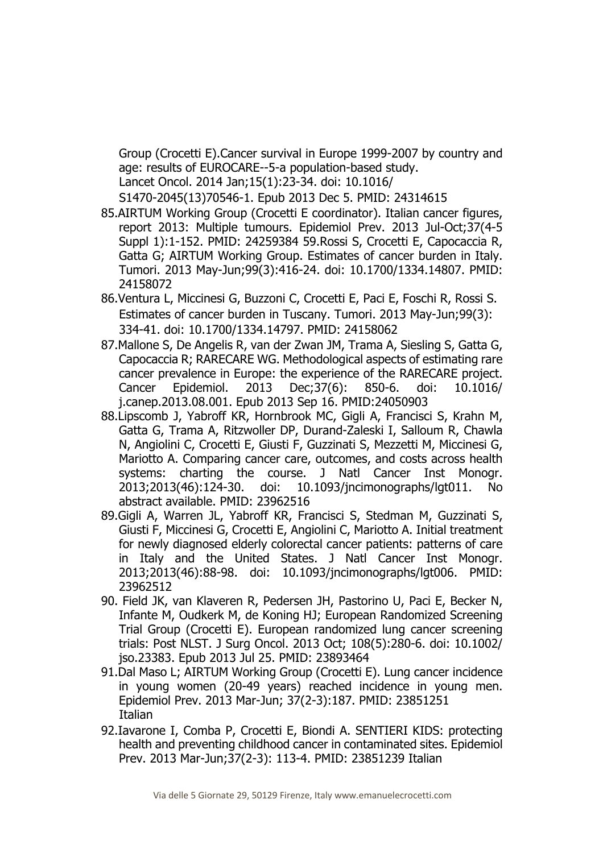Group (Crocetti E).Cancer survival in Europe 1999-2007 by country and age: results of EUROCARE--5-a population-based study. Lancet Oncol. 2014 Jan;15(1):23-34. doi: 10.1016/

S1470-2045(13)70546-1. Epub 2013 Dec 5. PMID: 24314615

- 85.AIRTUM Working Group (Crocetti E coordinator). Italian cancer figures, report 2013: Multiple tumours. Epidemiol Prev. 2013 Jul-Oct;37(4-5 Suppl 1):1-152. PMID: 24259384 59.Rossi S, Crocetti E, Capocaccia R, Gatta G; AIRTUM Working Group. Estimates of cancer burden in Italy. Tumori. 2013 May-Jun;99(3):416-24. doi: 10.1700/1334.14807. PMID: 24158072
- 86.Ventura L, Miccinesi G, Buzzoni C, Crocetti E, Paci E, Foschi R, Rossi S. Estimates of cancer burden in Tuscany. Tumori. 2013 May-Jun;99(3): 334-41. doi: 10.1700/1334.14797. PMID: 24158062
- 87.Mallone S, De Angelis R, van der Zwan JM, Trama A, Siesling S, Gatta G, Capocaccia R; RARECARE WG. Methodological aspects of estimating rare cancer prevalence in Europe: the experience of the RARECARE project. Cancer Epidemiol. 2013 Dec;37(6): 850-6. doi: 10.1016/ j.canep.2013.08.001. Epub 2013 Sep 16. PMID:24050903
- 88.Lipscomb J, Yabroff KR, Hornbrook MC, Gigli A, Francisci S, Krahn M, Gatta G, Trama A, Ritzwoller DP, Durand-Zaleski I, Salloum R, Chawla N, Angiolini C, Crocetti E, Giusti F, Guzzinati S, Mezzetti M, Miccinesi G, Mariotto A. Comparing cancer care, outcomes, and costs across health systems: charting the course. J Natl Cancer Inst Monogr. 2013;2013(46):124-30. doi: 10.1093/jncimonographs/lgt011. No abstract available. PMID: 23962516
- 89.Gigli A, Warren JL, Yabroff KR, Francisci S, Stedman M, Guzzinati S, Giusti F, Miccinesi G, Crocetti E, Angiolini C, Mariotto A. Initial treatment for newly diagnosed elderly colorectal cancer patients: patterns of care in Italy and the United States. J Natl Cancer Inst Monogr. 2013;2013(46):88-98. doi: 10.1093/jncimonographs/lgt006. PMID: 23962512
- 90. Field JK, van Klaveren R, Pedersen JH, Pastorino U, Paci E, Becker N, Infante M, Oudkerk M, de Koning HJ; European Randomized Screening Trial Group (Crocetti E). European randomized lung cancer screening trials: Post NLST. J Surg Oncol. 2013 Oct; 108(5):280-6. doi: 10.1002/ jso.23383. Epub 2013 Jul 25. PMID: 23893464
- 91.Dal Maso L; AIRTUM Working Group (Crocetti E). Lung cancer incidence in young women (20-49 years) reached incidence in young men. Epidemiol Prev. 2013 Mar-Jun; 37(2-3):187. PMID: 23851251 **Italian**
- 92.Iavarone I, Comba P, Crocetti E, Biondi A. SENTIERI KIDS: protecting health and preventing childhood cancer in contaminated sites. Epidemiol Prev. 2013 Mar-Jun;37(2-3): 113-4. PMID: 23851239 Italian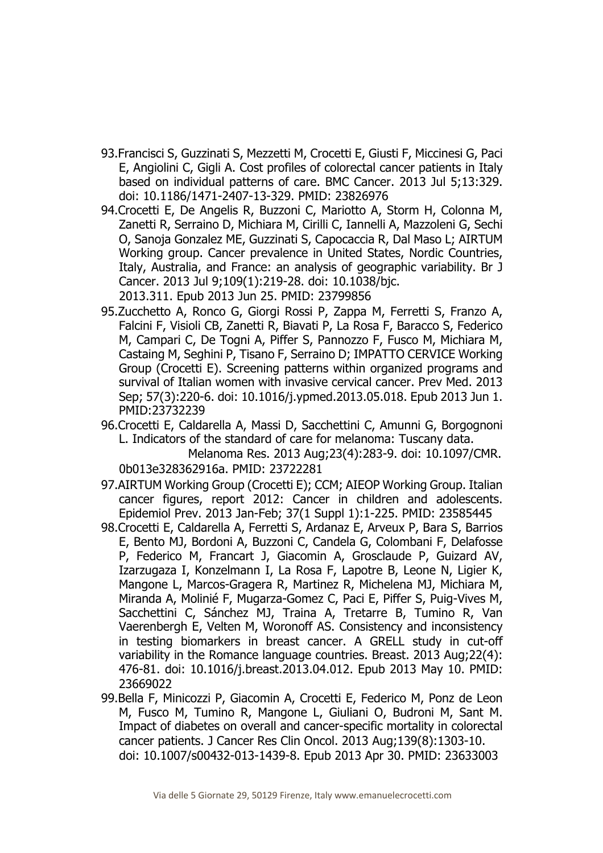- 93.Francisci S, Guzzinati S, Mezzetti M, Crocetti E, Giusti F, Miccinesi G, Paci E, Angiolini C, Gigli A. Cost profiles of colorectal cancer patients in Italy based on individual patterns of care. BMC Cancer. 2013 Jul 5;13:329. doi: 10.1186/1471-2407-13-329. PMID: 23826976
- 94.Crocetti E, De Angelis R, Buzzoni C, Mariotto A, Storm H, Colonna M, Zanetti R, Serraino D, Michiara M, Cirilli C, Iannelli A, Mazzoleni G, Sechi O, Sanoja Gonzalez ME, Guzzinati S, Capocaccia R, Dal Maso L; AIRTUM Working group. Cancer prevalence in United States, Nordic Countries, Italy, Australia, and France: an analysis of geographic variability. Br J Cancer. 2013 Jul 9;109(1):219-28. doi: 10.1038/bjc. 2013.311. Epub 2013 Jun 25. PMID: 23799856
- 95.Zucchetto A, Ronco G, Giorgi Rossi P, Zappa M, Ferretti S, Franzo A, Falcini F, Visioli CB, Zanetti R, Biavati P, La Rosa F, Baracco S, Federico M, Campari C, De Togni A, Piffer S, Pannozzo F, Fusco M, Michiara M, Castaing M, Seghini P, Tisano F, Serraino D; IMPATTO CERVICE Working Group (Crocetti E). Screening patterns within organized programs and survival of Italian women with invasive cervical cancer. Prev Med. 2013 Sep; 57(3):220-6. doi: 10.1016/j.ypmed.2013.05.018. Epub 2013 Jun 1. PMID:23732239
- 96.Crocetti E, Caldarella A, Massi D, Sacchettini C, Amunni G, Borgognoni L. Indicators of the standard of care for melanoma: Tuscany data. Melanoma Res. 2013 Aug;23(4):283-9. doi: 10.1097/CMR.

0b013e328362916a. PMID: 23722281

- 97.AIRTUM Working Group (Crocetti E); CCM; AIEOP Working Group. Italian cancer figures, report 2012: Cancer in children and adolescents. Epidemiol Prev. 2013 Jan-Feb; 37(1 Suppl 1):1-225. PMID: 23585445
- 98.Crocetti E, Caldarella A, Ferretti S, Ardanaz E, Arveux P, Bara S, Barrios E, Bento MJ, Bordoni A, Buzzoni C, Candela G, Colombani F, Delafosse P, Federico M, Francart J, Giacomin A, Grosclaude P, Guizard AV, Izarzugaza I, Konzelmann I, La Rosa F, Lapotre B, Leone N, Ligier K, Mangone L, Marcos-Gragera R, Martinez R, Michelena MJ, Michiara M, Miranda A, Molinié F, Mugarza-Gomez C, Paci E, Piffer S, Puig-Vives M, Sacchettini C, Sánchez MJ, Traina A, Tretarre B, Tumino R, Van Vaerenbergh E, Velten M, Woronoff AS. Consistency and inconsistency in testing biomarkers in breast cancer. A GRELL study in cut-off variability in the Romance language countries. Breast. 2013 Aug;22(4): 476-81. doi: 10.1016/j.breast.2013.04.012. Epub 2013 May 10. PMID: 23669022
- 99.Bella F, Minicozzi P, Giacomin A, Crocetti E, Federico M, Ponz de Leon M, Fusco M, Tumino R, Mangone L, Giuliani O, Budroni M, Sant M. Impact of diabetes on overall and cancer-specific mortality in colorectal cancer patients. J Cancer Res Clin Oncol. 2013 Aug;139(8):1303-10. doi: 10.1007/s00432-013-1439-8. Epub 2013 Apr 30. PMID: 23633003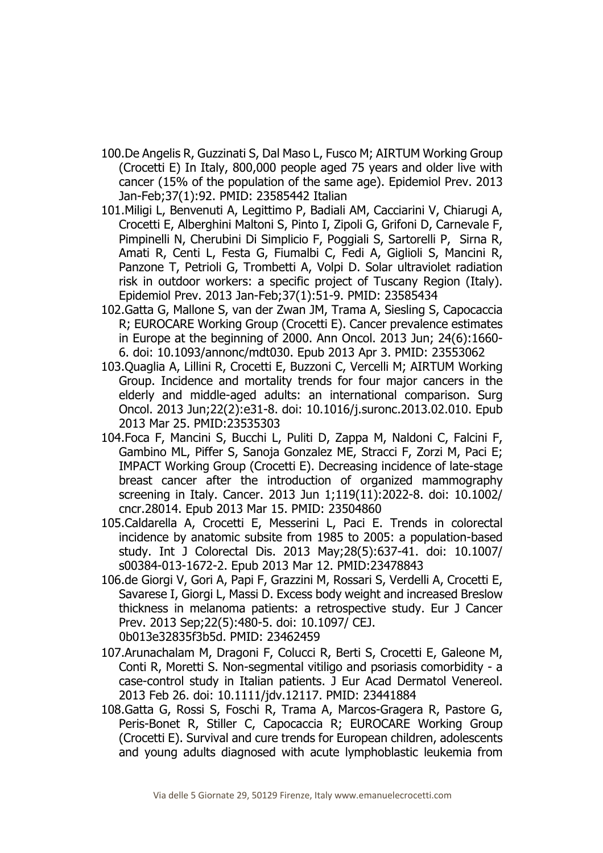- 100.De Angelis R, Guzzinati S, Dal Maso L, Fusco M; AIRTUM Working Group (Crocetti E) In Italy, 800,000 people aged 75 years and older live with cancer (15% of the population of the same age). Epidemiol Prev. 2013 Jan-Feb;37(1):92. PMID: 23585442 Italian
- 101.Miligi L, Benvenuti A, Legittimo P, Badiali AM, Cacciarini V, Chiarugi A, Crocetti E, Alberghini Maltoni S, Pinto I, Zipoli G, Grifoni D, Carnevale F, Pimpinelli N, Cherubini Di Simplicio F, Poggiali S, Sartorelli P, Sirna R, Amati R, Centi L, Festa G, Fiumalbi C, Fedi A, Giglioli S, Mancini R, Panzone T, Petrioli G, Trombetti A, Volpi D. Solar ultraviolet radiation risk in outdoor workers: a specific project of Tuscany Region (Italy). Epidemiol Prev. 2013 Jan-Feb;37(1):51-9. PMID: 23585434
- 102.Gatta G, Mallone S, van der Zwan JM, Trama A, Siesling S, Capocaccia R; EUROCARE Working Group (Crocetti E). Cancer prevalence estimates in Europe at the beginning of 2000. Ann Oncol. 2013 Jun; 24(6):1660- 6. doi: 10.1093/annonc/mdt030. Epub 2013 Apr 3. PMID: 23553062
- 103.Quaglia A, Lillini R, Crocetti E, Buzzoni C, Vercelli M; AIRTUM Working Group. Incidence and mortality trends for four major cancers in the elderly and middle-aged adults: an international comparison. Surg Oncol. 2013 Jun;22(2):e31-8. doi: 10.1016/j.suronc.2013.02.010. Epub 2013 Mar 25. PMID:23535303
- 104.Foca F, Mancini S, Bucchi L, Puliti D, Zappa M, Naldoni C, Falcini F, Gambino ML, Piffer S, Sanoja Gonzalez ME, Stracci F, Zorzi M, Paci E; IMPACT Working Group (Crocetti E). Decreasing incidence of late-stage breast cancer after the introduction of organized mammography screening in Italy. Cancer. 2013 Jun 1;119(11):2022-8. doi: 10.1002/ cncr.28014. Epub 2013 Mar 15. PMID: 23504860
- 105.Caldarella A, Crocetti E, Messerini L, Paci E. Trends in colorectal incidence by anatomic subsite from 1985 to 2005: a population-based study. Int J Colorectal Dis. 2013 May;28(5):637-41. doi: 10.1007/ s00384-013-1672-2. Epub 2013 Mar 12. PMID:23478843
- 106.de Giorgi V, Gori A, Papi F, Grazzini M, Rossari S, Verdelli A, Crocetti E, Savarese I, Giorgi L, Massi D. Excess body weight and increased Breslow thickness in melanoma patients: a retrospective study. Eur J Cancer Prev. 2013 Sep;22(5):480-5. doi: 10.1097/ CEJ. 0b013e32835f3b5d. PMID: 23462459
- 107.Arunachalam M, Dragoni F, Colucci R, Berti S, Crocetti E, Galeone M, Conti R, Moretti S. Non-segmental vitiligo and psoriasis comorbidity - a case-control study in Italian patients. J Eur Acad Dermatol Venereol. 2013 Feb 26. doi: 10.1111/jdv.12117. PMID: 23441884
- 108.Gatta G, Rossi S, Foschi R, Trama A, Marcos-Gragera R, Pastore G, Peris-Bonet R, Stiller C, Capocaccia R; EUROCARE Working Group (Crocetti E). Survival and cure trends for European children, adolescents and young adults diagnosed with acute lymphoblastic leukemia from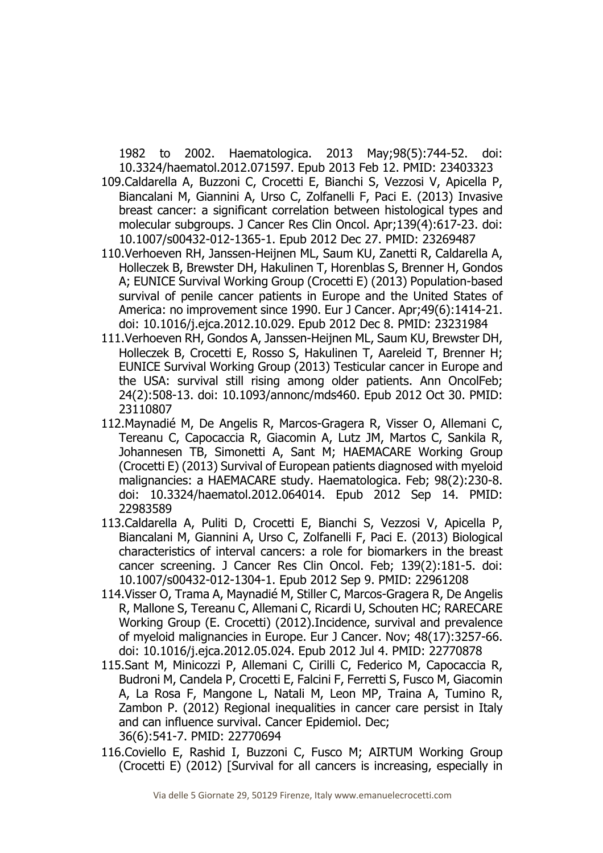1982 to 2002. Haematologica. 2013 May;98(5):744-52. doi: 10.3324/haematol.2012.071597. Epub 2013 Feb 12. PMID: 23403323

- 109.Caldarella A, Buzzoni C, Crocetti E, Bianchi S, Vezzosi V, Apicella P, Biancalani M, Giannini A, Urso C, Zolfanelli F, Paci E. (2013) Invasive breast cancer: a significant correlation between histological types and molecular subgroups. J Cancer Res Clin Oncol. Apr;139(4):617-23. doi: 10.1007/s00432-012-1365-1. Epub 2012 Dec 27. PMID: 23269487
- 110.Verhoeven RH, Janssen-Heijnen ML, Saum KU, Zanetti R, Caldarella A, Holleczek B, Brewster DH, Hakulinen T, Horenblas S, Brenner H, Gondos A; EUNICE Survival Working Group (Crocetti E) (2013) Population-based survival of penile cancer patients in Europe and the United States of America: no improvement since 1990. Eur J Cancer. Apr;49(6):1414-21. doi: 10.1016/j.ejca.2012.10.029. Epub 2012 Dec 8. PMID: 23231984
- 111.Verhoeven RH, Gondos A, Janssen-Heijnen ML, Saum KU, Brewster DH, Holleczek B, Crocetti E, Rosso S, Hakulinen T, Aareleid T, Brenner H; EUNICE Survival Working Group (2013) Testicular cancer in Europe and the USA: survival still rising among older patients. Ann OncolFeb; 24(2):508-13. doi: 10.1093/annonc/mds460. Epub 2012 Oct 30. PMID: 23110807
- 112.Maynadié M, De Angelis R, Marcos-Gragera R, Visser O, Allemani C, Tereanu C, Capocaccia R, Giacomin A, Lutz JM, Martos C, Sankila R, Johannesen TB, Simonetti A, Sant M; HAEMACARE Working Group (Crocetti E) (2013) Survival of European patients diagnosed with myeloid malignancies: a HAEMACARE study. Haematologica. Feb; 98(2):230-8. doi: 10.3324/haematol.2012.064014. Epub 2012 Sep 14. PMID: 22983589
- 113.Caldarella A, Puliti D, Crocetti E, Bianchi S, Vezzosi V, Apicella P, Biancalani M, Giannini A, Urso C, Zolfanelli F, Paci E. (2013) Biological characteristics of interval cancers: a role for biomarkers in the breast cancer screening. J Cancer Res Clin Oncol. Feb; 139(2):181-5. doi: 10.1007/s00432-012-1304-1. Epub 2012 Sep 9. PMID: 22961208
- 114.Visser O, Trama A, Maynadié M, Stiller C, Marcos-Gragera R, De Angelis R, Mallone S, Tereanu C, Allemani C, Ricardi U, Schouten HC; RARECARE Working Group (E. Crocetti) (2012).Incidence, survival and prevalence of myeloid malignancies in Europe. Eur J Cancer. Nov; 48(17):3257-66. doi: 10.1016/j.ejca.2012.05.024. Epub 2012 Jul 4. PMID: 22770878
- 115.Sant M, Minicozzi P, Allemani C, Cirilli C, Federico M, Capocaccia R, Budroni M, Candela P, Crocetti E, Falcini F, Ferretti S, Fusco M, Giacomin A, La Rosa F, Mangone L, Natali M, Leon MP, Traina A, Tumino R, Zambon P. (2012) Regional inequalities in cancer care persist in Italy and can influence survival. Cancer Epidemiol. Dec; 36(6):541-7. PMID: 22770694
- 116.Coviello E, Rashid I, Buzzoni C, Fusco M; AIRTUM Working Group (Crocetti E) (2012) [Survival for all cancers is increasing, especially in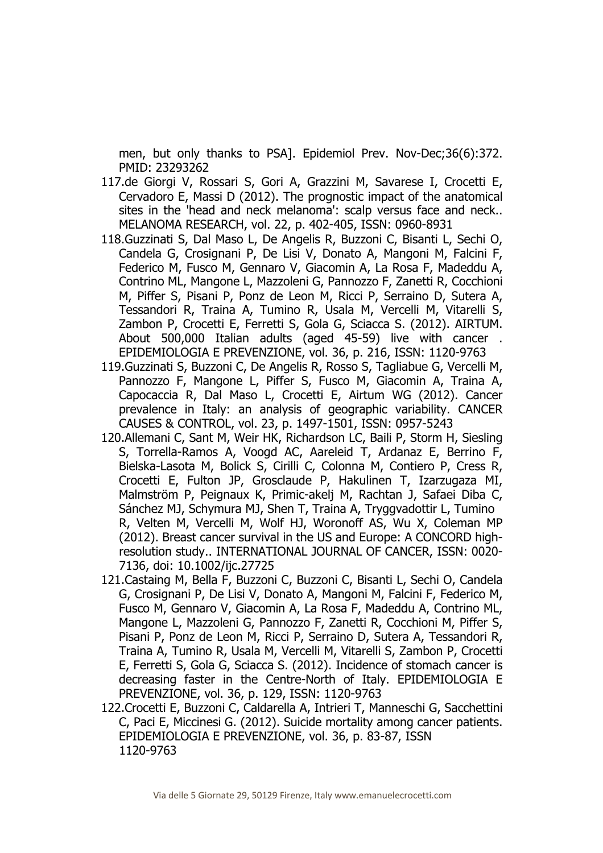men, but only thanks to PSA]. Epidemiol Prev. Nov-Dec;36(6):372. PMID: 23293262

- 117.de Giorgi V, Rossari S, Gori A, Grazzini M, Savarese I, Crocetti E, Cervadoro E, Massi D (2012). The prognostic impact of the anatomical sites in the 'head and neck melanoma': scalp versus face and neck.. MELANOMA RESEARCH, vol. 22, p. 402-405, ISSN: 0960-8931
- 118.Guzzinati S, Dal Maso L, De Angelis R, Buzzoni C, Bisanti L, Sechi O, Candela G, Crosignani P, De Lisi V, Donato A, Mangoni M, Falcini F, Federico M, Fusco M, Gennaro V, Giacomin A, La Rosa F, Madeddu A, Contrino ML, Mangone L, Mazzoleni G, Pannozzo F, Zanetti R, Cocchioni M, Piffer S, Pisani P, Ponz de Leon M, Ricci P, Serraino D, Sutera A, Tessandori R, Traina A, Tumino R, Usala M, Vercelli M, Vitarelli S, Zambon P, Crocetti E, Ferretti S, Gola G, Sciacca S. (2012). AIRTUM. About 500,000 Italian adults (aged 45-59) live with cancer . EPIDEMIOLOGIA E PREVENZIONE, vol. 36, p. 216, ISSN: 1120-9763
- 119.Guzzinati S, Buzzoni C, De Angelis R, Rosso S, Tagliabue G, Vercelli M, Pannozzo F, Mangone L, Piffer S, Fusco M, Giacomin A, Traina A, Capocaccia R, Dal Maso L, Crocetti E, Airtum WG (2012). Cancer prevalence in Italy: an analysis of geographic variability. CANCER CAUSES & CONTROL, vol. 23, p. 1497-1501, ISSN: 0957-5243
- 120.Allemani C, Sant M, Weir HK, Richardson LC, Baili P, Storm H, Siesling S, Torrella-Ramos A, Voogd AC, Aareleid T, Ardanaz E, Berrino F, Bielska-Lasota M, Bolick S, Cirilli C, Colonna M, Contiero P, Cress R, Crocetti E, Fulton JP, Grosclaude P, Hakulinen T, Izarzugaza MI, Malmström P, Peignaux K, Primic-akelj M, Rachtan J, Safaei Diba C, Sánchez MJ, Schymura MJ, Shen T, Traina A, Tryggvadottir L, Tumino R, Velten M, Vercelli M, Wolf HJ, Woronoff AS, Wu X, Coleman MP (2012). Breast cancer survival in the US and Europe: A CONCORD highresolution study.. INTERNATIONAL JOURNAL OF CANCER, ISSN: 0020- 7136, doi: 10.1002/ijc.27725
- 121.Castaing M, Bella F, Buzzoni C, Buzzoni C, Bisanti L, Sechi O, Candela G, Crosignani P, De Lisi V, Donato A, Mangoni M, Falcini F, Federico M, Fusco M, Gennaro V, Giacomin A, La Rosa F, Madeddu A, Contrino ML, Mangone L, Mazzoleni G, Pannozzo F, Zanetti R, Cocchioni M, Piffer S, Pisani P, Ponz de Leon M, Ricci P, Serraino D, Sutera A, Tessandori R, Traina A, Tumino R, Usala M, Vercelli M, Vitarelli S, Zambon P, Crocetti E, Ferretti S, Gola G, Sciacca S. (2012). Incidence of stomach cancer is decreasing faster in the Centre-North of Italy. EPIDEMIOLOGIA E PREVENZIONE, vol. 36, p. 129, ISSN: 1120-9763
- 122.Crocetti E, Buzzoni C, Caldarella A, Intrieri T, Manneschi G, Sacchettini C, Paci E, Miccinesi G. (2012). Suicide mortality among cancer patients. EPIDEMIOLOGIA E PREVENZIONE, vol. 36, p. 83-87, ISSN 1120-9763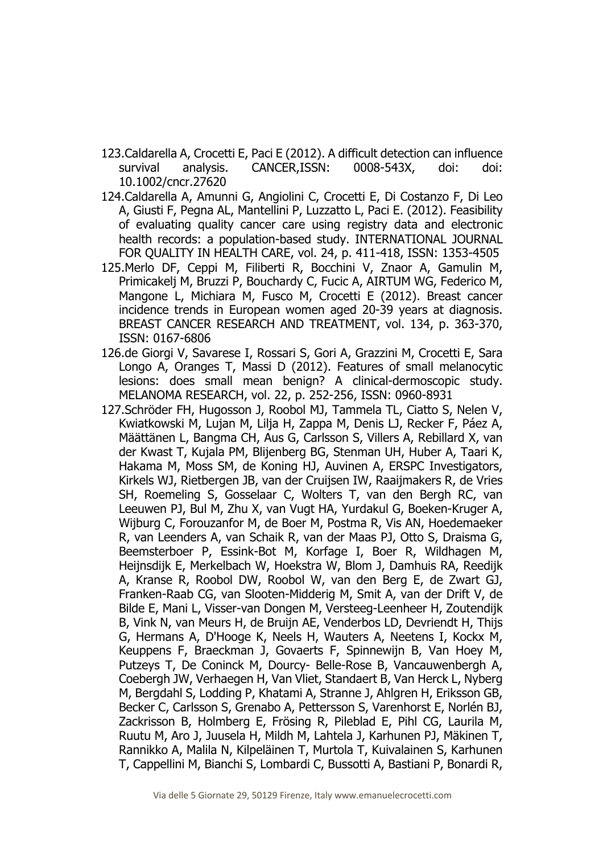- 123.Caldarella A, Crocetti E, Paci E (2012). A difficult detection can influence survival analysis. CANCER,ISSN: 0008-543X, doi: doi: 10.1002/cncr.27620
- 124.Caldarella A, Amunni G, Angiolini C, Crocetti E, Di Costanzo F, Di Leo A, Giusti F, Pegna AL, Mantellini P, Luzzatto L, Paci E. (2012). Feasibility of evaluating quality cancer care using registry data and electronic health records: a population-based study. INTERNATIONAL JOURNAL FOR QUALITY IN HEALTH CARE, vol. 24, p. 411-418, ISSN: 1353-4505
- 125.Merlo DF, Ceppi M, Filiberti R, Bocchini V, Znaor A, Gamulin M, Primicakelj M, Bruzzi P, Bouchardy C, Fucic A, AIRTUM WG, Federico M, Mangone L, Michiara M, Fusco M, Crocetti E (2012). Breast cancer incidence trends in European women aged 20-39 years at diagnosis. BREAST CANCER RESEARCH AND TREATMENT, vol. 134, p. 363-370, ISSN: 0167-6806
- 126.de Giorgi V, Savarese I, Rossari S, Gori A, Grazzini M, Crocetti E, Sara Longo A, Oranges T, Massi D (2012). Features of small melanocytic lesions: does small mean benign? A clinical-dermoscopic study. MELANOMA RESEARCH, vol. 22, p. 252-256, ISSN: 0960-8931
- 127.Schröder FH, Hugosson J, Roobol MJ, Tammela TL, Ciatto S, Nelen V, Kwiatkowski M, Lujan M, Lilja H, Zappa M, Denis LJ, Recker F, Páez A, Määttänen L, Bangma CH, Aus G, Carlsson S, Villers A, Rebillard X, van der Kwast T, Kujala PM, Blijenberg BG, Stenman UH, Huber A, Taari K, Hakama M, Moss SM, de Koning HJ, Auvinen A, ERSPC Investigators, Kirkels WJ, Rietbergen JB, van der Cruijsen IW, Raaijmakers R, de Vries SH, Roemeling S, Gosselaar C, Wolters T, van den Bergh RC, van Leeuwen PJ, Bul M, Zhu X, van Vugt HA, Yurdakul G, Boeken-Kruger A, Wijburg C, Forouzanfor M, de Boer M, Postma R, Vis AN, Hoedemaeker R, van Leenders A, van Schaik R, van der Maas PJ, Otto S, Draisma G, Beemsterboer P, Essink-Bot M, Korfage I, Boer R, Wildhagen M, Heijnsdijk E, Merkelbach W, Hoekstra W, Blom J, Damhuis RA, Reedijk A, Kranse R, Roobol DW, Roobol W, van den Berg E, de Zwart GJ, Franken-Raab CG, van Slooten-Midderig M, Smit A, van der Drift V, de Bilde E, Mani L, Visser-van Dongen M, Versteeg-Leenheer H, Zoutendijk B, Vink N, van Meurs H, de Bruijn AE, Venderbos LD, Devriendt H, Thijs G, Hermans A, D'Hooge K, Neels H, Wauters A, Neetens I, Kockx M, Keuppens F, Braeckman J, Govaerts F, Spinnewijn B, Van Hoey M, Putzeys T, De Coninck M, Dourcy- Belle-Rose B, Vancauwenbergh A, Coebergh JW, Verhaegen H, Van Vliet, Standaert B, Van Herck L, Nyberg M, Bergdahl S, Lodding P, Khatami A, Stranne J, Ahlgren H, Eriksson GB, Becker C, Carlsson S, Grenabo A, Pettersson S, Varenhorst E, Norlén BJ, Zackrisson B, Holmberg E, Frösing R, Pileblad E, Pihl CG, Laurila M, Ruutu M, Aro J, Juusela H, Mildh M, Lahtela J, Karhunen PJ, Mäkinen T, Rannikko A, Malila N, Kilpeläinen T, Murtola T, Kuivalainen S, Karhunen T, Cappellini M, Bianchi S, Lombardi C, Bussotti A, Bastiani P, Bonardi R,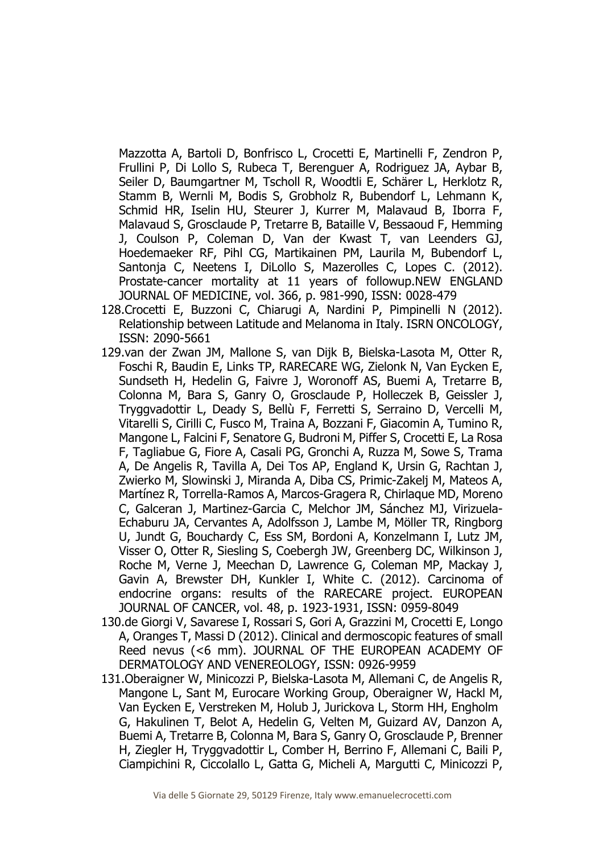Mazzotta A, Bartoli D, Bonfrisco L, Crocetti E, Martinelli F, Zendron P, Frullini P, Di Lollo S, Rubeca T, Berenguer A, Rodriguez JA, Aybar B, Seiler D, Baumgartner M, Tscholl R, Woodtli E, Schärer L, Herklotz R, Stamm B, Wernli M, Bodis S, Grobholz R, Bubendorf L, Lehmann K, Schmid HR, Iselin HU, Steurer J, Kurrer M, Malavaud B, Iborra F, Malavaud S, Grosclaude P, Tretarre B, Bataille V, Bessaoud F, Hemming J, Coulson P, Coleman D, Van der Kwast T, van Leenders GJ, Hoedemaeker RF, Pihl CG, Martikainen PM, Laurila M, Bubendorf L, Santonja C, Neetens I, DiLollo S, Mazerolles C, Lopes C. (2012). Prostate-cancer mortality at 11 years of followup.NEW ENGLAND JOURNAL OF MEDICINE, vol. 366, p. 981-990, ISSN: 0028-479

- 128.Crocetti E, Buzzoni C, Chiarugi A, Nardini P, Pimpinelli N (2012). Relationship between Latitude and Melanoma in Italy. ISRN ONCOLOGY, ISSN: 2090-5661
- 129.van der Zwan JM, Mallone S, van Dijk B, Bielska-Lasota M, Otter R, Foschi R, Baudin E, Links TP, RARECARE WG, Zielonk N, Van Eycken E, Sundseth H, Hedelin G, Faivre J, Woronoff AS, Buemi A, Tretarre B, Colonna M, Bara S, Ganry O, Grosclaude P, Holleczek B, Geissler J, Tryggvadottir L, Deady S, Bellù F, Ferretti S, Serraino D, Vercelli M, Vitarelli S, Cirilli C, Fusco M, Traina A, Bozzani F, Giacomin A, Tumino R, Mangone L, Falcini F, Senatore G, Budroni M, Piffer S, Crocetti E, La Rosa F, Tagliabue G, Fiore A, Casali PG, Gronchi A, Ruzza M, Sowe S, Trama A, De Angelis R, Tavilla A, Dei Tos AP, England K, Ursin G, Rachtan J, Zwierko M, Slowinski J, Miranda A, Diba CS, Primic-Zakelj M, Mateos A, Martínez R, Torrella-Ramos A, Marcos-Gragera R, Chirlaque MD, Moreno C, Galceran J, Martinez-Garcia C, Melchor JM, Sánchez MJ, Virizuela-Echaburu JA, Cervantes A, Adolfsson J, Lambe M, Möller TR, Ringborg U, Jundt G, Bouchardy C, Ess SM, Bordoni A, Konzelmann I, Lutz JM, Visser O, Otter R, Siesling S, Coebergh JW, Greenberg DC, Wilkinson J, Roche M, Verne J, Meechan D, Lawrence G, Coleman MP, Mackay J, Gavin A, Brewster DH, Kunkler I, White C. (2012). Carcinoma of endocrine organs: results of the RARECARE project. EUROPEAN JOURNAL OF CANCER, vol. 48, p. 1923-1931, ISSN: 0959-8049
- 130.de Giorgi V, Savarese I, Rossari S, Gori A, Grazzini M, Crocetti E, Longo A, Oranges T, Massi D (2012). Clinical and dermoscopic features of small Reed nevus (<6 mm). JOURNAL OF THE EUROPEAN ACADEMY OF DERMATOLOGY AND VENEREOLOGY, ISSN: 0926-9959
- 131.Oberaigner W, Minicozzi P, Bielska-Lasota M, Allemani C, de Angelis R, Mangone L, Sant M, Eurocare Working Group, Oberaigner W, Hackl M, Van Eycken E, Verstreken M, Holub J, Jurickova L, Storm HH, Engholm G, Hakulinen T, Belot A, Hedelin G, Velten M, Guizard AV, Danzon A, Buemi A, Tretarre B, Colonna M, Bara S, Ganry O, Grosclaude P, Brenner H, Ziegler H, Tryggvadottir L, Comber H, Berrino F, Allemani C, Baili P, Ciampichini R, Ciccolallo L, Gatta G, Micheli A, Margutti C, Minicozzi P,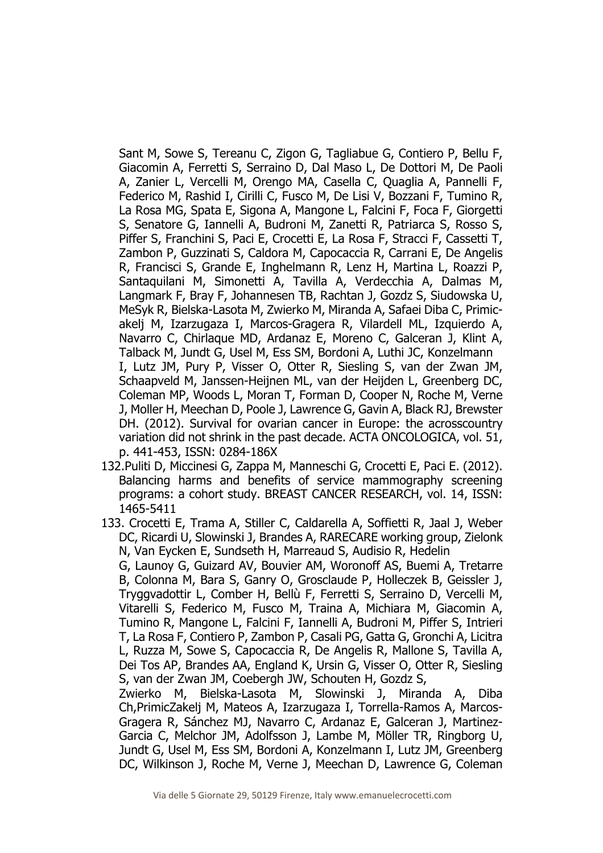Sant M, Sowe S, Tereanu C, Zigon G, Tagliabue G, Contiero P, Bellu F, Giacomin A, Ferretti S, Serraino D, Dal Maso L, De Dottori M, De Paoli A, Zanier L, Vercelli M, Orengo MA, Casella C, Quaglia A, Pannelli F, Federico M, Rashid I, Cirilli C, Fusco M, De Lisi V, Bozzani F, Tumino R, La Rosa MG, Spata E, Sigona A, Mangone L, Falcini F, Foca F, Giorgetti S, Senatore G, Iannelli A, Budroni M, Zanetti R, Patriarca S, Rosso S, Piffer S, Franchini S, Paci E, Crocetti E, La Rosa F, Stracci F, Cassetti T, Zambon P, Guzzinati S, Caldora M, Capocaccia R, Carrani E, De Angelis R, Francisci S, Grande E, Inghelmann R, Lenz H, Martina L, Roazzi P, Santaquilani M, Simonetti A, Tavilla A, Verdecchia A, Dalmas M, Langmark F, Bray F, Johannesen TB, Rachtan J, Gozdz S, Siudowska U, MeSyk R, Bielska-Lasota M, Zwierko M, Miranda A, Safaei Diba C, Primicakelj M, Izarzugaza I, Marcos-Gragera R, Vilardell ML, Izquierdo A, Navarro C, Chirlaque MD, Ardanaz E, Moreno C, Galceran J, Klint A, Talback M, Jundt G, Usel M, Ess SM, Bordoni A, Luthi JC, Konzelmann I, Lutz JM, Pury P, Visser O, Otter R, Siesling S, van der Zwan JM, Schaapveld M, Janssen-Heijnen ML, van der Heijden L, Greenberg DC, Coleman MP, Woods L, Moran T, Forman D, Cooper N, Roche M, Verne J, Moller H, Meechan D, Poole J, Lawrence G, Gavin A, Black RJ, Brewster DH. (2012). Survival for ovarian cancer in Europe: the acrosscountry variation did not shrink in the past decade. ACTA ONCOLOGICA, vol. 51, p. 441-453, ISSN: 0284-186X

- 132.Puliti D, Miccinesi G, Zappa M, Manneschi G, Crocetti E, Paci E. (2012). Balancing harms and benefits of service mammography screening programs: a cohort study. BREAST CANCER RESEARCH, vol. 14, ISSN: 1465-5411
- 133. Crocetti E, Trama A, Stiller C, Caldarella A, Soffietti R, Jaal J, Weber DC, Ricardi U, Slowinski J, Brandes A, RARECARE working group, Zielonk N, Van Eycken E, Sundseth H, Marreaud S, Audisio R, Hedelin G, Launoy G, Guizard AV, Bouvier AM, Woronoff AS, Buemi A, Tretarre B, Colonna M, Bara S, Ganry O, Grosclaude P, Holleczek B, Geissler J, Tryggvadottir L, Comber H, Bellù F, Ferretti S, Serraino D, Vercelli M, Vitarelli S, Federico M, Fusco M, Traina A, Michiara M, Giacomin A, Tumino R, Mangone L, Falcini F, Iannelli A, Budroni M, Piffer S, Intrieri T, La Rosa F, Contiero P, Zambon P, Casali PG, Gatta G, Gronchi A, Licitra L, Ruzza M, Sowe S, Capocaccia R, De Angelis R, Mallone S, Tavilla A, Dei Tos AP, Brandes AA, England K, Ursin G, Visser O, Otter R, Siesling S, van der Zwan JM, Coebergh JW, Schouten H, Gozdz S, Zwierko M, Bielska-Lasota M, Slowinski J, Miranda A, Diba Ch,PrimicZakelj M, Mateos A, Izarzugaza I, Torrella-Ramos A, Marcos-Gragera R, Sánchez MJ, Navarro C, Ardanaz E, Galceran J, Martinez-
	- Garcia C, Melchor JM, Adolfsson J, Lambe M, Möller TR, Ringborg U, Jundt G, Usel M, Ess SM, Bordoni A, Konzelmann I, Lutz JM, Greenberg DC, Wilkinson J, Roche M, Verne J, Meechan D, Lawrence G, Coleman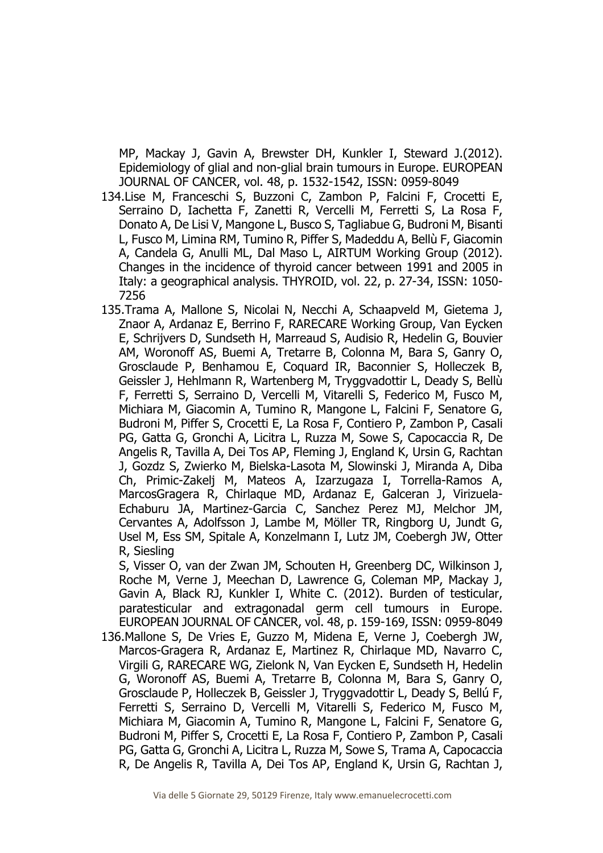MP, Mackay J, Gavin A, Brewster DH, Kunkler I, Steward J.(2012). Epidemiology of glial and non-glial brain tumours in Europe. EUROPEAN JOURNAL OF CANCER, vol. 48, p. 1532-1542, ISSN: 0959-8049

- 134.Lise M, Franceschi S, Buzzoni C, Zambon P, Falcini F, Crocetti E, Serraino D, Iachetta F, Zanetti R, Vercelli M, Ferretti S, La Rosa F, Donato A, De Lisi V, Mangone L, Busco S, Tagliabue G, Budroni M, Bisanti L, Fusco M, Limina RM, Tumino R, Piffer S, Madeddu A, Bellù F, Giacomin A, Candela G, Anulli ML, Dal Maso L, AIRTUM Working Group (2012). Changes in the incidence of thyroid cancer between 1991 and 2005 in Italy: a geographical analysis. THYROID, vol. 22, p. 27-34, ISSN: 1050- 7256
- 135.Trama A, Mallone S, Nicolai N, Necchi A, Schaapveld M, Gietema J, Znaor A, Ardanaz E, Berrino F, RARECARE Working Group, Van Eycken E, Schrijvers D, Sundseth H, Marreaud S, Audisio R, Hedelin G, Bouvier AM, Woronoff AS, Buemi A, Tretarre B, Colonna M, Bara S, Ganry O, Grosclaude P, Benhamou E, Coquard IR, Baconnier S, Holleczek B, Geissler J, Hehlmann R, Wartenberg M, Tryggvadottir L, Deady S, Bellù F, Ferretti S, Serraino D, Vercelli M, Vitarelli S, Federico M, Fusco M, Michiara M, Giacomin A, Tumino R, Mangone L, Falcini F, Senatore G, Budroni M, Piffer S, Crocetti E, La Rosa F, Contiero P, Zambon P, Casali PG, Gatta G, Gronchi A, Licitra L, Ruzza M, Sowe S, Capocaccia R, De Angelis R, Tavilla A, Dei Tos AP, Fleming J, England K, Ursin G, Rachtan J, Gozdz S, Zwierko M, Bielska-Lasota M, Slowinski J, Miranda A, Diba Ch, Primic-Zakelj M, Mateos A, Izarzugaza I, Torrella-Ramos A, MarcosGragera R, Chirlaque MD, Ardanaz E, Galceran J, Virizuela-Echaburu JA, Martinez-Garcia C, Sanchez Perez MJ, Melchor JM, Cervantes A, Adolfsson J, Lambe M, Möller TR, Ringborg U, Jundt G, Usel M, Ess SM, Spitale A, Konzelmann I, Lutz JM, Coebergh JW, Otter R, Siesling

S, Visser O, van der Zwan JM, Schouten H, Greenberg DC, Wilkinson J, Roche M, Verne J, Meechan D, Lawrence G, Coleman MP, Mackay J, Gavin A, Black RJ, Kunkler I, White C. (2012). Burden of testicular, paratesticular and extragonadal germ cell tumours in Europe. EUROPEAN JOURNAL OF CANCER, vol. 48, p. 159-169, ISSN: 0959-8049

136.Mallone S, De Vries E, Guzzo M, Midena E, Verne J, Coebergh JW, Marcos-Gragera R, Ardanaz E, Martinez R, Chirlaque MD, Navarro C, Virgili G, RARECARE WG, Zielonk N, Van Eycken E, Sundseth H, Hedelin G, Woronoff AS, Buemi A, Tretarre B, Colonna M, Bara S, Ganry O, Grosclaude P, Holleczek B, Geissler J, Tryggvadottir L, Deady S, Bellú F, Ferretti S, Serraino D, Vercelli M, Vitarelli S, Federico M, Fusco M, Michiara M, Giacomin A, Tumino R, Mangone L, Falcini F, Senatore G, Budroni M, Piffer S, Crocetti E, La Rosa F, Contiero P, Zambon P, Casali PG, Gatta G, Gronchi A, Licitra L, Ruzza M, Sowe S, Trama A, Capocaccia R, De Angelis R, Tavilla A, Dei Tos AP, England K, Ursin G, Rachtan J,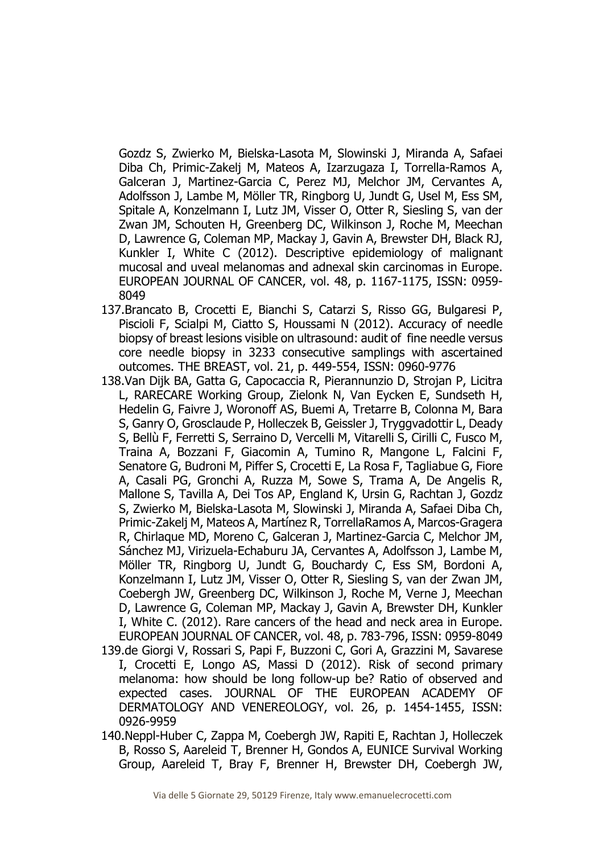Gozdz S, Zwierko M, Bielska-Lasota M, Slowinski J, Miranda A, Safaei Diba Ch, Primic-Zakelj M, Mateos A, Izarzugaza I, Torrella-Ramos A, Galceran J, Martinez-Garcia C, Perez MJ, Melchor JM, Cervantes A, Adolfsson J, Lambe M, Möller TR, Ringborg U, Jundt G, Usel M, Ess SM, Spitale A, Konzelmann I, Lutz JM, Visser O, Otter R, Siesling S, van der Zwan JM, Schouten H, Greenberg DC, Wilkinson J, Roche M, Meechan D, Lawrence G, Coleman MP, Mackay J, Gavin A, Brewster DH, Black RJ, Kunkler I, White C (2012). Descriptive epidemiology of malignant mucosal and uveal melanomas and adnexal skin carcinomas in Europe. EUROPEAN JOURNAL OF CANCER, vol. 48, p. 1167-1175, ISSN: 0959- 8049

- 137.Brancato B, Crocetti E, Bianchi S, Catarzi S, Risso GG, Bulgaresi P, Piscioli F, Scialpi M, Ciatto S, Houssami N (2012). Accuracy of needle biopsy of breast lesions visible on ultrasound: audit of fine needle versus core needle biopsy in 3233 consecutive samplings with ascertained outcomes. THE BREAST, vol. 21, p. 449-554, ISSN: 0960-9776
- 138.Van Dijk BA, Gatta G, Capocaccia R, Pierannunzio D, Strojan P, Licitra L, RARECARE Working Group, Zielonk N, Van Eycken E, Sundseth H, Hedelin G, Faivre J, Woronoff AS, Buemi A, Tretarre B, Colonna M, Bara S, Ganry O, Grosclaude P, Holleczek B, Geissler J, Tryggvadottir L, Deady S, Bellù F, Ferretti S, Serraino D, Vercelli M, Vitarelli S, Cirilli C, Fusco M, Traina A, Bozzani F, Giacomin A, Tumino R, Mangone L, Falcini F, Senatore G, Budroni M, Piffer S, Crocetti E, La Rosa F, Tagliabue G, Fiore A, Casali PG, Gronchi A, Ruzza M, Sowe S, Trama A, De Angelis R, Mallone S, Tavilla A, Dei Tos AP, England K, Ursin G, Rachtan J, Gozdz S, Zwierko M, Bielska-Lasota M, Slowinski J, Miranda A, Safaei Diba Ch, Primic-Zakelj M, Mateos A, Martínez R, TorrellaRamos A, Marcos-Gragera R, Chirlaque MD, Moreno C, Galceran J, Martinez-Garcia C, Melchor JM, Sánchez MJ, Virizuela-Echaburu JA, Cervantes A, Adolfsson J, Lambe M, Möller TR, Ringborg U, Jundt G, Bouchardy C, Ess SM, Bordoni A, Konzelmann I, Lutz JM, Visser O, Otter R, Siesling S, van der Zwan JM, Coebergh JW, Greenberg DC, Wilkinson J, Roche M, Verne J, Meechan D, Lawrence G, Coleman MP, Mackay J, Gavin A, Brewster DH, Kunkler I, White C. (2012). Rare cancers of the head and neck area in Europe. EUROPEAN JOURNAL OF CANCER, vol. 48, p. 783-796, ISSN: 0959-8049 139.de Giorgi V, Rossari S, Papi F, Buzzoni C, Gori A, Grazzini M, Savarese I, Crocetti E, Longo AS, Massi D (2012). Risk of second primary melanoma: how should be long follow-up be? Ratio of observed and expected cases. JOURNAL OF THE EUROPEAN ACADEMY OF DERMATOLOGY AND VENEREOLOGY, vol. 26, p. 1454-1455, ISSN: 0926-9959
- 140.Neppl-Huber C, Zappa M, Coebergh JW, Rapiti E, Rachtan J, Holleczek B, Rosso S, Aareleid T, Brenner H, Gondos A, EUNICE Survival Working Group, Aareleid T, Bray F, Brenner H, Brewster DH, Coebergh JW,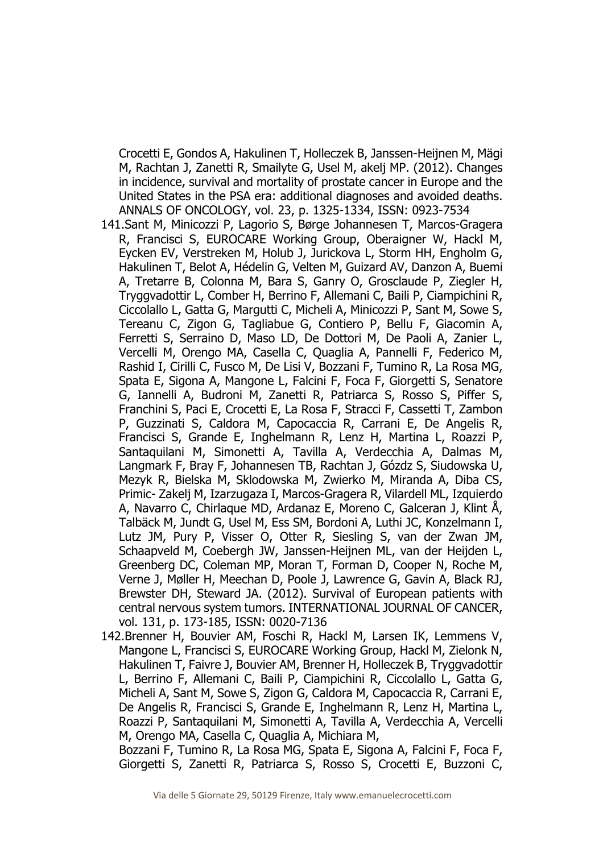Crocetti E, Gondos A, Hakulinen T, Holleczek B, Janssen-Heijnen M, Mägi M, Rachtan J, Zanetti R, Smailyte G, Usel M, akelj MP. (2012). Changes in incidence, survival and mortality of prostate cancer in Europe and the United States in the PSA era: additional diagnoses and avoided deaths. ANNALS OF ONCOLOGY, vol. 23, p. 1325-1334, ISSN: 0923-7534

- 141.Sant M, Minicozzi P, Lagorio S, Børge Johannesen T, Marcos-Gragera R, Francisci S, EUROCARE Working Group, Oberaigner W, Hackl M, Eycken EV, Verstreken M, Holub J, Jurickova L, Storm HH, Engholm G, Hakulinen T, Belot A, Hédelin G, Velten M, Guizard AV, Danzon A, Buemi A, Tretarre B, Colonna M, Bara S, Ganry O, Grosclaude P, Ziegler H, Tryggvadottir L, Comber H, Berrino F, Allemani C, Baili P, Ciampichini R, Ciccolallo L, Gatta G, Margutti C, Micheli A, Minicozzi P, Sant M, Sowe S, Tereanu C, Zigon G, Tagliabue G, Contiero P, Bellu F, Giacomin A, Ferretti S, Serraino D, Maso LD, De Dottori M, De Paoli A, Zanier L, Vercelli M, Orengo MA, Casella C, Quaglia A, Pannelli F, Federico M, Rashid I, Cirilli C, Fusco M, De Lisi V, Bozzani F, Tumino R, La Rosa MG, Spata E, Sigona A, Mangone L, Falcini F, Foca F, Giorgetti S, Senatore G, Iannelli A, Budroni M, Zanetti R, Patriarca S, Rosso S, Piffer S, Franchini S, Paci E, Crocetti E, La Rosa F, Stracci F, Cassetti T, Zambon P, Guzzinati S, Caldora M, Capocaccia R, Carrani E, De Angelis R, Francisci S, Grande E, Inghelmann R, Lenz H, Martina L, Roazzi P, Santaquilani M, Simonetti A, Tavilla A, Verdecchia A, Dalmas M, Langmark F, Bray F, Johannesen TB, Rachtan J, Gózdz S, Siudowska U, Mezyk R, Bielska M, Sklodowska M, Zwierko M, Miranda A, Diba CS, Primic- Zakelj M, Izarzugaza I, Marcos-Gragera R, Vilardell ML, Izquierdo A, Navarro C, Chirlaque MD, Ardanaz E, Moreno C, Galceran J, Klint Å, Talbäck M, Jundt G, Usel M, Ess SM, Bordoni A, Luthi JC, Konzelmann I, Lutz JM, Pury P, Visser O, Otter R, Siesling S, van der Zwan JM, Schaapveld M, Coebergh JW, Janssen-Heijnen ML, van der Heijden L, Greenberg DC, Coleman MP, Moran T, Forman D, Cooper N, Roche M, Verne J, Møller H, Meechan D, Poole J, Lawrence G, Gavin A, Black RJ, Brewster DH, Steward JA. (2012). Survival of European patients with central nervous system tumors. INTERNATIONAL JOURNAL OF CANCER, vol. 131, p. 173-185, ISSN: 0020-7136
- 142.Brenner H, Bouvier AM, Foschi R, Hackl M, Larsen IK, Lemmens V, Mangone L, Francisci S, EUROCARE Working Group, Hackl M, Zielonk N, Hakulinen T, Faivre J, Bouvier AM, Brenner H, Holleczek B, Tryggvadottir L, Berrino F, Allemani C, Baili P, Ciampichini R, Ciccolallo L, Gatta G, Micheli A, Sant M, Sowe S, Zigon G, Caldora M, Capocaccia R, Carrani E, De Angelis R, Francisci S, Grande E, Inghelmann R, Lenz H, Martina L, Roazzi P, Santaquilani M, Simonetti A, Tavilla A, Verdecchia A, Vercelli M, Orengo MA, Casella C, Quaglia A, Michiara M,

Bozzani F, Tumino R, La Rosa MG, Spata E, Sigona A, Falcini F, Foca F, Giorgetti S, Zanetti R, Patriarca S, Rosso S, Crocetti E, Buzzoni C,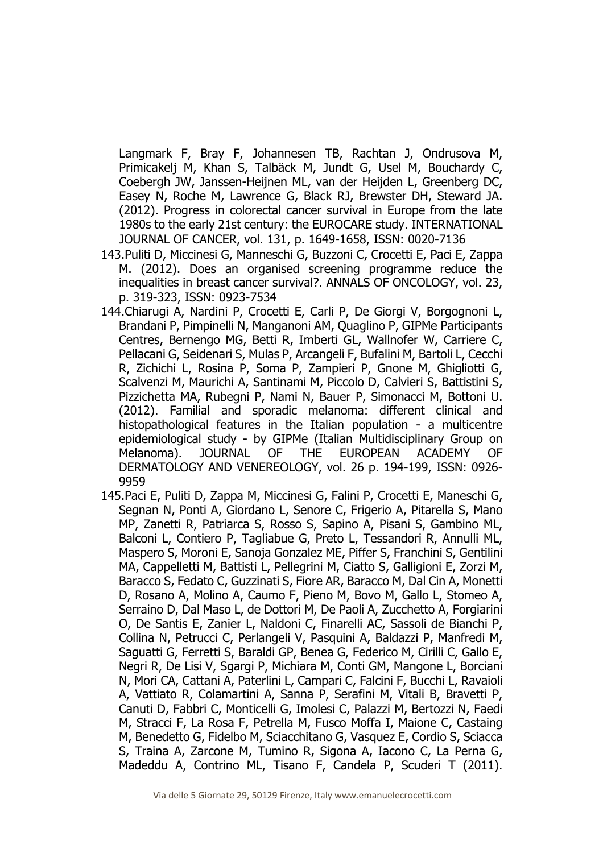Langmark F, Bray F, Johannesen TB, Rachtan J, Ondrusova M, Primicakelj M, Khan S, Talbäck M, Jundt G, Usel M, Bouchardy C, Coebergh JW, Janssen-Heijnen ML, van der Heijden L, Greenberg DC, Easey N, Roche M, Lawrence G, Black RJ, Brewster DH, Steward JA. (2012). Progress in colorectal cancer survival in Europe from the late 1980s to the early 21st century: the EUROCARE study. INTERNATIONAL JOURNAL OF CANCER, vol. 131, p. 1649-1658, ISSN: 0020-7136

- 143.Puliti D, Miccinesi G, Manneschi G, Buzzoni C, Crocetti E, Paci E, Zappa M. (2012). Does an organised screening programme reduce the inequalities in breast cancer survival?. ANNALS OF ONCOLOGY, vol. 23, p. 319-323, ISSN: 0923-7534
- 144.Chiarugi A, Nardini P, Crocetti E, Carli P, De Giorgi V, Borgognoni L, Brandani P, Pimpinelli N, Manganoni AM, Quaglino P, GIPMe Participants Centres, Bernengo MG, Betti R, Imberti GL, Wallnofer W, Carriere C, Pellacani G, Seidenari S, Mulas P, Arcangeli F, Bufalini M, Bartoli L, Cecchi R, Zichichi L, Rosina P, Soma P, Zampieri P, Gnone M, Ghigliotti G, Scalvenzi M, Maurichi A, Santinami M, Piccolo D, Calvieri S, Battistini S, Pizzichetta MA, Rubegni P, Nami N, Bauer P, Simonacci M, Bottoni U. (2012). Familial and sporadic melanoma: different clinical and histopathological features in the Italian population - a multicentre epidemiological study - by GIPMe (Italian Multidisciplinary Group on Melanoma). JOURNAL OF THE EUROPEAN ACADEMY OF DERMATOLOGY AND VENEREOLOGY, vol. 26 p. 194-199, ISSN: 0926- 9959
- 145.Paci E, Puliti D, Zappa M, Miccinesi G, Falini P, Crocetti E, Maneschi G, Segnan N, Ponti A, Giordano L, Senore C, Frigerio A, Pitarella S, Mano MP, Zanetti R, Patriarca S, Rosso S, Sapino A, Pisani S, Gambino ML, Balconi L, Contiero P, Tagliabue G, Preto L, Tessandori R, Annulli ML, Maspero S, Moroni E, Sanoja Gonzalez ME, Piffer S, Franchini S, Gentilini MA, Cappelletti M, Battisti L, Pellegrini M, Ciatto S, Galligioni E, Zorzi M, Baracco S, Fedato C, Guzzinati S, Fiore AR, Baracco M, Dal Cin A, Monetti D, Rosano A, Molino A, Caumo F, Pieno M, Bovo M, Gallo L, Stomeo A, Serraino D, Dal Maso L, de Dottori M, De Paoli A, Zucchetto A, Forgiarini O, De Santis E, Zanier L, Naldoni C, Finarelli AC, Sassoli de Bianchi P, Collina N, Petrucci C, Perlangeli V, Pasquini A, Baldazzi P, Manfredi M, Saguatti G, Ferretti S, Baraldi GP, Benea G, Federico M, Cirilli C, Gallo E, Negri R, De Lisi V, Sgargi P, Michiara M, Conti GM, Mangone L, Borciani N, Mori CA, Cattani A, Paterlini L, Campari C, Falcini F, Bucchi L, Ravaioli A, Vattiato R, Colamartini A, Sanna P, Serafini M, Vitali B, Bravetti P, Canuti D, Fabbri C, Monticelli G, Imolesi C, Palazzi M, Bertozzi N, Faedi M, Stracci F, La Rosa F, Petrella M, Fusco Moffa I, Maione C, Castaing M, Benedetto G, Fidelbo M, Sciacchitano G, Vasquez E, Cordio S, Sciacca S, Traina A, Zarcone M, Tumino R, Sigona A, Iacono C, La Perna G, Madeddu A, Contrino ML, Tisano F, Candela P, Scuderi T (2011).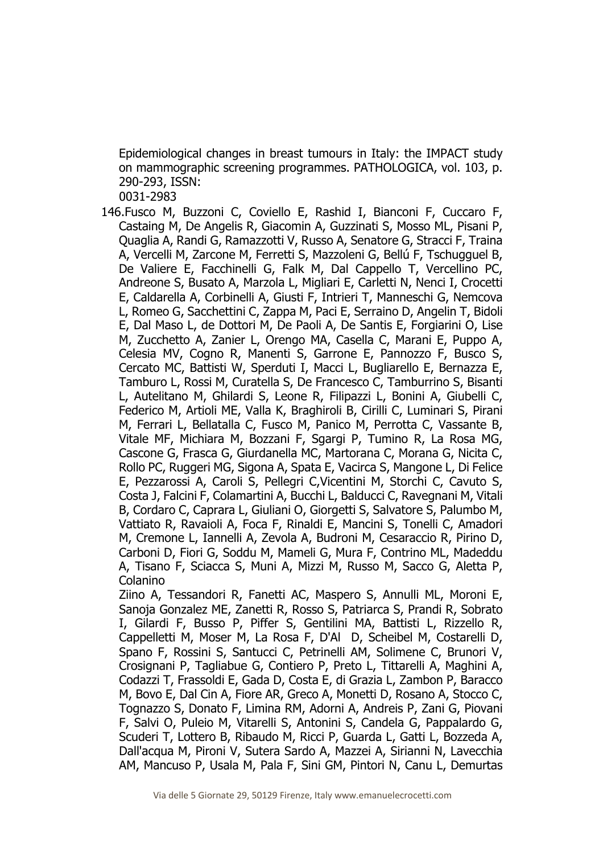Epidemiological changes in breast tumours in Italy: the IMPACT study on mammographic screening programmes. PATHOLOGICA, vol. 103, p. 290-293, ISSN:

0031-2983

146.Fusco M, Buzzoni C, Coviello E, Rashid I, Bianconi F, Cuccaro F, Castaing M, De Angelis R, Giacomin A, Guzzinati S, Mosso ML, Pisani P, Quaglia A, Randi G, Ramazzotti V, Russo A, Senatore G, Stracci F, Traina A, Vercelli M, Zarcone M, Ferretti S, Mazzoleni G, Bellú F, Tschugguel B, De Valiere E, Facchinelli G, Falk M, Dal Cappello T, Vercellino PC, Andreone S, Busato A, Marzola L, Migliari E, Carletti N, Nenci I, Crocetti E, Caldarella A, Corbinelli A, Giusti F, Intrieri T, Manneschi G, Nemcova L, Romeo G, Sacchettini C, Zappa M, Paci E, Serraino D, Angelin T, Bidoli E, Dal Maso L, de Dottori M, De Paoli A, De Santis E, Forgiarini O, Lise M, Zucchetto A, Zanier L, Orengo MA, Casella C, Marani E, Puppo A, Celesia MV, Cogno R, Manenti S, Garrone E, Pannozzo F, Busco S, Cercato MC, Battisti W, Sperduti I, Macci L, Bugliarello E, Bernazza E, Tamburo L, Rossi M, Curatella S, De Francesco C, Tamburrino S, Bisanti L, Autelitano M, Ghilardi S, Leone R, Filipazzi L, Bonini A, Giubelli C, Federico M, Artioli ME, Valla K, Braghiroli B, Cirilli C, Luminari S, Pirani M, Ferrari L, Bellatalla C, Fusco M, Panico M, Perrotta C, Vassante B, Vitale MF, Michiara M, Bozzani F, Sgargi P, Tumino R, La Rosa MG, Cascone G, Frasca G, Giurdanella MC, Martorana C, Morana G, Nicita C, Rollo PC, Ruggeri MG, Sigona A, Spata E, Vacirca S, Mangone L, Di Felice E, Pezzarossi A, Caroli S, Pellegri C,Vicentini M, Storchi C, Cavuto S, Costa J, Falcini F, Colamartini A, Bucchi L, Balducci C, Ravegnani M, Vitali B, Cordaro C, Caprara L, Giuliani O, Giorgetti S, Salvatore S, Palumbo M, Vattiato R, Ravaioli A, Foca F, Rinaldi E, Mancini S, Tonelli C, Amadori M, Cremone L, Iannelli A, Zevola A, Budroni M, Cesaraccio R, Pirino D, Carboni D, Fiori G, Soddu M, Mameli G, Mura F, Contrino ML, Madeddu A, Tisano F, Sciacca S, Muni A, Mizzi M, Russo M, Sacco G, Aletta P, Colanino

Ziino A, Tessandori R, Fanetti AC, Maspero S, Annulli ML, Moroni E, Sanoja Gonzalez ME, Zanetti R, Rosso S, Patriarca S, Prandi R, Sobrato I, Gilardi F, Busso P, Piffer S, Gentilini MA, Battisti L, Rizzello R, Cappelletti M, Moser M, La Rosa F, D'Al D, Scheibel M, Costarelli D, Spano F, Rossini S, Santucci C, Petrinelli AM, Solimene C, Brunori V, Crosignani P, Tagliabue G, Contiero P, Preto L, Tittarelli A, Maghini A, Codazzi T, Frassoldi E, Gada D, Costa E, di Grazia L, Zambon P, Baracco M, Bovo E, Dal Cin A, Fiore AR, Greco A, Monetti D, Rosano A, Stocco C, Tognazzo S, Donato F, Limina RM, Adorni A, Andreis P, Zani G, Piovani F, Salvi O, Puleio M, Vitarelli S, Antonini S, Candela G, Pappalardo G, Scuderi T, Lottero B, Ribaudo M, Ricci P, Guarda L, Gatti L, Bozzeda A, Dall'acqua M, Pironi V, Sutera Sardo A, Mazzei A, Sirianni N, Lavecchia AM, Mancuso P, Usala M, Pala F, Sini GM, Pintori N, Canu L, Demurtas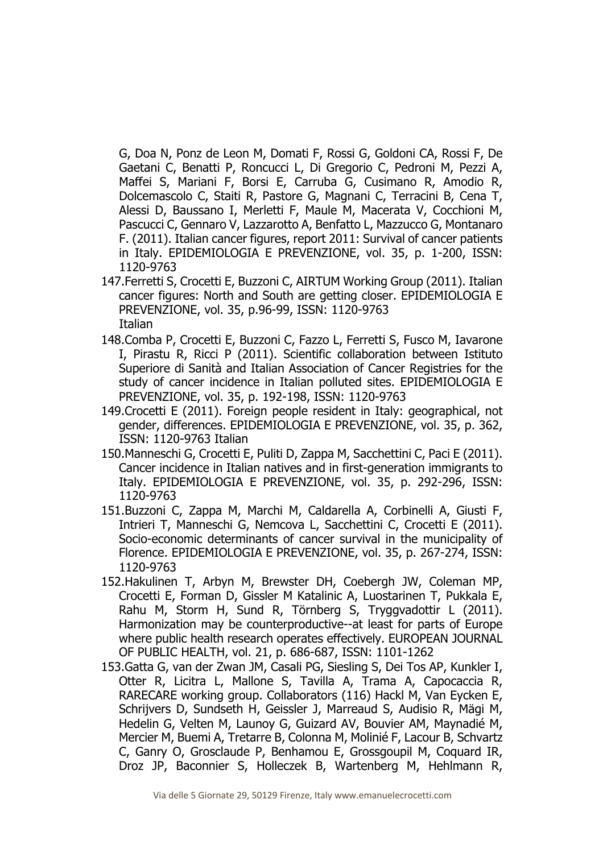G, Doa N, Ponz de Leon M, Domati F, Rossi G, Goldoni CA, Rossi F, De Gaetani C, Benatti P, Roncucci L, Di Gregorio C, Pedroni M, Pezzi A, Maffei S, Mariani F, Borsi E, Carruba G, Cusimano R, Amodio R, Dolcemascolo C, Staiti R, Pastore G, Magnani C, Terracini B, Cena T, Alessi D, Baussano I, Merletti F, Maule M, Macerata V, Cocchioni M, Pascucci C, Gennaro V, Lazzarotto A, Benfatto L, Mazzucco G, Montanaro F. (2011). Italian cancer figures, report 2011: Survival of cancer patients in Italy. EPIDEMIOLOGIA E PREVENZIONE, vol. 35, p. 1-200, ISSN: 1120-9763

- 147.Ferretti S, Crocetti E, Buzzoni C, AIRTUM Working Group (2011). Italian cancer figures: North and South are getting closer. EPIDEMIOLOGIA E PREVENZIONE, vol. 35, p.96-99, ISSN: 1120-9763 **Italian**
- 148.Comba P, Crocetti E, Buzzoni C, Fazzo L, Ferretti S, Fusco M, Iavarone I, Pirastu R, Ricci P (2011). Scientific collaboration between Istituto Superiore di Sanità and Italian Association of Cancer Registries for the study of cancer incidence in Italian polluted sites. EPIDEMIOLOGIA E PREVENZIONE, vol. 35, p. 192-198, ISSN: 1120-9763
- 149.Crocetti E (2011). Foreign people resident in Italy: geographical, not gender, differences. EPIDEMIOLOGIA E PREVENZIONE, vol. 35, p. 362, ISSN: 1120-9763 Italian
- 150.Manneschi G, Crocetti E, Puliti D, Zappa M, Sacchettini C, Paci E (2011). Cancer incidence in Italian natives and in first-generation immigrants to Italy. EPIDEMIOLOGIA E PREVENZIONE, vol. 35, p. 292-296, ISSN: 1120-9763
- 151.Buzzoni C, Zappa M, Marchi M, Caldarella A, Corbinelli A, Giusti F, Intrieri T, Manneschi G, Nemcova L, Sacchettini C, Crocetti E (2011). Socio-economic determinants of cancer survival in the municipality of Florence. EPIDEMIOLOGIA E PREVENZIONE, vol. 35, p. 267-274, ISSN: 1120-9763
- 152.Hakulinen T, Arbyn M, Brewster DH, Coebergh JW, Coleman MP, Crocetti E, Forman D, Gissler M Katalinic A, Luostarinen T, Pukkala E, Rahu M, Storm H, Sund R, Törnberg S, Tryggvadottir L (2011). Harmonization may be counterproductive--at least for parts of Europe where public health research operates effectively. EUROPEAN JOURNAL OF PUBLIC HEALTH, vol. 21, p. 686-687, ISSN: 1101-1262
- 153.Gatta G, van der Zwan JM, Casali PG, Siesling S, Dei Tos AP, Kunkler I, Otter R, Licitra L, Mallone S, Tavilla A, Trama A, Capocaccia R, RARECARE working group. Collaborators (116) Hackl M, Van Eycken E, Schrijvers D, Sundseth H, Geissler J, Marreaud S, Audisio R, Mägi M, Hedelin G, Velten M, Launoy G, Guizard AV, Bouvier AM, Maynadié M, Mercier M, Buemi A, Tretarre B, Colonna M, Molinié F, Lacour B, Schvartz C, Ganry O, Grosclaude P, Benhamou E, Grossgoupil M, Coquard IR, Droz JP, Baconnier S, Holleczek B, Wartenberg M, Hehlmann R,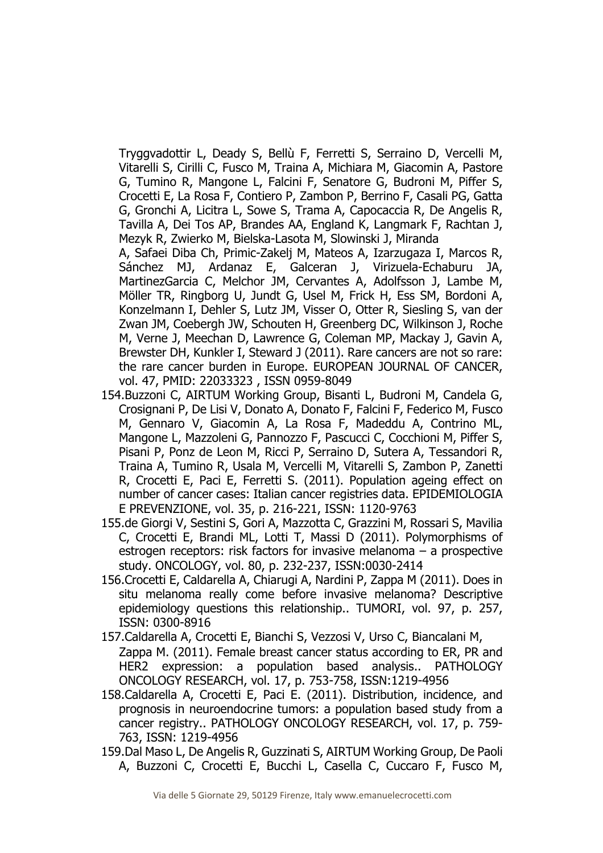Tryggvadottir L, Deady S, Bellù F, Ferretti S, Serraino D, Vercelli M, Vitarelli S, Cirilli C, Fusco M, Traina A, Michiara M, Giacomin A, Pastore G, Tumino R, Mangone L, Falcini F, Senatore G, Budroni M, Piffer S, Crocetti E, La Rosa F, Contiero P, Zambon P, Berrino F, Casali PG, Gatta G, Gronchi A, Licitra L, Sowe S, Trama A, Capocaccia R, De Angelis R, Tavilla A, Dei Tos AP, Brandes AA, England K, Langmark F, Rachtan J, Mezyk R, Zwierko M, Bielska-Lasota M, Slowinski J, Miranda

A, Safaei Diba Ch, Primic-Zakelj M, Mateos A, Izarzugaza I, Marcos R, Sánchez MJ, Ardanaz E, Galceran J, Virizuela-Echaburu JA, MartinezGarcia C, Melchor JM, Cervantes A, Adolfsson J, Lambe M, Möller TR, Ringborg U, Jundt G, Usel M, Frick H, Ess SM, Bordoni A, Konzelmann I, Dehler S, Lutz JM, Visser O, Otter R, Siesling S, van der Zwan JM, Coebergh JW, Schouten H, Greenberg DC, Wilkinson J, Roche M, Verne J, Meechan D, Lawrence G, Coleman MP, Mackay J, Gavin A, Brewster DH, Kunkler I, Steward J (2011). Rare cancers are not so rare: the rare cancer burden in Europe. EUROPEAN JOURNAL OF CANCER, vol. 47, PMID: 22033323 , ISSN 0959-8049

- 154.Buzzoni C, AIRTUM Working Group, Bisanti L, Budroni M, Candela G, Crosignani P, De Lisi V, Donato A, Donato F, Falcini F, Federico M, Fusco M, Gennaro V, Giacomin A, La Rosa F, Madeddu A, Contrino ML, Mangone L, Mazzoleni G, Pannozzo F, Pascucci C, Cocchioni M, Piffer S, Pisani P, Ponz de Leon M, Ricci P, Serraino D, Sutera A, Tessandori R, Traina A, Tumino R, Usala M, Vercelli M, Vitarelli S, Zambon P, Zanetti R, Crocetti E, Paci E, Ferretti S. (2011). Population ageing effect on number of cancer cases: Italian cancer registries data. EPIDEMIOLOGIA E PREVENZIONE, vol. 35, p. 216-221, ISSN: 1120-9763
- 155.de Giorgi V, Sestini S, Gori A, Mazzotta C, Grazzini M, Rossari S, Mavilia C, Crocetti E, Brandi ML, Lotti T, Massi D (2011). Polymorphisms of estrogen receptors: risk factors for invasive melanoma – a prospective study. ONCOLOGY, vol. 80, p. 232-237, ISSN:0030-2414
- 156.Crocetti E, Caldarella A, Chiarugi A, Nardini P, Zappa M (2011). Does in situ melanoma really come before invasive melanoma? Descriptive epidemiology questions this relationship.. TUMORI, vol. 97, p. 257, ISSN: 0300-8916
- 157.Caldarella A, Crocetti E, Bianchi S, Vezzosi V, Urso C, Biancalani M, Zappa M. (2011). Female breast cancer status according to ER, PR and HER2 expression: a population based analysis.. PATHOLOGY ONCOLOGY RESEARCH, vol. 17, p. 753-758, ISSN:1219-4956
- 158.Caldarella A, Crocetti E, Paci E. (2011). Distribution, incidence, and prognosis in neuroendocrine tumors: a population based study from a cancer registry.. PATHOLOGY ONCOLOGY RESEARCH, vol. 17, p. 759- 763, ISSN: 1219-4956
- 159.Dal Maso L, De Angelis R, Guzzinati S, AIRTUM Working Group, De Paoli A, Buzzoni C, Crocetti E, Bucchi L, Casella C, Cuccaro F, Fusco M,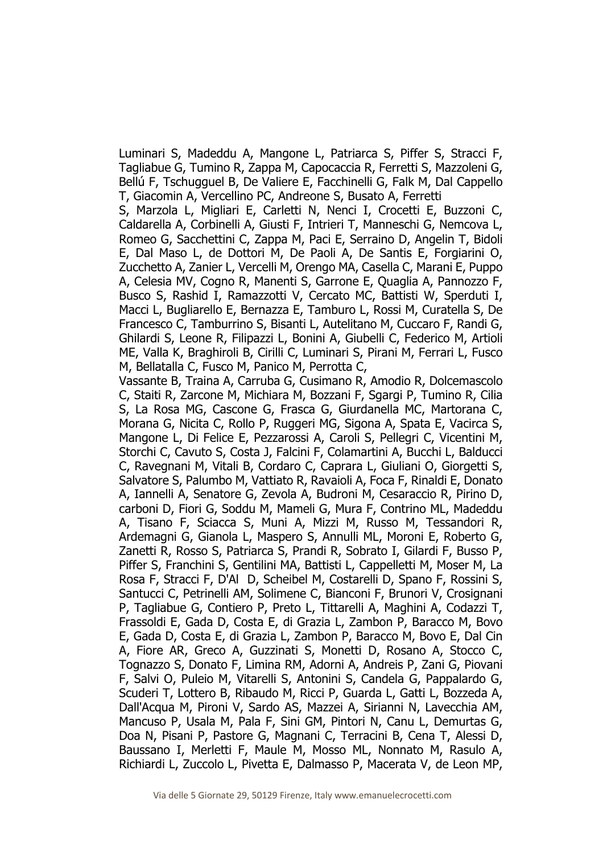Luminari S, Madeddu A, Mangone L, Patriarca S, Piffer S, Stracci F, Tagliabue G, Tumino R, Zappa M, Capocaccia R, Ferretti S, Mazzoleni G, Bellú F, Tschugguel B, De Valiere E, Facchinelli G, Falk M, Dal Cappello T, Giacomin A, Vercellino PC, Andreone S, Busato A, Ferretti

S, Marzola L, Migliari E, Carletti N, Nenci I, Crocetti E, Buzzoni C, Caldarella A, Corbinelli A, Giusti F, Intrieri T, Manneschi G, Nemcova L, Romeo G, Sacchettini C, Zappa M, Paci E, Serraino D, Angelin T, Bidoli E, Dal Maso L, de Dottori M, De Paoli A, De Santis E, Forgiarini O, Zucchetto A, Zanier L, Vercelli M, Orengo MA, Casella C, Marani E, Puppo A, Celesia MV, Cogno R, Manenti S, Garrone E, Quaglia A, Pannozzo F, Busco S, Rashid I, Ramazzotti V, Cercato MC, Battisti W, Sperduti I, Macci L, Bugliarello E, Bernazza E, Tamburo L, Rossi M, Curatella S, De Francesco C, Tamburrino S, Bisanti L, Autelitano M, Cuccaro F, Randi G, Ghilardi S, Leone R, Filipazzi L, Bonini A, Giubelli C, Federico M, Artioli ME, Valla K, Braghiroli B, Cirilli C, Luminari S, Pirani M, Ferrari L, Fusco M, Bellatalla C, Fusco M, Panico M, Perrotta C,

Vassante B, Traina A, Carruba G, Cusimano R, Amodio R, Dolcemascolo C, Staiti R, Zarcone M, Michiara M, Bozzani F, Sgargi P, Tumino R, Cilia S, La Rosa MG, Cascone G, Frasca G, Giurdanella MC, Martorana C, Morana G, Nicita C, Rollo P, Ruggeri MG, Sigona A, Spata E, Vacirca S, Mangone L, Di Felice E, Pezzarossi A, Caroli S, Pellegri C, Vicentini M, Storchi C, Cavuto S, Costa J, Falcini F, Colamartini A, Bucchi L, Balducci C, Ravegnani M, Vitali B, Cordaro C, Caprara L, Giuliani O, Giorgetti S, Salvatore S, Palumbo M, Vattiato R, Ravaioli A, Foca F, Rinaldi E, Donato A, Iannelli A, Senatore G, Zevola A, Budroni M, Cesaraccio R, Pirino D, carboni D, Fiori G, Soddu M, Mameli G, Mura F, Contrino ML, Madeddu A, Tisano F, Sciacca S, Muni A, Mizzi M, Russo M, Tessandori R, Ardemagni G, Gianola L, Maspero S, Annulli ML, Moroni E, Roberto G, Zanetti R, Rosso S, Patriarca S, Prandi R, Sobrato I, Gilardi F, Busso P, Piffer S, Franchini S, Gentilini MA, Battisti L, Cappelletti M, Moser M, La Rosa F, Stracci F, D'Al D, Scheibel M, Costarelli D, Spano F, Rossini S, Santucci C, Petrinelli AM, Solimene C, Bianconi F, Brunori V, Crosignani P, Tagliabue G, Contiero P, Preto L, Tittarelli A, Maghini A, Codazzi T, Frassoldi E, Gada D, Costa E, di Grazia L, Zambon P, Baracco M, Bovo E, Gada D, Costa E, di Grazia L, Zambon P, Baracco M, Bovo E, Dal Cin A, Fiore AR, Greco A, Guzzinati S, Monetti D, Rosano A, Stocco C, Tognazzo S, Donato F, Limina RM, Adorni A, Andreis P, Zani G, Piovani F, Salvi O, Puleio M, Vitarelli S, Antonini S, Candela G, Pappalardo G, Scuderi T, Lottero B, Ribaudo M, Ricci P, Guarda L, Gatti L, Bozzeda A, Dall'Acqua M, Pironi V, Sardo AS, Mazzei A, Sirianni N, Lavecchia AM, Mancuso P, Usala M, Pala F, Sini GM, Pintori N, Canu L, Demurtas G, Doa N, Pisani P, Pastore G, Magnani C, Terracini B, Cena T, Alessi D, Baussano I, Merletti F, Maule M, Mosso ML, Nonnato M, Rasulo A, Richiardi L, Zuccolo L, Pivetta E, Dalmasso P, Macerata V, de Leon MP,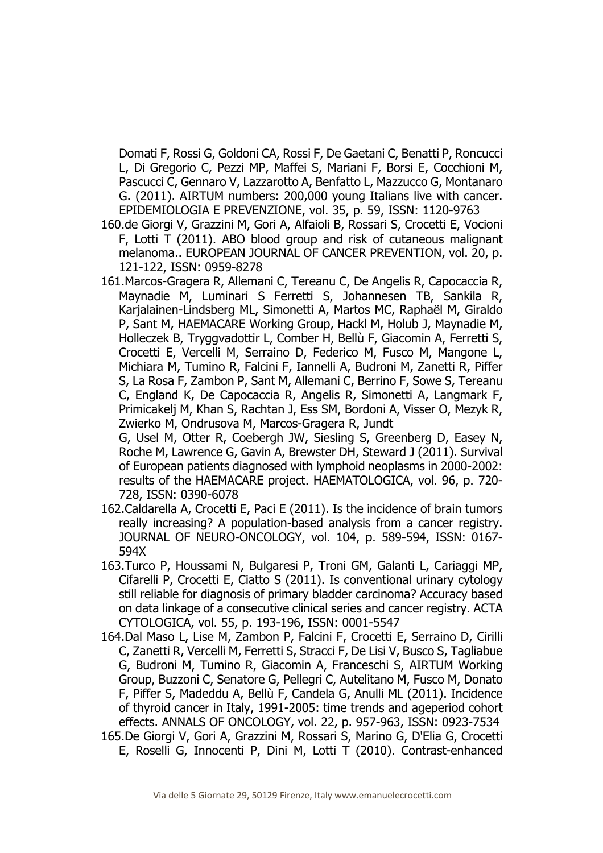Domati F, Rossi G, Goldoni CA, Rossi F, De Gaetani C, Benatti P, Roncucci L, Di Gregorio C, Pezzi MP, Maffei S, Mariani F, Borsi E, Cocchioni M, Pascucci C, Gennaro V, Lazzarotto A, Benfatto L, Mazzucco G, Montanaro G. (2011). AIRTUM numbers: 200,000 young Italians live with cancer. EPIDEMIOLOGIA E PREVENZIONE, vol. 35, p. 59, ISSN: 1120-9763

- 160.de Giorgi V, Grazzini M, Gori A, Alfaioli B, Rossari S, Crocetti E, Vocioni F, Lotti T (2011). ABO blood group and risk of cutaneous malignant melanoma.. EUROPEAN JOURNAL OF CANCER PREVENTION, vol. 20, p. 121-122, ISSN: 0959-8278
- 161.Marcos-Gragera R, Allemani C, Tereanu C, De Angelis R, Capocaccia R, Maynadie M, Luminari S Ferretti S, Johannesen TB, Sankila R, Karjalainen-Lindsberg ML, Simonetti A, Martos MC, Raphaël M, Giraldo P, Sant M, HAEMACARE Working Group, Hackl M, Holub J, Maynadie M, Holleczek B, Tryggvadottir L, Comber H, Bellù F, Giacomin A, Ferretti S, Crocetti E, Vercelli M, Serraino D, Federico M, Fusco M, Mangone L, Michiara M, Tumino R, Falcini F, Iannelli A, Budroni M, Zanetti R, Piffer S, La Rosa F, Zambon P, Sant M, Allemani C, Berrino F, Sowe S, Tereanu C, England K, De Capocaccia R, Angelis R, Simonetti A, Langmark F, Primicakelj M, Khan S, Rachtan J, Ess SM, Bordoni A, Visser O, Mezyk R, Zwierko M, Ondrusova M, Marcos-Gragera R, Jundt

G, Usel M, Otter R, Coebergh JW, Siesling S, Greenberg D, Easey N, Roche M, Lawrence G, Gavin A, Brewster DH, Steward J (2011). Survival of European patients diagnosed with lymphoid neoplasms in 2000-2002: results of the HAEMACARE project. HAEMATOLOGICA, vol. 96, p. 720- 728, ISSN: 0390-6078

- 162.Caldarella A, Crocetti E, Paci E (2011). Is the incidence of brain tumors really increasing? A population-based analysis from a cancer registry. JOURNAL OF NEURO-ONCOLOGY, vol. 104, p. 589-594, ISSN: 0167- 594X
- 163.Turco P, Houssami N, Bulgaresi P, Troni GM, Galanti L, Cariaggi MP, Cifarelli P, Crocetti E, Ciatto S (2011). Is conventional urinary cytology still reliable for diagnosis of primary bladder carcinoma? Accuracy based on data linkage of a consecutive clinical series and cancer registry. ACTA CYTOLOGICA, vol. 55, p. 193-196, ISSN: 0001-5547
- 164.Dal Maso L, Lise M, Zambon P, Falcini F, Crocetti E, Serraino D, Cirilli C, Zanetti R, Vercelli M, Ferretti S, Stracci F, De Lisi V, Busco S, Tagliabue G, Budroni M, Tumino R, Giacomin A, Franceschi S, AIRTUM Working Group, Buzzoni C, Senatore G, Pellegri C, Autelitano M, Fusco M, Donato F, Piffer S, Madeddu A, Bellù F, Candela G, Anulli ML (2011). Incidence of thyroid cancer in Italy, 1991-2005: time trends and ageperiod cohort effects. ANNALS OF ONCOLOGY, vol. 22, p. 957-963, ISSN: 0923-7534 165.De Giorgi V, Gori A, Grazzini M, Rossari S, Marino G, D'Elia G, Crocetti
- E, Roselli G, Innocenti P, Dini M, Lotti T (2010). Contrast-enhanced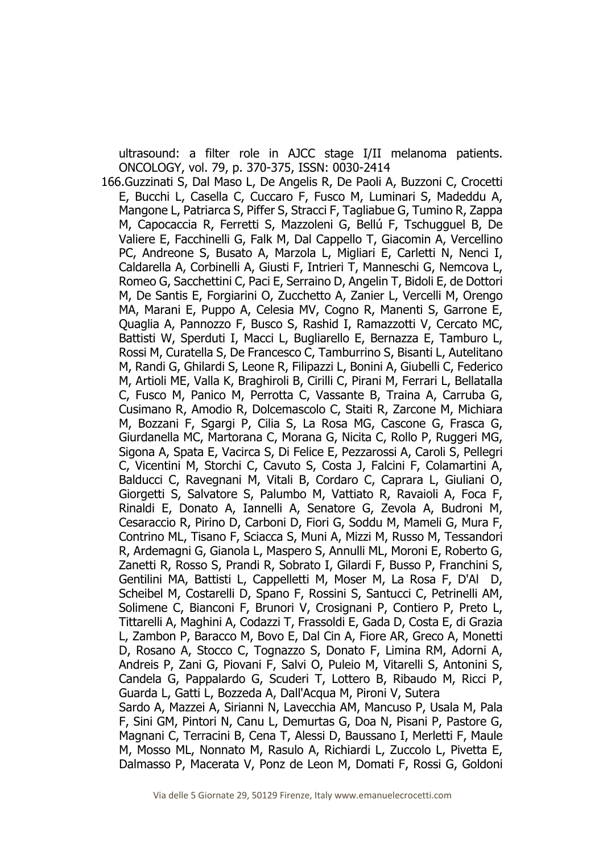ultrasound: a filter role in AJCC stage I/II melanoma patients. ONCOLOGY, vol. 79, p. 370-375, ISSN: 0030-2414

166.Guzzinati S, Dal Maso L, De Angelis R, De Paoli A, Buzzoni C, Crocetti E, Bucchi L, Casella C, Cuccaro F, Fusco M, Luminari S, Madeddu A, Mangone L, Patriarca S, Piffer S, Stracci F, Tagliabue G, Tumino R, Zappa M, Capocaccia R, Ferretti S, Mazzoleni G, Bellú F, Tschugguel B, De Valiere E, Facchinelli G, Falk M, Dal Cappello T, Giacomin A, Vercellino PC, Andreone S, Busato A, Marzola L, Migliari E, Carletti N, Nenci I, Caldarella A, Corbinelli A, Giusti F, Intrieri T, Manneschi G, Nemcova L, Romeo G, Sacchettini C, Paci E, Serraino D, Angelin T, Bidoli E, de Dottori M, De Santis E, Forgiarini O, Zucchetto A, Zanier L, Vercelli M, Orengo MA, Marani E, Puppo A, Celesia MV, Cogno R, Manenti S, Garrone E, Quaglia A, Pannozzo F, Busco S, Rashid I, Ramazzotti V, Cercato MC, Battisti W, Sperduti I, Macci L, Bugliarello E, Bernazza E, Tamburo L, Rossi M, Curatella S, De Francesco C, Tamburrino S, Bisanti L, Autelitano M, Randi G, Ghilardi S, Leone R, Filipazzi L, Bonini A, Giubelli C, Federico M, Artioli ME, Valla K, Braghiroli B, Cirilli C, Pirani M, Ferrari L, Bellatalla C, Fusco M, Panico M, Perrotta C, Vassante B, Traina A, Carruba G, Cusimano R, Amodio R, Dolcemascolo C, Staiti R, Zarcone M, Michiara M, Bozzani F, Sgargi P, Cilia S, La Rosa MG, Cascone G, Frasca G, Giurdanella MC, Martorana C, Morana G, Nicita C, Rollo P, Ruggeri MG, Sigona A, Spata E, Vacirca S, Di Felice E, Pezzarossi A, Caroli S, Pellegri C, Vicentini M, Storchi C, Cavuto S, Costa J, Falcini F, Colamartini A, Balducci C, Ravegnani M, Vitali B, Cordaro C, Caprara L, Giuliani O, Giorgetti S, Salvatore S, Palumbo M, Vattiato R, Ravaioli A, Foca F, Rinaldi E, Donato A, Iannelli A, Senatore G, Zevola A, Budroni M, Cesaraccio R, Pirino D, Carboni D, Fiori G, Soddu M, Mameli G, Mura F, Contrino ML, Tisano F, Sciacca S, Muni A, Mizzi M, Russo M, Tessandori R, Ardemagni G, Gianola L, Maspero S, Annulli ML, Moroni E, Roberto G, Zanetti R, Rosso S, Prandi R, Sobrato I, Gilardi F, Busso P, Franchini S, Gentilini MA, Battisti L, Cappelletti M, Moser M, La Rosa F, D'Al D, Scheibel M, Costarelli D, Spano F, Rossini S, Santucci C, Petrinelli AM, Solimene C, Bianconi F, Brunori V, Crosignani P, Contiero P, Preto L, Tittarelli A, Maghini A, Codazzi T, Frassoldi E, Gada D, Costa E, di Grazia L, Zambon P, Baracco M, Bovo E, Dal Cin A, Fiore AR, Greco A, Monetti D, Rosano A, Stocco C, Tognazzo S, Donato F, Limina RM, Adorni A, Andreis P, Zani G, Piovani F, Salvi O, Puleio M, Vitarelli S, Antonini S, Candela G, Pappalardo G, Scuderi T, Lottero B, Ribaudo M, Ricci P, Guarda L, Gatti L, Bozzeda A, Dall'Acqua M, Pironi V, Sutera Sardo A, Mazzei A, Sirianni N, Lavecchia AM, Mancuso P, Usala M, Pala F, Sini GM, Pintori N, Canu L, Demurtas G, Doa N, Pisani P, Pastore G, Magnani C, Terracini B, Cena T, Alessi D, Baussano I, Merletti F, Maule M, Mosso ML, Nonnato M, Rasulo A, Richiardi L, Zuccolo L, Pivetta E, Dalmasso P, Macerata V, Ponz de Leon M, Domati F, Rossi G, Goldoni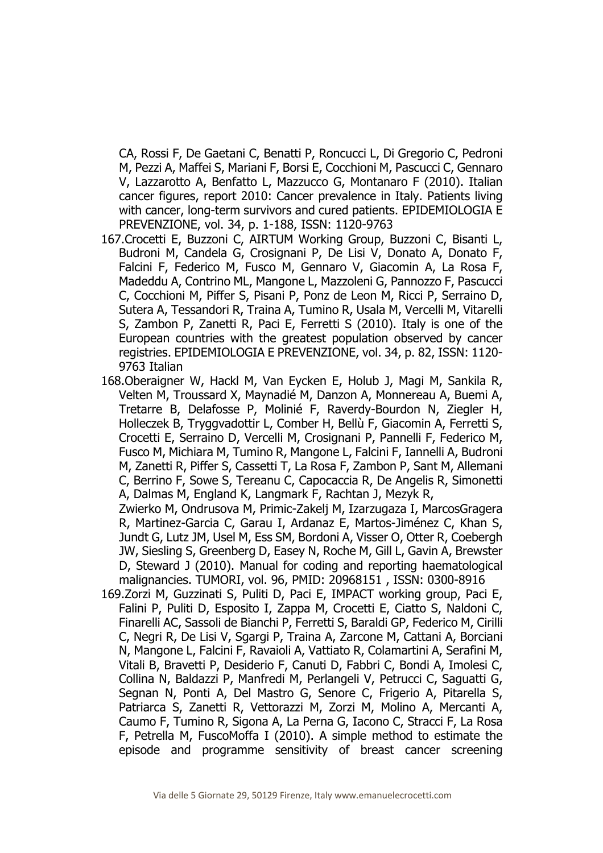CA, Rossi F, De Gaetani C, Benatti P, Roncucci L, Di Gregorio C, Pedroni M, Pezzi A, Maffei S, Mariani F, Borsi E, Cocchioni M, Pascucci C, Gennaro V, Lazzarotto A, Benfatto L, Mazzucco G, Montanaro F (2010). Italian cancer figures, report 2010: Cancer prevalence in Italy. Patients living with cancer, long-term survivors and cured patients. EPIDEMIOLOGIA E PREVENZIONE, vol. 34, p. 1-188, ISSN: 1120-9763

- 167.Crocetti E, Buzzoni C, AIRTUM Working Group, Buzzoni C, Bisanti L, Budroni M, Candela G, Crosignani P, De Lisi V, Donato A, Donato F, Falcini F, Federico M, Fusco M, Gennaro V, Giacomin A, La Rosa F, Madeddu A, Contrino ML, Mangone L, Mazzoleni G, Pannozzo F, Pascucci C, Cocchioni M, Piffer S, Pisani P, Ponz de Leon M, Ricci P, Serraino D, Sutera A, Tessandori R, Traina A, Tumino R, Usala M, Vercelli M, Vitarelli S, Zambon P, Zanetti R, Paci E, Ferretti S (2010). Italy is one of the European countries with the greatest population observed by cancer registries. EPIDEMIOLOGIA E PREVENZIONE, vol. 34, p. 82, ISSN: 1120- 9763 Italian
- 168.Oberaigner W, Hackl M, Van Eycken E, Holub J, Magi M, Sankila R, Velten M, Troussard X, Maynadié M, Danzon A, Monnereau A, Buemi A, Tretarre B, Delafosse P, Molinié F, Raverdy-Bourdon N, Ziegler H, Holleczek B, Tryggvadottir L, Comber H, Bellù F, Giacomin A, Ferretti S, Crocetti E, Serraino D, Vercelli M, Crosignani P, Pannelli F, Federico M, Fusco M, Michiara M, Tumino R, Mangone L, Falcini F, Iannelli A, Budroni M, Zanetti R, Piffer S, Cassetti T, La Rosa F, Zambon P, Sant M, Allemani C, Berrino F, Sowe S, Tereanu C, Capocaccia R, De Angelis R, Simonetti A, Dalmas M, England K, Langmark F, Rachtan J, Mezyk R,

Zwierko M, Ondrusova M, Primic-Zakelj M, Izarzugaza I, MarcosGragera R, Martinez-Garcia C, Garau I, Ardanaz E, Martos-Jiménez C, Khan S, Jundt G, Lutz JM, Usel M, Ess SM, Bordoni A, Visser O, Otter R, Coebergh JW, Siesling S, Greenberg D, Easey N, Roche M, Gill L, Gavin A, Brewster D, Steward J (2010). Manual for coding and reporting haematological malignancies. TUMORI, vol. 96, PMID: 20968151 , ISSN: 0300-8916

169.Zorzi M, Guzzinati S, Puliti D, Paci E, IMPACT working group, Paci E, Falini P, Puliti D, Esposito I, Zappa M, Crocetti E, Ciatto S, Naldoni C, Finarelli AC, Sassoli de Bianchi P, Ferretti S, Baraldi GP, Federico M, Cirilli C, Negri R, De Lisi V, Sgargi P, Traina A, Zarcone M, Cattani A, Borciani N, Mangone L, Falcini F, Ravaioli A, Vattiato R, Colamartini A, Serafini M, Vitali B, Bravetti P, Desiderio F, Canuti D, Fabbri C, Bondi A, Imolesi C, Collina N, Baldazzi P, Manfredi M, Perlangeli V, Petrucci C, Saguatti G, Segnan N, Ponti A, Del Mastro G, Senore C, Frigerio A, Pitarella S, Patriarca S, Zanetti R, Vettorazzi M, Zorzi M, Molino A, Mercanti A, Caumo F, Tumino R, Sigona A, La Perna G, Iacono C, Stracci F, La Rosa F, Petrella M, FuscoMoffa I (2010). A simple method to estimate the episode and programme sensitivity of breast cancer screening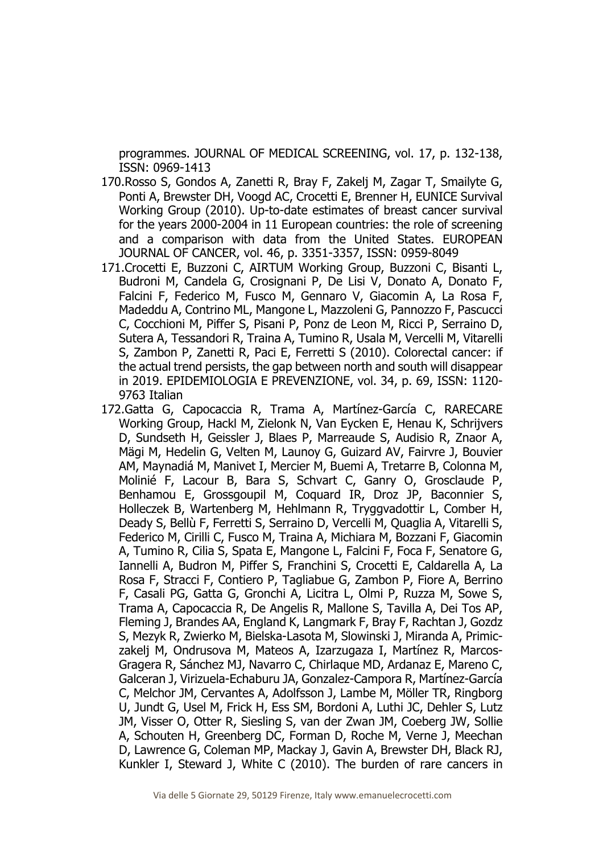programmes. JOURNAL OF MEDICAL SCREENING, vol. 17, p. 132-138, ISSN: 0969-1413

- 170.Rosso S, Gondos A, Zanetti R, Bray F, Zakelj M, Zagar T, Smailyte G, Ponti A, Brewster DH, Voogd AC, Crocetti E, Brenner H, EUNICE Survival Working Group (2010). Up-to-date estimates of breast cancer survival for the years 2000-2004 in 11 European countries: the role of screening and a comparison with data from the United States. EUROPEAN JOURNAL OF CANCER, vol. 46, p. 3351-3357, ISSN: 0959-8049
- 171.Crocetti E, Buzzoni C, AIRTUM Working Group, Buzzoni C, Bisanti L, Budroni M, Candela G, Crosignani P, De Lisi V, Donato A, Donato F, Falcini F, Federico M, Fusco M, Gennaro V, Giacomin A, La Rosa F, Madeddu A, Contrino ML, Mangone L, Mazzoleni G, Pannozzo F, Pascucci C, Cocchioni M, Piffer S, Pisani P, Ponz de Leon M, Ricci P, Serraino D, Sutera A, Tessandori R, Traina A, Tumino R, Usala M, Vercelli M, Vitarelli S, Zambon P, Zanetti R, Paci E, Ferretti S (2010). Colorectal cancer: if the actual trend persists, the gap between north and south will disappear in 2019. EPIDEMIOLOGIA E PREVENZIONE, vol. 34, p. 69, ISSN: 1120- 9763 Italian
- 172.Gatta G, Capocaccia R, Trama A, Martínez-García C, RARECARE Working Group, Hackl M, Zielonk N, Van Eycken E, Henau K, Schrijvers D, Sundseth H, Geissler J, Blaes P, Marreaude S, Audisio R, Znaor A, Mägi M, Hedelin G, Velten M, Launoy G, Guizard AV, Fairvre J, Bouvier AM, Maynadiá M, Manivet I, Mercier M, Buemi A, Tretarre B, Colonna M, Molinié F, Lacour B, Bara S, Schvart C, Ganry O, Grosclaude P, Benhamou E, Grossgoupil M, Coquard IR, Droz JP, Baconnier S, Holleczek B, Wartenberg M, Hehlmann R, Tryggvadottir L, Comber H, Deady S, Bellù F, Ferretti S, Serraino D, Vercelli M, Quaglia A, Vitarelli S, Federico M, Cirilli C, Fusco M, Traina A, Michiara M, Bozzani F, Giacomin A, Tumino R, Cilia S, Spata E, Mangone L, Falcini F, Foca F, Senatore G, Iannelli A, Budron M, Piffer S, Franchini S, Crocetti E, Caldarella A, La Rosa F, Stracci F, Contiero P, Tagliabue G, Zambon P, Fiore A, Berrino F, Casali PG, Gatta G, Gronchi A, Licitra L, Olmi P, Ruzza M, Sowe S, Trama A, Capocaccia R, De Angelis R, Mallone S, Tavilla A, Dei Tos AP, Fleming J, Brandes AA, England K, Langmark F, Bray F, Rachtan J, Gozdz S, Mezyk R, Zwierko M, Bielska-Lasota M, Slowinski J, Miranda A, Primiczakelj M, Ondrusova M, Mateos A, Izarzugaza I, Martínez R, Marcos-Gragera R, Sánchez MJ, Navarro C, Chirlaque MD, Ardanaz E, Mareno C, Galceran J, Virizuela-Echaburu JA, Gonzalez-Campora R, Martínez-García C, Melchor JM, Cervantes A, Adolfsson J, Lambe M, Möller TR, Ringborg U, Jundt G, Usel M, Frick H, Ess SM, Bordoni A, Luthi JC, Dehler S, Lutz JM, Visser O, Otter R, Siesling S, van der Zwan JM, Coeberg JW, Sollie A, Schouten H, Greenberg DC, Forman D, Roche M, Verne J, Meechan D, Lawrence G, Coleman MP, Mackay J, Gavin A, Brewster DH, Black RJ, Kunkler I, Steward J, White C (2010). The burden of rare cancers in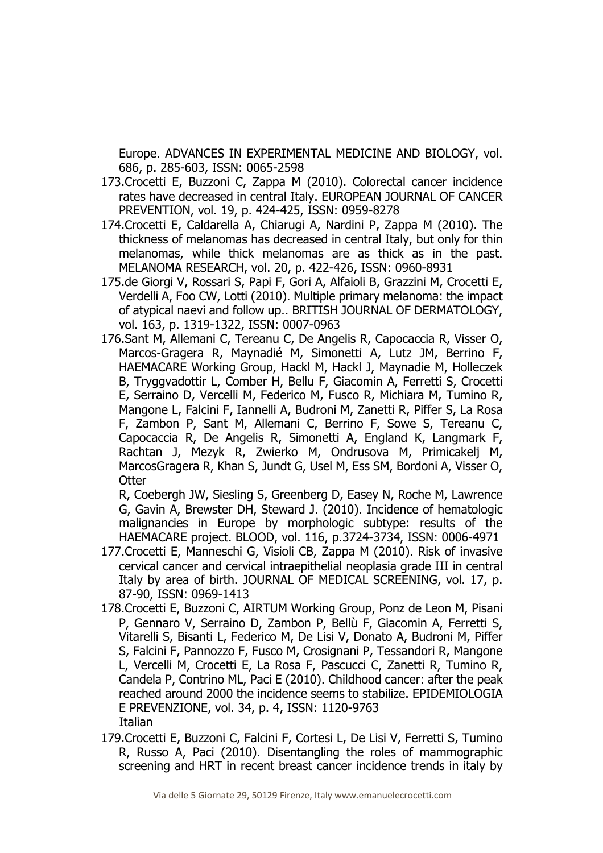Europe. ADVANCES IN EXPERIMENTAL MEDICINE AND BIOLOGY, vol. 686, p. 285-603, ISSN: 0065-2598

- 173.Crocetti E, Buzzoni C, Zappa M (2010). Colorectal cancer incidence rates have decreased in central Italy. EUROPEAN JOURNAL OF CANCER PREVENTION, vol. 19, p. 424-425, ISSN: 0959-8278
- 174.Crocetti E, Caldarella A, Chiarugi A, Nardini P, Zappa M (2010). The thickness of melanomas has decreased in central Italy, but only for thin melanomas, while thick melanomas are as thick as in the past. MELANOMA RESEARCH, vol. 20, p. 422-426, ISSN: 0960-8931
- 175.de Giorgi V, Rossari S, Papi F, Gori A, Alfaioli B, Grazzini M, Crocetti E, Verdelli A, Foo CW, Lotti (2010). Multiple primary melanoma: the impact of atypical naevi and follow up.. BRITISH JOURNAL OF DERMATOLOGY, vol. 163, p. 1319-1322, ISSN: 0007-0963
- 176.Sant M, Allemani C, Tereanu C, De Angelis R, Capocaccia R, Visser O, Marcos-Gragera R, Maynadié M, Simonetti A, Lutz JM, Berrino F, HAEMACARE Working Group, Hackl M, Hackl J, Maynadie M, Holleczek B, Tryggvadottir L, Comber H, Bellu F, Giacomin A, Ferretti S, Crocetti E, Serraino D, Vercelli M, Federico M, Fusco R, Michiara M, Tumino R, Mangone L, Falcini F, Iannelli A, Budroni M, Zanetti R, Piffer S, La Rosa F, Zambon P, Sant M, Allemani C, Berrino F, Sowe S, Tereanu C, Capocaccia R, De Angelis R, Simonetti A, England K, Langmark F, Rachtan J, Mezyk R, Zwierko M, Ondrusova M, Primicakelj M, MarcosGragera R, Khan S, Jundt G, Usel M, Ess SM, Bordoni A, Visser O, **Otter**

R, Coebergh JW, Siesling S, Greenberg D, Easey N, Roche M, Lawrence G, Gavin A, Brewster DH, Steward J. (2010). Incidence of hematologic malignancies in Europe by morphologic subtype: results of the HAEMACARE project. BLOOD, vol. 116, p.3724-3734, ISSN: 0006-4971

- 177.Crocetti E, Manneschi G, Visioli CB, Zappa M (2010). Risk of invasive cervical cancer and cervical intraepithelial neoplasia grade III in central Italy by area of birth. JOURNAL OF MEDICAL SCREENING, vol. 17, p. 87-90, ISSN: 0969-1413
- 178.Crocetti E, Buzzoni C, AIRTUM Working Group, Ponz de Leon M, Pisani P, Gennaro V, Serraino D, Zambon P, Bellù F, Giacomin A, Ferretti S, Vitarelli S, Bisanti L, Federico M, De Lisi V, Donato A, Budroni M, Piffer S, Falcini F, Pannozzo F, Fusco M, Crosignani P, Tessandori R, Mangone L, Vercelli M, Crocetti E, La Rosa F, Pascucci C, Zanetti R, Tumino R, Candela P, Contrino ML, Paci E (2010). Childhood cancer: after the peak reached around 2000 the incidence seems to stabilize. EPIDEMIOLOGIA E PREVENZIONE, vol. 34, p. 4, ISSN: 1120-9763 **Italian**
- 179.Crocetti E, Buzzoni C, Falcini F, Cortesi L, De Lisi V, Ferretti S, Tumino R, Russo A, Paci (2010). Disentangling the roles of mammographic screening and HRT in recent breast cancer incidence trends in italy by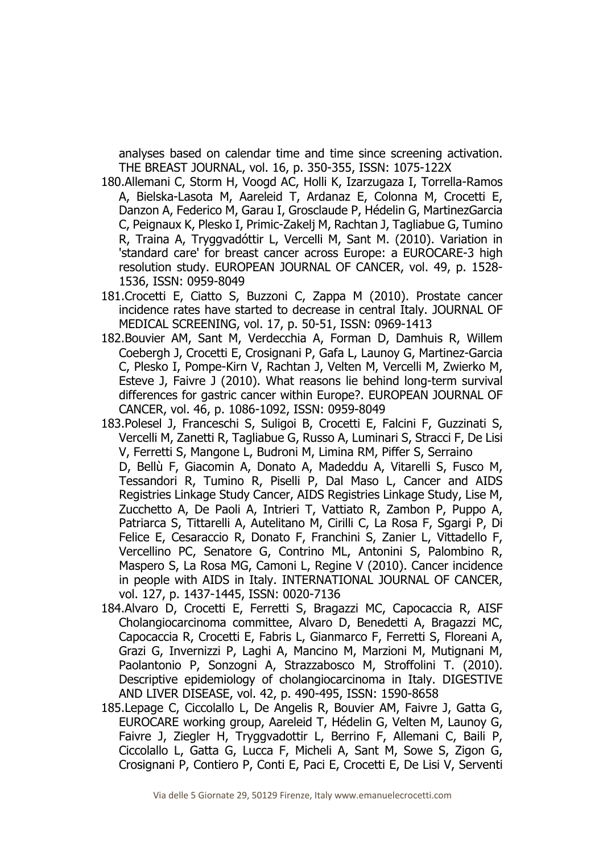analyses based on calendar time and time since screening activation. THE BREAST JOURNAL, vol. 16, p. 350-355, ISSN: 1075-122X

- 180.Allemani C, Storm H, Voogd AC, Holli K, Izarzugaza I, Torrella-Ramos A, Bielska-Lasota M, Aareleid T, Ardanaz E, Colonna M, Crocetti E, Danzon A, Federico M, Garau I, Grosclaude P, Hédelin G, MartinezGarcia C, Peignaux K, Plesko I, Primic-Zakelj M, Rachtan J, Tagliabue G, Tumino R, Traina A, Tryggvadóttir L, Vercelli M, Sant M. (2010). Variation in 'standard care' for breast cancer across Europe: a EUROCARE-3 high resolution study. EUROPEAN JOURNAL OF CANCER, vol. 49, p. 1528- 1536, ISSN: 0959-8049
- 181.Crocetti E, Ciatto S, Buzzoni C, Zappa M (2010). Prostate cancer incidence rates have started to decrease in central Italy. JOURNAL OF MEDICAL SCREENING, vol. 17, p. 50-51, ISSN: 0969-1413
- 182.Bouvier AM, Sant M, Verdecchia A, Forman D, Damhuis R, Willem Coebergh J, Crocetti E, Crosignani P, Gafa L, Launoy G, Martinez-Garcia C, Plesko I, Pompe-Kirn V, Rachtan J, Velten M, Vercelli M, Zwierko M, Esteve J, Faivre J (2010). What reasons lie behind long-term survival differences for gastric cancer within Europe?. EUROPEAN JOURNAL OF CANCER, vol. 46, p. 1086-1092, ISSN: 0959-8049
- 183.Polesel J, Franceschi S, Suligoi B, Crocetti E, Falcini F, Guzzinati S, Vercelli M, Zanetti R, Tagliabue G, Russo A, Luminari S, Stracci F, De Lisi V, Ferretti S, Mangone L, Budroni M, Limina RM, Piffer S, Serraino D, Bellù F, Giacomin A, Donato A, Madeddu A, Vitarelli S, Fusco M, Tessandori R, Tumino R, Piselli P, Dal Maso L, Cancer and AIDS Registries Linkage Study Cancer, AIDS Registries Linkage Study, Lise M, Zucchetto A, De Paoli A, Intrieri T, Vattiato R, Zambon P, Puppo A, Patriarca S, Tittarelli A, Autelitano M, Cirilli C, La Rosa F, Sgargi P, Di Felice E, Cesaraccio R, Donato F, Franchini S, Zanier L, Vittadello F, Vercellino PC, Senatore G, Contrino ML, Antonini S, Palombino R, Maspero S, La Rosa MG, Camoni L, Regine V (2010). Cancer incidence in people with AIDS in Italy. INTERNATIONAL JOURNAL OF CANCER, vol. 127, p. 1437-1445, ISSN: 0020-7136
- 184.Alvaro D, Crocetti E, Ferretti S, Bragazzi MC, Capocaccia R, AISF Cholangiocarcinoma committee, Alvaro D, Benedetti A, Bragazzi MC, Capocaccia R, Crocetti E, Fabris L, Gianmarco F, Ferretti S, Floreani A, Grazi G, Invernizzi P, Laghi A, Mancino M, Marzioni M, Mutignani M, Paolantonio P, Sonzogni A, Strazzabosco M, Stroffolini T. (2010). Descriptive epidemiology of cholangiocarcinoma in Italy. DIGESTIVE AND LIVER DISEASE, vol. 42, p. 490-495, ISSN: 1590-8658
- 185.Lepage C, Ciccolallo L, De Angelis R, Bouvier AM, Faivre J, Gatta G, EUROCARE working group, Aareleid T, Hédelin G, Velten M, Launoy G, Faivre J, Ziegler H, Tryggvadottir L, Berrino F, Allemani C, Baili P, Ciccolallo L, Gatta G, Lucca F, Micheli A, Sant M, Sowe S, Zigon G, Crosignani P, Contiero P, Conti E, Paci E, Crocetti E, De Lisi V, Serventi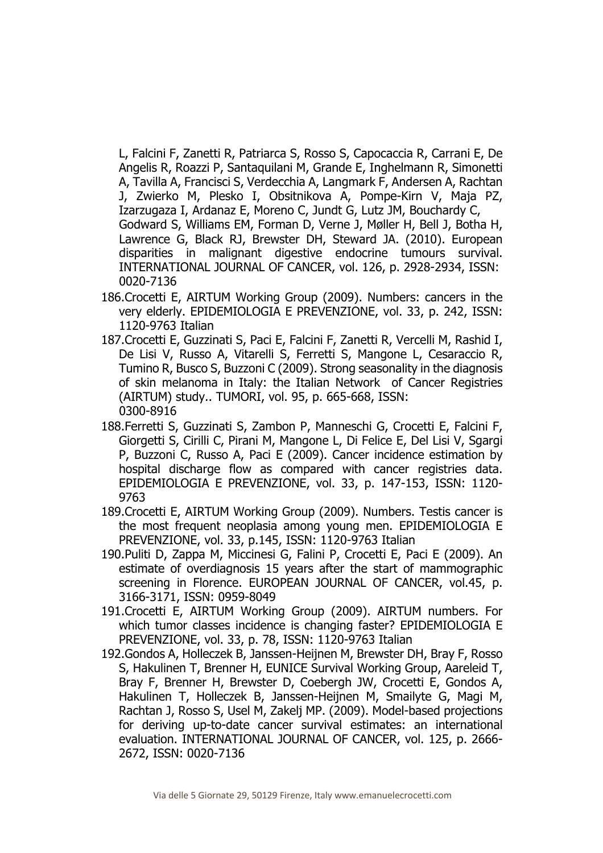L, Falcini F, Zanetti R, Patriarca S, Rosso S, Capocaccia R, Carrani E, De Angelis R, Roazzi P, Santaquilani M, Grande E, Inghelmann R, Simonetti A, Tavilla A, Francisci S, Verdecchia A, Langmark F, Andersen A, Rachtan J, Zwierko M, Plesko I, Obsitnikova A, Pompe-Kirn V, Maja PZ, Izarzugaza I, Ardanaz E, Moreno C, Jundt G, Lutz JM, Bouchardy C, Godward S, Williams EM, Forman D, Verne J, Møller H, Bell J, Botha H, Lawrence G, Black RJ, Brewster DH, Steward JA. (2010). European

disparities in malignant digestive endocrine tumours survival. INTERNATIONAL JOURNAL OF CANCER, vol. 126, p. 2928-2934, ISSN: 0020-7136

- 186.Crocetti E, AIRTUM Working Group (2009). Numbers: cancers in the very elderly. EPIDEMIOLOGIA E PREVENZIONE, vol. 33, p. 242, ISSN: 1120-9763 Italian
- 187.Crocetti E, Guzzinati S, Paci E, Falcini F, Zanetti R, Vercelli M, Rashid I, De Lisi V, Russo A, Vitarelli S, Ferretti S, Mangone L, Cesaraccio R, Tumino R, Busco S, Buzzoni C (2009). Strong seasonality in the diagnosis of skin melanoma in Italy: the Italian Network of Cancer Registries (AIRTUM) study.. TUMORI, vol. 95, p. 665-668, ISSN: 0300-8916
- 188.Ferretti S, Guzzinati S, Zambon P, Manneschi G, Crocetti E, Falcini F, Giorgetti S, Cirilli C, Pirani M, Mangone L, Di Felice E, Del Lisi V, Sgargi P, Buzzoni C, Russo A, Paci E (2009). Cancer incidence estimation by hospital discharge flow as compared with cancer registries data. EPIDEMIOLOGIA E PREVENZIONE, vol. 33, p. 147-153, ISSN: 1120- 9763
- 189.Crocetti E, AIRTUM Working Group (2009). Numbers. Testis cancer is the most frequent neoplasia among young men. EPIDEMIOLOGIA E PREVENZIONE, vol. 33, p.145, ISSN: 1120-9763 Italian
- 190.Puliti D, Zappa M, Miccinesi G, Falini P, Crocetti E, Paci E (2009). An estimate of overdiagnosis 15 years after the start of mammographic screening in Florence. EUROPEAN JOURNAL OF CANCER, vol.45, p. 3166-3171, ISSN: 0959-8049
- 191.Crocetti E, AIRTUM Working Group (2009). AIRTUM numbers. For which tumor classes incidence is changing faster? EPIDEMIOLOGIA E PREVENZIONE, vol. 33, p. 78, ISSN: 1120-9763 Italian
- 192.Gondos A, Holleczek B, Janssen-Heijnen M, Brewster DH, Bray F, Rosso S, Hakulinen T, Brenner H, EUNICE Survival Working Group, Aareleid T, Bray F, Brenner H, Brewster D, Coebergh JW, Crocetti E, Gondos A, Hakulinen T, Holleczek B, Janssen-Heijnen M, Smailyte G, Magi M, Rachtan J, Rosso S, Usel M, Zakelj MP. (2009). Model-based projections for deriving up-to-date cancer survival estimates: an international evaluation. INTERNATIONAL JOURNAL OF CANCER, vol. 125, p. 2666- 2672, ISSN: 0020-7136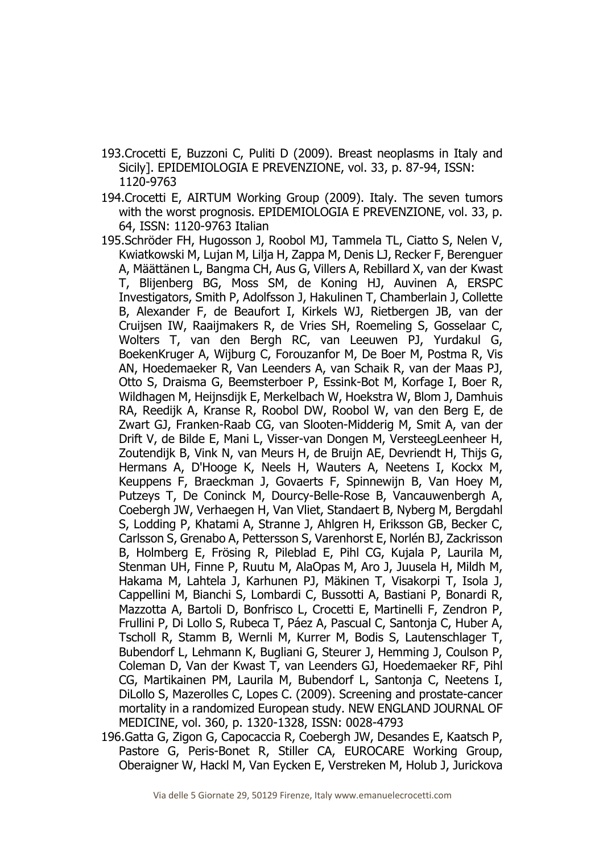- 193.Crocetti E, Buzzoni C, Puliti D (2009). Breast neoplasms in Italy and Sicily]. EPIDEMIOLOGIA E PREVENZIONE, vol. 33, p. 87-94, ISSN: 1120-9763
- 194.Crocetti E, AIRTUM Working Group (2009). Italy. The seven tumors with the worst prognosis. EPIDEMIOLOGIA E PREVENZIONE, vol. 33, p. 64, ISSN: 1120-9763 Italian
- 195.Schröder FH, Hugosson J, Roobol MJ, Tammela TL, Ciatto S, Nelen V, Kwiatkowski M, Lujan M, Lilja H, Zappa M, Denis LJ, Recker F, Berenguer A, Määttänen L, Bangma CH, Aus G, Villers A, Rebillard X, van der Kwast T, Blijenberg BG, Moss SM, de Koning HJ, Auvinen A, ERSPC Investigators, Smith P, Adolfsson J, Hakulinen T, Chamberlain J, Collette B, Alexander F, de Beaufort I, Kirkels WJ, Rietbergen JB, van der Cruijsen IW, Raaijmakers R, de Vries SH, Roemeling S, Gosselaar C, Wolters T, van den Bergh RC, van Leeuwen PJ, Yurdakul G, BoekenKruger A, Wijburg C, Forouzanfor M, De Boer M, Postma R, Vis AN, Hoedemaeker R, Van Leenders A, van Schaik R, van der Maas PJ, Otto S, Draisma G, Beemsterboer P, Essink-Bot M, Korfage I, Boer R, Wildhagen M, Heijnsdijk E, Merkelbach W, Hoekstra W, Blom J, Damhuis RA, Reedijk A, Kranse R, Roobol DW, Roobol W, van den Berg E, de Zwart GJ, Franken-Raab CG, van Slooten-Midderig M, Smit A, van der Drift V, de Bilde E, Mani L, Visser-van Dongen M, VersteegLeenheer H, Zoutendijk B, Vink N, van Meurs H, de Bruijn AE, Devriendt H, Thijs G, Hermans A, D'Hooge K, Neels H, Wauters A, Neetens I, Kockx M, Keuppens F, Braeckman J, Govaerts F, Spinnewijn B, Van Hoey M, Putzeys T, De Coninck M, Dourcy-Belle-Rose B, Vancauwenbergh A, Coebergh JW, Verhaegen H, Van Vliet, Standaert B, Nyberg M, Bergdahl S, Lodding P, Khatami A, Stranne J, Ahlgren H, Eriksson GB, Becker C, Carlsson S, Grenabo A, Pettersson S, Varenhorst E, Norlén BJ, Zackrisson B, Holmberg E, Frösing R, Pileblad E, Pihl CG, Kujala P, Laurila M, Stenman UH, Finne P, Ruutu M, AlaOpas M, Aro J, Juusela H, Mildh M, Hakama M, Lahtela J, Karhunen PJ, Mäkinen T, Visakorpi T, Isola J, Cappellini M, Bianchi S, Lombardi C, Bussotti A, Bastiani P, Bonardi R, Mazzotta A, Bartoli D, Bonfrisco L, Crocetti E, Martinelli F, Zendron P, Frullini P, Di Lollo S, Rubeca T, Páez A, Pascual C, Santonja C, Huber A, Tscholl R, Stamm B, Wernli M, Kurrer M, Bodis S, Lautenschlager T, Bubendorf L, Lehmann K, Bugliani G, Steurer J, Hemming J, Coulson P, Coleman D, Van der Kwast T, van Leenders GJ, Hoedemaeker RF, Pihl CG, Martikainen PM, Laurila M, Bubendorf L, Santonja C, Neetens I, DiLollo S, Mazerolles C, Lopes C. (2009). Screening and prostate-cancer mortality in a randomized European study. NEW ENGLAND JOURNAL OF MEDICINE, vol. 360, p. 1320-1328, ISSN: 0028-4793
- 196.Gatta G, Zigon G, Capocaccia R, Coebergh JW, Desandes E, Kaatsch P, Pastore G, Peris-Bonet R, Stiller CA, EUROCARE Working Group, Oberaigner W, Hackl M, Van Eycken E, Verstreken M, Holub J, Jurickova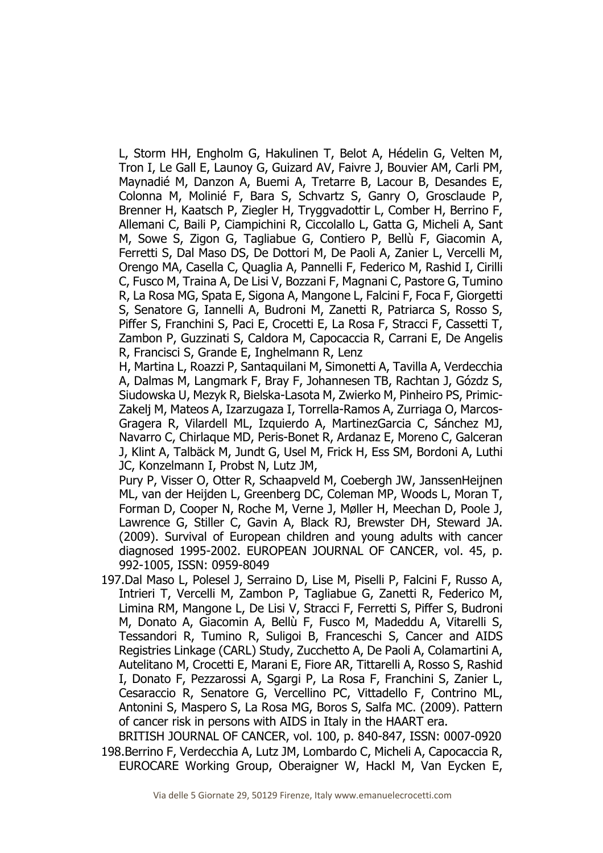L, Storm HH, Engholm G, Hakulinen T, Belot A, Hédelin G, Velten M, Tron I, Le Gall E, Launoy G, Guizard AV, Faivre J, Bouvier AM, Carli PM, Maynadié M, Danzon A, Buemi A, Tretarre B, Lacour B, Desandes E, Colonna M, Molinié F, Bara S, Schvartz S, Ganry O, Grosclaude P, Brenner H, Kaatsch P, Ziegler H, Tryggvadottir L, Comber H, Berrino F, Allemani C, Baili P, Ciampichini R, Ciccolallo L, Gatta G, Micheli A, Sant M, Sowe S, Zigon G, Tagliabue G, Contiero P, Bellù F, Giacomin A, Ferretti S, Dal Maso DS, De Dottori M, De Paoli A, Zanier L, Vercelli M, Orengo MA, Casella C, Quaglia A, Pannelli F, Federico M, Rashid I, Cirilli C, Fusco M, Traina A, De Lisi V, Bozzani F, Magnani C, Pastore G, Tumino R, La Rosa MG, Spata E, Sigona A, Mangone L, Falcini F, Foca F, Giorgetti S, Senatore G, Iannelli A, Budroni M, Zanetti R, Patriarca S, Rosso S, Piffer S, Franchini S, Paci E, Crocetti E, La Rosa F, Stracci F, Cassetti T, Zambon P, Guzzinati S, Caldora M, Capocaccia R, Carrani E, De Angelis R, Francisci S, Grande E, Inghelmann R, Lenz

H, Martina L, Roazzi P, Santaquilani M, Simonetti A, Tavilla A, Verdecchia A, Dalmas M, Langmark F, Bray F, Johannesen TB, Rachtan J, Gózdz S, Siudowska U, Mezyk R, Bielska-Lasota M, Zwierko M, Pinheiro PS, Primic-Zakelj M, Mateos A, Izarzugaza I, Torrella-Ramos A, Zurriaga O, Marcos-Gragera R, Vilardell ML, Izquierdo A, MartinezGarcia C, Sánchez MJ, Navarro C, Chirlaque MD, Peris-Bonet R, Ardanaz E, Moreno C, Galceran J, Klint A, Talbäck M, Jundt G, Usel M, Frick H, Ess SM, Bordoni A, Luthi JC, Konzelmann I, Probst N, Lutz JM,

Pury P, Visser O, Otter R, Schaapveld M, Coebergh JW, JanssenHeijnen ML, van der Heijden L, Greenberg DC, Coleman MP, Woods L, Moran T, Forman D, Cooper N, Roche M, Verne J, Møller H, Meechan D, Poole J, Lawrence G, Stiller C, Gavin A, Black RJ, Brewster DH, Steward JA. (2009). Survival of European children and young adults with cancer diagnosed 1995-2002. EUROPEAN JOURNAL OF CANCER, vol. 45, p. 992-1005, ISSN: 0959-8049

197.Dal Maso L, Polesel J, Serraino D, Lise M, Piselli P, Falcini F, Russo A, Intrieri T, Vercelli M, Zambon P, Tagliabue G, Zanetti R, Federico M, Limina RM, Mangone L, De Lisi V, Stracci F, Ferretti S, Piffer S, Budroni M, Donato A, Giacomin A, Bellù F, Fusco M, Madeddu A, Vitarelli S, Tessandori R, Tumino R, Suligoi B, Franceschi S, Cancer and AIDS Registries Linkage (CARL) Study, Zucchetto A, De Paoli A, Colamartini A, Autelitano M, Crocetti E, Marani E, Fiore AR, Tittarelli A, Rosso S, Rashid I, Donato F, Pezzarossi A, Sgargi P, La Rosa F, Franchini S, Zanier L, Cesaraccio R, Senatore G, Vercellino PC, Vittadello F, Contrino ML, Antonini S, Maspero S, La Rosa MG, Boros S, Salfa MC. (2009). Pattern of cancer risk in persons with AIDS in Italy in the HAART era.

BRITISH JOURNAL OF CANCER, vol. 100, p. 840-847, ISSN: 0007-0920 198.Berrino F, Verdecchia A, Lutz JM, Lombardo C, Micheli A, Capocaccia R, EUROCARE Working Group, Oberaigner W, Hackl M, Van Eycken E,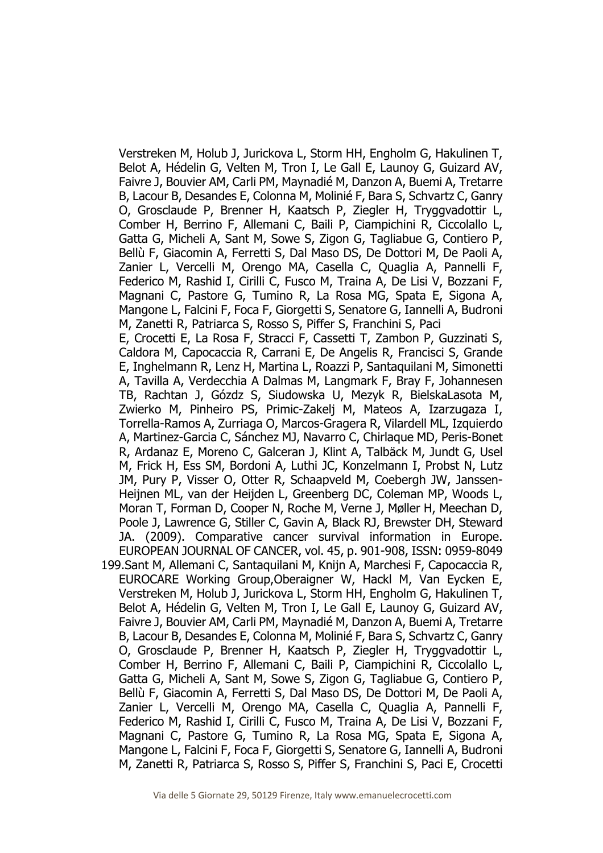Verstreken M, Holub J, Jurickova L, Storm HH, Engholm G, Hakulinen T, Belot A, Hédelin G, Velten M, Tron I, Le Gall E, Launoy G, Guizard AV, Faivre J, Bouvier AM, Carli PM, Maynadié M, Danzon A, Buemi A, Tretarre B, Lacour B, Desandes E, Colonna M, Molinié F, Bara S, Schvartz C, Ganry O, Grosclaude P, Brenner H, Kaatsch P, Ziegler H, Tryggvadottir L, Comber H, Berrino F, Allemani C, Baili P, Ciampichini R, Ciccolallo L, Gatta G, Micheli A, Sant M, Sowe S, Zigon G, Tagliabue G, Contiero P, Bellù F, Giacomin A, Ferretti S, Dal Maso DS, De Dottori M, De Paoli A, Zanier L, Vercelli M, Orengo MA, Casella C, Quaglia A, Pannelli F, Federico M, Rashid I, Cirilli C, Fusco M, Traina A, De Lisi V, Bozzani F, Magnani C, Pastore G, Tumino R, La Rosa MG, Spata E, Sigona A, Mangone L, Falcini F, Foca F, Giorgetti S, Senatore G, Iannelli A, Budroni M, Zanetti R, Patriarca S, Rosso S, Piffer S, Franchini S, Paci E, Crocetti E, La Rosa F, Stracci F, Cassetti T, Zambon P, Guzzinati S, Caldora M, Capocaccia R, Carrani E, De Angelis R, Francisci S, Grande E, Inghelmann R, Lenz H, Martina L, Roazzi P, Santaquilani M, Simonetti A, Tavilla A, Verdecchia A Dalmas M, Langmark F, Bray F, Johannesen TB, Rachtan J, Gózdz S, Siudowska U, Mezyk R, BielskaLasota M,

Zwierko M, Pinheiro PS, Primic-Zakelj M, Mateos A, Izarzugaza I, Torrella-Ramos A, Zurriaga O, Marcos-Gragera R, Vilardell ML, Izquierdo A, Martinez-Garcia C, Sánchez MJ, Navarro C, Chirlaque MD, Peris-Bonet R, Ardanaz E, Moreno C, Galceran J, Klint A, Talbäck M, Jundt G, Usel M, Frick H, Ess SM, Bordoni A, Luthi JC, Konzelmann I, Probst N, Lutz JM, Pury P, Visser O, Otter R, Schaapveld M, Coebergh JW, Janssen-Heijnen ML, van der Heijden L, Greenberg DC, Coleman MP, Woods L, Moran T, Forman D, Cooper N, Roche M, Verne J, Møller H, Meechan D, Poole J, Lawrence G, Stiller C, Gavin A, Black RJ, Brewster DH, Steward JA. (2009). Comparative cancer survival information in Europe. EUROPEAN JOURNAL OF CANCER, vol. 45, p. 901-908, ISSN: 0959-8049

199.Sant M, Allemani C, Santaquilani M, Knijn A, Marchesi F, Capocaccia R, EUROCARE Working Group,Oberaigner W, Hackl M, Van Eycken E, Verstreken M, Holub J, Jurickova L, Storm HH, Engholm G, Hakulinen T, Belot A, Hédelin G, Velten M, Tron I, Le Gall E, Launoy G, Guizard AV, Faivre J, Bouvier AM, Carli PM, Maynadié M, Danzon A, Buemi A, Tretarre B, Lacour B, Desandes E, Colonna M, Molinié F, Bara S, Schvartz C, Ganry O, Grosclaude P, Brenner H, Kaatsch P, Ziegler H, Tryggvadottir L, Comber H, Berrino F, Allemani C, Baili P, Ciampichini R, Ciccolallo L, Gatta G, Micheli A, Sant M, Sowe S, Zigon G, Tagliabue G, Contiero P, Bellù F, Giacomin A, Ferretti S, Dal Maso DS, De Dottori M, De Paoli A, Zanier L, Vercelli M, Orengo MA, Casella C, Quaglia A, Pannelli F, Federico M, Rashid I, Cirilli C, Fusco M, Traina A, De Lisi V, Bozzani F, Magnani C, Pastore G, Tumino R, La Rosa MG, Spata E, Sigona A, Mangone L, Falcini F, Foca F, Giorgetti S, Senatore G, Iannelli A, Budroni M, Zanetti R, Patriarca S, Rosso S, Piffer S, Franchini S, Paci E, Crocetti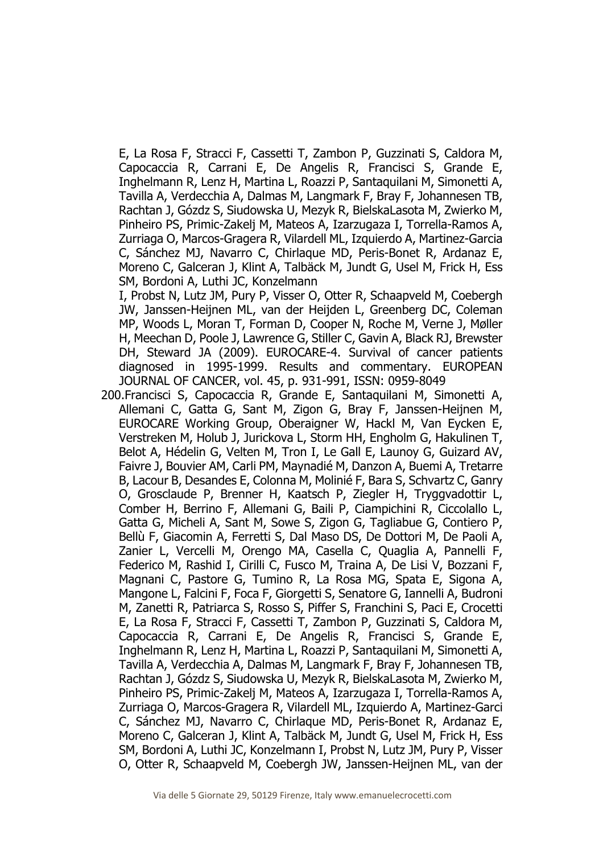E, La Rosa F, Stracci F, Cassetti T, Zambon P, Guzzinati S, Caldora M, Capocaccia R, Carrani E, De Angelis R, Francisci S, Grande E, Inghelmann R, Lenz H, Martina L, Roazzi P, Santaquilani M, Simonetti A, Tavilla A, Verdecchia A, Dalmas M, Langmark F, Bray F, Johannesen TB, Rachtan J, Gózdz S, Siudowska U, Mezyk R, BielskaLasota M, Zwierko M, Pinheiro PS, Primic-Zakelj M, Mateos A, Izarzugaza I, Torrella-Ramos A, Zurriaga O, Marcos-Gragera R, Vilardell ML, Izquierdo A, Martinez-Garcia C, Sánchez MJ, Navarro C, Chirlaque MD, Peris-Bonet R, Ardanaz E, Moreno C, Galceran J, Klint A, Talbäck M, Jundt G, Usel M, Frick H, Ess SM, Bordoni A, Luthi JC, Konzelmann

I, Probst N, Lutz JM, Pury P, Visser O, Otter R, Schaapveld M, Coebergh JW, Janssen-Heijnen ML, van der Heijden L, Greenberg DC, Coleman MP, Woods L, Moran T, Forman D, Cooper N, Roche M, Verne J, Møller H, Meechan D, Poole J, Lawrence G, Stiller C, Gavin A, Black RJ, Brewster DH, Steward JA (2009). EUROCARE-4. Survival of cancer patients diagnosed in 1995-1999. Results and commentary. EUROPEAN JOURNAL OF CANCER, vol. 45, p. 931-991, ISSN: 0959-8049

200.Francisci S, Capocaccia R, Grande E, Santaquilani M, Simonetti A, Allemani C, Gatta G, Sant M, Zigon G, Bray F, Janssen-Heijnen M, EUROCARE Working Group, Oberaigner W, Hackl M, Van Eycken E, Verstreken M, Holub J, Jurickova L, Storm HH, Engholm G, Hakulinen T, Belot A, Hédelin G, Velten M, Tron I, Le Gall E, Launoy G, Guizard AV, Faivre J, Bouvier AM, Carli PM, Maynadié M, Danzon A, Buemi A, Tretarre B, Lacour B, Desandes E, Colonna M, Molinié F, Bara S, Schvartz C, Ganry O, Grosclaude P, Brenner H, Kaatsch P, Ziegler H, Tryggvadottir L, Comber H, Berrino F, Allemani G, Baili P, Ciampichini R, Ciccolallo L, Gatta G, Micheli A, Sant M, Sowe S, Zigon G, Tagliabue G, Contiero P, Bellù F, Giacomin A, Ferretti S, Dal Maso DS, De Dottori M, De Paoli A, Zanier L, Vercelli M, Orengo MA, Casella C, Quaglia A, Pannelli F, Federico M, Rashid I, Cirilli C, Fusco M, Traina A, De Lisi V, Bozzani F, Magnani C, Pastore G, Tumino R, La Rosa MG, Spata E, Sigona A, Mangone L, Falcini F, Foca F, Giorgetti S, Senatore G, Iannelli A, Budroni M, Zanetti R, Patriarca S, Rosso S, Piffer S, Franchini S, Paci E, Crocetti E, La Rosa F, Stracci F, Cassetti T, Zambon P, Guzzinati S, Caldora M, Capocaccia R, Carrani E, De Angelis R, Francisci S, Grande E, Inghelmann R, Lenz H, Martina L, Roazzi P, Santaquilani M, Simonetti A, Tavilla A, Verdecchia A, Dalmas M, Langmark F, Bray F, Johannesen TB, Rachtan J, Gózdz S, Siudowska U, Mezyk R, BielskaLasota M, Zwierko M, Pinheiro PS, Primic-Zakelj M, Mateos A, Izarzugaza I, Torrella-Ramos A, Zurriaga O, Marcos-Gragera R, Vilardell ML, Izquierdo A, Martinez-Garci C, Sánchez MJ, Navarro C, Chirlaque MD, Peris-Bonet R, Ardanaz E, Moreno C, Galceran J, Klint A, Talbäck M, Jundt G, Usel M, Frick H, Ess SM, Bordoni A, Luthi JC, Konzelmann I, Probst N, Lutz JM, Pury P, Visser O, Otter R, Schaapveld M, Coebergh JW, Janssen-Heijnen ML, van der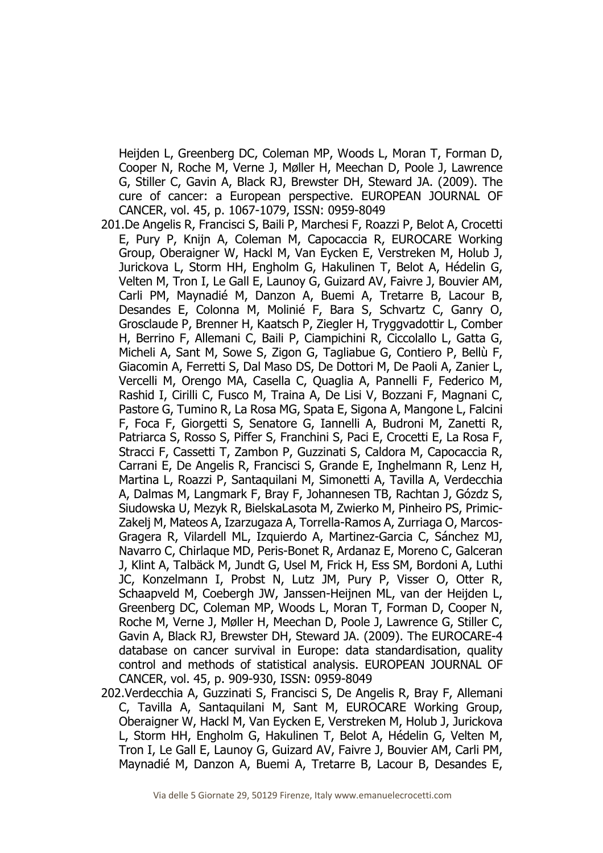Heijden L, Greenberg DC, Coleman MP, Woods L, Moran T, Forman D, Cooper N, Roche M, Verne J, Møller H, Meechan D, Poole J, Lawrence G, Stiller C, Gavin A, Black RJ, Brewster DH, Steward JA. (2009). The cure of cancer: a European perspective. EUROPEAN JOURNAL OF CANCER, vol. 45, p. 1067-1079, ISSN: 0959-8049

- 201.De Angelis R, Francisci S, Baili P, Marchesi F, Roazzi P, Belot A, Crocetti E, Pury P, Knijn A, Coleman M, Capocaccia R, EUROCARE Working Group, Oberaigner W, Hackl M, Van Eycken E, Verstreken M, Holub J, Jurickova L, Storm HH, Engholm G, Hakulinen T, Belot A, Hédelin G, Velten M, Tron I, Le Gall E, Launoy G, Guizard AV, Faivre J, Bouvier AM, Carli PM, Maynadié M, Danzon A, Buemi A, Tretarre B, Lacour B, Desandes E, Colonna M, Molinié F, Bara S, Schvartz C, Ganry O, Grosclaude P, Brenner H, Kaatsch P, Ziegler H, Tryggvadottir L, Comber H, Berrino F, Allemani C, Baili P, Ciampichini R, Ciccolallo L, Gatta G, Micheli A, Sant M, Sowe S, Zigon G, Tagliabue G, Contiero P, Bellù F, Giacomin A, Ferretti S, Dal Maso DS, De Dottori M, De Paoli A, Zanier L, Vercelli M, Orengo MA, Casella C, Quaglia A, Pannelli F, Federico M, Rashid I, Cirilli C, Fusco M, Traina A, De Lisi V, Bozzani F, Magnani C, Pastore G, Tumino R, La Rosa MG, Spata E, Sigona A, Mangone L, Falcini F, Foca F, Giorgetti S, Senatore G, Iannelli A, Budroni M, Zanetti R, Patriarca S, Rosso S, Piffer S, Franchini S, Paci E, Crocetti E, La Rosa F, Stracci F, Cassetti T, Zambon P, Guzzinati S, Caldora M, Capocaccia R, Carrani E, De Angelis R, Francisci S, Grande E, Inghelmann R, Lenz H, Martina L, Roazzi P, Santaquilani M, Simonetti A, Tavilla A, Verdecchia A, Dalmas M, Langmark F, Bray F, Johannesen TB, Rachtan J, Gózdz S, Siudowska U, Mezyk R, BielskaLasota M, Zwierko M, Pinheiro PS, Primic-Zakelj M, Mateos A, Izarzugaza A, Torrella-Ramos A, Zurriaga O, Marcos-Gragera R, Vilardell ML, Izquierdo A, Martinez-Garcia C, Sánchez MJ, Navarro C, Chirlaque MD, Peris-Bonet R, Ardanaz E, Moreno C, Galceran J, Klint A, Talbäck M, Jundt G, Usel M, Frick H, Ess SM, Bordoni A, Luthi JC, Konzelmann I, Probst N, Lutz JM, Pury P, Visser O, Otter R, Schaapveld M, Coebergh JW, Janssen-Heijnen ML, van der Heijden L, Greenberg DC, Coleman MP, Woods L, Moran T, Forman D, Cooper N, Roche M, Verne J, Møller H, Meechan D, Poole J, Lawrence G, Stiller C, Gavin A, Black RJ, Brewster DH, Steward JA. (2009). The EUROCARE-4 database on cancer survival in Europe: data standardisation, quality control and methods of statistical analysis. EUROPEAN JOURNAL OF CANCER, vol. 45, p. 909-930, ISSN: 0959-8049
- 202.Verdecchia A, Guzzinati S, Francisci S, De Angelis R, Bray F, Allemani C, Tavilla A, Santaquilani M, Sant M, EUROCARE Working Group, Oberaigner W, Hackl M, Van Eycken E, Verstreken M, Holub J, Jurickova L, Storm HH, Engholm G, Hakulinen T, Belot A, Hédelin G, Velten M, Tron I, Le Gall E, Launoy G, Guizard AV, Faivre J, Bouvier AM, Carli PM, Maynadié M, Danzon A, Buemi A, Tretarre B, Lacour B, Desandes E,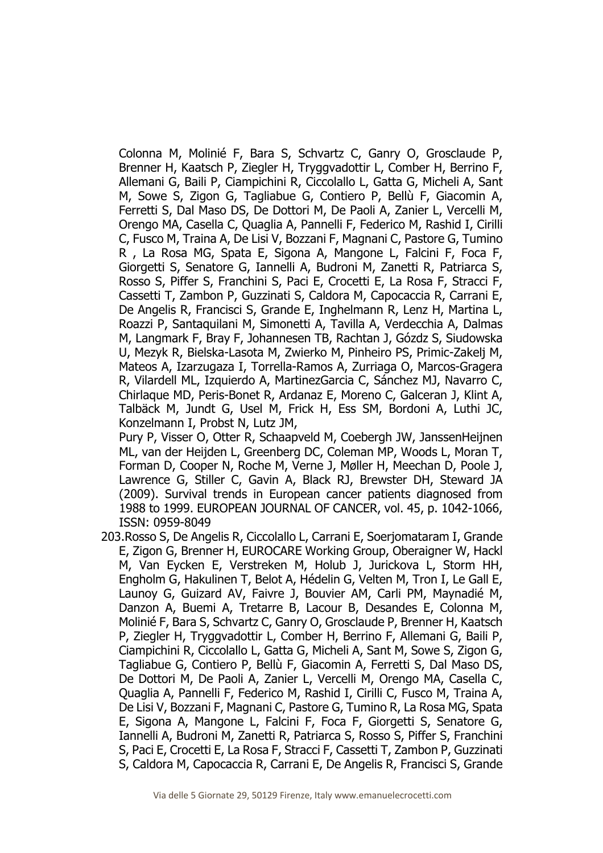Colonna M, Molinié F, Bara S, Schvartz C, Ganry O, Grosclaude P, Brenner H, Kaatsch P, Ziegler H, Tryggvadottir L, Comber H, Berrino F, Allemani G, Baili P, Ciampichini R, Ciccolallo L, Gatta G, Micheli A, Sant M, Sowe S, Zigon G, Tagliabue G, Contiero P, Bellù F, Giacomin A, Ferretti S, Dal Maso DS, De Dottori M, De Paoli A, Zanier L, Vercelli M, Orengo MA, Casella C, Quaglia A, Pannelli F, Federico M, Rashid I, Cirilli C, Fusco M, Traina A, De Lisi V, Bozzani F, Magnani C, Pastore G, Tumino R , La Rosa MG, Spata E, Sigona A, Mangone L, Falcini F, Foca F, Giorgetti S, Senatore G, Iannelli A, Budroni M, Zanetti R, Patriarca S, Rosso S, Piffer S, Franchini S, Paci E, Crocetti E, La Rosa F, Stracci F, Cassetti T, Zambon P, Guzzinati S, Caldora M, Capocaccia R, Carrani E, De Angelis R, Francisci S, Grande E, Inghelmann R, Lenz H, Martina L, Roazzi P, Santaquilani M, Simonetti A, Tavilla A, Verdecchia A, Dalmas M, Langmark F, Bray F, Johannesen TB, Rachtan J, Gózdz S, Siudowska U, Mezyk R, Bielska-Lasota M, Zwierko M, Pinheiro PS, Primic-Zakelj M, Mateos A, Izarzugaza I, Torrella-Ramos A, Zurriaga O, Marcos-Gragera R, Vilardell ML, Izquierdo A, MartinezGarcia C, Sánchez MJ, Navarro C, Chirlaque MD, Peris-Bonet R, Ardanaz E, Moreno C, Galceran J, Klint A, Talbäck M, Jundt G, Usel M, Frick H, Ess SM, Bordoni A, Luthi JC, Konzelmann I, Probst N, Lutz JM,

Pury P, Visser O, Otter R, Schaapveld M, Coebergh JW, JanssenHeijnen ML, van der Heijden L, Greenberg DC, Coleman MP, Woods L, Moran T, Forman D, Cooper N, Roche M, Verne J, Møller H, Meechan D, Poole J, Lawrence G, Stiller C, Gavin A, Black RJ, Brewster DH, Steward JA (2009). Survival trends in European cancer patients diagnosed from 1988 to 1999. EUROPEAN JOURNAL OF CANCER, vol. 45, p. 1042-1066, ISSN: 0959-8049

203.Rosso S, De Angelis R, Ciccolallo L, Carrani E, Soerjomataram I, Grande E, Zigon G, Brenner H, EUROCARE Working Group, Oberaigner W, Hackl M, Van Eycken E, Verstreken M, Holub J, Jurickova L, Storm HH, Engholm G, Hakulinen T, Belot A, Hédelin G, Velten M, Tron I, Le Gall E, Launoy G, Guizard AV, Faivre J, Bouvier AM, Carli PM, Maynadié M, Danzon A, Buemi A, Tretarre B, Lacour B, Desandes E, Colonna M, Molinié F, Bara S, Schvartz C, Ganry O, Grosclaude P, Brenner H, Kaatsch P, Ziegler H, Tryggvadottir L, Comber H, Berrino F, Allemani G, Baili P, Ciampichini R, Ciccolallo L, Gatta G, Micheli A, Sant M, Sowe S, Zigon G, Tagliabue G, Contiero P, Bellù F, Giacomin A, Ferretti S, Dal Maso DS, De Dottori M, De Paoli A, Zanier L, Vercelli M, Orengo MA, Casella C, Quaglia A, Pannelli F, Federico M, Rashid I, Cirilli C, Fusco M, Traina A, De Lisi V, Bozzani F, Magnani C, Pastore G, Tumino R, La Rosa MG, Spata E, Sigona A, Mangone L, Falcini F, Foca F, Giorgetti S, Senatore G, Iannelli A, Budroni M, Zanetti R, Patriarca S, Rosso S, Piffer S, Franchini S, Paci E, Crocetti E, La Rosa F, Stracci F, Cassetti T, Zambon P, Guzzinati S, Caldora M, Capocaccia R, Carrani E, De Angelis R, Francisci S, Grande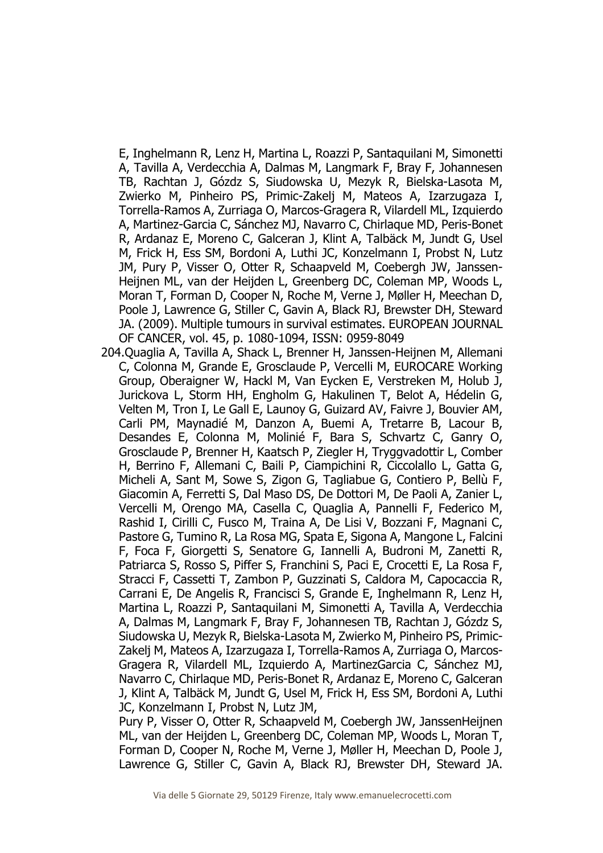E, Inghelmann R, Lenz H, Martina L, Roazzi P, Santaquilani M, Simonetti A, Tavilla A, Verdecchia A, Dalmas M, Langmark F, Bray F, Johannesen TB, Rachtan J, Gózdz S, Siudowska U, Mezyk R, Bielska-Lasota M, Zwierko M, Pinheiro PS, Primic-Zakelj M, Mateos A, Izarzugaza I, Torrella-Ramos A, Zurriaga O, Marcos-Gragera R, Vilardell ML, Izquierdo A, Martinez-Garcia C, Sánchez MJ, Navarro C, Chirlaque MD, Peris-Bonet R, Ardanaz E, Moreno C, Galceran J, Klint A, Talbäck M, Jundt G, Usel M, Frick H, Ess SM, Bordoni A, Luthi JC, Konzelmann I, Probst N, Lutz JM, Pury P, Visser O, Otter R, Schaapveld M, Coebergh JW, Janssen-Heijnen ML, van der Heijden L, Greenberg DC, Coleman MP, Woods L, Moran T, Forman D, Cooper N, Roche M, Verne J, Møller H, Meechan D, Poole J, Lawrence G, Stiller C, Gavin A, Black RJ, Brewster DH, Steward JA. (2009). Multiple tumours in survival estimates. EUROPEAN JOURNAL OF CANCER, vol. 45, p. 1080-1094, ISSN: 0959-8049

204.Quaglia A, Tavilla A, Shack L, Brenner H, Janssen-Heijnen M, Allemani C, Colonna M, Grande E, Grosclaude P, Vercelli M, EUROCARE Working Group, Oberaigner W, Hackl M, Van Eycken E, Verstreken M, Holub J, Jurickova L, Storm HH, Engholm G, Hakulinen T, Belot A, Hédelin G, Velten M, Tron I, Le Gall E, Launoy G, Guizard AV, Faivre J, Bouvier AM, Carli PM, Maynadié M, Danzon A, Buemi A, Tretarre B, Lacour B, Desandes E, Colonna M, Molinié F, Bara S, Schvartz C, Ganry O, Grosclaude P, Brenner H, Kaatsch P, Ziegler H, Tryggvadottir L, Comber H, Berrino F, Allemani C, Baili P, Ciampichini R, Ciccolallo L, Gatta G, Micheli A, Sant M, Sowe S, Zigon G, Tagliabue G, Contiero P, Bellù F, Giacomin A, Ferretti S, Dal Maso DS, De Dottori M, De Paoli A, Zanier L, Vercelli M, Orengo MA, Casella C, Quaglia A, Pannelli F, Federico M, Rashid I, Cirilli C, Fusco M, Traina A, De Lisi V, Bozzani F, Magnani C, Pastore G, Tumino R, La Rosa MG, Spata E, Sigona A, Mangone L, Falcini F, Foca F, Giorgetti S, Senatore G, Iannelli A, Budroni M, Zanetti R, Patriarca S, Rosso S, Piffer S, Franchini S, Paci E, Crocetti E, La Rosa F, Stracci F, Cassetti T, Zambon P, Guzzinati S, Caldora M, Capocaccia R, Carrani E, De Angelis R, Francisci S, Grande E, Inghelmann R, Lenz H, Martina L, Roazzi P, Santaquilani M, Simonetti A, Tavilla A, Verdecchia A, Dalmas M, Langmark F, Bray F, Johannesen TB, Rachtan J, Gózdz S, Siudowska U, Mezyk R, Bielska-Lasota M, Zwierko M, Pinheiro PS, Primic-Zakelj M, Mateos A, Izarzugaza I, Torrella-Ramos A, Zurriaga O, Marcos-Gragera R, Vilardell ML, Izquierdo A, MartinezGarcia C, Sánchez MJ, Navarro C, Chirlaque MD, Peris-Bonet R, Ardanaz E, Moreno C, Galceran J, Klint A, Talbäck M, Jundt G, Usel M, Frick H, Ess SM, Bordoni A, Luthi JC, Konzelmann I, Probst N, Lutz JM,

Pury P, Visser O, Otter R, Schaapveld M, Coebergh JW, JanssenHeijnen ML, van der Heijden L, Greenberg DC, Coleman MP, Woods L, Moran T, Forman D, Cooper N, Roche M, Verne J, Møller H, Meechan D, Poole J, Lawrence G, Stiller C, Gavin A, Black RJ, Brewster DH, Steward JA.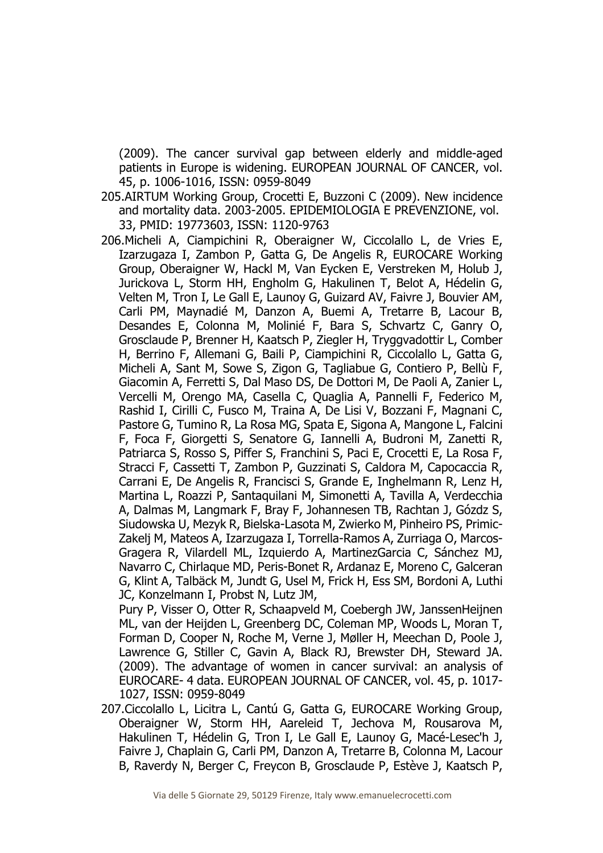(2009). The cancer survival gap between elderly and middle-aged patients in Europe is widening. EUROPEAN JOURNAL OF CANCER, vol. 45, p. 1006-1016, ISSN: 0959-8049

- 205.AIRTUM Working Group, Crocetti E, Buzzoni C (2009). New incidence and mortality data. 2003-2005. EPIDEMIOLOGIA E PREVENZIONE, vol. 33, PMID: 19773603, ISSN: 1120-9763
- 206.Micheli A, Ciampichini R, Oberaigner W, Ciccolallo L, de Vries E, Izarzugaza I, Zambon P, Gatta G, De Angelis R, EUROCARE Working Group, Oberaigner W, Hackl M, Van Eycken E, Verstreken M, Holub J, Jurickova L, Storm HH, Engholm G, Hakulinen T, Belot A, Hédelin G, Velten M, Tron I, Le Gall E, Launoy G, Guizard AV, Faivre J, Bouvier AM, Carli PM, Maynadié M, Danzon A, Buemi A, Tretarre B, Lacour B, Desandes E, Colonna M, Molinié F, Bara S, Schvartz C, Ganry O, Grosclaude P, Brenner H, Kaatsch P, Ziegler H, Tryggvadottir L, Comber H, Berrino F, Allemani G, Baili P, Ciampichini R, Ciccolallo L, Gatta G, Micheli A, Sant M, Sowe S, Zigon G, Tagliabue G, Contiero P, Bellù F, Giacomin A, Ferretti S, Dal Maso DS, De Dottori M, De Paoli A, Zanier L, Vercelli M, Orengo MA, Casella C, Quaglia A, Pannelli F, Federico M, Rashid I, Cirilli C, Fusco M, Traina A, De Lisi V, Bozzani F, Magnani C, Pastore G, Tumino R, La Rosa MG, Spata E, Sigona A, Mangone L, Falcini F, Foca F, Giorgetti S, Senatore G, Iannelli A, Budroni M, Zanetti R, Patriarca S, Rosso S, Piffer S, Franchini S, Paci E, Crocetti E, La Rosa F, Stracci F, Cassetti T, Zambon P, Guzzinati S, Caldora M, Capocaccia R, Carrani E, De Angelis R, Francisci S, Grande E, Inghelmann R, Lenz H, Martina L, Roazzi P, Santaquilani M, Simonetti A, Tavilla A, Verdecchia A, Dalmas M, Langmark F, Bray F, Johannesen TB, Rachtan J, Gózdz S, Siudowska U, Mezyk R, Bielska-Lasota M, Zwierko M, Pinheiro PS, Primic-Zakelj M, Mateos A, Izarzugaza I, Torrella-Ramos A, Zurriaga O, Marcos-Gragera R, Vilardell ML, Izquierdo A, MartinezGarcia C, Sánchez MJ, Navarro C, Chirlaque MD, Peris-Bonet R, Ardanaz E, Moreno C, Galceran G, Klint A, Talbäck M, Jundt G, Usel M, Frick H, Ess SM, Bordoni A, Luthi JC, Konzelmann I, Probst N, Lutz JM,

Pury P, Visser O, Otter R, Schaapveld M, Coebergh JW, JanssenHeijnen ML, van der Heijden L, Greenberg DC, Coleman MP, Woods L, Moran T, Forman D, Cooper N, Roche M, Verne J, Møller H, Meechan D, Poole J, Lawrence G, Stiller C, Gavin A, Black RJ, Brewster DH, Steward JA. (2009). The advantage of women in cancer survival: an analysis of EUROCARE- 4 data. EUROPEAN JOURNAL OF CANCER, vol. 45, p. 1017- 1027, ISSN: 0959-8049

207.Ciccolallo L, Licitra L, Cantú G, Gatta G, EUROCARE Working Group, Oberaigner W, Storm HH, Aareleid T, Jechova M, Rousarova M, Hakulinen T, Hédelin G, Tron I, Le Gall E, Launoy G, Macé-Lesec'h J, Faivre J, Chaplain G, Carli PM, Danzon A, Tretarre B, Colonna M, Lacour B, Raverdy N, Berger C, Freycon B, Grosclaude P, Estève J, Kaatsch P,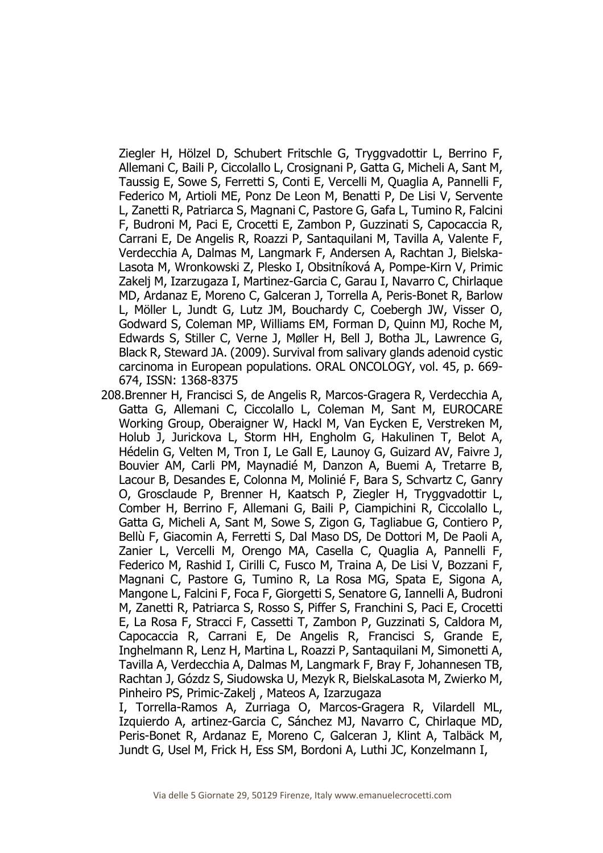Ziegler H, Hölzel D, Schubert Fritschle G, Tryggvadottir L, Berrino F, Allemani C, Baili P, Ciccolallo L, Crosignani P, Gatta G, Micheli A, Sant M, Taussig E, Sowe S, Ferretti S, Conti E, Vercelli M, Quaglia A, Pannelli F, Federico M, Artioli ME, Ponz De Leon M, Benatti P, De Lisi V, Servente L, Zanetti R, Patriarca S, Magnani C, Pastore G, Gafa L, Tumino R, Falcini F, Budroni M, Paci E, Crocetti E, Zambon P, Guzzinati S, Capocaccia R, Carrani E, De Angelis R, Roazzi P, Santaquilani M, Tavilla A, Valente F, Verdecchia A, Dalmas M, Langmark F, Andersen A, Rachtan J, Bielska-Lasota M, Wronkowski Z, Plesko I, Obsitníková A, Pompe-Kirn V, Primic Zakelj M, Izarzugaza I, Martinez-Garcia C, Garau I, Navarro C, Chirlaque MD, Ardanaz E, Moreno C, Galceran J, Torrella A, Peris-Bonet R, Barlow L, Möller L, Jundt G, Lutz JM, Bouchardy C, Coebergh JW, Visser O, Godward S, Coleman MP, Williams EM, Forman D, Quinn MJ, Roche M, Edwards S, Stiller C, Verne J, Møller H, Bell J, Botha JL, Lawrence G, Black R, Steward JA. (2009). Survival from salivary glands adenoid cystic carcinoma in European populations. ORAL ONCOLOGY, vol. 45, p. 669- 674, ISSN: 1368-8375

- 208.Brenner H, Francisci S, de Angelis R, Marcos-Gragera R, Verdecchia A, Gatta G, Allemani C, Ciccolallo L, Coleman M, Sant M, EUROCARE Working Group, Oberaigner W, Hackl M, Van Eycken E, Verstreken M, Holub J, Jurickova L, Storm HH, Engholm G, Hakulinen T, Belot A, Hédelin G, Velten M, Tron I, Le Gall E, Launoy G, Guizard AV, Faivre J, Bouvier AM, Carli PM, Maynadié M, Danzon A, Buemi A, Tretarre B, Lacour B, Desandes E, Colonna M, Molinié F, Bara S, Schvartz C, Ganry O, Grosclaude P, Brenner H, Kaatsch P, Ziegler H, Tryggvadottir L, Comber H, Berrino F, Allemani G, Baili P, Ciampichini R, Ciccolallo L, Gatta G, Micheli A, Sant M, Sowe S, Zigon G, Tagliabue G, Contiero P, Bellù F, Giacomin A, Ferretti S, Dal Maso DS, De Dottori M, De Paoli A, Zanier L, Vercelli M, Orengo MA, Casella C, Quaglia A, Pannelli F, Federico M, Rashid I, Cirilli C, Fusco M, Traina A, De Lisi V, Bozzani F, Magnani C, Pastore G, Tumino R, La Rosa MG, Spata E, Sigona A, Mangone L, Falcini F, Foca F, Giorgetti S, Senatore G, Iannelli A, Budroni M, Zanetti R, Patriarca S, Rosso S, Piffer S, Franchini S, Paci E, Crocetti E, La Rosa F, Stracci F, Cassetti T, Zambon P, Guzzinati S, Caldora M, Capocaccia R, Carrani E, De Angelis R, Francisci S, Grande E, Inghelmann R, Lenz H, Martina L, Roazzi P, Santaquilani M, Simonetti A, Tavilla A, Verdecchia A, Dalmas M, Langmark F, Bray F, Johannesen TB, Rachtan J, Gózdz S, Siudowska U, Mezyk R, BielskaLasota M, Zwierko M, Pinheiro PS, Primic-Zakelj , Mateos A, Izarzugaza
	- I, Torrella-Ramos A, Zurriaga O, Marcos-Gragera R, Vilardell ML, Izquierdo A, artinez-Garcia C, Sánchez MJ, Navarro C, Chirlaque MD, Peris-Bonet R, Ardanaz E, Moreno C, Galceran J, Klint A, Talbäck M, Jundt G, Usel M, Frick H, Ess SM, Bordoni A, Luthi JC, Konzelmann I,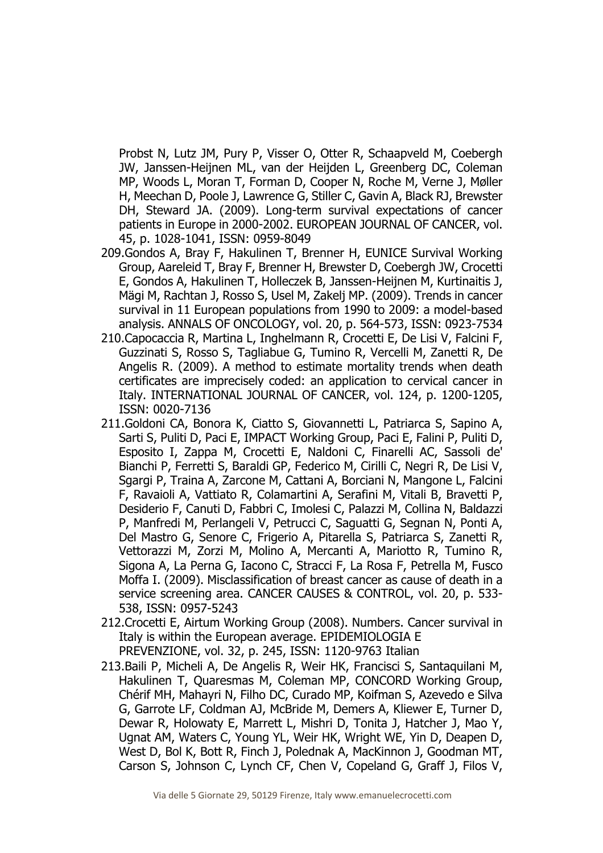Probst N, Lutz JM, Pury P, Visser O, Otter R, Schaapveld M, Coebergh JW, Janssen-Heijnen ML, van der Heijden L, Greenberg DC, Coleman MP, Woods L, Moran T, Forman D, Cooper N, Roche M, Verne J, Møller H, Meechan D, Poole J, Lawrence G, Stiller C, Gavin A, Black RJ, Brewster DH, Steward JA. (2009). Long-term survival expectations of cancer patients in Europe in 2000-2002. EUROPEAN JOURNAL OF CANCER, vol. 45, p. 1028-1041, ISSN: 0959-8049

- 209.Gondos A, Bray F, Hakulinen T, Brenner H, EUNICE Survival Working Group, Aareleid T, Bray F, Brenner H, Brewster D, Coebergh JW, Crocetti E, Gondos A, Hakulinen T, Holleczek B, Janssen-Heijnen M, Kurtinaitis J, Mägi M, Rachtan J, Rosso S, Usel M, Zakelj MP. (2009). Trends in cancer survival in 11 European populations from 1990 to 2009: a model-based analysis. ANNALS OF ONCOLOGY, vol. 20, p. 564-573, ISSN: 0923-7534
- 210.Capocaccia R, Martina L, Inghelmann R, Crocetti E, De Lisi V, Falcini F, Guzzinati S, Rosso S, Tagliabue G, Tumino R, Vercelli M, Zanetti R, De Angelis R. (2009). A method to estimate mortality trends when death certificates are imprecisely coded: an application to cervical cancer in Italy. INTERNATIONAL JOURNAL OF CANCER, vol. 124, p. 1200-1205, ISSN: 0020-7136
- 211.Goldoni CA, Bonora K, Ciatto S, Giovannetti L, Patriarca S, Sapino A, Sarti S, Puliti D, Paci E, IMPACT Working Group, Paci E, Falini P, Puliti D, Esposito I, Zappa M, Crocetti E, Naldoni C, Finarelli AC, Sassoli de' Bianchi P, Ferretti S, Baraldi GP, Federico M, Cirilli C, Negri R, De Lisi V, Sgargi P, Traina A, Zarcone M, Cattani A, Borciani N, Mangone L, Falcini F, Ravaioli A, Vattiato R, Colamartini A, Serafini M, Vitali B, Bravetti P, Desiderio F, Canuti D, Fabbri C, Imolesi C, Palazzi M, Collina N, Baldazzi P, Manfredi M, Perlangeli V, Petrucci C, Saguatti G, Segnan N, Ponti A, Del Mastro G, Senore C, Frigerio A, Pitarella S, Patriarca S, Zanetti R, Vettorazzi M, Zorzi M, Molino A, Mercanti A, Mariotto R, Tumino R, Sigona A, La Perna G, Iacono C, Stracci F, La Rosa F, Petrella M, Fusco Moffa I. (2009). Misclassification of breast cancer as cause of death in a service screening area. CANCER CAUSES & CONTROL, vol. 20, p. 533- 538, ISSN: 0957-5243
- 212.Crocetti E, Airtum Working Group (2008). Numbers. Cancer survival in Italy is within the European average. EPIDEMIOLOGIA E PREVENZIONE, vol. 32, p. 245, ISSN: 1120-9763 Italian
- 213.Baili P, Micheli A, De Angelis R, Weir HK, Francisci S, Santaquilani M, Hakulinen T, Quaresmas M, Coleman MP, CONCORD Working Group, Chérif MH, Mahayri N, Filho DC, Curado MP, Koifman S, Azevedo e Silva G, Garrote LF, Coldman AJ, McBride M, Demers A, Kliewer E, Turner D, Dewar R, Holowaty E, Marrett L, Mishri D, Tonita J, Hatcher J, Mao Y, Ugnat AM, Waters C, Young YL, Weir HK, Wright WE, Yin D, Deapen D, West D, Bol K, Bott R, Finch J, Polednak A, MacKinnon J, Goodman MT, Carson S, Johnson C, Lynch CF, Chen V, Copeland G, Graff J, Filos V,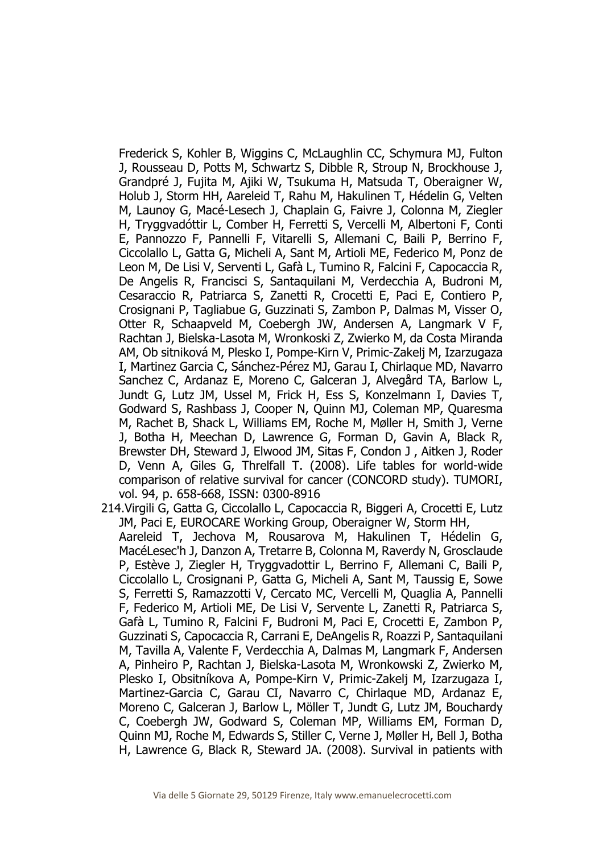Frederick S, Kohler B, Wiggins C, McLaughlin CC, Schymura MJ, Fulton J, Rousseau D, Potts M, Schwartz S, Dibble R, Stroup N, Brockhouse J, Grandpré J, Fujita M, Ajiki W, Tsukuma H, Matsuda T, Oberaigner W, Holub J, Storm HH, Aareleid T, Rahu M, Hakulinen T, Hédelin G, Velten M, Launoy G, Macé-Lesech J, Chaplain G, Faivre J, Colonna M, Ziegler H, Tryggvadóttir L, Comber H, Ferretti S, Vercelli M, Albertoni F, Conti E, Pannozzo F, Pannelli F, Vitarelli S, Allemani C, Baili P, Berrino F, Ciccolallo L, Gatta G, Micheli A, Sant M, Artioli ME, Federico M, Ponz de Leon M, De Lisi V, Serventi L, Gafà L, Tumino R, Falcini F, Capocaccia R, De Angelis R, Francisci S, Santaquilani M, Verdecchia A, Budroni M, Cesaraccio R, Patriarca S, Zanetti R, Crocetti E, Paci E, Contiero P, Crosignani P, Tagliabue G, Guzzinati S, Zambon P, Dalmas M, Visser O, Otter R, Schaapveld M, Coebergh JW, Andersen A, Langmark V F, Rachtan J, Bielska-Lasota M, Wronkoski Z, Zwierko M, da Costa Miranda AM, Ob sitniková M, Plesko I, Pompe-Kirn V, Primic-Zakelj M, Izarzugaza I, Martinez Garcia C, Sánchez-Pérez MJ, Garau I, Chirlaque MD, Navarro Sanchez C, Ardanaz E, Moreno C, Galceran J, Alvegård TA, Barlow L, Jundt G, Lutz JM, Ussel M, Frick H, Ess S, Konzelmann I, Davies T, Godward S, Rashbass J, Cooper N, Quinn MJ, Coleman MP, Quaresma M, Rachet B, Shack L, Williams EM, Roche M, Møller H, Smith J, Verne J, Botha H, Meechan D, Lawrence G, Forman D, Gavin A, Black R, Brewster DH, Steward J, Elwood JM, Sitas F, Condon J , Aitken J, Roder D, Venn A, Giles G, Threlfall T. (2008). Life tables for world-wide comparison of relative survival for cancer (CONCORD study). TUMORI, vol. 94, p. 658-668, ISSN: 0300-8916

214.Virgili G, Gatta G, Ciccolallo L, Capocaccia R, Biggeri A, Crocetti E, Lutz JM, Paci E, EUROCARE Working Group, Oberaigner W, Storm HH, Aareleid T, Jechova M, Rousarova M, Hakulinen T, Hédelin G, MacéLesec'h J, Danzon A, Tretarre B, Colonna M, Raverdy N, Grosclaude P, Estève J, Ziegler H, Tryggvadottir L, Berrino F, Allemani C, Baili P, Ciccolallo L, Crosignani P, Gatta G, Micheli A, Sant M, Taussig E, Sowe S, Ferretti S, Ramazzotti V, Cercato MC, Vercelli M, Quaglia A, Pannelli F, Federico M, Artioli ME, De Lisi V, Servente L, Zanetti R, Patriarca S, Gafà L, Tumino R, Falcini F, Budroni M, Paci E, Crocetti E, Zambon P, Guzzinati S, Capocaccia R, Carrani E, DeAngelis R, Roazzi P, Santaquilani M, Tavilla A, Valente F, Verdecchia A, Dalmas M, Langmark F, Andersen A, Pinheiro P, Rachtan J, Bielska-Lasota M, Wronkowski Z, Zwierko M, Plesko I, Obsitníkova A, Pompe-Kirn V, Primic-Zakelj M, Izarzugaza I, Martinez-Garcia C, Garau CI, Navarro C, Chirlaque MD, Ardanaz E, Moreno C, Galceran J, Barlow L, Möller T, Jundt G, Lutz JM, Bouchardy C, Coebergh JW, Godward S, Coleman MP, Williams EM, Forman D, Quinn MJ, Roche M, Edwards S, Stiller C, Verne J, Møller H, Bell J, Botha H, Lawrence G, Black R, Steward JA. (2008). Survival in patients with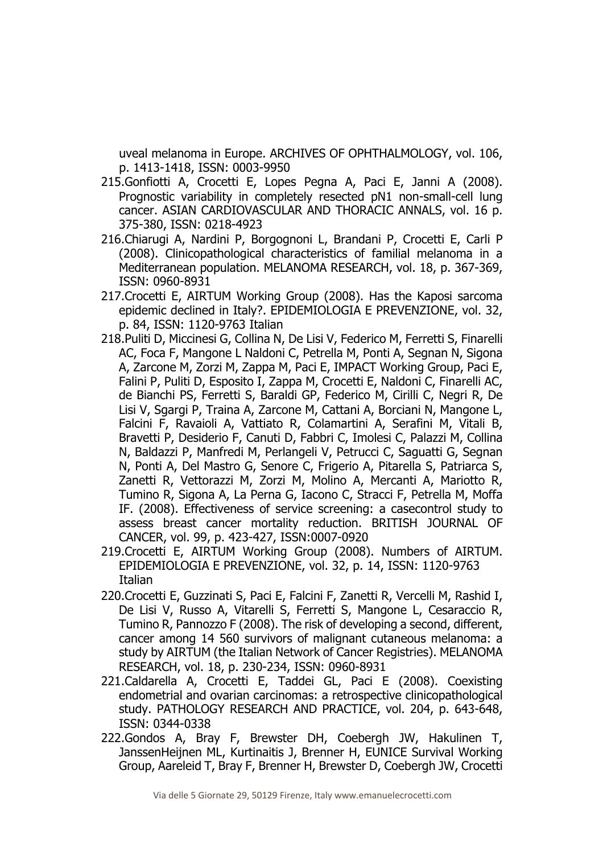uveal melanoma in Europe. ARCHIVES OF OPHTHALMOLOGY, vol. 106, p. 1413-1418, ISSN: 0003-9950

- 215.Gonfiotti A, Crocetti E, Lopes Pegna A, Paci E, Janni A (2008). Prognostic variability in completely resected pN1 non-small-cell lung cancer. ASIAN CARDIOVASCULAR AND THORACIC ANNALS, vol. 16 p. 375-380, ISSN: 0218-4923
- 216.Chiarugi A, Nardini P, Borgognoni L, Brandani P, Crocetti E, Carli P (2008). Clinicopathological characteristics of familial melanoma in a Mediterranean population. MELANOMA RESEARCH, vol. 18, p. 367-369, ISSN: 0960-8931
- 217.Crocetti E, AIRTUM Working Group (2008). Has the Kaposi sarcoma epidemic declined in Italy?. EPIDEMIOLOGIA E PREVENZIONE, vol. 32, p. 84, ISSN: 1120-9763 Italian
- 218.Puliti D, Miccinesi G, Collina N, De Lisi V, Federico M, Ferretti S, Finarelli AC, Foca F, Mangone L Naldoni C, Petrella M, Ponti A, Segnan N, Sigona A, Zarcone M, Zorzi M, Zappa M, Paci E, IMPACT Working Group, Paci E, Falini P, Puliti D, Esposito I, Zappa M, Crocetti E, Naldoni C, Finarelli AC, de Bianchi PS, Ferretti S, Baraldi GP, Federico M, Cirilli C, Negri R, De Lisi V, Sgargi P, Traina A, Zarcone M, Cattani A, Borciani N, Mangone L, Falcini F, Ravaioli A, Vattiato R, Colamartini A, Serafini M, Vitali B, Bravetti P, Desiderio F, Canuti D, Fabbri C, Imolesi C, Palazzi M, Collina N, Baldazzi P, Manfredi M, Perlangeli V, Petrucci C, Saguatti G, Segnan N, Ponti A, Del Mastro G, Senore C, Frigerio A, Pitarella S, Patriarca S, Zanetti R, Vettorazzi M, Zorzi M, Molino A, Mercanti A, Mariotto R, Tumino R, Sigona A, La Perna G, Iacono C, Stracci F, Petrella M, Moffa IF. (2008). Effectiveness of service screening: a casecontrol study to assess breast cancer mortality reduction. BRITISH JOURNAL OF CANCER, vol. 99, p. 423-427, ISSN:0007-0920
- 219.Crocetti E, AIRTUM Working Group (2008). Numbers of AIRTUM. EPIDEMIOLOGIA E PREVENZIONE, vol. 32, p. 14, ISSN: 1120-9763 Italian
- 220.Crocetti E, Guzzinati S, Paci E, Falcini F, Zanetti R, Vercelli M, Rashid I, De Lisi V, Russo A, Vitarelli S, Ferretti S, Mangone L, Cesaraccio R, Tumino R, Pannozzo F (2008). The risk of developing a second, different, cancer among 14 560 survivors of malignant cutaneous melanoma: a study by AIRTUM (the Italian Network of Cancer Registries). MELANOMA RESEARCH, vol. 18, p. 230-234, ISSN: 0960-8931
- 221.Caldarella A, Crocetti E, Taddei GL, Paci E (2008). Coexisting endometrial and ovarian carcinomas: a retrospective clinicopathological study. PATHOLOGY RESEARCH AND PRACTICE, vol. 204, p. 643-648, ISSN: 0344-0338
- 222.Gondos A, Bray F, Brewster DH, Coebergh JW, Hakulinen T, JanssenHeijnen ML, Kurtinaitis J, Brenner H, EUNICE Survival Working Group, Aareleid T, Bray F, Brenner H, Brewster D, Coebergh JW, Crocetti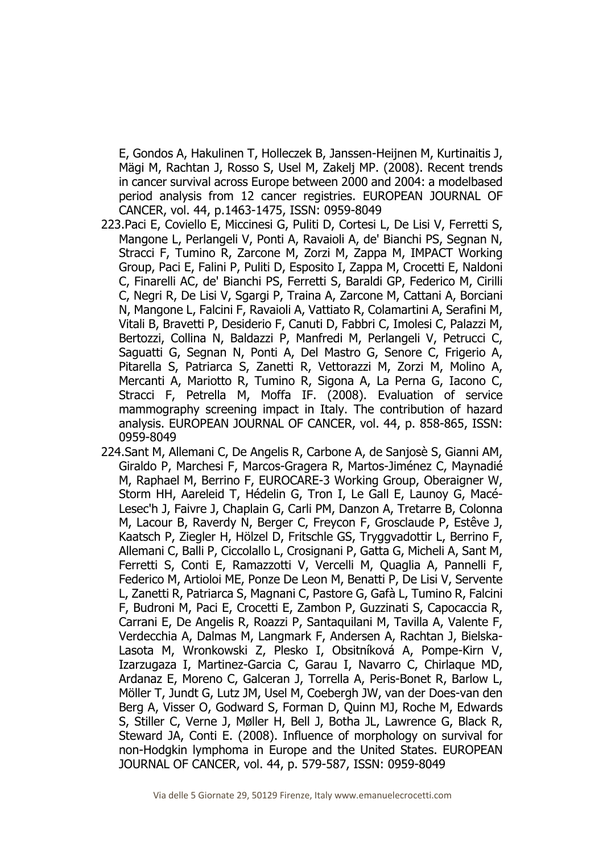E, Gondos A, Hakulinen T, Holleczek B, Janssen-Heijnen M, Kurtinaitis J, Mägi M, Rachtan J, Rosso S, Usel M, Zakelj MP. (2008). Recent trends in cancer survival across Europe between 2000 and 2004: a modelbased period analysis from 12 cancer registries. EUROPEAN JOURNAL OF CANCER, vol. 44, p.1463-1475, ISSN: 0959-8049

- 223.Paci E, Coviello E, Miccinesi G, Puliti D, Cortesi L, De Lisi V, Ferretti S, Mangone L, Perlangeli V, Ponti A, Ravaioli A, de' Bianchi PS, Segnan N, Stracci F, Tumino R, Zarcone M, Zorzi M, Zappa M, IMPACT Working Group, Paci E, Falini P, Puliti D, Esposito I, Zappa M, Crocetti E, Naldoni C, Finarelli AC, de' Bianchi PS, Ferretti S, Baraldi GP, Federico M, Cirilli C, Negri R, De Lisi V, Sgargi P, Traina A, Zarcone M, Cattani A, Borciani N, Mangone L, Falcini F, Ravaioli A, Vattiato R, Colamartini A, Serafini M, Vitali B, Bravetti P, Desiderio F, Canuti D, Fabbri C, Imolesi C, Palazzi M, Bertozzi, Collina N, Baldazzi P, Manfredi M, Perlangeli V, Petrucci C, Saguatti G, Segnan N, Ponti A, Del Mastro G, Senore C, Frigerio A, Pitarella S, Patriarca S, Zanetti R, Vettorazzi M, Zorzi M, Molino A, Mercanti A, Mariotto R, Tumino R, Sigona A, La Perna G, Iacono C, Stracci F, Petrella M, Moffa IF. (2008). Evaluation of service mammography screening impact in Italy. The contribution of hazard analysis. EUROPEAN JOURNAL OF CANCER, vol. 44, p. 858-865, ISSN: 0959-8049
- 224.Sant M, Allemani C, De Angelis R, Carbone A, de Sanjosè S, Gianni AM, Giraldo P, Marchesi F, Marcos-Gragera R, Martos-Jiménez C, Maynadié M, Raphael M, Berrino F, EUROCARE-3 Working Group, Oberaigner W, Storm HH, Aareleid T, Hédelin G, Tron I, Le Gall E, Launoy G, Macé-Lesec'h J, Faivre J, Chaplain G, Carli PM, Danzon A, Tretarre B, Colonna M, Lacour B, Raverdy N, Berger C, Freycon F, Grosclaude P, Estêve J, Kaatsch P, Ziegler H, Hölzel D, Fritschle GS, Tryggvadottir L, Berrino F, Allemani C, Balli P, Ciccolallo L, Crosignani P, Gatta G, Micheli A, Sant M, Ferretti S, Conti E, Ramazzotti V, Vercelli M, Quaglia A, Pannelli F, Federico M, Artioloi ME, Ponze De Leon M, Benatti P, De Lisi V, Servente L, Zanetti R, Patriarca S, Magnani C, Pastore G, Gafà L, Tumino R, Falcini F, Budroni M, Paci E, Crocetti E, Zambon P, Guzzinati S, Capocaccia R, Carrani E, De Angelis R, Roazzi P, Santaquilani M, Tavilla A, Valente F, Verdecchia A, Dalmas M, Langmark F, Andersen A, Rachtan J, Bielska-Lasota M, Wronkowski Z, Plesko I, Obsitníková A, Pompe-Kirn V, Izarzugaza I, Martinez-Garcia C, Garau I, Navarro C, Chirlaque MD, Ardanaz E, Moreno C, Galceran J, Torrella A, Peris-Bonet R, Barlow L, Möller T, Jundt G, Lutz JM, Usel M, Coebergh JW, van der Does-van den Berg A, Visser O, Godward S, Forman D, Quinn MJ, Roche M, Edwards S, Stiller C, Verne J, Møller H, Bell J, Botha JL, Lawrence G, Black R, Steward JA, Conti E. (2008). Influence of morphology on survival for non-Hodgkin lymphoma in Europe and the United States. EUROPEAN JOURNAL OF CANCER, vol. 44, p. 579-587, ISSN: 0959-8049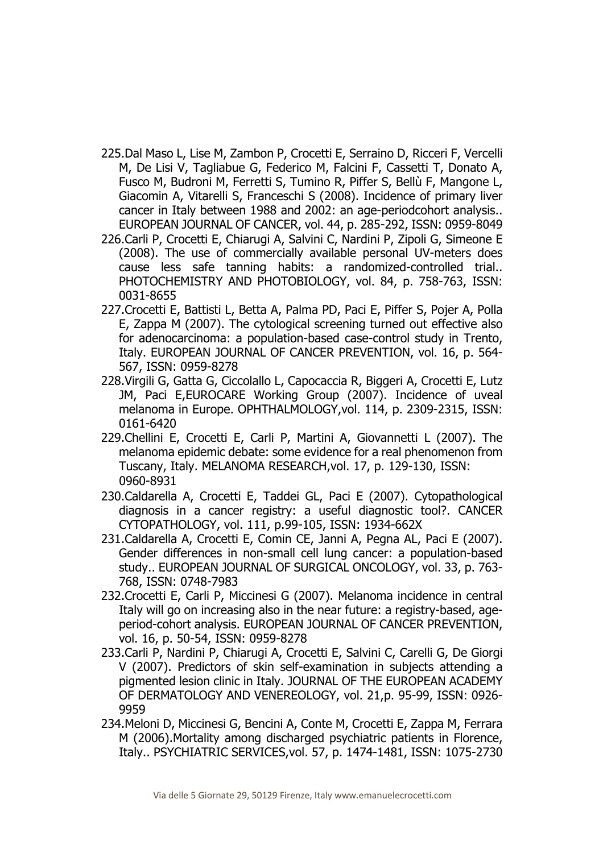- 225.Dal Maso L, Lise M, Zambon P, Crocetti E, Serraino D, Ricceri F, Vercelli M, De Lisi V, Tagliabue G, Federico M, Falcini F, Cassetti T, Donato A, Fusco M, Budroni M, Ferretti S, Tumino R, Piffer S, Bellù F, Mangone L, Giacomin A, Vitarelli S, Franceschi S (2008). Incidence of primary liver cancer in Italy between 1988 and 2002: an age-periodcohort analysis.. EUROPEAN JOURNAL OF CANCER, vol. 44, p. 285-292, ISSN: 0959-8049
- 226.Carli P, Crocetti E, Chiarugi A, Salvini C, Nardini P, Zipoli G, Simeone E (2008). The use of commercially available personal UV-meters does cause less safe tanning habits: a randomized-controlled trial.. PHOTOCHEMISTRY AND PHOTOBIOLOGY, vol. 84, p. 758-763, ISSN: 0031-8655
- 227.Crocetti E, Battisti L, Betta A, Palma PD, Paci E, Piffer S, Pojer A, Polla E, Zappa M (2007). The cytological screening turned out effective also for adenocarcinoma: a population-based case-control study in Trento, Italy. EUROPEAN JOURNAL OF CANCER PREVENTION, vol. 16, p. 564- 567, ISSN: 0959-8278
- 228.Virgili G, Gatta G, Ciccolallo L, Capocaccia R, Biggeri A, Crocetti E, Lutz JM, Paci E,EUROCARE Working Group (2007). Incidence of uveal melanoma in Europe. OPHTHALMOLOGY,vol. 114, p. 2309-2315, ISSN: 0161-6420
- 229.Chellini E, Crocetti E, Carli P, Martini A, Giovannetti L (2007). The melanoma epidemic debate: some evidence for a real phenomenon from Tuscany, Italy. MELANOMA RESEARCH,vol. 17, p. 129-130, ISSN: 0960-8931
- 230.Caldarella A, Crocetti E, Taddei GL, Paci E (2007). Cytopathological diagnosis in a cancer registry: a useful diagnostic tool?. CANCER CYTOPATHOLOGY, vol. 111, p.99-105, ISSN: 1934-662X
- 231.Caldarella A, Crocetti E, Comin CE, Janni A, Pegna AL, Paci E (2007). Gender differences in non-small cell lung cancer: a population-based study.. EUROPEAN JOURNAL OF SURGICAL ONCOLOGY, vol. 33, p. 763- 768, ISSN: 0748-7983
- 232.Crocetti E, Carli P, Miccinesi G (2007). Melanoma incidence in central Italy will go on increasing also in the near future: a registry-based, ageperiod-cohort analysis. EUROPEAN JOURNAL OF CANCER PREVENTION, vol. 16, p. 50-54, ISSN: 0959-8278
- 233.Carli P, Nardini P, Chiarugi A, Crocetti E, Salvini C, Carelli G, De Giorgi V (2007). Predictors of skin self-examination in subjects attending a pigmented lesion clinic in Italy. JOURNAL OF THE EUROPEAN ACADEMY OF DERMATOLOGY AND VENEREOLOGY, vol. 21,p. 95-99, ISSN: 0926- 9959
- 234.Meloni D, Miccinesi G, Bencini A, Conte M, Crocetti E, Zappa M, Ferrara M (2006).Mortality among discharged psychiatric patients in Florence, Italy.. PSYCHIATRIC SERVICES,vol. 57, p. 1474-1481, ISSN: 1075-2730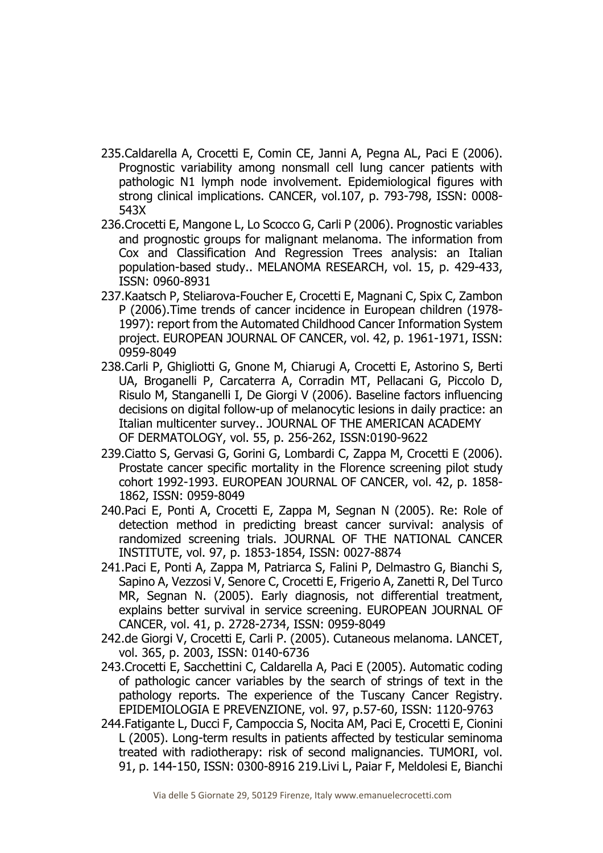- 235.Caldarella A, Crocetti E, Comin CE, Janni A, Pegna AL, Paci E (2006). Prognostic variability among nonsmall cell lung cancer patients with pathologic N1 lymph node involvement. Epidemiological figures with strong clinical implications. CANCER, vol.107, p. 793-798, ISSN: 0008- 543X
- 236.Crocetti E, Mangone L, Lo Scocco G, Carli P (2006). Prognostic variables and prognostic groups for malignant melanoma. The information from Cox and Classification And Regression Trees analysis: an Italian population-based study.. MELANOMA RESEARCH, vol. 15, p. 429-433, ISSN: 0960-8931
- 237.Kaatsch P, Steliarova-Foucher E, Crocetti E, Magnani C, Spix C, Zambon P (2006).Time trends of cancer incidence in European children (1978- 1997): report from the Automated Childhood Cancer Information System project. EUROPEAN JOURNAL OF CANCER, vol. 42, p. 1961-1971, ISSN: 0959-8049
- 238.Carli P, Ghigliotti G, Gnone M, Chiarugi A, Crocetti E, Astorino S, Berti UA, Broganelli P, Carcaterra A, Corradin MT, Pellacani G, Piccolo D, Risulo M, Stanganelli I, De Giorgi V (2006). Baseline factors influencing decisions on digital follow-up of melanocytic lesions in daily practice: an Italian multicenter survey.. JOURNAL OF THE AMERICAN ACADEMY OF DERMATOLOGY, vol. 55, p. 256-262, ISSN:0190-9622
- 239.Ciatto S, Gervasi G, Gorini G, Lombardi C, Zappa M, Crocetti E (2006). Prostate cancer specific mortality in the Florence screening pilot study cohort 1992-1993. EUROPEAN JOURNAL OF CANCER, vol. 42, p. 1858- 1862, ISSN: 0959-8049
- 240.Paci E, Ponti A, Crocetti E, Zappa M, Segnan N (2005). Re: Role of detection method in predicting breast cancer survival: analysis of randomized screening trials. JOURNAL OF THE NATIONAL CANCER INSTITUTE, vol. 97, p. 1853-1854, ISSN: 0027-8874
- 241.Paci E, Ponti A, Zappa M, Patriarca S, Falini P, Delmastro G, Bianchi S, Sapino A, Vezzosi V, Senore C, Crocetti E, Frigerio A, Zanetti R, Del Turco MR, Segnan N. (2005). Early diagnosis, not differential treatment, explains better survival in service screening. EUROPEAN JOURNAL OF CANCER, vol. 41, p. 2728-2734, ISSN: 0959-8049
- 242.de Giorgi V, Crocetti E, Carli P. (2005). Cutaneous melanoma. LANCET, vol. 365, p. 2003, ISSN: 0140-6736
- 243.Crocetti E, Sacchettini C, Caldarella A, Paci E (2005). Automatic coding of pathologic cancer variables by the search of strings of text in the pathology reports. The experience of the Tuscany Cancer Registry. EPIDEMIOLOGIA E PREVENZIONE, vol. 97, p.57-60, ISSN: 1120-9763
- 244.Fatigante L, Ducci F, Campoccia S, Nocita AM, Paci E, Crocetti E, Cionini L (2005). Long-term results in patients affected by testicular seminoma treated with radiotherapy: risk of second malignancies. TUMORI, vol. 91, p. 144-150, ISSN: 0300-8916 219.Livi L, Paiar F, Meldolesi E, Bianchi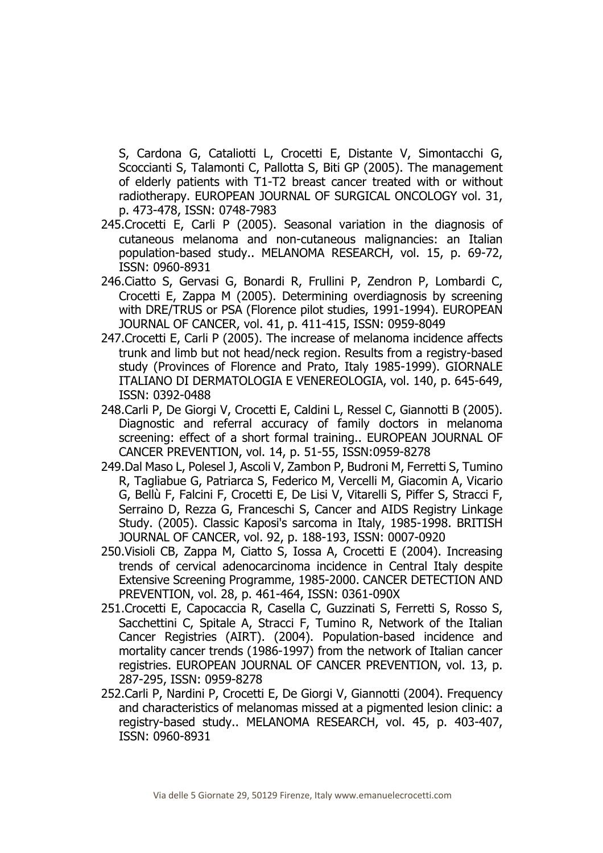S, Cardona G, Cataliotti L, Crocetti E, Distante V, Simontacchi G, Scoccianti S, Talamonti C, Pallotta S, Biti GP (2005). The management of elderly patients with T1-T2 breast cancer treated with or without radiotherapy. EUROPEAN JOURNAL OF SURGICAL ONCOLOGY vol. 31, p. 473-478, ISSN: 0748-7983

- 245.Crocetti E, Carli P (2005). Seasonal variation in the diagnosis of cutaneous melanoma and non-cutaneous malignancies: an Italian population-based study.. MELANOMA RESEARCH, vol. 15, p. 69-72, ISSN: 0960-8931
- 246.Ciatto S, Gervasi G, Bonardi R, Frullini P, Zendron P, Lombardi C, Crocetti E, Zappa M (2005). Determining overdiagnosis by screening with DRE/TRUS or PSA (Florence pilot studies, 1991-1994). EUROPEAN JOURNAL OF CANCER, vol. 41, p. 411-415, ISSN: 0959-8049
- 247.Crocetti E, Carli P (2005). The increase of melanoma incidence affects trunk and limb but not head/neck region. Results from a registry-based study (Provinces of Florence and Prato, Italy 1985-1999). GIORNALE ITALIANO DI DERMATOLOGIA E VENEREOLOGIA, vol. 140, p. 645-649, ISSN: 0392-0488
- 248.Carli P, De Giorgi V, Crocetti E, Caldini L, Ressel C, Giannotti B (2005). Diagnostic and referral accuracy of family doctors in melanoma screening: effect of a short formal training.. EUROPEAN JOURNAL OF CANCER PREVENTION, vol. 14, p. 51-55, ISSN:0959-8278
- 249.Dal Maso L, Polesel J, Ascoli V, Zambon P, Budroni M, Ferretti S, Tumino R, Tagliabue G, Patriarca S, Federico M, Vercelli M, Giacomin A, Vicario G, Bellù F, Falcini F, Crocetti E, De Lisi V, Vitarelli S, Piffer S, Stracci F, Serraino D, Rezza G, Franceschi S, Cancer and AIDS Registry Linkage Study. (2005). Classic Kaposi's sarcoma in Italy, 1985-1998. BRITISH JOURNAL OF CANCER, vol. 92, p. 188-193, ISSN: 0007-0920
- 250.Visioli CB, Zappa M, Ciatto S, Iossa A, Crocetti E (2004). Increasing trends of cervical adenocarcinoma incidence in Central Italy despite Extensive Screening Programme, 1985-2000. CANCER DETECTION AND PREVENTION, vol. 28, p. 461-464, ISSN: 0361-090X
- 251.Crocetti E, Capocaccia R, Casella C, Guzzinati S, Ferretti S, Rosso S, Sacchettini C, Spitale A, Stracci F, Tumino R, Network of the Italian Cancer Registries (AIRT). (2004). Population-based incidence and mortality cancer trends (1986-1997) from the network of Italian cancer registries. EUROPEAN JOURNAL OF CANCER PREVENTION, vol. 13, p. 287-295, ISSN: 0959-8278
- 252.Carli P, Nardini P, Crocetti E, De Giorgi V, Giannotti (2004). Frequency and characteristics of melanomas missed at a pigmented lesion clinic: a registry-based study.. MELANOMA RESEARCH, vol. 45, p. 403-407, ISSN: 0960-8931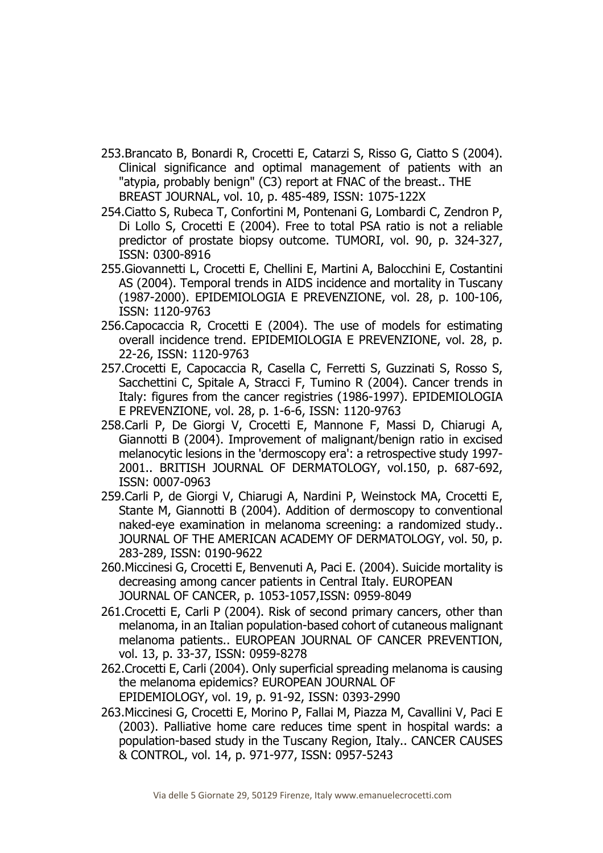- 253.Brancato B, Bonardi R, Crocetti E, Catarzi S, Risso G, Ciatto S (2004). Clinical significance and optimal management of patients with an "atypia, probably benign" (C3) report at FNAC of the breast.. THE BREAST JOURNAL, vol. 10, p. 485-489, ISSN: 1075-122X
- 254.Ciatto S, Rubeca T, Confortini M, Pontenani G, Lombardi C, Zendron P, Di Lollo S, Crocetti E (2004). Free to total PSA ratio is not a reliable predictor of prostate biopsy outcome. TUMORI, vol. 90, p. 324-327, ISSN: 0300-8916
- 255.Giovannetti L, Crocetti E, Chellini E, Martini A, Balocchini E, Costantini AS (2004). Temporal trends in AIDS incidence and mortality in Tuscany (1987-2000). EPIDEMIOLOGIA E PREVENZIONE, vol. 28, p. 100-106, ISSN: 1120-9763
- 256.Capocaccia R, Crocetti E (2004). The use of models for estimating overall incidence trend. EPIDEMIOLOGIA E PREVENZIONE, vol. 28, p. 22-26, ISSN: 1120-9763
- 257.Crocetti E, Capocaccia R, Casella C, Ferretti S, Guzzinati S, Rosso S, Sacchettini C, Spitale A, Stracci F, Tumino R (2004). Cancer trends in Italy: figures from the cancer registries (1986-1997). EPIDEMIOLOGIA E PREVENZIONE, vol. 28, p. 1-6-6, ISSN: 1120-9763
- 258.Carli P, De Giorgi V, Crocetti E, Mannone F, Massi D, Chiarugi A, Giannotti B (2004). Improvement of malignant/benign ratio in excised melanocytic lesions in the 'dermoscopy era': a retrospective study 1997- 2001.. BRITISH JOURNAL OF DERMATOLOGY, vol.150, p. 687-692, ISSN: 0007-0963
- 259.Carli P, de Giorgi V, Chiarugi A, Nardini P, Weinstock MA, Crocetti E, Stante M, Giannotti B (2004). Addition of dermoscopy to conventional naked-eye examination in melanoma screening: a randomized study.. JOURNAL OF THE AMERICAN ACADEMY OF DERMATOLOGY, vol. 50, p. 283-289, ISSN: 0190-9622
- 260.Miccinesi G, Crocetti E, Benvenuti A, Paci E. (2004). Suicide mortality is decreasing among cancer patients in Central Italy. EUROPEAN JOURNAL OF CANCER, p. 1053-1057,ISSN: 0959-8049
- 261.Crocetti E, Carli P (2004). Risk of second primary cancers, other than melanoma, in an Italian population-based cohort of cutaneous malignant melanoma patients.. EUROPEAN JOURNAL OF CANCER PREVENTION, vol. 13, p. 33-37, ISSN: 0959-8278
- 262.Crocetti E, Carli (2004). Only superficial spreading melanoma is causing the melanoma epidemics? EUROPEAN JOURNAL OF EPIDEMIOLOGY, vol. 19, p. 91-92, ISSN: 0393-2990
- 263.Miccinesi G, Crocetti E, Morino P, Fallai M, Piazza M, Cavallini V, Paci E (2003). Palliative home care reduces time spent in hospital wards: a population-based study in the Tuscany Region, Italy.. CANCER CAUSES & CONTROL, vol. 14, p. 971-977, ISSN: 0957-5243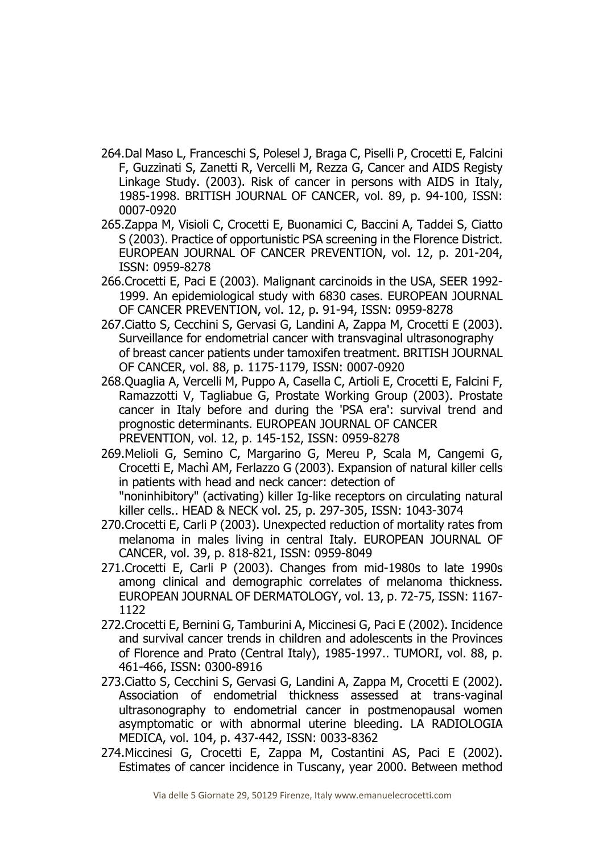- 264.Dal Maso L, Franceschi S, Polesel J, Braga C, Piselli P, Crocetti E, Falcini F, Guzzinati S, Zanetti R, Vercelli M, Rezza G, Cancer and AIDS Registy Linkage Study. (2003). Risk of cancer in persons with AIDS in Italy, 1985-1998. BRITISH JOURNAL OF CANCER, vol. 89, p. 94-100, ISSN: 0007-0920
- 265.Zappa M, Visioli C, Crocetti E, Buonamici C, Baccini A, Taddei S, Ciatto S (2003). Practice of opportunistic PSA screening in the Florence District. EUROPEAN JOURNAL OF CANCER PREVENTION, vol. 12, p. 201-204, ISSN: 0959-8278
- 266.Crocetti E, Paci E (2003). Malignant carcinoids in the USA, SEER 1992- 1999. An epidemiological study with 6830 cases. EUROPEAN JOURNAL OF CANCER PREVENTION, vol. 12, p. 91-94, ISSN: 0959-8278
- 267.Ciatto S, Cecchini S, Gervasi G, Landini A, Zappa M, Crocetti E (2003). Surveillance for endometrial cancer with transvaginal ultrasonography of breast cancer patients under tamoxifen treatment. BRITISH JOURNAL OF CANCER, vol. 88, p. 1175-1179, ISSN: 0007-0920
- 268.Quaglia A, Vercelli M, Puppo A, Casella C, Artioli E, Crocetti E, Falcini F, Ramazzotti V, Tagliabue G, Prostate Working Group (2003). Prostate cancer in Italy before and during the 'PSA era': survival trend and prognostic determinants. EUROPEAN JOURNAL OF CANCER PREVENTION, vol. 12, p. 145-152, ISSN: 0959-8278
- 269.Melioli G, Semino C, Margarino G, Mereu P, Scala M, Cangemi G, Crocetti E, Machì AM, Ferlazzo G (2003). Expansion of natural killer cells in patients with head and neck cancer: detection of "noninhibitory" (activating) killer Ig-like receptors on circulating natural killer cells.. HEAD & NECK vol. 25, p. 297-305, ISSN: 1043-3074
- 270.Crocetti E, Carli P (2003). Unexpected reduction of mortality rates from melanoma in males living in central Italy. EUROPEAN JOURNAL OF CANCER, vol. 39, p. 818-821, ISSN: 0959-8049
- 271.Crocetti E, Carli P (2003). Changes from mid-1980s to late 1990s among clinical and demographic correlates of melanoma thickness. EUROPEAN JOURNAL OF DERMATOLOGY, vol. 13, p. 72-75, ISSN: 1167- 1122
- 272.Crocetti E, Bernini G, Tamburini A, Miccinesi G, Paci E (2002). Incidence and survival cancer trends in children and adolescents in the Provinces of Florence and Prato (Central Italy), 1985-1997.. TUMORI, vol. 88, p. 461-466, ISSN: 0300-8916
- 273.Ciatto S, Cecchini S, Gervasi G, Landini A, Zappa M, Crocetti E (2002). Association of endometrial thickness assessed at trans-vaginal ultrasonography to endometrial cancer in postmenopausal women asymptomatic or with abnormal uterine bleeding. LA RADIOLOGIA MEDICA, vol. 104, p. 437-442, ISSN: 0033-8362
- 274.Miccinesi G, Crocetti E, Zappa M, Costantini AS, Paci E (2002). Estimates of cancer incidence in Tuscany, year 2000. Between method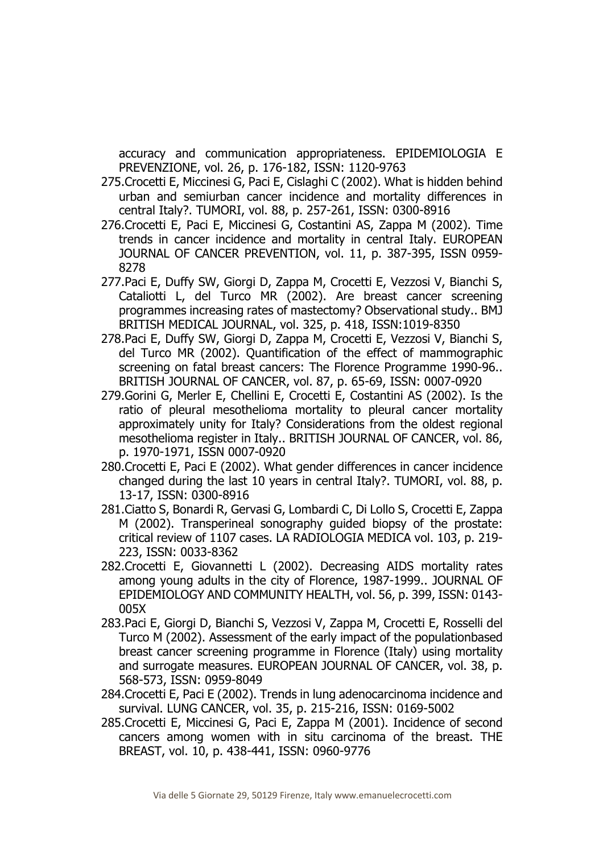accuracy and communication appropriateness. EPIDEMIOLOGIA E PREVENZIONE, vol. 26, p. 176-182, ISSN: 1120-9763

- 275.Crocetti E, Miccinesi G, Paci E, Cislaghi C (2002). What is hidden behind urban and semiurban cancer incidence and mortality differences in central Italy?. TUMORI, vol. 88, p. 257-261, ISSN: 0300-8916
- 276.Crocetti E, Paci E, Miccinesi G, Costantini AS, Zappa M (2002). Time trends in cancer incidence and mortality in central Italy. EUROPEAN JOURNAL OF CANCER PREVENTION, vol. 11, p. 387-395, ISSN 0959- 8278
- 277.Paci E, Duffy SW, Giorgi D, Zappa M, Crocetti E, Vezzosi V, Bianchi S, Cataliotti L, del Turco MR (2002). Are breast cancer screening programmes increasing rates of mastectomy? Observational study.. BMJ BRITISH MEDICAL JOURNAL, vol. 325, p. 418, ISSN:1019-8350
- 278.Paci E, Duffy SW, Giorgi D, Zappa M, Crocetti E, Vezzosi V, Bianchi S, del Turco MR (2002). Quantification of the effect of mammographic screening on fatal breast cancers: The Florence Programme 1990-96.. BRITISH JOURNAL OF CANCER, vol. 87, p. 65-69, ISSN: 0007-0920
- 279.Gorini G, Merler E, Chellini E, Crocetti E, Costantini AS (2002). Is the ratio of pleural mesothelioma mortality to pleural cancer mortality approximately unity for Italy? Considerations from the oldest regional mesothelioma register in Italy.. BRITISH JOURNAL OF CANCER, vol. 86, p. 1970-1971, ISSN 0007-0920
- 280.Crocetti E, Paci E (2002). What gender differences in cancer incidence changed during the last 10 years in central Italy?. TUMORI, vol. 88, p. 13-17, ISSN: 0300-8916
- 281.Ciatto S, Bonardi R, Gervasi G, Lombardi C, Di Lollo S, Crocetti E, Zappa M (2002). Transperineal sonography guided biopsy of the prostate: critical review of 1107 cases. LA RADIOLOGIA MEDICA vol. 103, p. 219- 223, ISSN: 0033-8362
- 282.Crocetti E, Giovannetti L (2002). Decreasing AIDS mortality rates among young adults in the city of Florence, 1987-1999.. JOURNAL OF EPIDEMIOLOGY AND COMMUNITY HEALTH, vol. 56, p. 399, ISSN: 0143- 005X
- 283.Paci E, Giorgi D, Bianchi S, Vezzosi V, Zappa M, Crocetti E, Rosselli del Turco M (2002). Assessment of the early impact of the populationbased breast cancer screening programme in Florence (Italy) using mortality and surrogate measures. EUROPEAN JOURNAL OF CANCER, vol. 38, p. 568-573, ISSN: 0959-8049
- 284.Crocetti E, Paci E (2002). Trends in lung adenocarcinoma incidence and survival. LUNG CANCER, vol. 35, p. 215-216, ISSN: 0169-5002
- 285.Crocetti E, Miccinesi G, Paci E, Zappa M (2001). Incidence of second cancers among women with in situ carcinoma of the breast. THE BREAST, vol. 10, p. 438-441, ISSN: 0960-9776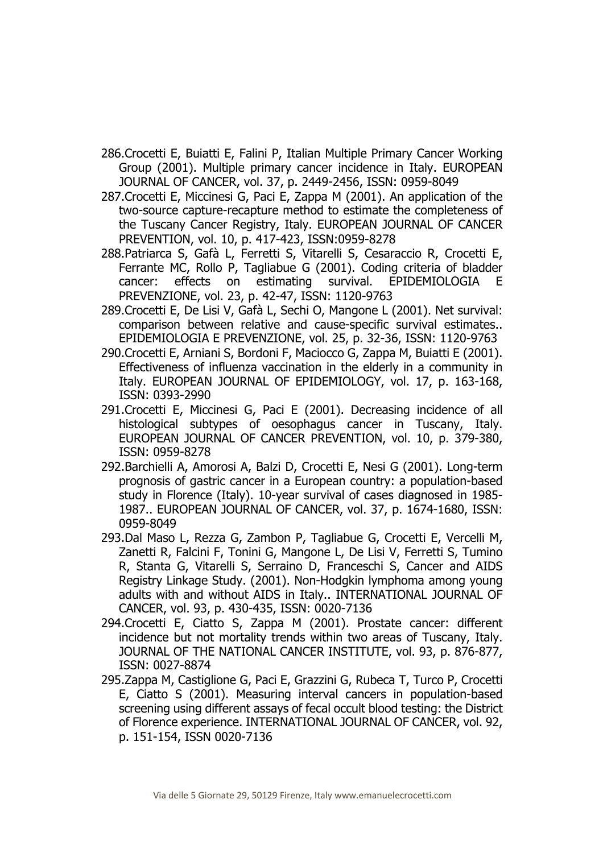- 286.Crocetti E, Buiatti E, Falini P, Italian Multiple Primary Cancer Working Group (2001). Multiple primary cancer incidence in Italy. EUROPEAN JOURNAL OF CANCER, vol. 37, p. 2449-2456, ISSN: 0959-8049
- 287.Crocetti E, Miccinesi G, Paci E, Zappa M (2001). An application of the two-source capture-recapture method to estimate the completeness of the Tuscany Cancer Registry, Italy. EUROPEAN JOURNAL OF CANCER PREVENTION, vol. 10, p. 417-423, ISSN:0959-8278
- 288.Patriarca S, Gafà L, Ferretti S, Vitarelli S, Cesaraccio R, Crocetti E, Ferrante MC, Rollo P, Tagliabue G (2001). Coding criteria of bladder cancer: effects on estimating survival. EPIDEMIOLOGIA E PREVENZIONE, vol. 23, p. 42-47, ISSN: 1120-9763
- 289.Crocetti E, De Lisi V, Gafà L, Sechi O, Mangone L (2001). Net survival: comparison between relative and cause-specific survival estimates.. EPIDEMIOLOGIA E PREVENZIONE, vol. 25, p. 32-36, ISSN: 1120-9763
- 290.Crocetti E, Arniani S, Bordoni F, Maciocco G, Zappa M, Buiatti E (2001). Effectiveness of influenza vaccination in the elderly in a community in Italy. EUROPEAN JOURNAL OF EPIDEMIOLOGY, vol. 17, p. 163-168, ISSN: 0393-2990
- 291.Crocetti E, Miccinesi G, Paci E (2001). Decreasing incidence of all histological subtypes of oesophagus cancer in Tuscany, Italy. EUROPEAN JOURNAL OF CANCER PREVENTION, vol. 10, p. 379-380, ISSN: 0959-8278
- 292.Barchielli A, Amorosi A, Balzi D, Crocetti E, Nesi G (2001). Long-term prognosis of gastric cancer in a European country: a population-based study in Florence (Italy). 10-year survival of cases diagnosed in 1985- 1987.. EUROPEAN JOURNAL OF CANCER, vol. 37, p. 1674-1680, ISSN: 0959-8049
- 293.Dal Maso L, Rezza G, Zambon P, Tagliabue G, Crocetti E, Vercelli M, Zanetti R, Falcini F, Tonini G, Mangone L, De Lisi V, Ferretti S, Tumino R, Stanta G, Vitarelli S, Serraino D, Franceschi S, Cancer and AIDS Registry Linkage Study. (2001). Non-Hodgkin lymphoma among young adults with and without AIDS in Italy.. INTERNATIONAL JOURNAL OF CANCER, vol. 93, p. 430-435, ISSN: 0020-7136
- 294.Crocetti E, Ciatto S, Zappa M (2001). Prostate cancer: different incidence but not mortality trends within two areas of Tuscany, Italy. JOURNAL OF THE NATIONAL CANCER INSTITUTE, vol. 93, p. 876-877, ISSN: 0027-8874
- 295.Zappa M, Castiglione G, Paci E, Grazzini G, Rubeca T, Turco P, Crocetti E, Ciatto S (2001). Measuring interval cancers in population-based screening using different assays of fecal occult blood testing: the District of Florence experience. INTERNATIONAL JOURNAL OF CANCER, vol. 92, p. 151-154, ISSN 0020-7136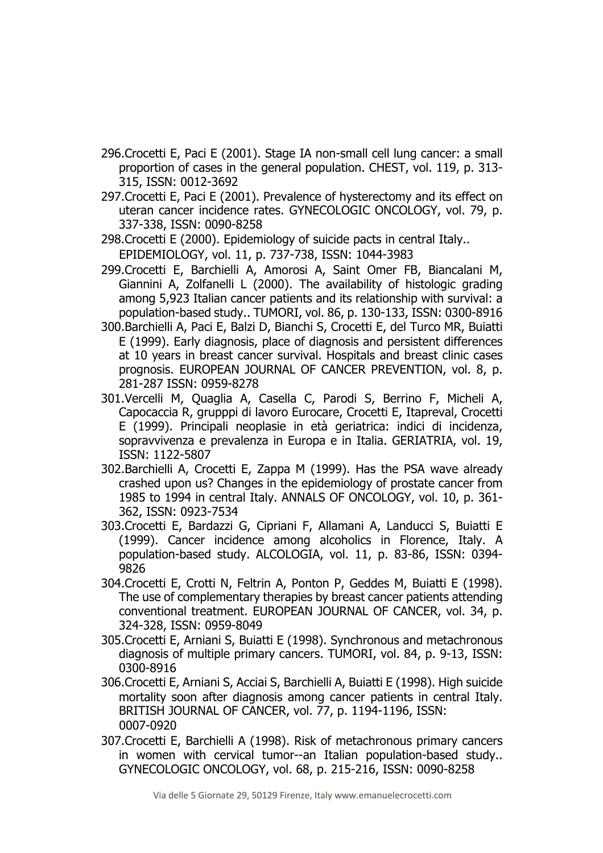- 296.Crocetti E, Paci E (2001). Stage IA non-small cell lung cancer: a small proportion of cases in the general population. CHEST, vol. 119, p. 313- 315, ISSN: 0012-3692
- 297.Crocetti E, Paci E (2001). Prevalence of hysterectomy and its effect on uteran cancer incidence rates. GYNECOLOGIC ONCOLOGY, vol. 79, p. 337-338, ISSN: 0090-8258
- 298.Crocetti E (2000). Epidemiology of suicide pacts in central Italy.. EPIDEMIOLOGY, vol. 11, p. 737-738, ISSN: 1044-3983
- 299.Crocetti E, Barchielli A, Amorosi A, Saint Omer FB, Biancalani M, Giannini A, Zolfanelli L (2000). The availability of histologic grading among 5,923 Italian cancer patients and its relationship with survival: a population-based study.. TUMORI, vol. 86, p. 130-133, ISSN: 0300-8916
- 300.Barchielli A, Paci E, Balzi D, Bianchi S, Crocetti E, del Turco MR, Buiatti E (1999). Early diagnosis, place of diagnosis and persistent differences at 10 years in breast cancer survival. Hospitals and breast clinic cases prognosis. EUROPEAN JOURNAL OF CANCER PREVENTION, vol. 8, p. 281-287 ISSN: 0959-8278
- 301.Vercelli M, Quaglia A, Casella C, Parodi S, Berrino F, Micheli A, Capocaccia R, grupppi di lavoro Eurocare, Crocetti E, Itapreval, Crocetti E (1999). Principali neoplasie in età geriatrica: indici di incidenza, sopravvivenza e prevalenza in Europa e in Italia. GERIATRIA, vol. 19, ISSN: 1122-5807
- 302.Barchielli A, Crocetti E, Zappa M (1999). Has the PSA wave already crashed upon us? Changes in the epidemiology of prostate cancer from 1985 to 1994 in central Italy. ANNALS OF ONCOLOGY, vol. 10, p. 361- 362, ISSN: 0923-7534
- 303.Crocetti E, Bardazzi G, Cipriani F, Allamani A, Landucci S, Buiatti E (1999). Cancer incidence among alcoholics in Florence, Italy. A population-based study. ALCOLOGIA, vol. 11, p. 83-86, ISSN: 0394- 9826
- 304.Crocetti E, Crotti N, Feltrin A, Ponton P, Geddes M, Buiatti E (1998). The use of complementary therapies by breast cancer patients attending conventional treatment. EUROPEAN JOURNAL OF CANCER, vol. 34, p. 324-328, ISSN: 0959-8049
- 305.Crocetti E, Arniani S, Buiatti E (1998). Synchronous and metachronous diagnosis of multiple primary cancers. TUMORI, vol. 84, p. 9-13, ISSN: 0300-8916
- 306.Crocetti E, Arniani S, Acciai S, Barchielli A, Buiatti E (1998). High suicide mortality soon after diagnosis among cancer patients in central Italy. BRITISH JOURNAL OF CANCER, vol. 77, p. 1194-1196, ISSN: 0007-0920
- 307.Crocetti E, Barchielli A (1998). Risk of metachronous primary cancers in women with cervical tumor--an Italian population-based study.. GYNECOLOGIC ONCOLOGY, vol. 68, p. 215-216, ISSN: 0090-8258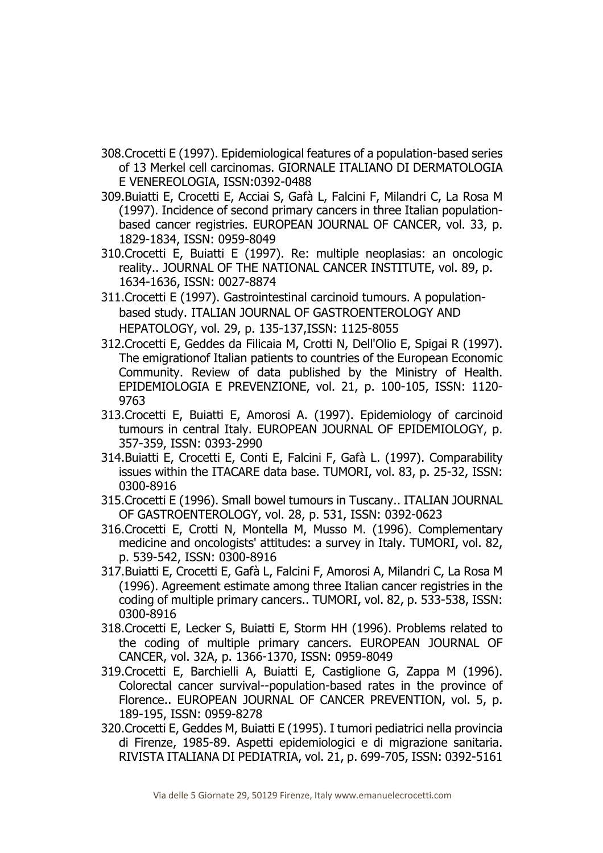- 308.Crocetti E (1997). Epidemiological features of a population-based series of 13 Merkel cell carcinomas. GIORNALE ITALIANO DI DERMATOLOGIA E VENEREOLOGIA, ISSN:0392-0488
- 309.Buiatti E, Crocetti E, Acciai S, Gafà L, Falcini F, Milandri C, La Rosa M (1997). Incidence of second primary cancers in three Italian populationbased cancer registries. EUROPEAN JOURNAL OF CANCER, vol. 33, p. 1829-1834, ISSN: 0959-8049
- 310.Crocetti E, Buiatti E (1997). Re: multiple neoplasias: an oncologic reality.. JOURNAL OF THE NATIONAL CANCER INSTITUTE, vol. 89, p. 1634-1636, ISSN: 0027-8874
- 311.Crocetti E (1997). Gastrointestinal carcinoid tumours. A populationbased study. ITALIAN JOURNAL OF GASTROENTEROLOGY AND HEPATOLOGY, vol. 29, p. 135-137,ISSN: 1125-8055
- 312.Crocetti E, Geddes da Filicaia M, Crotti N, Dell'Olio E, Spigai R (1997). The emigrationof Italian patients to countries of the European Economic Community. Review of data published by the Ministry of Health. EPIDEMIOLOGIA E PREVENZIONE, vol. 21, p. 100-105, ISSN: 1120- 9763
- 313.Crocetti E, Buiatti E, Amorosi A. (1997). Epidemiology of carcinoid tumours in central Italy. EUROPEAN JOURNAL OF EPIDEMIOLOGY, p. 357-359, ISSN: 0393-2990
- 314.Buiatti E, Crocetti E, Conti E, Falcini F, Gafà L. (1997). Comparability issues within the ITACARE data base. TUMORI, vol. 83, p. 25-32, ISSN: 0300-8916
- 315.Crocetti E (1996). Small bowel tumours in Tuscany.. ITALIAN JOURNAL OF GASTROENTEROLOGY, vol. 28, p. 531, ISSN: 0392-0623
- 316.Crocetti E, Crotti N, Montella M, Musso M. (1996). Complementary medicine and oncologists' attitudes: a survey in Italy. TUMORI, vol. 82, p. 539-542, ISSN: 0300-8916
- 317.Buiatti E, Crocetti E, Gafà L, Falcini F, Amorosi A, Milandri C, La Rosa M (1996). Agreement estimate among three Italian cancer registries in the coding of multiple primary cancers.. TUMORI, vol. 82, p. 533-538, ISSN: 0300-8916
- 318.Crocetti E, Lecker S, Buiatti E, Storm HH (1996). Problems related to the coding of multiple primary cancers. EUROPEAN JOURNAL OF CANCER, vol. 32A, p. 1366-1370, ISSN: 0959-8049
- 319.Crocetti E, Barchielli A, Buiatti E, Castiglione G, Zappa M (1996). Colorectal cancer survival--population-based rates in the province of Florence.. EUROPEAN JOURNAL OF CANCER PREVENTION, vol. 5, p. 189-195, ISSN: 0959-8278
- 320.Crocetti E, Geddes M, Buiatti E (1995). I tumori pediatrici nella provincia di Firenze, 1985-89. Aspetti epidemiologici e di migrazione sanitaria. RIVISTA ITALIANA DI PEDIATRIA, vol. 21, p. 699-705, ISSN: 0392-5161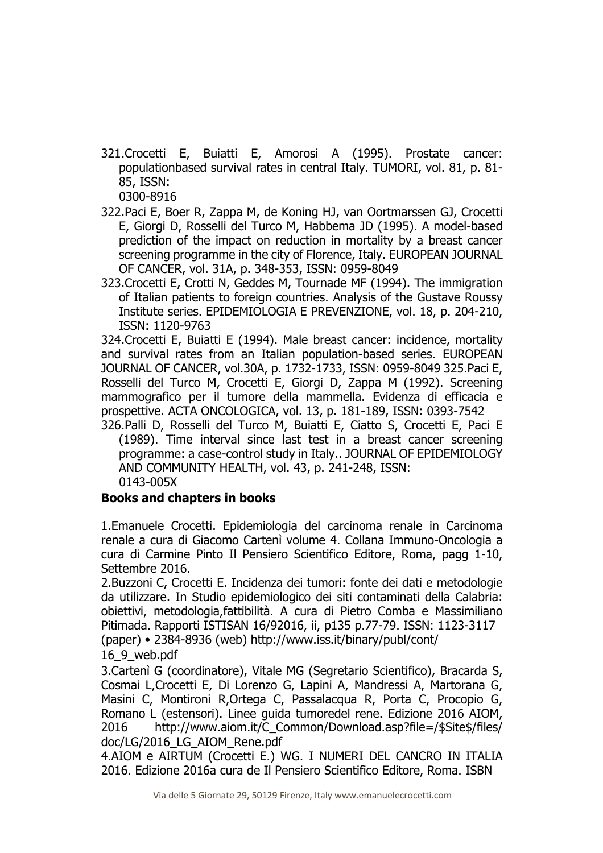321.Crocetti E, Buiatti E, Amorosi A (1995). Prostate cancer: populationbased survival rates in central Italy. TUMORI, vol. 81, p. 81- 85, ISSN:

0300-8916

- 322.Paci E, Boer R, Zappa M, de Koning HJ, van Oortmarssen GJ, Crocetti E, Giorgi D, Rosselli del Turco M, Habbema JD (1995). A model-based prediction of the impact on reduction in mortality by a breast cancer screening programme in the city of Florence, Italy. EUROPEAN JOURNAL OF CANCER, vol. 31A, p. 348-353, ISSN: 0959-8049
- 323.Crocetti E, Crotti N, Geddes M, Tournade MF (1994). The immigration of Italian patients to foreign countries. Analysis of the Gustave Roussy Institute series. EPIDEMIOLOGIA E PREVENZIONE, vol. 18, p. 204-210, ISSN: 1120-9763

324.Crocetti E, Buiatti E (1994). Male breast cancer: incidence, mortality and survival rates from an Italian population-based series. EUROPEAN JOURNAL OF CANCER, vol.30A, p. 1732-1733, ISSN: 0959-8049 325.Paci E, Rosselli del Turco M, Crocetti E, Giorgi D, Zappa M (1992). Screening mammografico per il tumore della mammella. Evidenza di efficacia e prospettive. ACTA ONCOLOGICA, vol. 13, p. 181-189, ISSN: 0393-7542

326.Palli D, Rosselli del Turco M, Buiatti E, Ciatto S, Crocetti E, Paci E (1989). Time interval since last test in a breast cancer screening programme: a case-control study in Italy.. JOURNAL OF EPIDEMIOLOGY AND COMMUNITY HEALTH, vol. 43, p. 241-248, ISSN: 0143-005X

## **Books and chapters in books**

1.Emanuele Crocetti. Epidemiologia del carcinoma renale in Carcinoma renale a cura di Giacomo Cartenì volume 4. Collana Immuno-Oncologia a cura di Carmine Pinto Il Pensiero Scientifico Editore, Roma, pagg 1-10, Settembre 2016.

2.Buzzoni C, Crocetti E. Incidenza dei tumori: fonte dei dati e metodologie da utilizzare. In Studio epidemiologico dei siti contaminati della Calabria: obiettivi, metodologia,fattibilità. A cura di Pietro Comba e Massimiliano Pitimada. Rapporti ISTISAN 16/92016, ii, p135 p.77-79. ISSN: 1123-3117 (paper) • 2384-8936 (web) http://www.iss.it/binary/publ/cont/ 16\_9\_web.pdf

3.Cartenì G (coordinatore), Vitale MG (Segretario Scientifico), Bracarda S, Cosmai L,Crocetti E, Di Lorenzo G, Lapini A, Mandressi A, Martorana G, Masini C, Montironi R,Ortega C, Passalacqua R, Porta C, Procopio G, Romano L (estensori). Linee guida tumoredel rene. Edizione 2016 AIOM, 2016 http://www.aiom.it/C\_Common/Download.asp?file=/\$Site\$/files/ doc/LG/2016\_LG\_AIOM\_Rene.pdf

4.AIOM e AIRTUM (Crocetti E.) WG. I NUMERI DEL CANCRO IN ITALIA 2016. Edizione 2016a cura de Il Pensiero Scientifico Editore, Roma. ISBN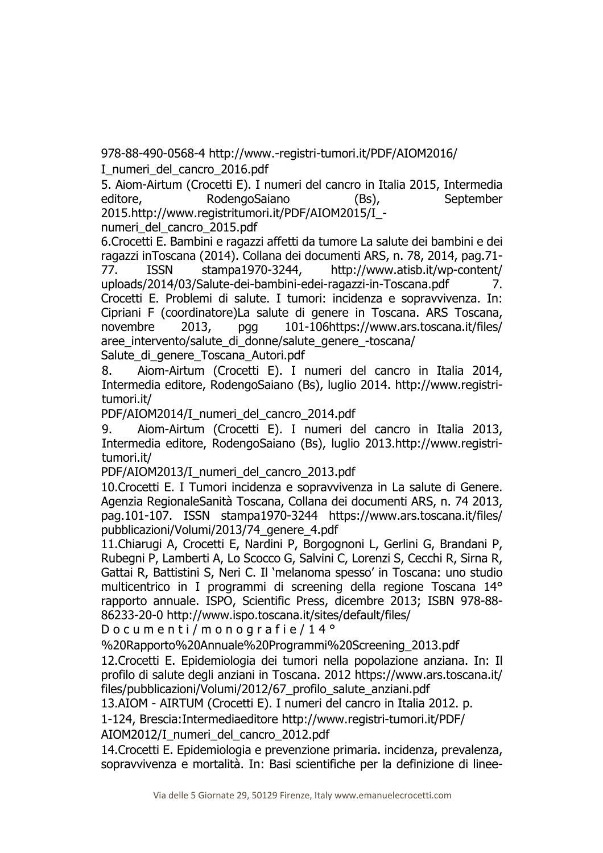978-88-490-0568-4 http://www.-registri-tumori.it/PDF/AIOM2016/ I\_numeri\_del\_cancro\_2016.pdf

5. Aiom-Airtum (Crocetti E). I numeri del cancro in Italia 2015, Intermedia editore, RodengoSaiano (Bs), September 2015.http://www.registritumori.it/PDF/AIOM2015/I\_-

numeri\_del\_cancro\_2015.pdf

6.Crocetti E. Bambini e ragazzi affetti da tumore La salute dei bambini e dei ragazzi inToscana (2014). Collana dei documenti ARS, n. 78, 2014, pag.71- 77. ISSN stampa1970-3244, http://www.atisb.it/wp-content/ uploads/2014/03/Salute-dei-bambini-edei-ragazzi-in-Toscana.pdf 7. Crocetti E. Problemi di salute. I tumori: incidenza e sopravvivenza. In: Cipriani F (coordinatore)La salute di genere in Toscana. ARS Toscana, novembre 2013, pgg 101-106https://www.ars.toscana.it/files/ aree intervento/salute di donne/salute genere -toscana/ Salute di genere Toscana Autori.pdf

8. Aiom-Airtum (Crocetti E). I numeri del cancro in Italia 2014, Intermedia editore, RodengoSaiano (Bs), luglio 2014. http://www.registritumori.it/

PDF/AIOM2014/I\_numeri\_del\_cancro\_2014.pdf

9. Aiom-Airtum (Crocetti E). I numeri del cancro in Italia 2013, Intermedia editore, RodengoSaiano (Bs), luglio 2013.http://www.registritumori.it/

PDF/AIOM2013/I\_numeri\_del\_cancro\_2013.pdf

10.Crocetti E. I Tumori incidenza e sopravvivenza in La salute di Genere. Agenzia RegionaleSanità Toscana, Collana dei documenti ARS, n. 74 2013, pag.101-107. ISSN stampa1970-3244 https://www.ars.toscana.it/files/ pubblicazioni/Volumi/2013/74\_genere\_4.pdf

11.Chiarugi A, Crocetti E, Nardini P, Borgognoni L, Gerlini G, Brandani P, Rubegni P, Lamberti A, Lo Scocco G, Salvini C, Lorenzi S, Cecchi R, Sirna R, Gattai R, Battistini S, Neri C. Il 'melanoma spesso' in Toscana: uno studio multicentrico in I programmi di screening della regione Toscana 14° rapporto annuale. ISPO, Scientific Press, dicembre 2013; ISBN 978-88- 86233-20-0 http://www.ispo.toscana.it/sites/default/files/

D o c u m e n t i / m o n o g r a f i e / 14<sup>°</sup>

%20Rapporto%20Annuale%20Programmi%20Screening\_2013.pdf

12.Crocetti E. Epidemiologia dei tumori nella popolazione anziana. In: Il profilo di salute degli anziani in Toscana. 2012 https://www.ars.toscana.it/ files/pubblicazioni/Volumi/2012/67\_profilo\_salute\_anziani.pdf

13.AIOM - AIRTUM (Crocetti E). I numeri del cancro in Italia 2012. p.

1-124, Brescia:Intermediaeditore http://www.registri-tumori.it/PDF/

AIOM2012/I\_numeri\_del\_cancro\_2012.pdf

14.Crocetti E. Epidemiologia e prevenzione primaria. incidenza, prevalenza, sopravvivenza e mortalità. In: Basi scientifiche per la definizione di linee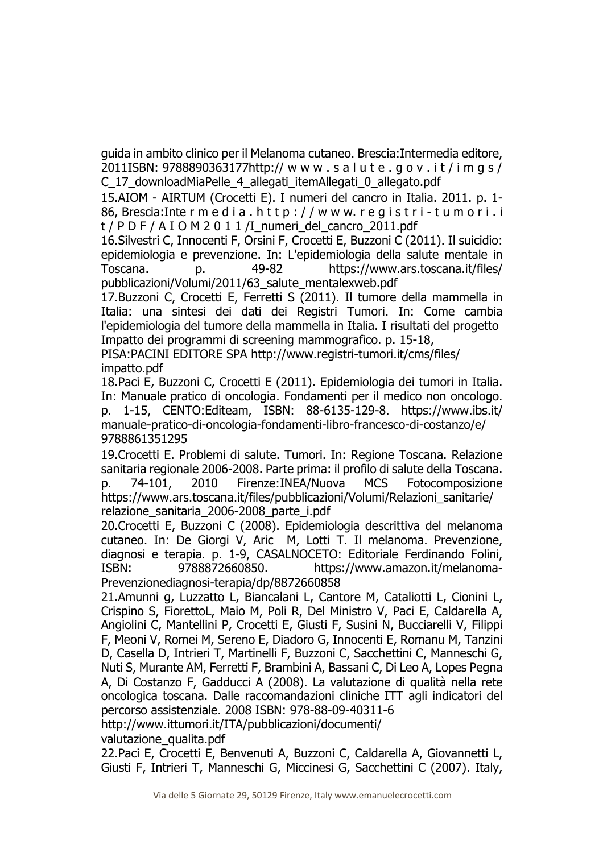guida in ambito clinico per il Melanoma cutaneo. Brescia:Intermedia editore, 2011ISBN: 9788890363177http:// w w w . s a l u t e . g o v . i t / i m g s / C\_17\_downloadMiaPelle\_4\_allegati\_itemAllegati\_0\_allegato.pdf

15.AIOM - AIRTUM (Crocetti E). I numeri del cancro in Italia. 2011. p. 1- 86, Brescia: Inte r m e d i a . h t t p : / / w w w. r e q i s t r i - t u m o r i . i  $t$  / P D F / A I O M 2 0 1 1 /I\_numeri\_del\_cancro\_2011.pdf

16.Silvestri C, Innocenti F, Orsini F, Crocetti E, Buzzoni C (2011). Il suicidio: epidemiologia e prevenzione. In: L'epidemiologia della salute mentale in Toscana. p. 49-82 https://www.ars.toscana.it/files/ pubblicazioni/Volumi/2011/63\_salute\_mentalexweb.pdf

17.Buzzoni C, Crocetti E, Ferretti S (2011). Il tumore della mammella in Italia: una sintesi dei dati dei Registri Tumori. In: Come cambia l'epidemiologia del tumore della mammella in Italia. I risultati del progetto Impatto dei programmi di screening mammografico. p. 15-18,

PISA:PACINI EDITORE SPA http://www.registri-tumori.it/cms/files/ impatto.pdf

18.Paci E, Buzzoni C, Crocetti E (2011). Epidemiologia dei tumori in Italia. In: Manuale pratico di oncologia. Fondamenti per il medico non oncologo. p. 1-15, CENTO:Editeam, ISBN: 88-6135-129-8. https://www.ibs.it/ manuale-pratico-di-oncologia-fondamenti-libro-francesco-di-costanzo/e/ 9788861351295

19.Crocetti E. Problemi di salute. Tumori. In: Regione Toscana. Relazione sanitaria regionale 2006-2008. Parte prima: il profilo di salute della Toscana. p. 74-101, 2010 Firenze:INEA/Nuova MCS Fotocomposizione https://www.ars.toscana.it/files/pubblicazioni/Volumi/Relazioni\_sanitarie/ relazione\_sanitaria\_2006-2008\_parte\_i.pdf

20.Crocetti E, Buzzoni C (2008). Epidemiologia descrittiva del melanoma cutaneo. In: De Giorgi V, Aric M, Lotti T. Il melanoma. Prevenzione, diagnosi e terapia. p. 1-9, CASALNOCETO: Editoriale Ferdinando Folini, ISBN: 9788872660850. https://www.amazon.it/melanoma-Prevenzionediagnosi-terapia/dp/8872660858

21.Amunni g, Luzzatto L, Biancalani L, Cantore M, Cataliotti L, Cionini L, Crispino S, FiorettoL, Maio M, Poli R, Del Ministro V, Paci E, Caldarella A, Angiolini C, Mantellini P, Crocetti E, Giusti F, Susini N, Bucciarelli V, Filippi F, Meoni V, Romei M, Sereno E, Diadoro G, Innocenti E, Romanu M, Tanzini D, Casella D, Intrieri T, Martinelli F, Buzzoni C, Sacchettini C, Manneschi G, Nuti S, Murante AM, Ferretti F, Brambini A, Bassani C, Di Leo A, Lopes Pegna A, Di Costanzo F, Gadducci A (2008). La valutazione di qualità nella rete oncologica toscana. Dalle raccomandazioni cliniche ITT agli indicatori del percorso assistenziale. 2008 ISBN: 978-88-09-40311-6

http://www.ittumori.it/ITA/pubblicazioni/documenti/

valutazione qualita.pdf

22.Paci E, Crocetti E, Benvenuti A, Buzzoni C, Caldarella A, Giovannetti L, Giusti F, Intrieri T, Manneschi G, Miccinesi G, Sacchettini C (2007). Italy,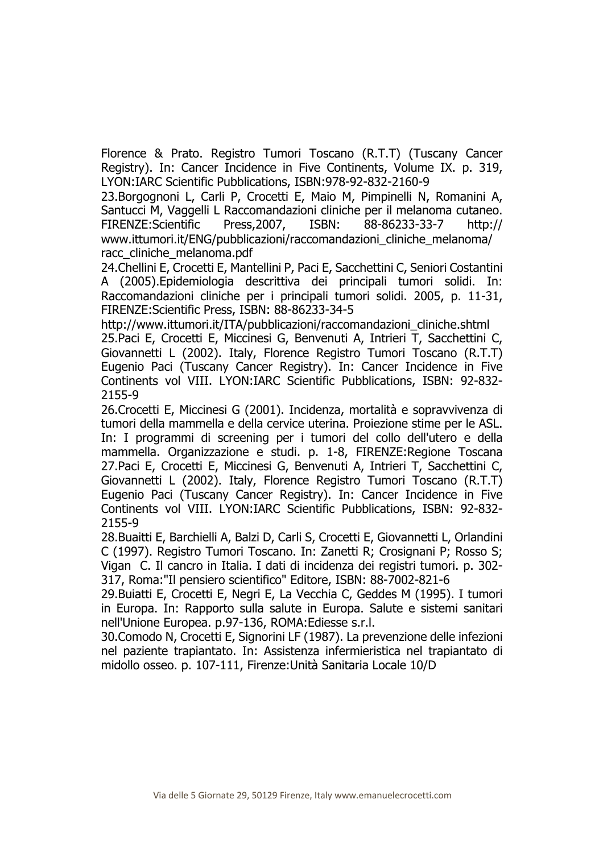Florence & Prato. Registro Tumori Toscano (R.T.T) (Tuscany Cancer Registry). In: Cancer Incidence in Five Continents, Volume IX. p. 319, LYON:IARC Scientific Pubblications, ISBN:978-92-832-2160-9

23.Borgognoni L, Carli P, Crocetti E, Maio M, Pimpinelli N, Romanini A, Santucci M, Vaggelli L Raccomandazioni cliniche per il melanoma cutaneo. FIRENZE:Scientific Press,2007, ISBN: 88-86233-33-7 http:// www.ittumori.it/ENG/pubblicazioni/raccomandazioni\_cliniche\_melanoma/ racc\_cliniche\_melanoma.pdf

24.Chellini E, Crocetti E, Mantellini P, Paci E, Sacchettini C, Seniori Costantini A (2005).Epidemiologia descrittiva dei principali tumori solidi. In: Raccomandazioni cliniche per i principali tumori solidi. 2005, p. 11-31, FIRENZE:Scientific Press, ISBN: 88-86233-34-5

http://www.ittumori.it/ITA/pubblicazioni/raccomandazioni\_cliniche.shtml 25.Paci E, Crocetti E, Miccinesi G, Benvenuti A, Intrieri T, Sacchettini C, Giovannetti L (2002). Italy, Florence Registro Tumori Toscano (R.T.T) Eugenio Paci (Tuscany Cancer Registry). In: Cancer Incidence in Five Continents vol VIII. LYON:IARC Scientific Pubblications, ISBN: 92-832- 2155-9

26.Crocetti E, Miccinesi G (2001). Incidenza, mortalità e sopravvivenza di tumori della mammella e della cervice uterina. Proiezione stime per le ASL. In: I programmi di screening per i tumori del collo dell'utero e della mammella. Organizzazione e studi. p. 1-8, FIRENZE:Regione Toscana 27.Paci E, Crocetti E, Miccinesi G, Benvenuti A, Intrieri T, Sacchettini C, Giovannetti L (2002). Italy, Florence Registro Tumori Toscano (R.T.T) Eugenio Paci (Tuscany Cancer Registry). In: Cancer Incidence in Five Continents vol VIII. LYON:IARC Scientific Pubblications, ISBN: 92-832- 2155-9

28.Buaitti E, Barchielli A, Balzi D, Carli S, Crocetti E, Giovannetti L, Orlandini C (1997). Registro Tumori Toscano. In: Zanetti R; Crosignani P; Rosso S; Vigan C. Il cancro in Italia. I dati di incidenza dei registri tumori. p. 302- 317, Roma:"Il pensiero scientifico" Editore, ISBN: 88-7002-821-6

29.Buiatti E, Crocetti E, Negri E, La Vecchia C, Geddes M (1995). I tumori in Europa. In: Rapporto sulla salute in Europa. Salute e sistemi sanitari nell'Unione Europea. p.97-136, ROMA:Ediesse s.r.l.

30.Comodo N, Crocetti E, Signorini LF (1987). La prevenzione delle infezioni nel paziente trapiantato. In: Assistenza infermieristica nel trapiantato di midollo osseo. p. 107-111, Firenze:Unità Sanitaria Locale 10/D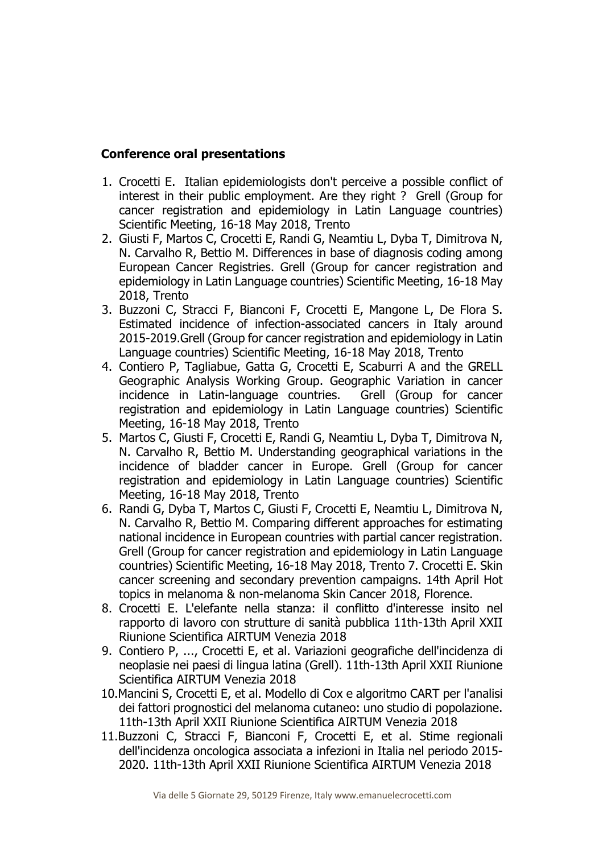## **Conference oral presentations**

- 1. Crocetti E. Italian epidemiologists don't perceive a possible conflict of interest in their public employment. Are they right ? Grell (Group for cancer registration and epidemiology in Latin Language countries) Scientific Meeting, 16-18 May 2018, Trento
- 2. Giusti F, Martos C, Crocetti E, Randi G, Neamtiu L, Dyba T, Dimitrova N, N. Carvalho R, Bettio M. Differences in base of diagnosis coding among European Cancer Registries. Grell (Group for cancer registration and epidemiology in Latin Language countries) Scientific Meeting, 16-18 May 2018, Trento
- 3. Buzzoni C, Stracci F, Bianconi F, Crocetti E, Mangone L, De Flora S. Estimated incidence of infection-associated cancers in Italy around 2015-2019.Grell (Group for cancer registration and epidemiology in Latin Language countries) Scientific Meeting, 16-18 May 2018, Trento
- 4. Contiero P, Tagliabue, Gatta G, Crocetti E, Scaburri A and the GRELL Geographic Analysis Working Group. Geographic Variation in cancer incidence in Latin-language countries. Grell (Group for cancer registration and epidemiology in Latin Language countries) Scientific Meeting, 16-18 May 2018, Trento
- 5. Martos C, Giusti F, Crocetti E, Randi G, Neamtiu L, Dyba T, Dimitrova N, N. Carvalho R, Bettio M. Understanding geographical variations in the incidence of bladder cancer in Europe. Grell (Group for cancer registration and epidemiology in Latin Language countries) Scientific Meeting, 16-18 May 2018, Trento
- 6. Randi G, Dyba T, Martos C, Giusti F, Crocetti E, Neamtiu L, Dimitrova N, N. Carvalho R, Bettio M. Comparing different approaches for estimating national incidence in European countries with partial cancer registration. Grell (Group for cancer registration and epidemiology in Latin Language countries) Scientific Meeting, 16-18 May 2018, Trento 7. Crocetti E. Skin cancer screening and secondary prevention campaigns. 14th April Hot topics in melanoma & non-melanoma Skin Cancer 2018, Florence.
- 8. Crocetti E. L'elefante nella stanza: il conflitto d'interesse insito nel rapporto di lavoro con strutture di sanità pubblica 11th-13th April XXII Riunione Scientifica AIRTUM Venezia 2018
- 9. Contiero P, ..., Crocetti E, et al. Variazioni geografiche dell'incidenza di neoplasie nei paesi di lingua latina (Grell). 11th-13th April XXII Riunione Scientifica AIRTUM Venezia 2018
- 10.Mancini S, Crocetti E, et al. Modello di Cox e algoritmo CART per l'analisi dei fattori prognostici del melanoma cutaneo: uno studio di popolazione. 11th-13th April XXII Riunione Scientifica AIRTUM Venezia 2018
- 11.Buzzoni C, Stracci F, Bianconi F, Crocetti E, et al. Stime regionali dell'incidenza oncologica associata a infezioni in Italia nel periodo 2015- 2020. 11th-13th April XXII Riunione Scientifica AIRTUM Venezia 2018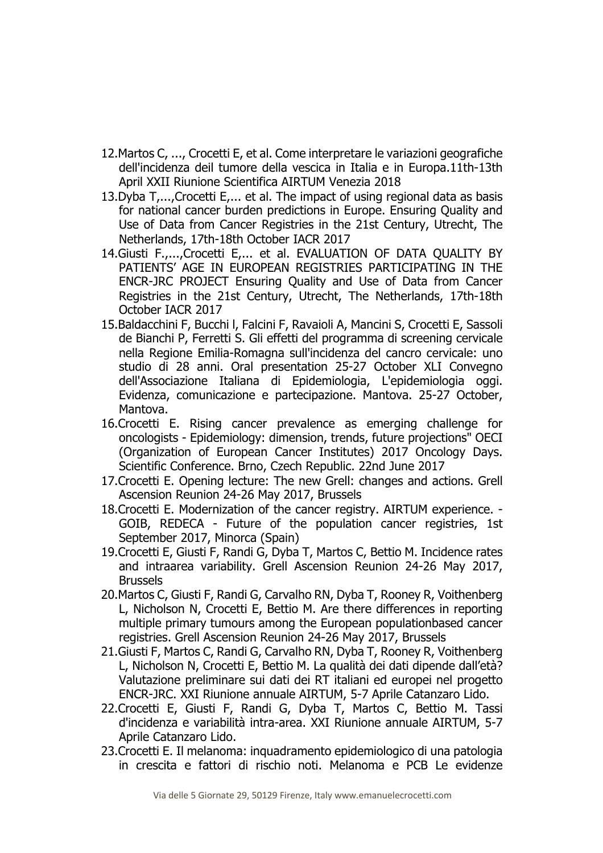- 12.Martos C, ..., Crocetti E, et al. Come interpretare le variazioni geografiche dell'incidenza deil tumore della vescica in Italia e in Europa.11th-13th April XXII Riunione Scientifica AIRTUM Venezia 2018
- 13.Dyba T,...,Crocetti E,... et al. The impact of using regional data as basis for national cancer burden predictions in Europe. Ensuring Quality and Use of Data from Cancer Registries in the 21st Century, Utrecht, The Netherlands, 17th-18th October IACR 2017
- 14.Giusti F.,...,Crocetti E.,., et al. EVALUATION OF DATA OUALITY BY PATIENTS' AGE IN EUROPEAN REGISTRIES PARTICIPATING IN THE ENCR-JRC PROJECT Ensuring Quality and Use of Data from Cancer Registries in the 21st Century, Utrecht, The Netherlands, 17th-18th October IACR 2017
- 15.Baldacchini F, Bucchi l, Falcini F, Ravaioli A, Mancini S, Crocetti E, Sassoli de Bianchi P, Ferretti S. Gli effetti del programma di screening cervicale nella Regione Emilia-Romagna sull'incidenza del cancro cervicale: uno studio di 28 anni. Oral presentation 25-27 October XLI Convegno dell'Associazione Italiana di Epidemiologia, L'epidemiologia oggi. Evidenza, comunicazione e partecipazione. Mantova. 25-27 October, Mantova.
- 16.Crocetti E. Rising cancer prevalence as emerging challenge for oncologists - Epidemiology: dimension, trends, future projections" OECI (Organization of European Cancer Institutes) 2017 Oncology Days. Scientific Conference. Brno, Czech Republic. 22nd June 2017
- 17.Crocetti E. Opening lecture: The new Grell: changes and actions. Grell Ascension Reunion 24-26 May 2017, Brussels
- 18.Crocetti E. Modernization of the cancer registry. AIRTUM experience. GOIB, REDECA - Future of the population cancer registries, 1st September 2017, Minorca (Spain)
- 19.Crocetti E, Giusti F, Randi G, Dyba T, Martos C, Bettio M. Incidence rates and intraarea variability. Grell Ascension Reunion 24-26 May 2017, Brussels
- 20.Martos C, Giusti F, Randi G, Carvalho RN, Dyba T, Rooney R, Voithenberg L, Nicholson N, Crocetti E, Bettio M. Are there differences in reporting multiple primary tumours among the European populationbased cancer registries. Grell Ascension Reunion 24-26 May 2017, Brussels
- 21.Giusti F, Martos C, Randi G, Carvalho RN, Dyba T, Rooney R, Voithenberg L, Nicholson N, Crocetti E, Bettio M. La qualità dei dati dipende dall'età? Valutazione preliminare sui dati dei RT italiani ed europei nel progetto ENCR-JRC. XXI Riunione annuale AIRTUM, 5-7 Aprile Catanzaro Lido.
- 22.Crocetti E, Giusti F, Randi G, Dyba T, Martos C, Bettio M. Tassi d'incidenza e variabilità intra-area. XXI Riunione annuale AIRTUM, 5-7 Aprile Catanzaro Lido.
- 23.Crocetti E. Il melanoma: inquadramento epidemiologico di una patologia in crescita e fattori di rischio noti. Melanoma e PCB Le evidenze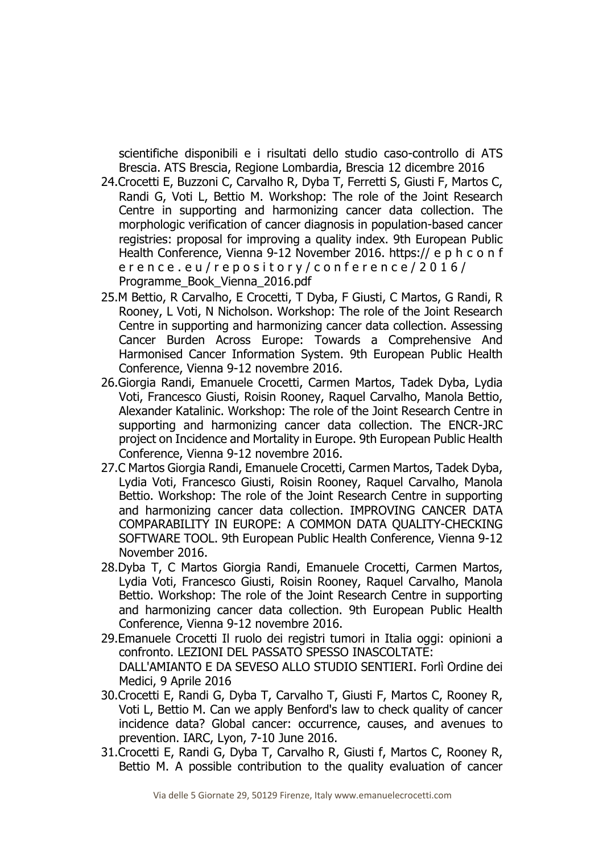scientifiche disponibili e i risultati dello studio caso-controllo di ATS Brescia. ATS Brescia, Regione Lombardia, Brescia 12 dicembre 2016

- 24.Crocetti E, Buzzoni C, Carvalho R, Dyba T, Ferretti S, Giusti F, Martos C, Randi G, Voti L, Bettio M. Workshop: The role of the Joint Research Centre in supporting and harmonizing cancer data collection. The morphologic verification of cancer diagnosis in population-based cancer registries: proposal for improving a quality index. 9th European Public Health Conference, Vienna 9-12 November 2016. https:// e p h c o n f er e n c e . e u / r e p o sit o r y / c o n f e r e n c e / 2016 / Programme\_Book\_Vienna\_2016.pdf
- 25.M Bettio, R Carvalho, E Crocetti, T Dyba, F Giusti, C Martos, G Randi, R Rooney, L Voti, N Nicholson. Workshop: The role of the Joint Research Centre in supporting and harmonizing cancer data collection. Assessing Cancer Burden Across Europe: Towards a Comprehensive And Harmonised Cancer Information System. 9th European Public Health Conference, Vienna 9-12 novembre 2016.
- 26.Giorgia Randi, Emanuele Crocetti, Carmen Martos, Tadek Dyba, Lydia Voti, Francesco Giusti, Roisin Rooney, Raquel Carvalho, Manola Bettio, Alexander Katalinic. Workshop: The role of the Joint Research Centre in supporting and harmonizing cancer data collection. The ENCR-JRC project on Incidence and Mortality in Europe. 9th European Public Health Conference, Vienna 9-12 novembre 2016.
- 27.C Martos Giorgia Randi, Emanuele Crocetti, Carmen Martos, Tadek Dyba, Lydia Voti, Francesco Giusti, Roisin Rooney, Raquel Carvalho, Manola Bettio. Workshop: The role of the Joint Research Centre in supporting and harmonizing cancer data collection. IMPROVING CANCER DATA COMPARABILITY IN EUROPE: A COMMON DATA QUALITY-CHECKING SOFTWARE TOOL. 9th European Public Health Conference, Vienna 9-12 November 2016.
- 28.Dyba T, C Martos Giorgia Randi, Emanuele Crocetti, Carmen Martos, Lydia Voti, Francesco Giusti, Roisin Rooney, Raquel Carvalho, Manola Bettio. Workshop: The role of the Joint Research Centre in supporting and harmonizing cancer data collection. 9th European Public Health Conference, Vienna 9-12 novembre 2016.
- 29.Emanuele Crocetti Il ruolo dei registri tumori in Italia oggi: opinioni a confronto. LEZIONI DEL PASSATO SPESSO INASCOLTATE: DALL'AMIANTO E DA SEVESO ALLO STUDIO SENTIERI. Forlì Ordine dei Medici, 9 Aprile 2016
- 30.Crocetti E, Randi G, Dyba T, Carvalho T, Giusti F, Martos C, Rooney R, Voti L, Bettio M. Can we apply Benford's law to check quality of cancer incidence data? Global cancer: occurrence, causes, and avenues to prevention. IARC, Lyon, 7-10 June 2016.
- 31.Crocetti E, Randi G, Dyba T, Carvalho R, Giusti f, Martos C, Rooney R, Bettio M. A possible contribution to the quality evaluation of cancer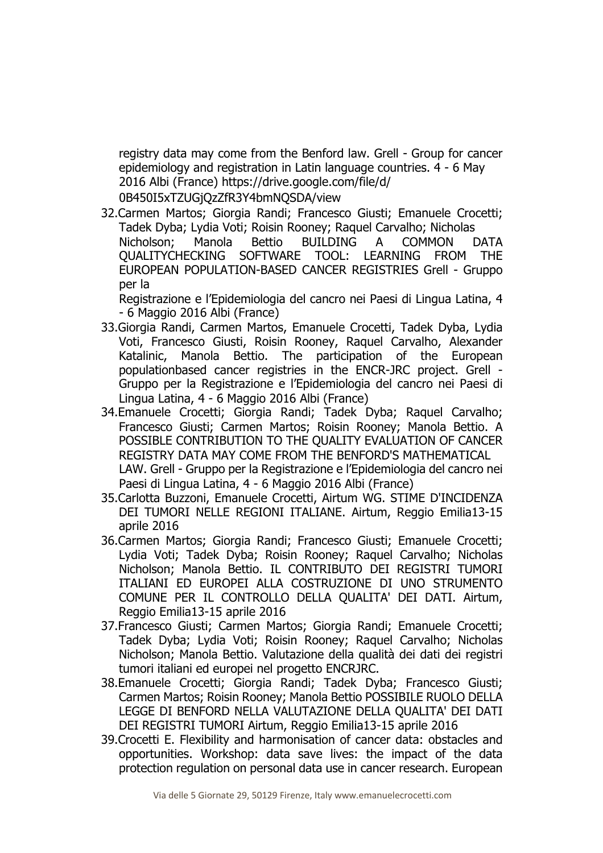registry data may come from the Benford law. Grell - Group for cancer epidemiology and registration in Latin language countries. 4 - 6 May 2016 Albi (France) https://drive.google.com/file/d/ 0B450I5xTZUGjQzZfR3Y4bmNQSDA/view

32.Carmen Martos; Giorgia Randi; Francesco Giusti; Emanuele Crocetti; Tadek Dyba; Lydia Voti; Roisin Rooney; Raquel Carvalho; Nicholas Nicholson; Manola Bettio BUILDING A COMMON DATA QUALITYCHECKING SOFTWARE TOOL: LEARNING FROM THE EUROPEAN POPULATION-BASED CANCER REGISTRIES Grell - Gruppo per la

Registrazione e l'Epidemiologia del cancro nei Paesi di Lingua Latina, 4 - 6 Maggio 2016 Albi (France)

- 33.Giorgia Randi, Carmen Martos, Emanuele Crocetti, Tadek Dyba, Lydia Voti, Francesco Giusti, Roisin Rooney, Raquel Carvalho, Alexander Katalinic, Manola Bettio. The participation of the European populationbased cancer registries in the ENCR-JRC project. Grell - Gruppo per la Registrazione e l'Epidemiologia del cancro nei Paesi di Lingua Latina, 4 - 6 Maggio 2016 Albi (France)
- 34.Emanuele Crocetti; Giorgia Randi; Tadek Dyba; Raquel Carvalho; Francesco Giusti; Carmen Martos; Roisin Rooney; Manola Bettio. A POSSIBLE CONTRIBUTION TO THE QUALITY EVALUATION OF CANCER REGISTRY DATA MAY COME FROM THE BENFORD'S MATHEMATICAL LAW. Grell - Gruppo per la Registrazione e l'Epidemiologia del cancro nei Paesi di Lingua Latina, 4 - 6 Maggio 2016 Albi (France)
- 35.Carlotta Buzzoni, Emanuele Crocetti, Airtum WG. STIME D'INCIDENZA DEI TUMORI NELLE REGIONI ITALIANE. Airtum, Reggio Emilia13-15 aprile 2016
- 36.Carmen Martos; Giorgia Randi; Francesco Giusti; Emanuele Crocetti; Lydia Voti; Tadek Dyba; Roisin Rooney; Raquel Carvalho; Nicholas Nicholson; Manola Bettio. IL CONTRIBUTO DEI REGISTRI TUMORI ITALIANI ED EUROPEI ALLA COSTRUZIONE DI UNO STRUMENTO COMUNE PER IL CONTROLLO DELLA QUALITA' DEI DATI. Airtum, Reggio Emilia13-15 aprile 2016
- 37.Francesco Giusti; Carmen Martos; Giorgia Randi; Emanuele Crocetti; Tadek Dyba; Lydia Voti; Roisin Rooney; Raquel Carvalho; Nicholas Nicholson; Manola Bettio. Valutazione della qualità dei dati dei registri tumori italiani ed europei nel progetto ENCRJRC.
- 38.Emanuele Crocetti; Giorgia Randi; Tadek Dyba; Francesco Giusti; Carmen Martos; Roisin Rooney; Manola Bettio POSSIBILE RUOLO DELLA LEGGE DI BENFORD NELLA VALUTAZIONE DELLA QUALITA' DEI DATI DEI REGISTRI TUMORI Airtum, Reggio Emilia13-15 aprile 2016
- 39.Crocetti E. Flexibility and harmonisation of cancer data: obstacles and opportunities. Workshop: data save lives: the impact of the data protection regulation on personal data use in cancer research. European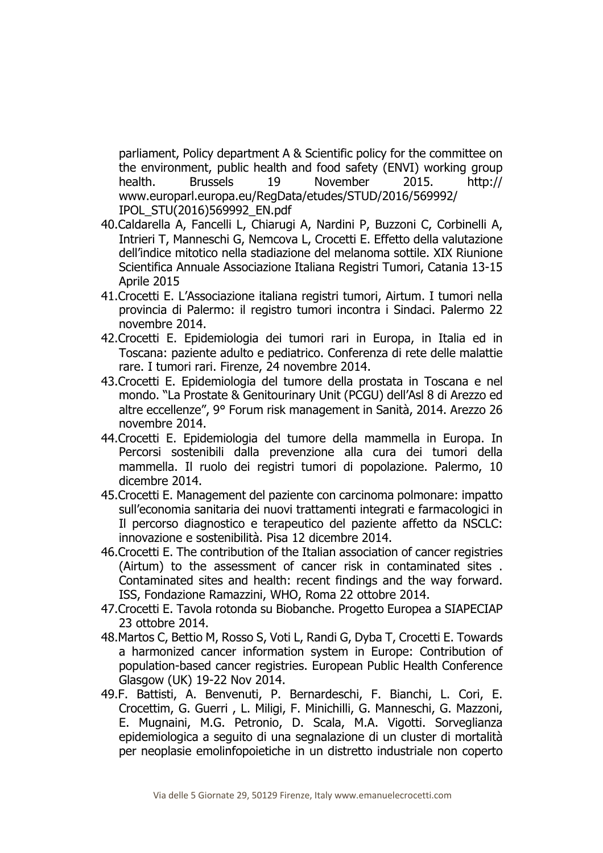parliament, Policy department A & Scientific policy for the committee on the environment, public health and food safety (ENVI) working group health. Brussels 19 November 2015. http:// www.europarl.europa.eu/RegData/etudes/STUD/2016/569992/ IPOL\_STU(2016)569992\_EN.pdf

- 40.Caldarella A, Fancelli L, Chiarugi A, Nardini P, Buzzoni C, Corbinelli A, Intrieri T, Manneschi G, Nemcova L, Crocetti E. Effetto della valutazione dell'indice mitotico nella stadiazione del melanoma sottile. XIX Riunione Scientifica Annuale Associazione Italiana Registri Tumori, Catania 13-15 Aprile 2015
- 41.Crocetti E. L'Associazione italiana registri tumori, Airtum. I tumori nella provincia di Palermo: il registro tumori incontra i Sindaci. Palermo 22 novembre 2014.
- 42.Crocetti E. Epidemiologia dei tumori rari in Europa, in Italia ed in Toscana: paziente adulto e pediatrico. Conferenza di rete delle malattie rare. I tumori rari. Firenze, 24 novembre 2014.
- 43.Crocetti E. Epidemiologia del tumore della prostata in Toscana e nel mondo. "La Prostate & Genitourinary Unit (PCGU) dell'Asl 8 di Arezzo ed altre eccellenze", 9° Forum risk management in Sanità, 2014. Arezzo 26 novembre 2014.
- 44.Crocetti E. Epidemiologia del tumore della mammella in Europa. In Percorsi sostenibili dalla prevenzione alla cura dei tumori della mammella. Il ruolo dei registri tumori di popolazione. Palermo, 10 dicembre 2014.
- 45.Crocetti E. Management del paziente con carcinoma polmonare: impatto sull'economia sanitaria dei nuovi trattamenti integrati e farmacologici in Il percorso diagnostico e terapeutico del paziente affetto da NSCLC: innovazione e sostenibilità. Pisa 12 dicembre 2014.
- 46.Crocetti E. The contribution of the Italian association of cancer registries (Airtum) to the assessment of cancer risk in contaminated sites . Contaminated sites and health: recent findings and the way forward. ISS, Fondazione Ramazzini, WHO, Roma 22 ottobre 2014.
- 47.Crocetti E. Tavola rotonda su Biobanche. Progetto Europea a SIAPECIAP 23 ottobre 2014.
- 48.Martos C, Bettio M, Rosso S, Voti L, Randi G, Dyba T, Crocetti E. Towards a harmonized cancer information system in Europe: Contribution of population-based cancer registries. European Public Health Conference Glasgow (UK) 19-22 Nov 2014.
- 49.F. Battisti, A. Benvenuti, P. Bernardeschi, F. Bianchi, L. Cori, E. Crocettim, G. Guerri , L. Miligi, F. Minichilli, G. Manneschi, G. Mazzoni, E. Mugnaini, M.G. Petronio, D. Scala, M.A. Vigotti. Sorveglianza epidemiologica a seguito di una segnalazione di un cluster di mortalità per neoplasie emolinfopoietiche in un distretto industriale non coperto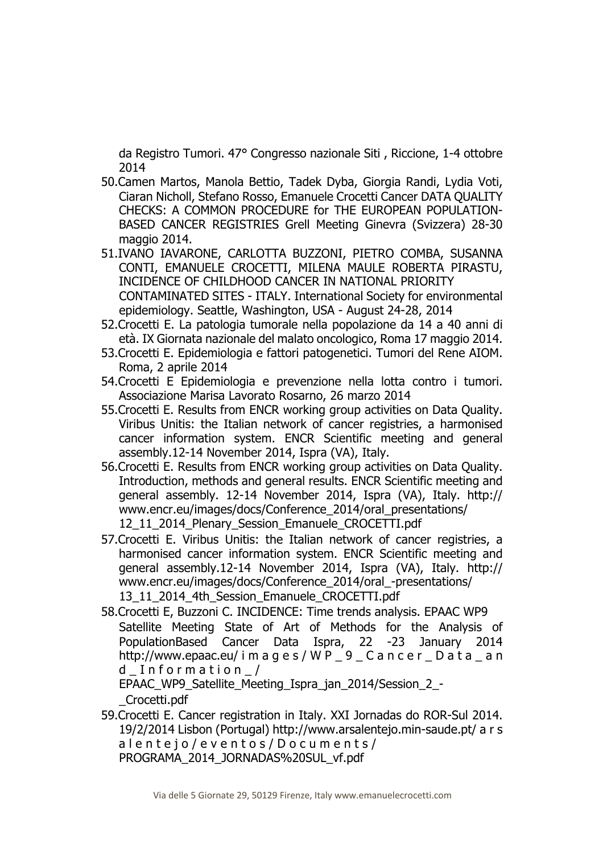da Registro Tumori. 47° Congresso nazionale Siti , Riccione, 1-4 ottobre 2014

- 50.Camen Martos, Manola Bettio, Tadek Dyba, Giorgia Randi, Lydia Voti, Ciaran Nicholl, Stefano Rosso, Emanuele Crocetti Cancer DATA QUALITY CHECKS: A COMMON PROCEDURE for THE EUROPEAN POPULATION-BASED CANCER REGISTRIES Grell Meeting Ginevra (Svizzera) 28-30 maggio 2014.
- 51.IVANO IAVARONE, CARLOTTA BUZZONI, PIETRO COMBA, SUSANNA CONTI, EMANUELE CROCETTI, MILENA MAULE ROBERTA PIRASTU, INCIDENCE OF CHILDHOOD CANCER IN NATIONAL PRIORITY CONTAMINATED SITES - ITALY. International Society for environmental epidemiology. Seattle, Washington, USA - August 24-28, 2014
- 52.Crocetti E. La patologia tumorale nella popolazione da 14 a 40 anni di età. IX Giornata nazionale del malato oncologico, Roma 17 maggio 2014.
- 53.Crocetti E. Epidemiologia e fattori patogenetici. Tumori del Rene AIOM. Roma, 2 aprile 2014
- 54.Crocetti E Epidemiologia e prevenzione nella lotta contro i tumori. Associazione Marisa Lavorato Rosarno, 26 marzo 2014
- 55.Crocetti E. Results from ENCR working group activities on Data Quality. Viribus Unitis: the Italian network of cancer registries, a harmonised cancer information system. ENCR Scientific meeting and general assembly.12-14 November 2014, Ispra (VA), Italy.
- 56.Crocetti E. Results from ENCR working group activities on Data Quality. Introduction, methods and general results. ENCR Scientific meeting and general assembly. 12-14 November 2014, Ispra (VA), Italy. http:// www.encr.eu/images/docs/Conference\_2014/oral\_presentations/ 12\_11\_2014\_Plenary\_Session\_Emanuele\_CROCETTI.pdf
- 57.Crocetti E. Viribus Unitis: the Italian network of cancer registries, a harmonised cancer information system. ENCR Scientific meeting and general assembly.12-14 November 2014, Ispra (VA), Italy. http:// www.encr.eu/images/docs/Conference\_2014/oral\_-presentations/ 13\_11\_2014\_4th\_Session\_Emanuele\_CROCETTI.pdf
- 58.Crocetti E, Buzzoni C. INCIDENCE: Time trends analysis. EPAAC WP9 Satellite Meeting State of Art of Methods for the Analysis of PopulationBased Cancer Data Ispra, 22 -23 January 2014 http://www.epaac.eu/ i m a g e s / W P \_ 9 \_ C a n c e r \_ D a t a \_ a n d  $Information$

EPAAC\_WP9\_Satellite\_Meeting\_Ispra\_jan\_2014/Session\_2\_- \_Crocetti.pdf

59.Crocetti E. Cancer registration in Italy. XXI Jornadas do ROR-Sul 2014. 19/2/2014 Lisbon (Portugal) http://www.arsalentejo.min-saude.pt/ a r s a l e n t e j o / e v e n t o s / D o c u m e n t s / PROGRAMA\_2014\_JORNADAS%20SUL\_vf.pdf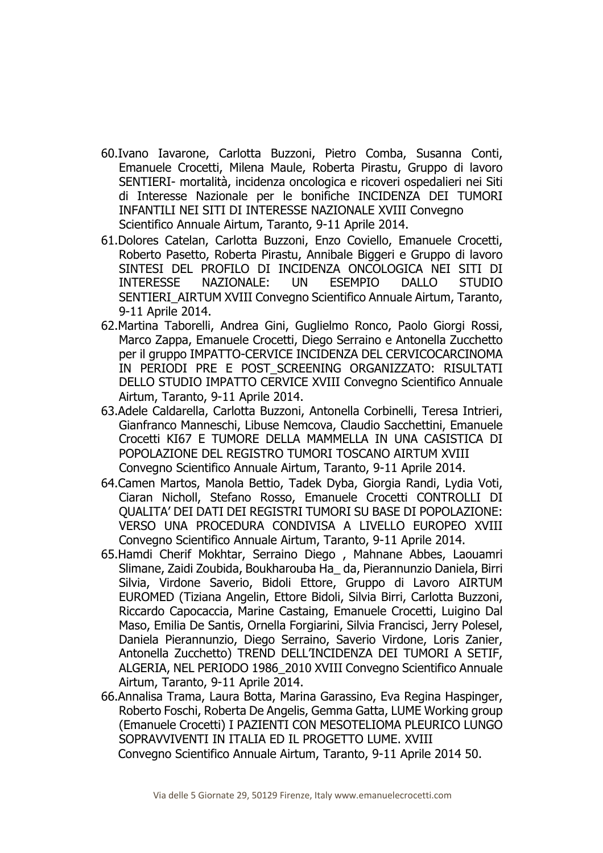- 60.Ivano Iavarone, Carlotta Buzzoni, Pietro Comba, Susanna Conti, Emanuele Crocetti, Milena Maule, Roberta Pirastu, Gruppo di lavoro SENTIERI- mortalità, incidenza oncologica e ricoveri ospedalieri nei Siti di Interesse Nazionale per le bonifiche INCIDENZA DEI TUMORI INFANTILI NEI SITI DI INTERESSE NAZIONALE XVIII Convegno Scientifico Annuale Airtum, Taranto, 9-11 Aprile 2014.
- 61.Dolores Catelan, Carlotta Buzzoni, Enzo Coviello, Emanuele Crocetti, Roberto Pasetto, Roberta Pirastu, Annibale Biggeri e Gruppo di lavoro SINTESI DEL PROFILO DI INCIDENZA ONCOLOGICA NEI SITI DI INTERESSE NAZIONALE: UN ESEMPIO DALLO STUDIO SENTIERI AIRTUM XVIII Convegno Scientifico Annuale Airtum, Taranto, 9-11 Aprile 2014.
- 62.Martina Taborelli, Andrea Gini, Guglielmo Ronco, Paolo Giorgi Rossi, Marco Zappa, Emanuele Crocetti, Diego Serraino e Antonella Zucchetto per il gruppo IMPATTO-CERVICE INCIDENZA DEL CERVICOCARCINOMA IN PERIODI PRE E POST SCREENING ORGANIZZATO: RISULTATI DELLO STUDIO IMPATTO CERVICE XVIII Convegno Scientifico Annuale Airtum, Taranto, 9-11 Aprile 2014.
- 63.Adele Caldarella, Carlotta Buzzoni, Antonella Corbinelli, Teresa Intrieri, Gianfranco Manneschi, Libuse Nemcova, Claudio Sacchettini, Emanuele Crocetti KI67 E TUMORE DELLA MAMMELLA IN UNA CASISTICA DI POPOLAZIONE DEL REGISTRO TUMORI TOSCANO AIRTUM XVIII Convegno Scientifico Annuale Airtum, Taranto, 9-11 Aprile 2014.
- 64.Camen Martos, Manola Bettio, Tadek Dyba, Giorgia Randi, Lydia Voti, Ciaran Nicholl, Stefano Rosso, Emanuele Crocetti CONTROLLI DI QUALITA' DEI DATI DEI REGISTRI TUMORI SU BASE DI POPOLAZIONE: VERSO UNA PROCEDURA CONDIVISA A LIVELLO EUROPEO XVIII Convegno Scientifico Annuale Airtum, Taranto, 9-11 Aprile 2014.
- 65.Hamdi Cherif Mokhtar, Serraino Diego , Mahnane Abbes, Laouamri Slimane, Zaidi Zoubida, Boukharouba Ha\_ da, Pierannunzio Daniela, Birri Silvia, Virdone Saverio, Bidoli Ettore, Gruppo di Lavoro AIRTUM EUROMED (Tiziana Angelin, Ettore Bidoli, Silvia Birri, Carlotta Buzzoni, Riccardo Capocaccia, Marine Castaing, Emanuele Crocetti, Luigino Dal Maso, Emilia De Santis, Ornella Forgiarini, Silvia Francisci, Jerry Polesel, Daniela Pierannunzio, Diego Serraino, Saverio Virdone, Loris Zanier, Antonella Zucchetto) TREND DELL'INCIDENZA DEI TUMORI A SETIF, ALGERIA, NEL PERIODO 1986\_2010 XVIII Convegno Scientifico Annuale Airtum, Taranto, 9-11 Aprile 2014.
- 66.Annalisa Trama, Laura Botta, Marina Garassino, Eva Regina Haspinger, Roberto Foschi, Roberta De Angelis, Gemma Gatta, LUME Working group (Emanuele Crocetti) I PAZIENTI CON MESOTELIOMA PLEURICO LUNGO SOPRAVVIVENTI IN ITALIA ED IL PROGETTO LUME. XVIII Convegno Scientifico Annuale Airtum, Taranto, 9-11 Aprile 2014 50.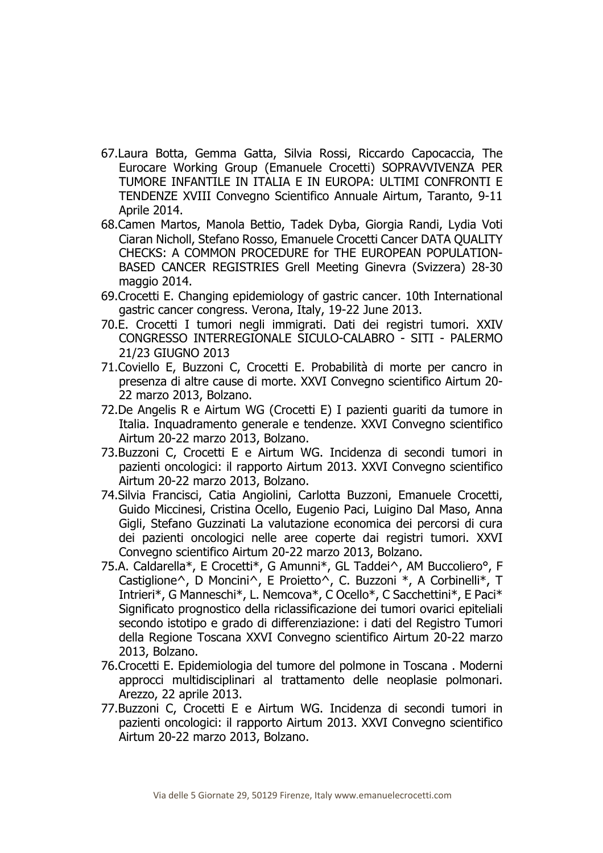- 67.Laura Botta, Gemma Gatta, Silvia Rossi, Riccardo Capocaccia, The Eurocare Working Group (Emanuele Crocetti) SOPRAVVIVENZA PER TUMORE INFANTILE IN ITALIA E IN EUROPA: ULTIMI CONFRONTI E TENDENZE XVIII Convegno Scientifico Annuale Airtum, Taranto, 9-11 Aprile 2014.
- 68.Camen Martos, Manola Bettio, Tadek Dyba, Giorgia Randi, Lydia Voti Ciaran Nicholl, Stefano Rosso, Emanuele Crocetti Cancer DATA QUALITY CHECKS: A COMMON PROCEDURE for THE EUROPEAN POPULATION-BASED CANCER REGISTRIES Grell Meeting Ginevra (Svizzera) 28-30 maggio 2014.
- 69.Crocetti E. Changing epidemiology of gastric cancer. 10th International gastric cancer congress. Verona, Italy, 19-22 June 2013.
- 70.E. Crocetti I tumori negli immigrati. Dati dei registri tumori. XXIV CONGRESSO INTERREGIONALE SICULO-CALABRO - SITI - PALERMO 21/23 GIUGNO 2013
- 71.Coviello E, Buzzoni C, Crocetti E. Probabilità di morte per cancro in presenza di altre cause di morte. XXVI Convegno scientifico Airtum 20- 22 marzo 2013, Bolzano.
- 72.De Angelis R e Airtum WG (Crocetti E) I pazienti guariti da tumore in Italia. Inquadramento generale e tendenze. XXVI Convegno scientifico Airtum 20-22 marzo 2013, Bolzano.
- 73.Buzzoni C, Crocetti E e Airtum WG. Incidenza di secondi tumori in pazienti oncologici: il rapporto Airtum 2013. XXVI Convegno scientifico Airtum 20-22 marzo 2013, Bolzano.
- 74.Silvia Francisci, Catia Angiolini, Carlotta Buzzoni, Emanuele Crocetti, Guido Miccinesi, Cristina Ocello, Eugenio Paci, Luigino Dal Maso, Anna Gigli, Stefano Guzzinati La valutazione economica dei percorsi di cura dei pazienti oncologici nelle aree coperte dai registri tumori. XXVI Convegno scientifico Airtum 20-22 marzo 2013, Bolzano.
- 75.A. Caldarella\*, E Crocetti\*, G Amunni\*, GL Taddei^, AM Buccoliero°, F Castiglione^, D Moncini^, E Proietto^, C. Buzzoni \*, A Corbinelli\*, T Intrieri\*, G Manneschi\*, L. Nemcova\*, C Ocello\*, C Sacchettini\*, E Paci\* Significato prognostico della riclassificazione dei tumori ovarici epiteliali secondo istotipo e grado di differenziazione: i dati del Registro Tumori della Regione Toscana XXVI Convegno scientifico Airtum 20-22 marzo 2013, Bolzano.
- 76.Crocetti E. Epidemiologia del tumore del polmone in Toscana . Moderni approcci multidisciplinari al trattamento delle neoplasie polmonari. Arezzo, 22 aprile 2013.
- 77.Buzzoni C, Crocetti E e Airtum WG. Incidenza di secondi tumori in pazienti oncologici: il rapporto Airtum 2013. XXVI Convegno scientifico Airtum 20-22 marzo 2013, Bolzano.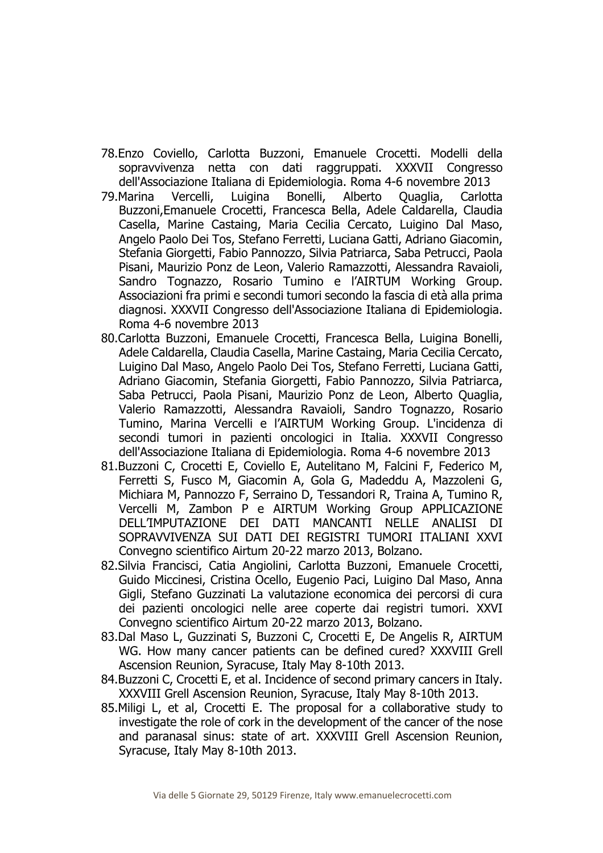- 78.Enzo Coviello, Carlotta Buzzoni, Emanuele Crocetti. Modelli della sopravvivenza netta con dati raggruppati. XXXVII Congresso dell'Associazione Italiana di Epidemiologia. Roma 4-6 novembre 2013
- 79.Marina Vercelli, Luigina Bonelli, Alberto Quaglia, Carlotta Buzzoni,Emanuele Crocetti, Francesca Bella, Adele Caldarella, Claudia Casella, Marine Castaing, Maria Cecilia Cercato, Luigino Dal Maso, Angelo Paolo Dei Tos, Stefano Ferretti, Luciana Gatti, Adriano Giacomin, Stefania Giorgetti, Fabio Pannozzo, Silvia Patriarca, Saba Petrucci, Paola Pisani, Maurizio Ponz de Leon, Valerio Ramazzotti, Alessandra Ravaioli, Sandro Tognazzo, Rosario Tumino e l'AIRTUM Working Group. Associazioni fra primi e secondi tumori secondo la fascia di età alla prima diagnosi. XXXVII Congresso dell'Associazione Italiana di Epidemiologia. Roma 4-6 novembre 2013
- 80.Carlotta Buzzoni, Emanuele Crocetti, Francesca Bella, Luigina Bonelli, Adele Caldarella, Claudia Casella, Marine Castaing, Maria Cecilia Cercato, Luigino Dal Maso, Angelo Paolo Dei Tos, Stefano Ferretti, Luciana Gatti, Adriano Giacomin, Stefania Giorgetti, Fabio Pannozzo, Silvia Patriarca, Saba Petrucci, Paola Pisani, Maurizio Ponz de Leon, Alberto Quaglia, Valerio Ramazzotti, Alessandra Ravaioli, Sandro Tognazzo, Rosario Tumino, Marina Vercelli e l'AIRTUM Working Group. L'incidenza di secondi tumori in pazienti oncologici in Italia. XXXVII Congresso dell'Associazione Italiana di Epidemiologia. Roma 4-6 novembre 2013
- 81.Buzzoni C, Crocetti E, Coviello E, Autelitano M, Falcini F, Federico M, Ferretti S, Fusco M, Giacomin A, Gola G, Madeddu A, Mazzoleni G, Michiara M, Pannozzo F, Serraino D, Tessandori R, Traina A, Tumino R, Vercelli M, Zambon P e AIRTUM Working Group APPLICAZIONE DELL'IMPUTAZIONE DEI DATI MANCANTI NELLE ANALISI DI SOPRAVVIVENZA SUI DATI DEI REGISTRI TUMORI ITALIANI XXVI Convegno scientifico Airtum 20-22 marzo 2013, Bolzano.
- 82.Silvia Francisci, Catia Angiolini, Carlotta Buzzoni, Emanuele Crocetti, Guido Miccinesi, Cristina Ocello, Eugenio Paci, Luigino Dal Maso, Anna Gigli, Stefano Guzzinati La valutazione economica dei percorsi di cura dei pazienti oncologici nelle aree coperte dai registri tumori. XXVI Convegno scientifico Airtum 20-22 marzo 2013, Bolzano.
- 83.Dal Maso L, Guzzinati S, Buzzoni C, Crocetti E, De Angelis R, AIRTUM WG. How many cancer patients can be defined cured? XXXVIII Grell Ascension Reunion, Syracuse, Italy May 8-10th 2013.
- 84.Buzzoni C, Crocetti E, et al. Incidence of second primary cancers in Italy. XXXVIII Grell Ascension Reunion, Syracuse, Italy May 8-10th 2013.
- 85.Miligi L, et al, Crocetti E. The proposal for a collaborative study to investigate the role of cork in the development of the cancer of the nose and paranasal sinus: state of art. XXXVIII Grell Ascension Reunion, Syracuse, Italy May 8-10th 2013.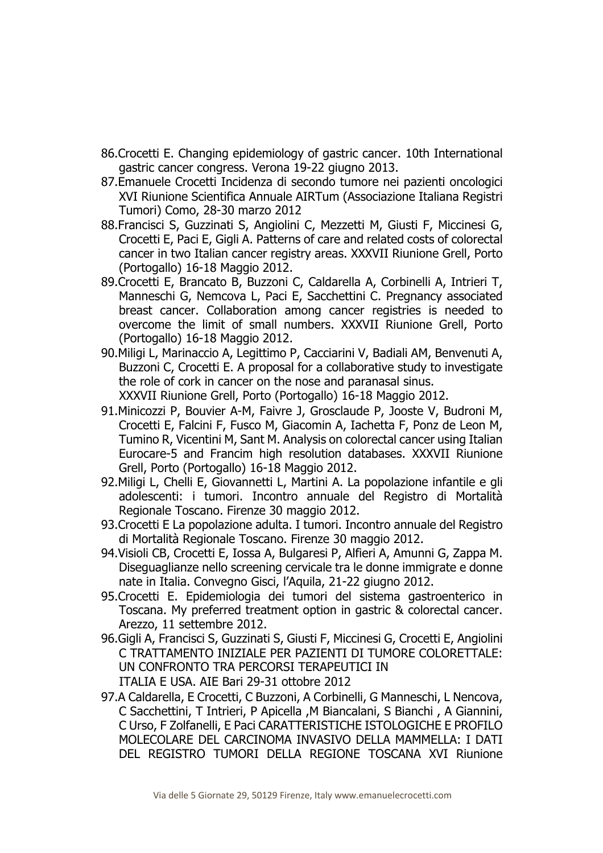- 86.Crocetti E. Changing epidemiology of gastric cancer. 10th International gastric cancer congress. Verona 19-22 giugno 2013.
- 87.Emanuele Crocetti Incidenza di secondo tumore nei pazienti oncologici XVI Riunione Scientifica Annuale AIRTum (Associazione Italiana Registri Tumori) Como, 28-30 marzo 2012
- 88.Francisci S, Guzzinati S, Angiolini C, Mezzetti M, Giusti F, Miccinesi G, Crocetti E, Paci E, Gigli A. Patterns of care and related costs of colorectal cancer in two Italian cancer registry areas. XXXVII Riunione Grell, Porto (Portogallo) 16-18 Maggio 2012.
- 89.Crocetti E, Brancato B, Buzzoni C, Caldarella A, Corbinelli A, Intrieri T, Manneschi G, Nemcova L, Paci E, Sacchettini C. Pregnancy associated breast cancer. Collaboration among cancer registries is needed to overcome the limit of small numbers. XXXVII Riunione Grell, Porto (Portogallo) 16-18 Maggio 2012.
- 90.Miligi L, Marinaccio A, Legittimo P, Cacciarini V, Badiali AM, Benvenuti A, Buzzoni C, Crocetti E. A proposal for a collaborative study to investigate the role of cork in cancer on the nose and paranasal sinus. XXXVII Riunione Grell, Porto (Portogallo) 16-18 Maggio 2012.
- 91.Minicozzi P, Bouvier A-M, Faivre J, Grosclaude P, Jooste V, Budroni M, Crocetti E, Falcini F, Fusco M, Giacomin A, Iachetta F, Ponz de Leon M, Tumino R, Vicentini M, Sant M. Analysis on colorectal cancer using Italian Eurocare-5 and Francim high resolution databases. XXXVII Riunione Grell, Porto (Portogallo) 16-18 Maggio 2012.
- 92.Miligi L, Chelli E, Giovannetti L, Martini A. La popolazione infantile e gli adolescenti: i tumori. Incontro annuale del Registro di Mortalità Regionale Toscano. Firenze 30 maggio 2012.
- 93.Crocetti E La popolazione adulta. I tumori. Incontro annuale del Registro di Mortalità Regionale Toscano. Firenze 30 maggio 2012.
- 94.Visioli CB, Crocetti E, Iossa A, Bulgaresi P, Alfieri A, Amunni G, Zappa M. Diseguaglianze nello screening cervicale tra le donne immigrate e donne nate in Italia. Convegno Gisci, l'Aquila, 21-22 giugno 2012.
- 95.Crocetti E. Epidemiologia dei tumori del sistema gastroenterico in Toscana. My preferred treatment option in gastric & colorectal cancer. Arezzo, 11 settembre 2012.
- 96.Gigli A, Francisci S, Guzzinati S, Giusti F, Miccinesi G, Crocetti E, Angiolini C TRATTAMENTO INIZIALE PER PAZIENTI DI TUMORE COLORETTALE: UN CONFRONTO TRA PERCORSI TERAPEUTICI IN ITALIA E USA. AIE Bari 29-31 ottobre 2012
- 97.A Caldarella, E Crocetti, C Buzzoni, A Corbinelli, G Manneschi, L Nencova, C Sacchettini, T Intrieri, P Apicella ,M Biancalani, S Bianchi , A Giannini, C Urso, F Zolfanelli, E Paci CARATTERISTICHE ISTOLOGICHE E PROFILO MOLECOLARE DEL CARCINOMA INVASIVO DELLA MAMMELLA: I DATI DEL REGISTRO TUMORI DELLA REGIONE TOSCANA XVI Riunione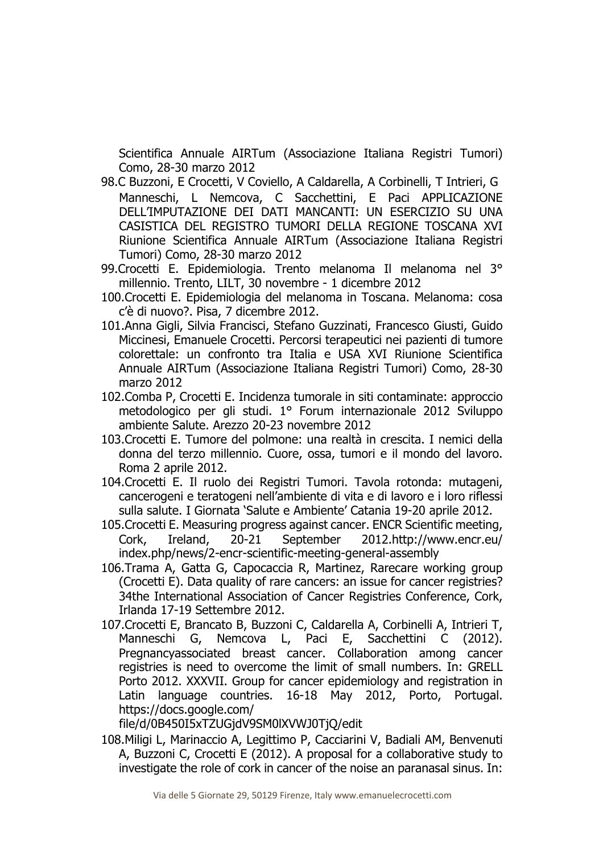Scientifica Annuale AIRTum (Associazione Italiana Registri Tumori) Como, 28-30 marzo 2012

- 98.C Buzzoni, E Crocetti, V Coviello, A Caldarella, A Corbinelli, T Intrieri, G Manneschi, L Nemcova, C Sacchettini, E Paci APPLICAZIONE DELL'IMPUTAZIONE DEI DATI MANCANTI: UN ESERCIZIO SU UNA CASISTICA DEL REGISTRO TUMORI DELLA REGIONE TOSCANA XVI Riunione Scientifica Annuale AIRTum (Associazione Italiana Registri Tumori) Como, 28-30 marzo 2012
- 99.Crocetti E. Epidemiologia. Trento melanoma Il melanoma nel 3° millennio. Trento, LILT, 30 novembre - 1 dicembre 2012
- 100.Crocetti E. Epidemiologia del melanoma in Toscana. Melanoma: cosa c'è di nuovo?. Pisa, 7 dicembre 2012.
- 101.Anna Gigli, Silvia Francisci, Stefano Guzzinati, Francesco Giusti, Guido Miccinesi, Emanuele Crocetti. Percorsi terapeutici nei pazienti di tumore colorettale: un confronto tra Italia e USA XVI Riunione Scientifica Annuale AIRTum (Associazione Italiana Registri Tumori) Como, 28-30 marzo 2012
- 102.Comba P, Crocetti E. Incidenza tumorale in siti contaminate: approccio metodologico per gli studi. 1° Forum internazionale 2012 Sviluppo ambiente Salute. Arezzo 20-23 novembre 2012
- 103.Crocetti E. Tumore del polmone: una realtà in crescita. I nemici della donna del terzo millennio. Cuore, ossa, tumori e il mondo del lavoro. Roma 2 aprile 2012.
- 104.Crocetti E. Il ruolo dei Registri Tumori. Tavola rotonda: mutageni, cancerogeni e teratogeni nell'ambiente di vita e di lavoro e i loro riflessi sulla salute. I Giornata 'Salute e Ambiente' Catania 19-20 aprile 2012.
- 105.Crocetti E. Measuring progress against cancer. ENCR Scientific meeting, Cork, Ireland, 20-21 September 2012.http://www.encr.eu/ index.php/news/2-encr-scientific-meeting-general-assembly
- 106.Trama A, Gatta G, Capocaccia R, Martinez, Rarecare working group (Crocetti E). Data quality of rare cancers: an issue for cancer registries? 34the International Association of Cancer Registries Conference, Cork, Irlanda 17-19 Settembre 2012.
- 107.Crocetti E, Brancato B, Buzzoni C, Caldarella A, Corbinelli A, Intrieri T, Manneschi G, Nemcova L, Paci E, Sacchettini C (2012). Pregnancyassociated breast cancer. Collaboration among cancer registries is need to overcome the limit of small numbers. In: GRELL Porto 2012. XXXVII. Group for cancer epidemiology and registration in Latin language countries. 16-18 May 2012, Porto, Portugal. https://docs.google.com/

file/d/0B450I5xTZUGjdV9SM0lXVWJ0TjQ/edit

108.Miligi L, Marinaccio A, Legittimo P, Cacciarini V, Badiali AM, Benvenuti A, Buzzoni C, Crocetti E (2012). A proposal for a collaborative study to investigate the role of cork in cancer of the noise an paranasal sinus. In: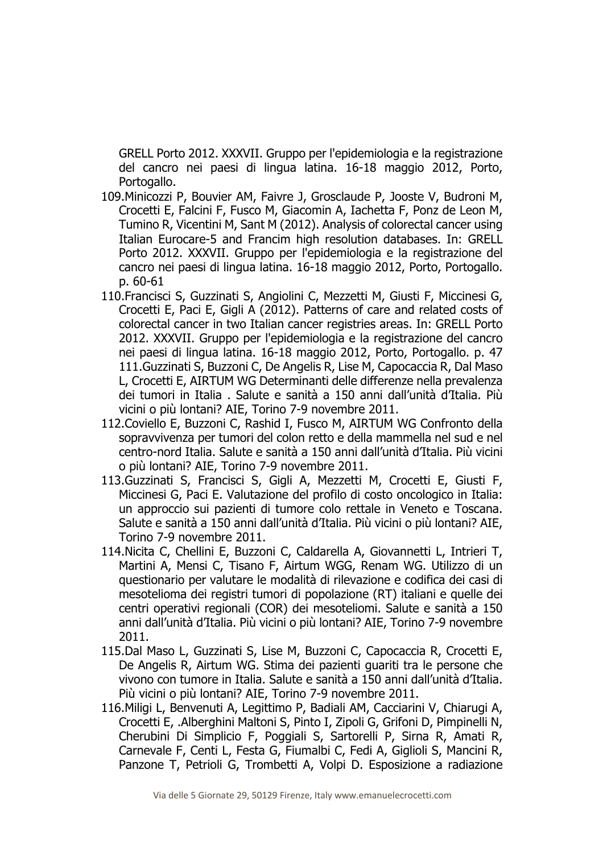GRELL Porto 2012. XXXVII. Gruppo per l'epidemiologia e la registrazione del cancro nei paesi di lingua latina. 16-18 maggio 2012, Porto, Portogallo.

- 109.Minicozzi P, Bouvier AM, Faivre J, Grosclaude P, Jooste V, Budroni M, Crocetti E, Falcini F, Fusco M, Giacomin A, Iachetta F, Ponz de Leon M, Tumino R, Vicentini M, Sant M (2012). Analysis of colorectal cancer using Italian Eurocare-5 and Francim high resolution databases. In: GRELL Porto 2012. XXXVII. Gruppo per l'epidemiologia e la registrazione del cancro nei paesi di lingua latina. 16-18 maggio 2012, Porto, Portogallo. p. 60-61
- 110.Francisci S, Guzzinati S, Angiolini C, Mezzetti M, Giusti F, Miccinesi G, Crocetti E, Paci E, Gigli A (2012). Patterns of care and related costs of colorectal cancer in two Italian cancer registries areas. In: GRELL Porto 2012. XXXVII. Gruppo per l'epidemiologia e la registrazione del cancro nei paesi di lingua latina. 16-18 maggio 2012, Porto, Portogallo. p. 47 111.Guzzinati S, Buzzoni C, De Angelis R, Lise M, Capocaccia R, Dal Maso L, Crocetti E, AIRTUM WG Determinanti delle differenze nella prevalenza dei tumori in Italia . Salute e sanità a 150 anni dall'unità d'Italia. Più vicini o più lontani? AIE, Torino 7-9 novembre 2011.
- 112.Coviello E, Buzzoni C, Rashid I, Fusco M, AIRTUM WG Confronto della sopravvivenza per tumori del colon retto e della mammella nel sud e nel centro-nord Italia. Salute e sanità a 150 anni dall'unità d'Italia. Più vicini o più lontani? AIE, Torino 7-9 novembre 2011.
- 113.Guzzinati S, Francisci S, Gigli A, Mezzetti M, Crocetti E, Giusti F, Miccinesi G, Paci E. Valutazione del profilo di costo oncologico in Italia: un approccio sui pazienti di tumore colo rettale in Veneto e Toscana. Salute e sanità a 150 anni dall'unità d'Italia. Più vicini o più lontani? AIE, Torino 7-9 novembre 2011.
- 114.Nicita C, Chellini E, Buzzoni C, Caldarella A, Giovannetti L, Intrieri T, Martini A, Mensi C, Tisano F, Airtum WGG, Renam WG. Utilizzo di un questionario per valutare le modalità di rilevazione e codifica dei casi di mesotelioma dei registri tumori di popolazione (RT) italiani e quelle dei centri operativi regionali (COR) dei mesoteliomi. Salute e sanità a 150 anni dall'unità d'Italia. Più vicini o più lontani? AIE, Torino 7-9 novembre 2011.
- 115.Dal Maso L, Guzzinati S, Lise M, Buzzoni C, Capocaccia R, Crocetti E, De Angelis R, Airtum WG. Stima dei pazienti guariti tra le persone che vivono con tumore in Italia. Salute e sanità a 150 anni dall'unità d'Italia. Più vicini o più lontani? AIE, Torino 7-9 novembre 2011.
- 116.Miligi L, Benvenuti A, Legittimo P, Badiali AM, Cacciarini V, Chiarugi A, Crocetti E, .Alberghini Maltoni S, Pinto I, Zipoli G, Grifoni D, Pimpinelli N, Cherubini Di Simplicio F, Poggiali S, Sartorelli P, Sirna R, Amati R, Carnevale F, Centi L, Festa G, Fiumalbi C, Fedi A, Giglioli S, Mancini R, Panzone T, Petrioli G, Trombetti A, Volpi D. Esposizione a radiazione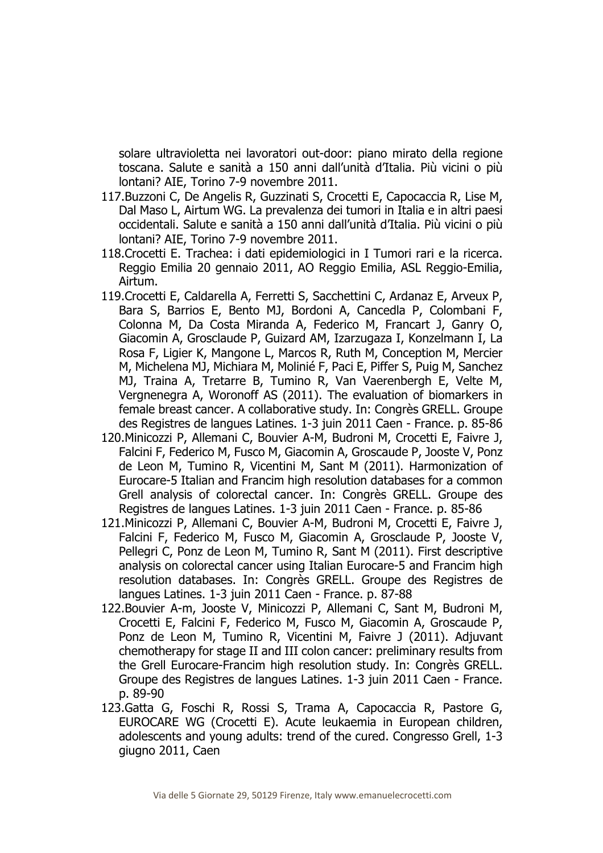solare ultravioletta nei lavoratori out-door: piano mirato della regione toscana. Salute e sanità a 150 anni dall'unità d'Italia. Più vicini o più lontani? AIE, Torino 7-9 novembre 2011.

- 117.Buzzoni C, De Angelis R, Guzzinati S, Crocetti E, Capocaccia R, Lise M, Dal Maso L, Airtum WG. La prevalenza dei tumori in Italia e in altri paesi occidentali. Salute e sanità a 150 anni dall'unità d'Italia. Più vicini o più lontani? AIE, Torino 7-9 novembre 2011.
- 118.Crocetti E. Trachea: i dati epidemiologici in I Tumori rari e la ricerca. Reggio Emilia 20 gennaio 2011, AO Reggio Emilia, ASL Reggio-Emilia, Airtum.
- 119.Crocetti E, Caldarella A, Ferretti S, Sacchettini C, Ardanaz E, Arveux P, Bara S, Barrios E, Bento MJ, Bordoni A, Cancedla P, Colombani F, Colonna M, Da Costa Miranda A, Federico M, Francart J, Ganry O, Giacomin A, Grosclaude P, Guizard AM, Izarzugaza I, Konzelmann I, La Rosa F, Ligier K, Mangone L, Marcos R, Ruth M, Conception M, Mercier M, Michelena MJ, Michiara M, Molinié F, Paci E, Piffer S, Puig M, Sanchez MJ, Traina A, Tretarre B, Tumino R, Van Vaerenbergh E, Velte M, Vergnenegra A, Woronoff AS (2011). The evaluation of biomarkers in female breast cancer. A collaborative study. In: Congrès GRELL. Groupe des Registres de langues Latines. 1-3 juin 2011 Caen - France. p. 85-86
- 120.Minicozzi P, Allemani C, Bouvier A-M, Budroni M, Crocetti E, Faivre J, Falcini F, Federico M, Fusco M, Giacomin A, Groscaude P, Jooste V, Ponz de Leon M, Tumino R, Vicentini M, Sant M (2011). Harmonization of Eurocare-5 Italian and Francim high resolution databases for a common Grell analysis of colorectal cancer. In: Congrès GRELL. Groupe des Registres de langues Latines. 1-3 juin 2011 Caen - France. p. 85-86
- 121.Minicozzi P, Allemani C, Bouvier A-M, Budroni M, Crocetti E, Faivre J, Falcini F, Federico M, Fusco M, Giacomin A, Grosclaude P, Jooste V, Pellegri C, Ponz de Leon M, Tumino R, Sant M (2011). First descriptive analysis on colorectal cancer using Italian Eurocare-5 and Francim high resolution databases. In: Congrès GRELL. Groupe des Registres de langues Latines. 1-3 juin 2011 Caen - France. p. 87-88
- 122.Bouvier A-m, Jooste V, Minicozzi P, Allemani C, Sant M, Budroni M, Crocetti E, Falcini F, Federico M, Fusco M, Giacomin A, Groscaude P, Ponz de Leon M, Tumino R, Vicentini M, Faivre J (2011). Adjuvant chemotherapy for stage II and III colon cancer: preliminary results from the Grell Eurocare-Francim high resolution study. In: Congrès GRELL. Groupe des Registres de langues Latines. 1-3 juin 2011 Caen - France. p. 89-90
- 123.Gatta G, Foschi R, Rossi S, Trama A, Capocaccia R, Pastore G, EUROCARE WG (Crocetti E). Acute leukaemia in European children, adolescents and young adults: trend of the cured. Congresso Grell, 1-3 giugno 2011, Caen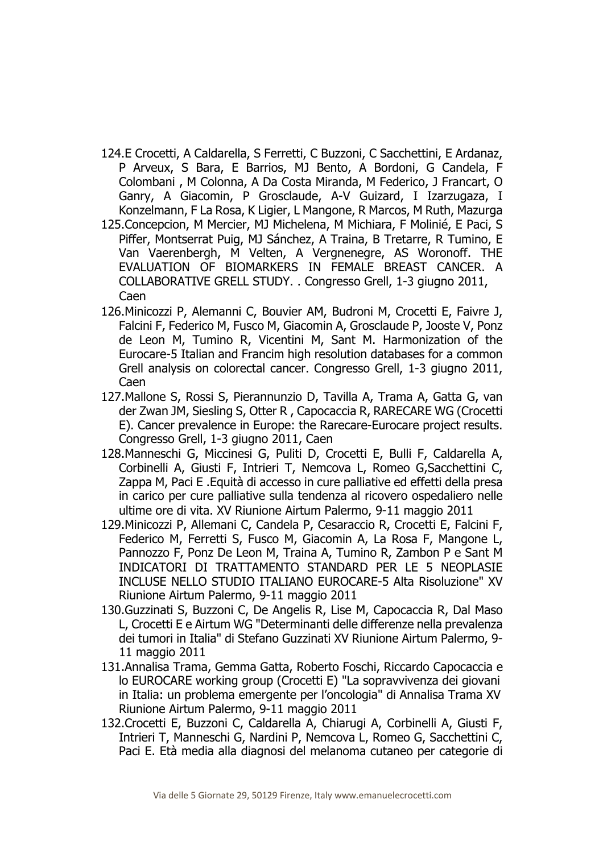- 124.E Crocetti, A Caldarella, S Ferretti, C Buzzoni, C Sacchettini, E Ardanaz, P Arveux, S Bara, E Barrios, MJ Bento, A Bordoni, G Candela, F Colombani , M Colonna, A Da Costa Miranda, M Federico, J Francart, O Ganry, A Giacomin, P Grosclaude, A-V Guizard, I Izarzugaza, I Konzelmann, F La Rosa, K Ligier, L Mangone, R Marcos, M Ruth, Mazurga
- 125.Concepcion, M Mercier, MJ Michelena, M Michiara, F Molinié, E Paci, S Piffer, Montserrat Puig, MJ Sánchez, A Traina, B Tretarre, R Tumino, E Van Vaerenbergh, M Velten, A Vergnenegre, AS Woronoff. THE EVALUATION OF BIOMARKERS IN FEMALE BREAST CANCER. A COLLABORATIVE GRELL STUDY. . Congresso Grell, 1-3 giugno 2011, Caen
- 126.Minicozzi P, Alemanni C, Bouvier AM, Budroni M, Crocetti E, Faivre J, Falcini F, Federico M, Fusco M, Giacomin A, Grosclaude P, Jooste V, Ponz de Leon M, Tumino R, Vicentini M, Sant M. Harmonization of the Eurocare-5 Italian and Francim high resolution databases for a common Grell analysis on colorectal cancer. Congresso Grell, 1-3 giugno 2011, Caen
- 127.Mallone S, Rossi S, Pierannunzio D, Tavilla A, Trama A, Gatta G, van der Zwan JM, Siesling S, Otter R , Capocaccia R, RARECARE WG (Crocetti E). Cancer prevalence in Europe: the Rarecare-Eurocare project results. Congresso Grell, 1-3 giugno 2011, Caen
- 128.Manneschi G, Miccinesi G, Puliti D, Crocetti E, Bulli F, Caldarella A, Corbinelli A, Giusti F, Intrieri T, Nemcova L, Romeo G,Sacchettini C, Zappa M, Paci E .Equità di accesso in cure palliative ed effetti della presa in carico per cure palliative sulla tendenza al ricovero ospedaliero nelle ultime ore di vita. XV Riunione Airtum Palermo, 9-11 maggio 2011
- 129.Minicozzi P, Allemani C, Candela P, Cesaraccio R, Crocetti E, Falcini F, Federico M, Ferretti S, Fusco M, Giacomin A, La Rosa F, Mangone L, Pannozzo F, Ponz De Leon M, Traina A, Tumino R, Zambon P e Sant M INDICATORI DI TRATTAMENTO STANDARD PER LE 5 NEOPLASIE INCLUSE NELLO STUDIO ITALIANO EUROCARE-5 Alta Risoluzione" XV Riunione Airtum Palermo, 9-11 maggio 2011
- 130.Guzzinati S, Buzzoni C, De Angelis R, Lise M, Capocaccia R, Dal Maso L, Crocetti E e Airtum WG "Determinanti delle differenze nella prevalenza dei tumori in Italia" di Stefano Guzzinati XV Riunione Airtum Palermo, 9- 11 maggio 2011
- 131.Annalisa Trama, Gemma Gatta, Roberto Foschi, Riccardo Capocaccia e lo EUROCARE working group (Crocetti E) "La sopravvivenza dei giovani in Italia: un problema emergente per l'oncologia" di Annalisa Trama XV Riunione Airtum Palermo, 9-11 maggio 2011
- 132.Crocetti E, Buzzoni C, Caldarella A, Chiarugi A, Corbinelli A, Giusti F, Intrieri T, Manneschi G, Nardini P, Nemcova L, Romeo G, Sacchettini C, Paci E. Età media alla diagnosi del melanoma cutaneo per categorie di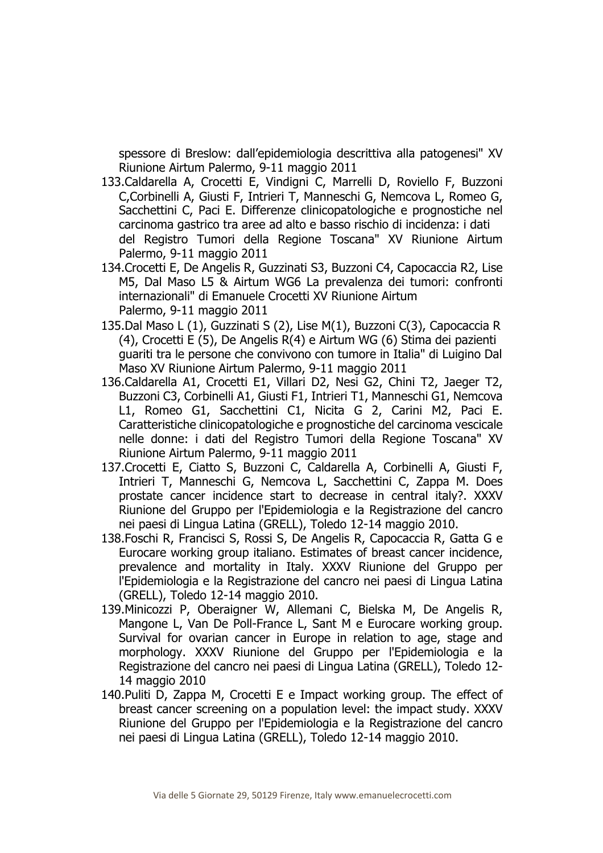spessore di Breslow: dall'epidemiologia descrittiva alla patogenesi" XV Riunione Airtum Palermo, 9-11 maggio 2011

- 133.Caldarella A, Crocetti E, Vindigni C, Marrelli D, Roviello F, Buzzoni C,Corbinelli A, Giusti F, Intrieri T, Manneschi G, Nemcova L, Romeo G, Sacchettini C, Paci E. Differenze clinicopatologiche e prognostiche nel carcinoma gastrico tra aree ad alto e basso rischio di incidenza: i dati del Registro Tumori della Regione Toscana" XV Riunione Airtum Palermo, 9-11 maggio 2011
- 134.Crocetti E, De Angelis R, Guzzinati S3, Buzzoni C4, Capocaccia R2, Lise M5, Dal Maso L5 & Airtum WG6 La prevalenza dei tumori: confronti internazionali" di Emanuele Crocetti XV Riunione Airtum Palermo, 9-11 maggio 2011
- 135.Dal Maso L (1), Guzzinati S (2), Lise M(1), Buzzoni C(3), Capocaccia R (4), Crocetti E (5), De Angelis R(4) e Airtum WG (6) Stima dei pazienti guariti tra le persone che convivono con tumore in Italia" di Luigino Dal Maso XV Riunione Airtum Palermo, 9-11 maggio 2011
- 136.Caldarella A1, Crocetti E1, Villari D2, Nesi G2, Chini T2, Jaeger T2, Buzzoni C3, Corbinelli A1, Giusti F1, Intrieri T1, Manneschi G1, Nemcova L1, Romeo G1, Sacchettini C1, Nicita G 2, Carini M2, Paci E. Caratteristiche clinicopatologiche e prognostiche del carcinoma vescicale nelle donne: i dati del Registro Tumori della Regione Toscana" XV Riunione Airtum Palermo, 9-11 maggio 2011
- 137.Crocetti E, Ciatto S, Buzzoni C, Caldarella A, Corbinelli A, Giusti F, Intrieri T, Manneschi G, Nemcova L, Sacchettini C, Zappa M. Does prostate cancer incidence start to decrease in central italy?. XXXV Riunione del Gruppo per l'Epidemiologia e la Registrazione del cancro nei paesi di Lingua Latina (GRELL), Toledo 12-14 maggio 2010.
- 138.Foschi R, Francisci S, Rossi S, De Angelis R, Capocaccia R, Gatta G e Eurocare working group italiano. Estimates of breast cancer incidence, prevalence and mortality in Italy. XXXV Riunione del Gruppo per l'Epidemiologia e la Registrazione del cancro nei paesi di Lingua Latina (GRELL), Toledo 12-14 maggio 2010.
- 139.Minicozzi P, Oberaigner W, Allemani C, Bielska M, De Angelis R, Mangone L, Van De Poll-France L, Sant M e Eurocare working group. Survival for ovarian cancer in Europe in relation to age, stage and morphology. XXXV Riunione del Gruppo per l'Epidemiologia e la Registrazione del cancro nei paesi di Lingua Latina (GRELL), Toledo 12- 14 maggio 2010
- 140.Puliti D, Zappa M, Crocetti E e Impact working group. The effect of breast cancer screening on a population level: the impact study. XXXV Riunione del Gruppo per l'Epidemiologia e la Registrazione del cancro nei paesi di Lingua Latina (GRELL), Toledo 12-14 maggio 2010.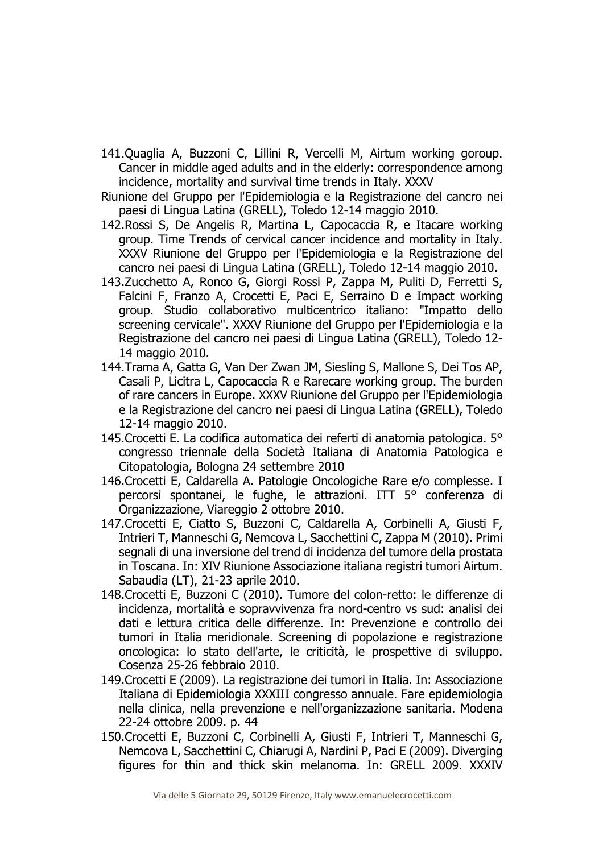- 141.Quaglia A, Buzzoni C, Lillini R, Vercelli M, Airtum working goroup. Cancer in middle aged adults and in the elderly: correspondence among incidence, mortality and survival time trends in Italy. XXXV
- Riunione del Gruppo per l'Epidemiologia e la Registrazione del cancro nei paesi di Lingua Latina (GRELL), Toledo 12-14 maggio 2010.
- 142.Rossi S, De Angelis R, Martina L, Capocaccia R, e Itacare working group. Time Trends of cervical cancer incidence and mortality in Italy. XXXV Riunione del Gruppo per l'Epidemiologia e la Registrazione del cancro nei paesi di Lingua Latina (GRELL), Toledo 12-14 maggio 2010.
- 143.Zucchetto A, Ronco G, Giorgi Rossi P, Zappa M, Puliti D, Ferretti S, Falcini F, Franzo A, Crocetti E, Paci E, Serraino D e Impact working group. Studio collaborativo multicentrico italiano: "Impatto dello screening cervicale". XXXV Riunione del Gruppo per l'Epidemiologia e la Registrazione del cancro nei paesi di Lingua Latina (GRELL), Toledo 12- 14 maggio 2010.
- 144.Trama A, Gatta G, Van Der Zwan JM, Siesling S, Mallone S, Dei Tos AP, Casali P, Licitra L, Capocaccia R e Rarecare working group. The burden of rare cancers in Europe. XXXV Riunione del Gruppo per l'Epidemiologia e la Registrazione del cancro nei paesi di Lingua Latina (GRELL), Toledo 12-14 maggio 2010.
- 145.Crocetti E. La codifica automatica dei referti di anatomia patologica. 5° congresso triennale della Società Italiana di Anatomia Patologica e Citopatologia, Bologna 24 settembre 2010
- 146.Crocetti E, Caldarella A. Patologie Oncologiche Rare e/o complesse. I percorsi spontanei, le fughe, le attrazioni. ITT 5° conferenza di Organizzazione, Viareggio 2 ottobre 2010.
- 147.Crocetti E, Ciatto S, Buzzoni C, Caldarella A, Corbinelli A, Giusti F, Intrieri T, Manneschi G, Nemcova L, Sacchettini C, Zappa M (2010). Primi segnali di una inversione del trend di incidenza del tumore della prostata in Toscana. In: XIV Riunione Associazione italiana registri tumori Airtum. Sabaudia (LT), 21-23 aprile 2010.
- 148.Crocetti E, Buzzoni C (2010). Tumore del colon-retto: le differenze di incidenza, mortalità e sopravvivenza fra nord-centro vs sud: analisi dei dati e lettura critica delle differenze. In: Prevenzione e controllo dei tumori in Italia meridionale. Screening di popolazione e registrazione oncologica: lo stato dell'arte, le criticità, le prospettive di sviluppo. Cosenza 25-26 febbraio 2010.
- 149.Crocetti E (2009). La registrazione dei tumori in Italia. In: Associazione Italiana di Epidemiologia XXXIII congresso annuale. Fare epidemiologia nella clinica, nella prevenzione e nell'organizzazione sanitaria. Modena 22-24 ottobre 2009. p. 44
- 150.Crocetti E, Buzzoni C, Corbinelli A, Giusti F, Intrieri T, Manneschi G, Nemcova L, Sacchettini C, Chiarugi A, Nardini P, Paci E (2009). Diverging figures for thin and thick skin melanoma. In: GRELL 2009. XXXIV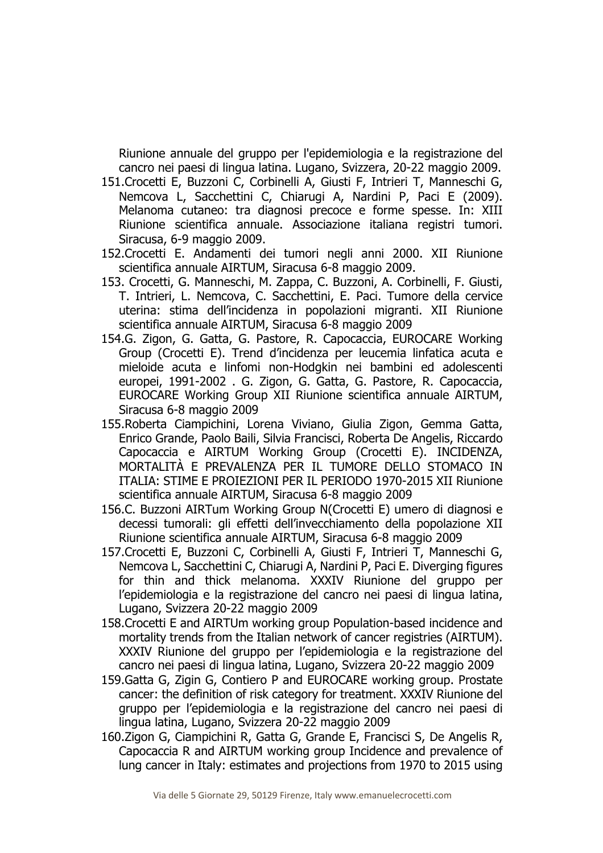Riunione annuale del gruppo per l'epidemiologia e la registrazione del cancro nei paesi di lingua latina. Lugano, Svizzera, 20-22 maggio 2009.

- 151.Crocetti E, Buzzoni C, Corbinelli A, Giusti F, Intrieri T, Manneschi G, Nemcova L, Sacchettini C, Chiarugi A, Nardini P, Paci E (2009). Melanoma cutaneo: tra diagnosi precoce e forme spesse. In: XIII Riunione scientifica annuale. Associazione italiana registri tumori. Siracusa, 6-9 maggio 2009.
- 152.Crocetti E. Andamenti dei tumori negli anni 2000. XII Riunione scientifica annuale AIRTUM, Siracusa 6-8 maggio 2009.
- 153. Crocetti, G. Manneschi, M. Zappa, C. Buzzoni, A. Corbinelli, F. Giusti, T. Intrieri, L. Nemcova, C. Sacchettini, E. Paci. Tumore della cervice uterina: stima dell'incidenza in popolazioni migranti. XII Riunione scientifica annuale AIRTUM, Siracusa 6-8 maggio 2009
- 154.G. Zigon, G. Gatta, G. Pastore, R. Capocaccia, EUROCARE Working Group (Crocetti E). Trend d'incidenza per leucemia linfatica acuta e mieloide acuta e linfomi non-Hodgkin nei bambini ed adolescenti europei, 1991-2002 . G. Zigon, G. Gatta, G. Pastore, R. Capocaccia, EUROCARE Working Group XII Riunione scientifica annuale AIRTUM, Siracusa 6-8 maggio 2009
- 155.Roberta Ciampichini, Lorena Viviano, Giulia Zigon, Gemma Gatta, Enrico Grande, Paolo Baili, Silvia Francisci, Roberta De Angelis, Riccardo Capocaccia e AIRTUM Working Group (Crocetti E). INCIDENZA, MORTALITÀ E PREVALENZA PER IL TUMORE DELLO STOMACO IN ITALIA: STIME E PROIEZIONI PER IL PERIODO 1970-2015 XII Riunione scientifica annuale AIRTUM, Siracusa 6-8 maggio 2009
- 156.C. Buzzoni AIRTum Working Group N(Crocetti E) umero di diagnosi e decessi tumorali: gli effetti dell'invecchiamento della popolazione XII Riunione scientifica annuale AIRTUM, Siracusa 6-8 maggio 2009
- 157.Crocetti E, Buzzoni C, Corbinelli A, Giusti F, Intrieri T, Manneschi G, Nemcova L, Sacchettini C, Chiarugi A, Nardini P, Paci E. Diverging figures for thin and thick melanoma. XXXIV Riunione del gruppo per l'epidemiologia e la registrazione del cancro nei paesi di lingua latina, Lugano, Svizzera 20-22 maggio 2009
- 158.Crocetti E and AIRTUm working group Population-based incidence and mortality trends from the Italian network of cancer registries (AIRTUM). XXXIV Riunione del gruppo per l'epidemiologia e la registrazione del cancro nei paesi di lingua latina, Lugano, Svizzera 20-22 maggio 2009
- 159.Gatta G, Zigin G, Contiero P and EUROCARE working group. Prostate cancer: the definition of risk category for treatment. XXXIV Riunione del gruppo per l'epidemiologia e la registrazione del cancro nei paesi di lingua latina, Lugano, Svizzera 20-22 maggio 2009
- 160.Zigon G, Ciampichini R, Gatta G, Grande E, Francisci S, De Angelis R, Capocaccia R and AIRTUM working group Incidence and prevalence of lung cancer in Italy: estimates and projections from 1970 to 2015 using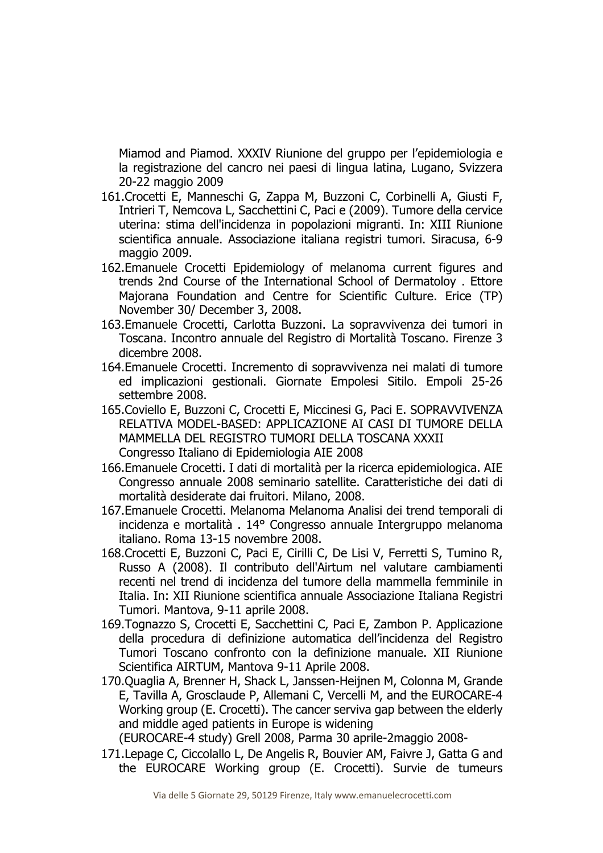Miamod and Piamod. XXXIV Riunione del gruppo per l'epidemiologia e la registrazione del cancro nei paesi di lingua latina, Lugano, Svizzera 20-22 maggio 2009

- 161.Crocetti E, Manneschi G, Zappa M, Buzzoni C, Corbinelli A, Giusti F, Intrieri T, Nemcova L, Sacchettini C, Paci e (2009). Tumore della cervice uterina: stima dell'incidenza in popolazioni migranti. In: XIII Riunione scientifica annuale. Associazione italiana registri tumori. Siracusa, 6-9 maggio 2009.
- 162.Emanuele Crocetti Epidemiology of melanoma current figures and trends 2nd Course of the International School of Dermatoloy . Ettore Majorana Foundation and Centre for Scientific Culture. Erice (TP) November 30/ December 3, 2008.
- 163.Emanuele Crocetti, Carlotta Buzzoni. La sopravvivenza dei tumori in Toscana. Incontro annuale del Registro di Mortalità Toscano. Firenze 3 dicembre 2008.
- 164.Emanuele Crocetti. Incremento di sopravvivenza nei malati di tumore ed implicazioni gestionali. Giornate Empolesi Sitilo. Empoli 25-26 settembre 2008.
- 165.Coviello E, Buzzoni C, Crocetti E, Miccinesi G, Paci E. SOPRAVVIVENZA RELATIVA MODEL-BASED: APPLICAZIONE AI CASI DI TUMORE DELLA MAMMELLA DEL REGISTRO TUMORI DELLA TOSCANA XXXII Congresso Italiano di Epidemiologia AIE 2008
- 166.Emanuele Crocetti. I dati di mortalità per la ricerca epidemiologica. AIE Congresso annuale 2008 seminario satellite. Caratteristiche dei dati di mortalità desiderate dai fruitori. Milano, 2008.
- 167.Emanuele Crocetti. Melanoma Melanoma Analisi dei trend temporali di incidenza e mortalità . 14° Congresso annuale Intergruppo melanoma italiano. Roma 13-15 novembre 2008.
- 168.Crocetti E, Buzzoni C, Paci E, Cirilli C, De Lisi V, Ferretti S, Tumino R, Russo A (2008). Il contributo dell'Airtum nel valutare cambiamenti recenti nel trend di incidenza del tumore della mammella femminile in Italia. In: XII Riunione scientifica annuale Associazione Italiana Registri Tumori. Mantova, 9-11 aprile 2008.
- 169.Tognazzo S, Crocetti E, Sacchettini C, Paci E, Zambon P. Applicazione della procedura di definizione automatica dell'incidenza del Registro Tumori Toscano confronto con la definizione manuale. XII Riunione Scientifica AIRTUM, Mantova 9-11 Aprile 2008.
- 170.Quaglia A, Brenner H, Shack L, Janssen-Heijnen M, Colonna M, Grande E, Tavilla A, Grosclaude P, Allemani C, Vercelli M, and the EUROCARE-4 Working group (E. Crocetti). The cancer serviva gap between the elderly and middle aged patients in Europe is widening

(EUROCARE-4 study) Grell 2008, Parma 30 aprile-2maggio 2008-

171.Lepage C, Ciccolallo L, De Angelis R, Bouvier AM, Faivre J, Gatta G and the EUROCARE Working group (E. Crocetti). Survie de tumeurs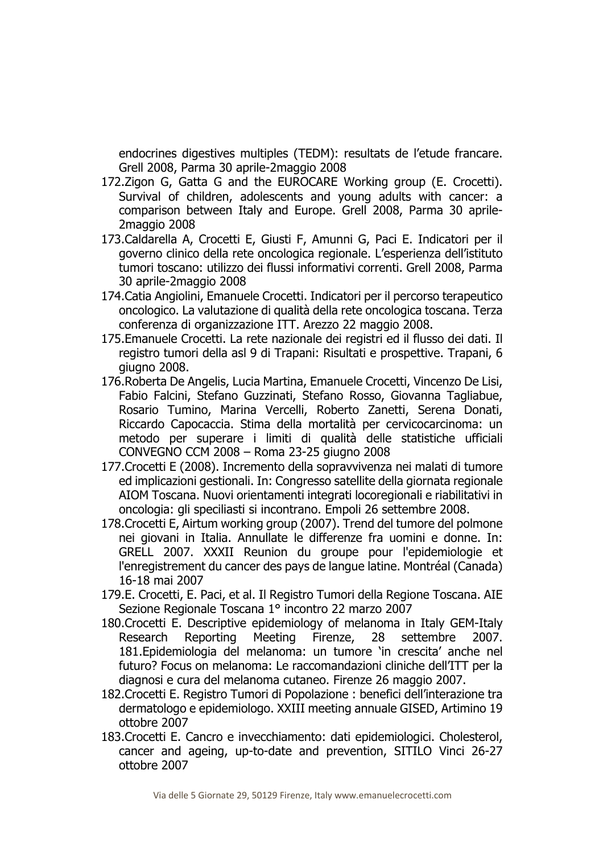endocrines digestives multiples (TEDM): resultats de l'etude francare. Grell 2008, Parma 30 aprile-2maggio 2008

- 172.Zigon G, Gatta G and the EUROCARE Working group (E. Crocetti). Survival of children, adolescents and young adults with cancer: a comparison between Italy and Europe. Grell 2008, Parma 30 aprile-2maggio 2008
- 173.Caldarella A, Crocetti E, Giusti F, Amunni G, Paci E. Indicatori per il governo clinico della rete oncologica regionale. L'esperienza dell'istituto tumori toscano: utilizzo dei flussi informativi correnti. Grell 2008, Parma 30 aprile-2maggio 2008
- 174.Catia Angiolini, Emanuele Crocetti. Indicatori per il percorso terapeutico oncologico. La valutazione di qualità della rete oncologica toscana. Terza conferenza di organizzazione ITT. Arezzo 22 maggio 2008.
- 175.Emanuele Crocetti. La rete nazionale dei registri ed il flusso dei dati. Il registro tumori della asl 9 di Trapani: Risultati e prospettive. Trapani, 6 giugno 2008.
- 176.Roberta De Angelis, Lucia Martina, Emanuele Crocetti, Vincenzo De Lisi, Fabio Falcini, Stefano Guzzinati, Stefano Rosso, Giovanna Tagliabue, Rosario Tumino, Marina Vercelli, Roberto Zanetti, Serena Donati, Riccardo Capocaccia. Stima della mortalità per cervicocarcinoma: un metodo per superare i limiti di qualità delle statistiche ufficiali CONVEGNO CCM 2008 – Roma 23-25 giugno 2008
- 177.Crocetti E (2008). Incremento della sopravvivenza nei malati di tumore ed implicazioni gestionali. In: Congresso satellite della giornata regionale AIOM Toscana. Nuovi orientamenti integrati locoregionali e riabilitativi in oncologia: gli speciliasti si incontrano. Empoli 26 settembre 2008.
- 178.Crocetti E, Airtum working group (2007). Trend del tumore del polmone nei giovani in Italia. Annullate le differenze fra uomini e donne. In: GRELL 2007. XXXII Reunion du groupe pour l'epidemiologie et l'enregistrement du cancer des pays de langue latine. Montréal (Canada) 16-18 mai 2007
- 179.E. Crocetti, E. Paci, et al. Il Registro Tumori della Regione Toscana. AIE Sezione Regionale Toscana 1° incontro 22 marzo 2007
- 180.Crocetti E. Descriptive epidemiology of melanoma in Italy GEM-Italy Research Reporting Meeting Firenze, 28 settembre 2007. 181.Epidemiologia del melanoma: un tumore 'in crescita' anche nel futuro? Focus on melanoma: Le raccomandazioni cliniche dell'ITT per la diagnosi e cura del melanoma cutaneo. Firenze 26 maggio 2007.
- 182.Crocetti E. Registro Tumori di Popolazione : benefici dell'interazione tra dermatologo e epidemiologo. XXIII meeting annuale GISED, Artimino 19 ottobre 2007
- 183.Crocetti E. Cancro e invecchiamento: dati epidemiologici. Cholesterol, cancer and ageing, up-to-date and prevention, SITILO Vinci 26-27 ottobre 2007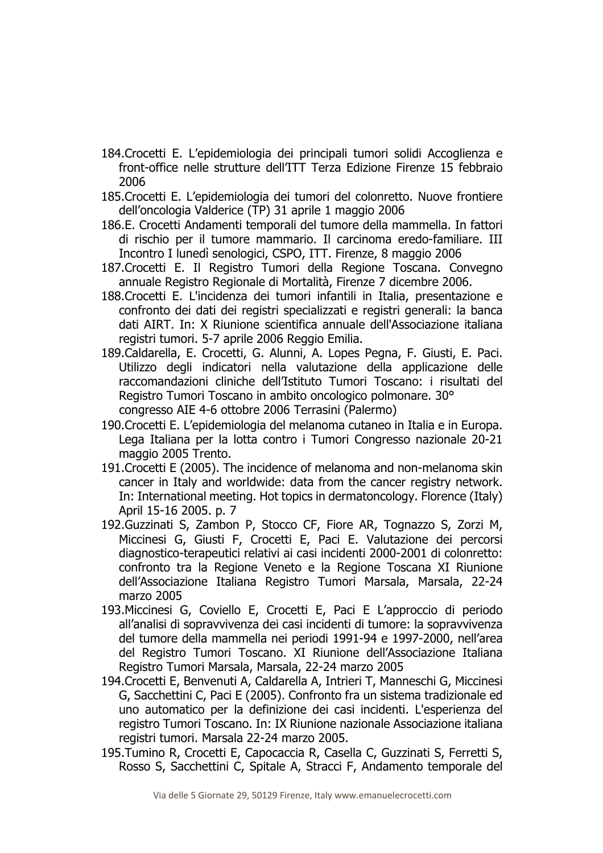- 184.Crocetti E. L'epidemiologia dei principali tumori solidi Accoglienza e front-office nelle strutture dell'ITT Terza Edizione Firenze 15 febbraio 2006
- 185.Crocetti E. L'epidemiologia dei tumori del colonretto. Nuove frontiere dell'oncologia Valderice (TP) 31 aprile 1 maggio 2006
- 186.E. Crocetti Andamenti temporali del tumore della mammella. In fattori di rischio per il tumore mammario. Il carcinoma eredo-familiare. III Incontro I lunedì senologici, CSPO, ITT. Firenze, 8 maggio 2006
- 187.Crocetti E. Il Registro Tumori della Regione Toscana. Convegno annuale Registro Regionale di Mortalità, Firenze 7 dicembre 2006.
- 188.Crocetti E. L'incidenza dei tumori infantili in Italia, presentazione e confronto dei dati dei registri specializzati e registri generali: la banca dati AIRT. In: X Riunione scientifica annuale dell'Associazione italiana registri tumori. 5-7 aprile 2006 Reggio Emilia.
- 189.Caldarella, E. Crocetti, G. Alunni, A. Lopes Pegna, F. Giusti, E. Paci. Utilizzo degli indicatori nella valutazione della applicazione delle raccomandazioni cliniche dell'Istituto Tumori Toscano: i risultati del Registro Tumori Toscano in ambito oncologico polmonare. 30° congresso AIE 4-6 ottobre 2006 Terrasini (Palermo)
- 190.Crocetti E. L'epidemiologia del melanoma cutaneo in Italia e in Europa. Lega Italiana per la lotta contro i Tumori Congresso nazionale 20-21 maggio 2005 Trento.
- 191.Crocetti E (2005). The incidence of melanoma and non-melanoma skin cancer in Italy and worldwide: data from the cancer registry network. In: International meeting. Hot topics in dermatoncology. Florence (Italy) April 15-16 2005. p. 7
- 192.Guzzinati S, Zambon P, Stocco CF, Fiore AR, Tognazzo S, Zorzi M, Miccinesi G, Giusti F, Crocetti E, Paci E. Valutazione dei percorsi diagnostico-terapeutici relativi ai casi incidenti 2000-2001 di colonretto: confronto tra la Regione Veneto e la Regione Toscana XI Riunione dell'Associazione Italiana Registro Tumori Marsala, Marsala, 22-24 marzo 2005
- 193.Miccinesi G, Coviello E, Crocetti E, Paci E L'approccio di periodo all'analisi di sopravvivenza dei casi incidenti di tumore: la sopravvivenza del tumore della mammella nei periodi 1991-94 e 1997-2000, nell'area del Registro Tumori Toscano. XI Riunione dell'Associazione Italiana Registro Tumori Marsala, Marsala, 22-24 marzo 2005
- 194.Crocetti E, Benvenuti A, Caldarella A, Intrieri T, Manneschi G, Miccinesi G, Sacchettini C, Paci E (2005). Confronto fra un sistema tradizionale ed uno automatico per la definizione dei casi incidenti. L'esperienza del registro Tumori Toscano. In: IX Riunione nazionale Associazione italiana registri tumori. Marsala 22-24 marzo 2005.
- 195.Tumino R, Crocetti E, Capocaccia R, Casella C, Guzzinati S, Ferretti S, Rosso S, Sacchettini C, Spitale A, Stracci F, Andamento temporale del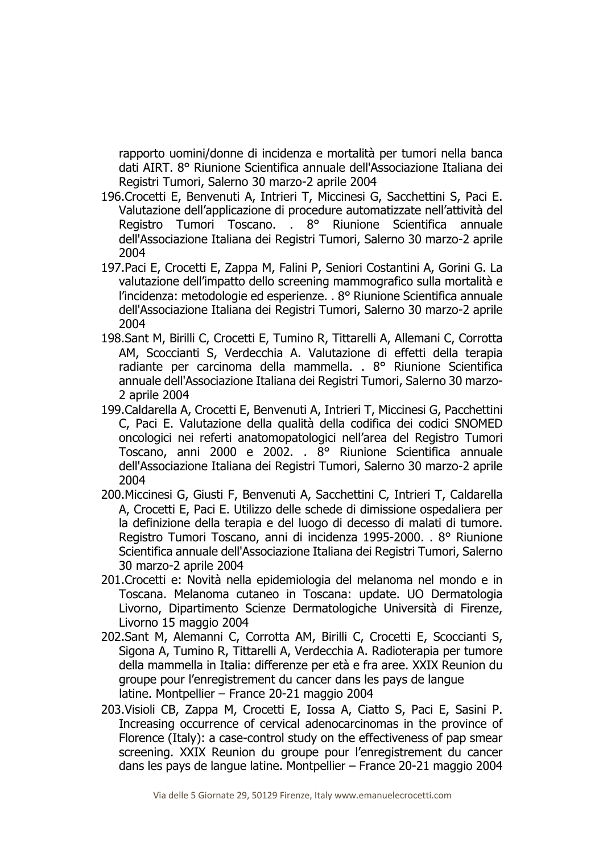rapporto uomini/donne di incidenza e mortalità per tumori nella banca dati AIRT. 8° Riunione Scientifica annuale dell'Associazione Italiana dei Registri Tumori, Salerno 30 marzo-2 aprile 2004

- 196.Crocetti E, Benvenuti A, Intrieri T, Miccinesi G, Sacchettini S, Paci E. Valutazione dell'applicazione di procedure automatizzate nell'attività del Registro Tumori Toscano. . 8° Riunione Scientifica annuale dell'Associazione Italiana dei Registri Tumori, Salerno 30 marzo-2 aprile 2004
- 197.Paci E, Crocetti E, Zappa M, Falini P, Seniori Costantini A, Gorini G. La valutazione dell'impatto dello screening mammografico sulla mortalità e l'incidenza: metodologie ed esperienze. . 8° Riunione Scientifica annuale dell'Associazione Italiana dei Registri Tumori, Salerno 30 marzo-2 aprile 2004
- 198.Sant M, Birilli C, Crocetti E, Tumino R, Tittarelli A, Allemani C, Corrotta AM, Scoccianti S, Verdecchia A. Valutazione di effetti della terapia radiante per carcinoma della mammella. . 8° Riunione Scientifica annuale dell'Associazione Italiana dei Registri Tumori, Salerno 30 marzo-2 aprile 2004
- 199.Caldarella A, Crocetti E, Benvenuti A, Intrieri T, Miccinesi G, Pacchettini C, Paci E. Valutazione della qualità della codifica dei codici SNOMED oncologici nei referti anatomopatologici nell'area del Registro Tumori Toscano, anni 2000 e 2002. . 8° Riunione Scientifica annuale dell'Associazione Italiana dei Registri Tumori, Salerno 30 marzo-2 aprile 2004
- 200.Miccinesi G, Giusti F, Benvenuti A, Sacchettini C, Intrieri T, Caldarella A, Crocetti E, Paci E. Utilizzo delle schede di dimissione ospedaliera per la definizione della terapia e del luogo di decesso di malati di tumore. Registro Tumori Toscano, anni di incidenza 1995-2000. . 8° Riunione Scientifica annuale dell'Associazione Italiana dei Registri Tumori, Salerno 30 marzo-2 aprile 2004
- 201.Crocetti e: Novità nella epidemiologia del melanoma nel mondo e in Toscana. Melanoma cutaneo in Toscana: update. UO Dermatologia Livorno, Dipartimento Scienze Dermatologiche Università di Firenze, Livorno 15 maggio 2004
- 202.Sant M, Alemanni C, Corrotta AM, Birilli C, Crocetti E, Scoccianti S, Sigona A, Tumino R, Tittarelli A, Verdecchia A. Radioterapia per tumore della mammella in Italia: differenze per età e fra aree. XXIX Reunion du groupe pour l'enregistrement du cancer dans les pays de langue latine. Montpellier – France 20-21 maggio 2004
- 203.Visioli CB, Zappa M, Crocetti E, Iossa A, Ciatto S, Paci E, Sasini P. Increasing occurrence of cervical adenocarcinomas in the province of Florence (Italy): a case-control study on the effectiveness of pap smear screening. XXIX Reunion du groupe pour l'enregistrement du cancer dans les pays de langue latine. Montpellier – France 20-21 maggio 2004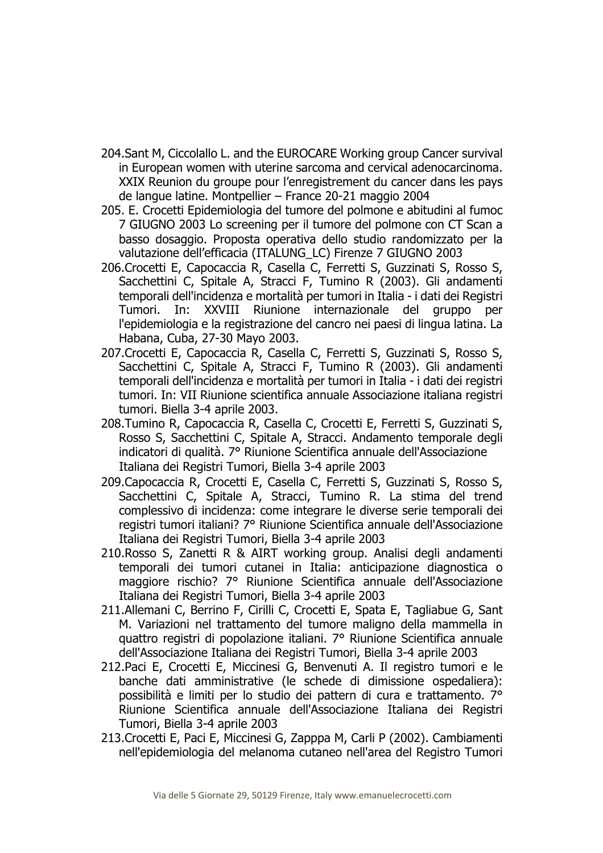- 204.Sant M, Ciccolallo L. and the EUROCARE Working group Cancer survival in European women with uterine sarcoma and cervical adenocarcinoma. XXIX Reunion du groupe pour l'enregistrement du cancer dans les pays de langue latine. Montpellier – France 20-21 maggio 2004
- 205. E. Crocetti Epidemiologia del tumore del polmone e abitudini al fumoc 7 GIUGNO 2003 Lo screening per il tumore del polmone con CT Scan a basso dosaggio. Proposta operativa dello studio randomizzato per la valutazione dell'efficacia (ITALUNG\_LC) Firenze 7 GIUGNO 2003
- 206.Crocetti E, Capocaccia R, Casella C, Ferretti S, Guzzinati S, Rosso S, Sacchettini C, Spitale A, Stracci F, Tumino R (2003). Gli andamenti temporali dell'incidenza e mortalità per tumori in Italia - i dati dei Registri Tumori. In: XXVIII Riunione internazionale del gruppo per l'epidemiologia e la registrazione del cancro nei paesi di lingua latina. La Habana, Cuba, 27-30 Mayo 2003.
- 207.Crocetti E, Capocaccia R, Casella C, Ferretti S, Guzzinati S, Rosso S, Sacchettini C, Spitale A, Stracci F, Tumino R (2003). Gli andamenti temporali dell'incidenza e mortalità per tumori in Italia - i dati dei registri tumori. In: VII Riunione scientifica annuale Associazione italiana registri tumori. Biella 3-4 aprile 2003.
- 208.Tumino R, Capocaccia R, Casella C, Crocetti E, Ferretti S, Guzzinati S, Rosso S, Sacchettini C, Spitale A, Stracci. Andamento temporale degli indicatori di qualità. 7° Riunione Scientifica annuale dell'Associazione Italiana dei Registri Tumori, Biella 3-4 aprile 2003
- 209.Capocaccia R, Crocetti E, Casella C, Ferretti S, Guzzinati S, Rosso S, Sacchettini C, Spitale A, Stracci, Tumino R. La stima del trend complessivo di incidenza: come integrare le diverse serie temporali dei registri tumori italiani? 7° Riunione Scientifica annuale dell'Associazione Italiana dei Registri Tumori, Biella 3-4 aprile 2003
- 210.Rosso S, Zanetti R & AIRT working group. Analisi degli andamenti temporali dei tumori cutanei in Italia: anticipazione diagnostica o maggiore rischio? 7° Riunione Scientifica annuale dell'Associazione Italiana dei Registri Tumori, Biella 3-4 aprile 2003
- 211.Allemani C, Berrino F, Cirilli C, Crocetti E, Spata E, Tagliabue G, Sant M. Variazioni nel trattamento del tumore maligno della mammella in quattro registri di popolazione italiani. 7° Riunione Scientifica annuale dell'Associazione Italiana dei Registri Tumori, Biella 3-4 aprile 2003
- 212.Paci E, Crocetti E, Miccinesi G, Benvenuti A. Il registro tumori e le banche dati amministrative (le schede di dimissione ospedaliera): possibilità e limiti per lo studio dei pattern di cura e trattamento. 7° Riunione Scientifica annuale dell'Associazione Italiana dei Registri Tumori, Biella 3-4 aprile 2003
- 213.Crocetti E, Paci E, Miccinesi G, Zapppa M, Carli P (2002). Cambiamenti nell'epidemiologia del melanoma cutaneo nell'area del Registro Tumori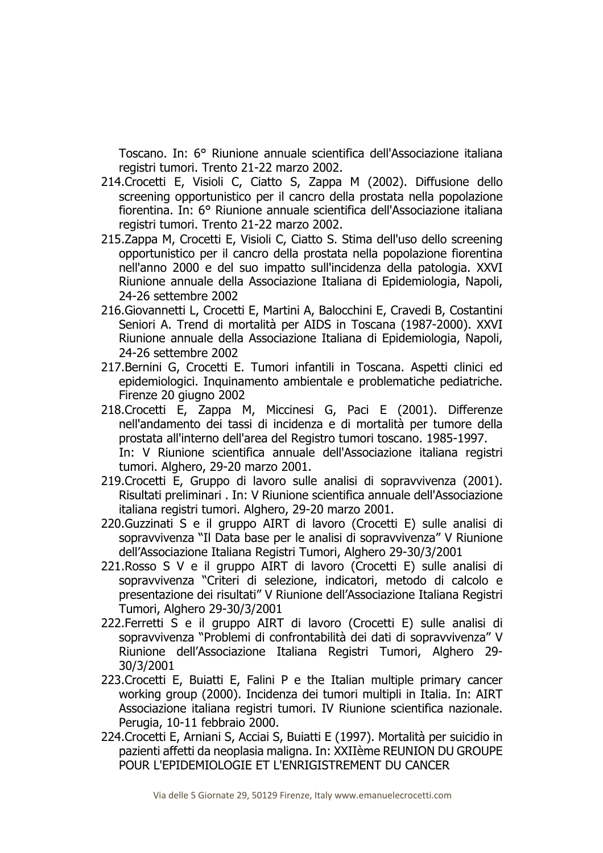Toscano. In: 6° Riunione annuale scientifica dell'Associazione italiana registri tumori. Trento 21-22 marzo 2002.

- 214.Crocetti E, Visioli C, Ciatto S, Zappa M (2002). Diffusione dello screening opportunistico per il cancro della prostata nella popolazione fiorentina. In: 6° Riunione annuale scientifica dell'Associazione italiana registri tumori. Trento 21-22 marzo 2002.
- 215.Zappa M, Crocetti E, Visioli C, Ciatto S. Stima dell'uso dello screening opportunistico per il cancro della prostata nella popolazione fiorentina nell'anno 2000 e del suo impatto sull'incidenza della patologia. XXVI Riunione annuale della Associazione Italiana di Epidemiologia, Napoli, 24-26 settembre 2002
- 216.Giovannetti L, Crocetti E, Martini A, Balocchini E, Cravedi B, Costantini Seniori A. Trend di mortalità per AIDS in Toscana (1987-2000). XXVI Riunione annuale della Associazione Italiana di Epidemiologia, Napoli, 24-26 settembre 2002
- 217.Bernini G, Crocetti E. Tumori infantili in Toscana. Aspetti clinici ed epidemiologici. Inquinamento ambientale e problematiche pediatriche. Firenze 20 giugno 2002
- 218.Crocetti E, Zappa M, Miccinesi G, Paci E (2001). Differenze nell'andamento dei tassi di incidenza e di mortalità per tumore della prostata all'interno dell'area del Registro tumori toscano. 1985-1997. In: V Riunione scientifica annuale dell'Associazione italiana registri tumori. Alghero, 29-20 marzo 2001.
- 219.Crocetti E, Gruppo di lavoro sulle analisi di sopravvivenza (2001). Risultati preliminari . In: V Riunione scientifica annuale dell'Associazione italiana registri tumori. Alghero, 29-20 marzo 2001.
- 220.Guzzinati S e il gruppo AIRT di lavoro (Crocetti E) sulle analisi di sopravvivenza "Il Data base per le analisi di sopravvivenza" V Riunione dell'Associazione Italiana Registri Tumori, Alghero 29-30/3/2001
- 221.Rosso S V e il gruppo AIRT di lavoro (Crocetti E) sulle analisi di sopravvivenza "Criteri di selezione, indicatori, metodo di calcolo e presentazione dei risultati" V Riunione dell'Associazione Italiana Registri Tumori, Alghero 29-30/3/2001
- 222.Ferretti S e il gruppo AIRT di lavoro (Crocetti E) sulle analisi di sopravvivenza "Problemi di confrontabilità dei dati di sopravvivenza" V Riunione dell'Associazione Italiana Registri Tumori, Alghero 29- 30/3/2001
- 223.Crocetti E, Buiatti E, Falini P e the Italian multiple primary cancer working group (2000). Incidenza dei tumori multipli in Italia. In: AIRT Associazione italiana registri tumori. IV Riunione scientifica nazionale. Perugia, 10-11 febbraio 2000.
- 224.Crocetti E, Arniani S, Acciai S, Buiatti E (1997). Mortalità per suicidio in pazienti affetti da neoplasia maligna. In: XXIIème REUNION DU GROUPE POUR L'EPIDEMIOLOGIE ET L'ENRIGISTREMENT DU CANCER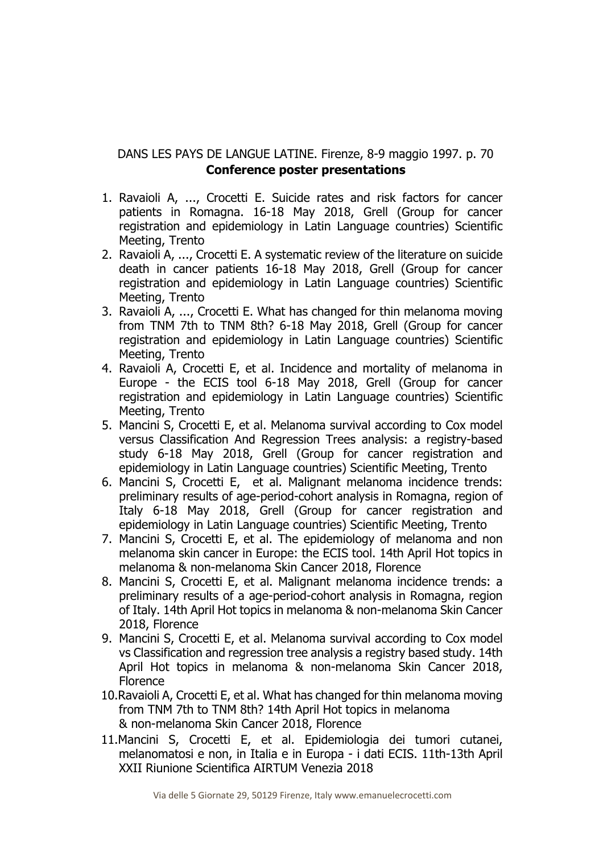## DANS LES PAYS DE LANGUE LATINE. Firenze, 8-9 maggio 1997. p. 70 **Conference poster presentations**

- 1. Ravaioli A, ..., Crocetti E. Suicide rates and risk factors for cancer patients in Romagna. 16-18 May 2018, Grell (Group for cancer registration and epidemiology in Latin Language countries) Scientific Meeting, Trento
- 2. Ravaioli A, ..., Crocetti E. A systematic review of the literature on suicide death in cancer patients 16-18 May 2018, Grell (Group for cancer registration and epidemiology in Latin Language countries) Scientific Meeting, Trento
- 3. Ravaioli A, ..., Crocetti E. What has changed for thin melanoma moving from TNM 7th to TNM 8th? 6-18 May 2018, Grell (Group for cancer registration and epidemiology in Latin Language countries) Scientific Meeting, Trento
- 4. Ravaioli A, Crocetti E, et al. Incidence and mortality of melanoma in Europe - the ECIS tool 6-18 May 2018, Grell (Group for cancer registration and epidemiology in Latin Language countries) Scientific Meeting, Trento
- 5. Mancini S, Crocetti E, et al. Melanoma survival according to Cox model versus Classification And Regression Trees analysis: a registry-based study 6-18 May 2018, Grell (Group for cancer registration and epidemiology in Latin Language countries) Scientific Meeting, Trento
- 6. Mancini S, Crocetti E, et al. Malignant melanoma incidence trends: preliminary results of age-period-cohort analysis in Romagna, region of Italy 6-18 May 2018, Grell (Group for cancer registration and epidemiology in Latin Language countries) Scientific Meeting, Trento
- 7. Mancini S, Crocetti E, et al. The epidemiology of melanoma and non melanoma skin cancer in Europe: the ECIS tool. 14th April Hot topics in melanoma & non-melanoma Skin Cancer 2018, Florence
- 8. Mancini S, Crocetti E, et al. Malignant melanoma incidence trends: a preliminary results of a age-period-cohort analysis in Romagna, region of Italy. 14th April Hot topics in melanoma & non-melanoma Skin Cancer 2018, Florence
- 9. Mancini S, Crocetti E, et al. Melanoma survival according to Cox model vs Classification and regression tree analysis a registry based study. 14th April Hot topics in melanoma & non-melanoma Skin Cancer 2018, Florence
- 10.Ravaioli A, Crocetti E, et al. What has changed for thin melanoma moving from TNM 7th to TNM 8th? 14th April Hot topics in melanoma & non-melanoma Skin Cancer 2018, Florence
- 11.Mancini S, Crocetti E, et al. Epidemiologia dei tumori cutanei, melanomatosi e non, in Italia e in Europa - i dati ECIS. 11th-13th April XXII Riunione Scientifica AIRTUM Venezia 2018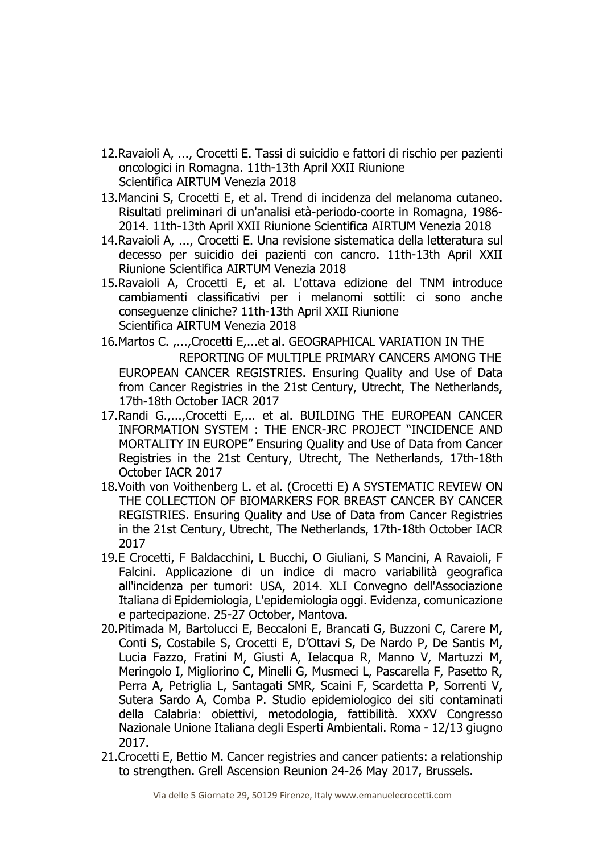- 12.Ravaioli A, ..., Crocetti E. Tassi di suicidio e fattori di rischio per pazienti oncologici in Romagna. 11th-13th April XXII Riunione Scientifica AIRTUM Venezia 2018
- 13.Mancini S, Crocetti E, et al. Trend di incidenza del melanoma cutaneo. Risultati preliminari di un'analisi età-periodo-coorte in Romagna, 1986- 2014. 11th-13th April XXII Riunione Scientifica AIRTUM Venezia 2018
- 14.Ravaioli A, ..., Crocetti E. Una revisione sistematica della letteratura sul decesso per suicidio dei pazienti con cancro. 11th-13th April XXII Riunione Scientifica AIRTUM Venezia 2018
- 15.Ravaioli A, Crocetti E, et al. L'ottava edizione del TNM introduce cambiamenti classificativi per i melanomi sottili: ci sono anche conseguenze cliniche? 11th-13th April XXII Riunione Scientifica AIRTUM Venezia 2018
- 16.Martos C. ,...,Crocetti E,...et al. GEOGRAPHICAL VARIATION IN THE REPORTING OF MULTIPLE PRIMARY CANCERS AMONG THE EUROPEAN CANCER REGISTRIES. Ensuring Quality and Use of Data from Cancer Registries in the 21st Century, Utrecht, The Netherlands, 17th-18th October IACR 2017
- 17.Randi G.,...,Crocetti E,... et al. BUILDING THE EUROPEAN CANCER INFORMATION SYSTEM : THE ENCR-JRC PROJECT "INCIDENCE AND MORTALITY IN EUROPE" Ensuring Quality and Use of Data from Cancer Registries in the 21st Century, Utrecht, The Netherlands, 17th-18th October IACR 2017
- 18.Voith von Voithenberg L. et al. (Crocetti E) A SYSTEMATIC REVIEW ON THE COLLECTION OF BIOMARKERS FOR BREAST CANCER BY CANCER REGISTRIES. Ensuring Quality and Use of Data from Cancer Registries in the 21st Century, Utrecht, The Netherlands, 17th-18th October IACR 2017
- 19.E Crocetti, F Baldacchini, L Bucchi, O Giuliani, S Mancini, A Ravaioli, F Falcini. Applicazione di un indice di macro variabilità geografica all'incidenza per tumori: USA, 2014. XLI Convegno dell'Associazione Italiana di Epidemiologia, L'epidemiologia oggi. Evidenza, comunicazione e partecipazione. 25-27 October, Mantova.
- 20.Pitimada M, Bartolucci E, Beccaloni E, Brancati G, Buzzoni C, Carere M, Conti S, Costabile S, Crocetti E, D'Ottavi S, De Nardo P, De Santis M, Lucia Fazzo, Fratini M, Giusti A, Ielacqua R, Manno V, Martuzzi M, Meringolo I, Migliorino C, Minelli G, Musmeci L, Pascarella F, Pasetto R, Perra A, Petriglia L, Santagati SMR, Scaini F, Scardetta P, Sorrenti V, Sutera Sardo A, Comba P. Studio epidemiologico dei siti contaminati della Calabria: obiettivi, metodologia, fattibilità. XXXV Congresso Nazionale Unione Italiana degli Esperti Ambientali. Roma - 12/13 giugno 2017.
- 21.Crocetti E, Bettio M. Cancer registries and cancer patients: a relationship to strengthen. Grell Ascension Reunion 24-26 May 2017, Brussels.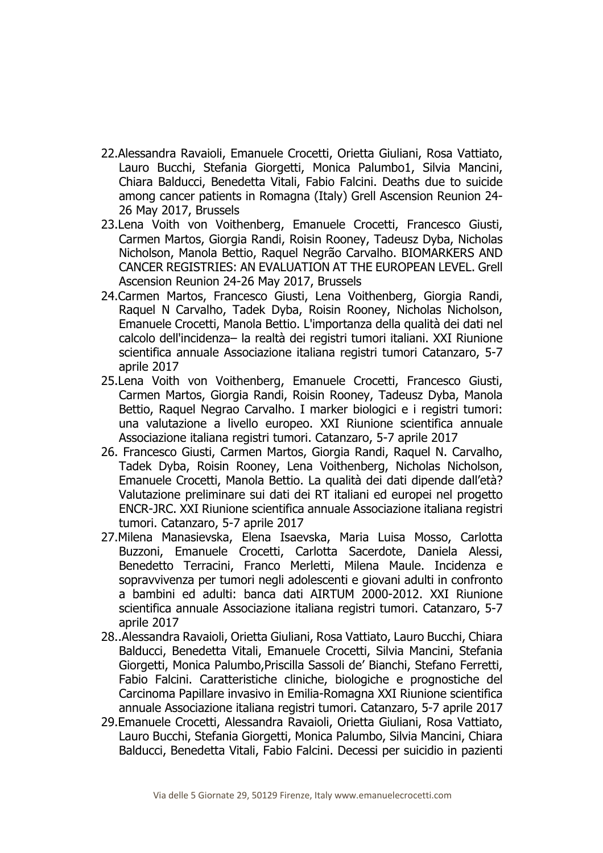- 22.Alessandra Ravaioli, Emanuele Crocetti, Orietta Giuliani, Rosa Vattiato, Lauro Bucchi, Stefania Giorgetti, Monica Palumbo1, Silvia Mancini, Chiara Balducci, Benedetta Vitali, Fabio Falcini. Deaths due to suicide among cancer patients in Romagna (Italy) Grell Ascension Reunion 24- 26 May 2017, Brussels
- 23.Lena Voith von Voithenberg, Emanuele Crocetti, Francesco Giusti, Carmen Martos, Giorgia Randi, Roisin Rooney, Tadeusz Dyba, Nicholas Nicholson, Manola Bettio, Raquel Negrão Carvalho. BIOMARKERS AND CANCER REGISTRIES: AN EVALUATION AT THE EUROPEAN LEVEL. Grell Ascension Reunion 24-26 May 2017, Brussels
- 24.Carmen Martos, Francesco Giusti, Lena Voithenberg, Giorgia Randi, Raquel N Carvalho, Tadek Dyba, Roisin Rooney, Nicholas Nicholson, Emanuele Crocetti, Manola Bettio. L'importanza della qualità dei dati nel calcolo dell'incidenza– la realtà dei registri tumori italiani. XXI Riunione scientifica annuale Associazione italiana registri tumori Catanzaro, 5-7 aprile 2017
- 25.Lena Voith von Voithenberg, Emanuele Crocetti, Francesco Giusti, Carmen Martos, Giorgia Randi, Roisin Rooney, Tadeusz Dyba, Manola Bettio, Raquel Negrao Carvalho. I marker biologici e i registri tumori: una valutazione a livello europeo. XXI Riunione scientifica annuale Associazione italiana registri tumori. Catanzaro, 5-7 aprile 2017
- 26. Francesco Giusti, Carmen Martos, Giorgia Randi, Raquel N. Carvalho, Tadek Dyba, Roisin Rooney, Lena Voithenberg, Nicholas Nicholson, Emanuele Crocetti, Manola Bettio. La qualità dei dati dipende dall'età? Valutazione preliminare sui dati dei RT italiani ed europei nel progetto ENCR-JRC. XXI Riunione scientifica annuale Associazione italiana registri tumori. Catanzaro, 5-7 aprile 2017
- 27.Milena Manasievska, Elena Isaevska, Maria Luisa Mosso, Carlotta Buzzoni, Emanuele Crocetti, Carlotta Sacerdote, Daniela Alessi, Benedetto Terracini, Franco Merletti, Milena Maule. Incidenza e sopravvivenza per tumori negli adolescenti e giovani adulti in confronto a bambini ed adulti: banca dati AIRTUM 2000-2012. XXI Riunione scientifica annuale Associazione italiana registri tumori. Catanzaro, 5-7 aprile 2017
- 28..Alessandra Ravaioli, Orietta Giuliani, Rosa Vattiato, Lauro Bucchi, Chiara Balducci, Benedetta Vitali, Emanuele Crocetti, Silvia Mancini, Stefania Giorgetti, Monica Palumbo,Priscilla Sassoli de' Bianchi, Stefano Ferretti, Fabio Falcini. Caratteristiche cliniche, biologiche e prognostiche del Carcinoma Papillare invasivo in Emilia-Romagna XXI Riunione scientifica annuale Associazione italiana registri tumori. Catanzaro, 5-7 aprile 2017
- 29.Emanuele Crocetti, Alessandra Ravaioli, Orietta Giuliani, Rosa Vattiato, Lauro Bucchi, Stefania Giorgetti, Monica Palumbo, Silvia Mancini, Chiara Balducci, Benedetta Vitali, Fabio Falcini. Decessi per suicidio in pazienti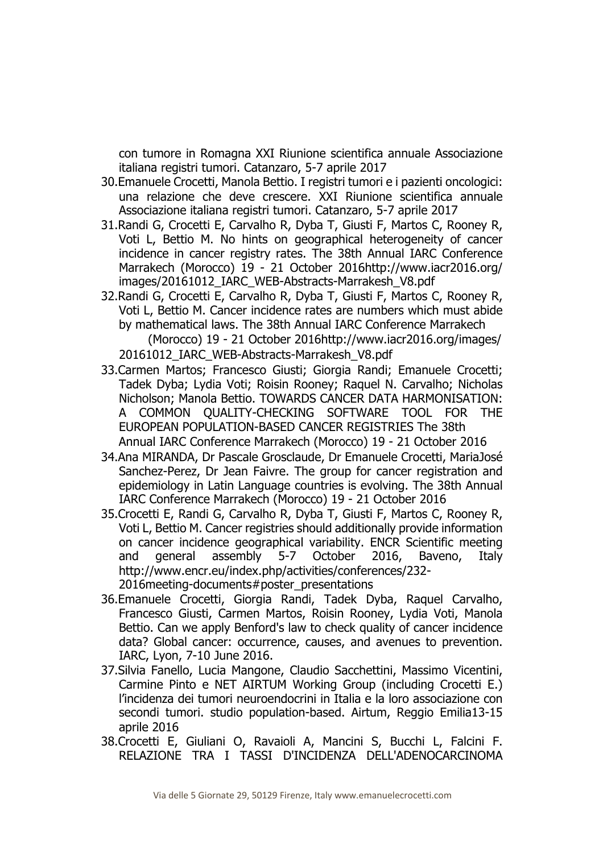con tumore in Romagna XXI Riunione scientifica annuale Associazione italiana registri tumori. Catanzaro, 5-7 aprile 2017

- 30.Emanuele Crocetti, Manola Bettio. I registri tumori e i pazienti oncologici: una relazione che deve crescere. XXI Riunione scientifica annuale Associazione italiana registri tumori. Catanzaro, 5-7 aprile 2017
- 31.Randi G, Crocetti E, Carvalho R, Dyba T, Giusti F, Martos C, Rooney R, Voti L, Bettio M. No hints on geographical heterogeneity of cancer incidence in cancer registry rates. The 38th Annual IARC Conference Marrakech (Morocco) 19 - 21 October 2016http://www.iacr2016.org/ images/20161012\_IARC\_WEB-Abstracts-Marrakesh\_V8.pdf
- 32.Randi G, Crocetti E, Carvalho R, Dyba T, Giusti F, Martos C, Rooney R, Voti L, Bettio M. Cancer incidence rates are numbers which must abide by mathematical laws. The 38th Annual IARC Conference Marrakech (Morocco) 19 - 21 October 2016http://www.iacr2016.org/images/

20161012\_IARC\_WEB-Abstracts-Marrakesh\_V8.pdf

- 33.Carmen Martos; Francesco Giusti; Giorgia Randi; Emanuele Crocetti; Tadek Dyba; Lydia Voti; Roisin Rooney; Raquel N. Carvalho; Nicholas Nicholson; Manola Bettio. TOWARDS CANCER DATA HARMONISATION: A COMMON QUALITY-CHECKING SOFTWARE TOOL FOR THE EUROPEAN POPULATION-BASED CANCER REGISTRIES The 38th Annual IARC Conference Marrakech (Morocco) 19 - 21 October 2016
- 34.Ana MIRANDA, Dr Pascale Grosclaude, Dr Emanuele Crocetti, MariaJosé Sanchez-Perez, Dr Jean Faivre. The group for cancer registration and epidemiology in Latin Language countries is evolving. The 38th Annual IARC Conference Marrakech (Morocco) 19 - 21 October 2016
- 35.Crocetti E, Randi G, Carvalho R, Dyba T, Giusti F, Martos C, Rooney R, Voti L, Bettio M. Cancer registries should additionally provide information on cancer incidence geographical variability. ENCR Scientific meeting and general assembly 5-7 October 2016, Baveno, Italy http://www.encr.eu/index.php/activities/conferences/232- 2016meeting-documents#poster\_presentations
- 36.Emanuele Crocetti, Giorgia Randi, Tadek Dyba, Raquel Carvalho, Francesco Giusti, Carmen Martos, Roisin Rooney, Lydia Voti, Manola Bettio. Can we apply Benford's law to check quality of cancer incidence data? Global cancer: occurrence, causes, and avenues to prevention. IARC, Lyon, 7-10 June 2016.
- 37.Silvia Fanello, Lucia Mangone, Claudio Sacchettini, Massimo Vicentini, Carmine Pinto e NET AIRTUM Working Group (including Crocetti E.) l'incidenza dei tumori neuroendocrini in Italia e la loro associazione con secondi tumori. studio population-based. Airtum, Reggio Emilia13-15 aprile 2016
- 38.Crocetti E, Giuliani O, Ravaioli A, Mancini S, Bucchi L, Falcini F. RELAZIONE TRA I TASSI D'INCIDENZA DELL'ADENOCARCINOMA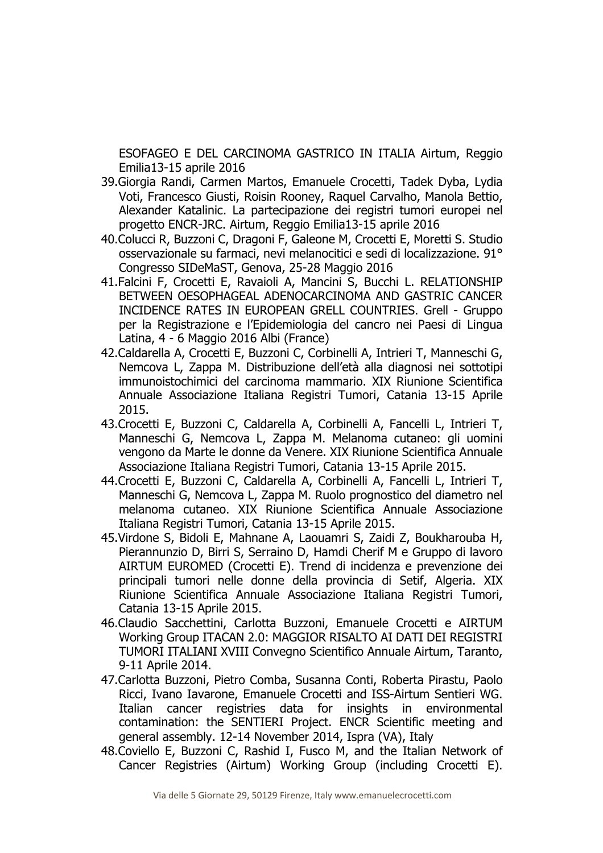ESOFAGEO E DEL CARCINOMA GASTRICO IN ITALIA Airtum, Reggio Emilia13-15 aprile 2016

- 39.Giorgia Randi, Carmen Martos, Emanuele Crocetti, Tadek Dyba, Lydia Voti, Francesco Giusti, Roisin Rooney, Raquel Carvalho, Manola Bettio, Alexander Katalinic. La partecipazione dei registri tumori europei nel progetto ENCR-JRC. Airtum, Reggio Emilia13-15 aprile 2016
- 40.Colucci R, Buzzoni C, Dragoni F, Galeone M, Crocetti E, Moretti S. Studio osservazionale su farmaci, nevi melanocitici e sedi di localizzazione. 91° Congresso SIDeMaST, Genova, 25-28 Maggio 2016
- 41.Falcini F, Crocetti E, Ravaioli A, Mancini S, Bucchi L. RELATIONSHIP BETWEEN OESOPHAGEAL ADENOCARCINOMA AND GASTRIC CANCER INCIDENCE RATES IN EUROPEAN GRELL COUNTRIES. Grell - Gruppo per la Registrazione e l'Epidemiologia del cancro nei Paesi di Lingua Latina, 4 - 6 Maggio 2016 Albi (France)
- 42.Caldarella A, Crocetti E, Buzzoni C, Corbinelli A, Intrieri T, Manneschi G, Nemcova L, Zappa M. Distribuzione dell'età alla diagnosi nei sottotipi immunoistochimici del carcinoma mammario. XIX Riunione Scientifica Annuale Associazione Italiana Registri Tumori, Catania 13-15 Aprile 2015.
- 43.Crocetti E, Buzzoni C, Caldarella A, Corbinelli A, Fancelli L, Intrieri T, Manneschi G, Nemcova L, Zappa M. Melanoma cutaneo: gli uomini vengono da Marte le donne da Venere. XIX Riunione Scientifica Annuale Associazione Italiana Registri Tumori, Catania 13-15 Aprile 2015.
- 44.Crocetti E, Buzzoni C, Caldarella A, Corbinelli A, Fancelli L, Intrieri T, Manneschi G, Nemcova L, Zappa M. Ruolo prognostico del diametro nel melanoma cutaneo. XIX Riunione Scientifica Annuale Associazione Italiana Registri Tumori, Catania 13-15 Aprile 2015.
- 45.Virdone S, Bidoli E, Mahnane A, Laouamri S, Zaidi Z, Boukharouba H, Pierannunzio D, Birri S, Serraino D, Hamdi Cherif M e Gruppo di lavoro AIRTUM EUROMED (Crocetti E). Trend di incidenza e prevenzione dei principali tumori nelle donne della provincia di Setif, Algeria. XIX Riunione Scientifica Annuale Associazione Italiana Registri Tumori, Catania 13-15 Aprile 2015.
- 46.Claudio Sacchettini, Carlotta Buzzoni, Emanuele Crocetti e AIRTUM Working Group ITACAN 2.0: MAGGIOR RISALTO AI DATI DEI REGISTRI TUMORI ITALIANI XVIII Convegno Scientifico Annuale Airtum, Taranto, 9-11 Aprile 2014.
- 47.Carlotta Buzzoni, Pietro Comba, Susanna Conti, Roberta Pirastu, Paolo Ricci, Ivano Iavarone, Emanuele Crocetti and ISS-Airtum Sentieri WG. Italian cancer registries data for insights in environmental contamination: the SENTIERI Project. ENCR Scientific meeting and general assembly. 12-14 November 2014, Ispra (VA), Italy
- 48.Coviello E, Buzzoni C, Rashid I, Fusco M, and the Italian Network of Cancer Registries (Airtum) Working Group (including Crocetti E).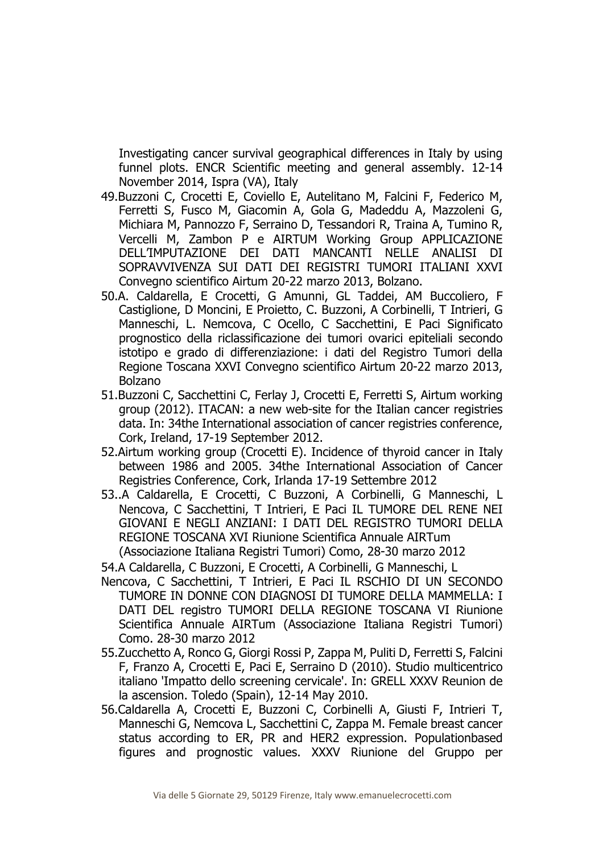Investigating cancer survival geographical differences in Italy by using funnel plots. ENCR Scientific meeting and general assembly. 12-14 November 2014, Ispra (VA), Italy

- 49.Buzzoni C, Crocetti E, Coviello E, Autelitano M, Falcini F, Federico M, Ferretti S, Fusco M, Giacomin A, Gola G, Madeddu A, Mazzoleni G, Michiara M, Pannozzo F, Serraino D, Tessandori R, Traina A, Tumino R, Vercelli M, Zambon P e AIRTUM Working Group APPLICAZIONE DELL'IMPUTAZIONE DEI DATI MANCANTI NELLE ANALISI DI SOPRAVVIVENZA SUI DATI DEI REGISTRI TUMORI ITALIANI XXVI Convegno scientifico Airtum 20-22 marzo 2013, Bolzano.
- 50.A. Caldarella, E Crocetti, G Amunni, GL Taddei, AM Buccoliero, F Castiglione, D Moncini, E Proietto, C. Buzzoni, A Corbinelli, T Intrieri, G Manneschi, L. Nemcova, C Ocello, C Sacchettini, E Paci Significato prognostico della riclassificazione dei tumori ovarici epiteliali secondo istotipo e grado di differenziazione: i dati del Registro Tumori della Regione Toscana XXVI Convegno scientifico Airtum 20-22 marzo 2013, Bolzano
- 51.Buzzoni C, Sacchettini C, Ferlay J, Crocetti E, Ferretti S, Airtum working group (2012). ITACAN: a new web-site for the Italian cancer registries data. In: 34the International association of cancer registries conference, Cork, Ireland, 17-19 September 2012.
- 52.Airtum working group (Crocetti E). Incidence of thyroid cancer in Italy between 1986 and 2005. 34the International Association of Cancer Registries Conference, Cork, Irlanda 17-19 Settembre 2012
- 53..A Caldarella, E Crocetti, C Buzzoni, A Corbinelli, G Manneschi, L Nencova, C Sacchettini, T Intrieri, E Paci IL TUMORE DEL RENE NEI GIOVANI E NEGLI ANZIANI: I DATI DEL REGISTRO TUMORI DELLA REGIONE TOSCANA XVI Riunione Scientifica Annuale AIRTum (Associazione Italiana Registri Tumori) Como, 28-30 marzo 2012

54.A Caldarella, C Buzzoni, E Crocetti, A Corbinelli, G Manneschi, L

- Nencova, C Sacchettini, T Intrieri, E Paci IL RSCHIO DI UN SECONDO TUMORE IN DONNE CON DIAGNOSI DI TUMORE DELLA MAMMELLA: I DATI DEL registro TUMORI DELLA REGIONE TOSCANA VI Riunione Scientifica Annuale AIRTum (Associazione Italiana Registri Tumori) Como. 28-30 marzo 2012
- 55.Zucchetto A, Ronco G, Giorgi Rossi P, Zappa M, Puliti D, Ferretti S, Falcini F, Franzo A, Crocetti E, Paci E, Serraino D (2010). Studio multicentrico italiano 'Impatto dello screening cervicale'. In: GRELL XXXV Reunion de la ascension. Toledo (Spain), 12-14 May 2010.
- 56.Caldarella A, Crocetti E, Buzzoni C, Corbinelli A, Giusti F, Intrieri T, Manneschi G, Nemcova L, Sacchettini C, Zappa M. Female breast cancer status according to ER, PR and HER2 expression. Populationbased figures and prognostic values. XXXV Riunione del Gruppo per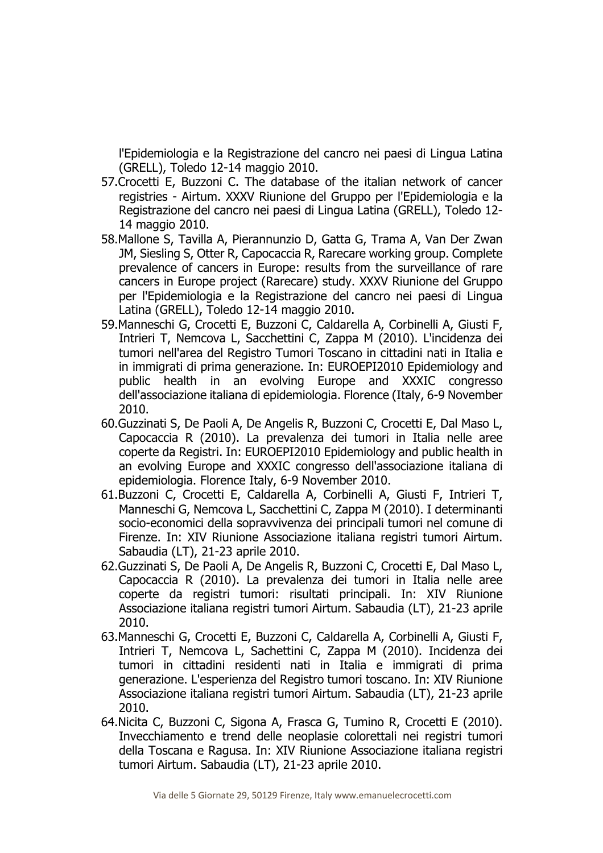l'Epidemiologia e la Registrazione del cancro nei paesi di Lingua Latina (GRELL), Toledo 12-14 maggio 2010.

- 57.Crocetti E, Buzzoni C. The database of the italian network of cancer registries - Airtum. XXXV Riunione del Gruppo per l'Epidemiologia e la Registrazione del cancro nei paesi di Lingua Latina (GRELL), Toledo 12- 14 maggio 2010.
- 58.Mallone S, Tavilla A, Pierannunzio D, Gatta G, Trama A, Van Der Zwan JM, Siesling S, Otter R, Capocaccia R, Rarecare working group. Complete prevalence of cancers in Europe: results from the surveillance of rare cancers in Europe project (Rarecare) study. XXXV Riunione del Gruppo per l'Epidemiologia e la Registrazione del cancro nei paesi di Lingua Latina (GRELL), Toledo 12-14 maggio 2010.
- 59.Manneschi G, Crocetti E, Buzzoni C, Caldarella A, Corbinelli A, Giusti F, Intrieri T, Nemcova L, Sacchettini C, Zappa M (2010). L'incidenza dei tumori nell'area del Registro Tumori Toscano in cittadini nati in Italia e in immigrati di prima generazione. In: EUROEPI2010 Epidemiology and public health in an evolving Europe and XXXIC congresso dell'associazione italiana di epidemiologia. Florence (Italy, 6-9 November 2010.
- 60.Guzzinati S, De Paoli A, De Angelis R, Buzzoni C, Crocetti E, Dal Maso L, Capocaccia R (2010). La prevalenza dei tumori in Italia nelle aree coperte da Registri. In: EUROEPI2010 Epidemiology and public health in an evolving Europe and XXXIC congresso dell'associazione italiana di epidemiologia. Florence Italy, 6-9 November 2010.
- 61.Buzzoni C, Crocetti E, Caldarella A, Corbinelli A, Giusti F, Intrieri T, Manneschi G, Nemcova L, Sacchettini C, Zappa M (2010). I determinanti socio-economici della sopravvivenza dei principali tumori nel comune di Firenze. In: XIV Riunione Associazione italiana registri tumori Airtum. Sabaudia (LT), 21-23 aprile 2010.
- 62.Guzzinati S, De Paoli A, De Angelis R, Buzzoni C, Crocetti E, Dal Maso L, Capocaccia R (2010). La prevalenza dei tumori in Italia nelle aree coperte da registri tumori: risultati principali. In: XIV Riunione Associazione italiana registri tumori Airtum. Sabaudia (LT), 21-23 aprile 2010.
- 63.Manneschi G, Crocetti E, Buzzoni C, Caldarella A, Corbinelli A, Giusti F, Intrieri T, Nemcova L, Sachettini C, Zappa M (2010). Incidenza dei tumori in cittadini residenti nati in Italia e immigrati di prima generazione. L'esperienza del Registro tumori toscano. In: XIV Riunione Associazione italiana registri tumori Airtum. Sabaudia (LT), 21-23 aprile 2010.
- 64.Nicita C, Buzzoni C, Sigona A, Frasca G, Tumino R, Crocetti E (2010). Invecchiamento e trend delle neoplasie colorettali nei registri tumori della Toscana e Ragusa. In: XIV Riunione Associazione italiana registri tumori Airtum. Sabaudia (LT), 21-23 aprile 2010.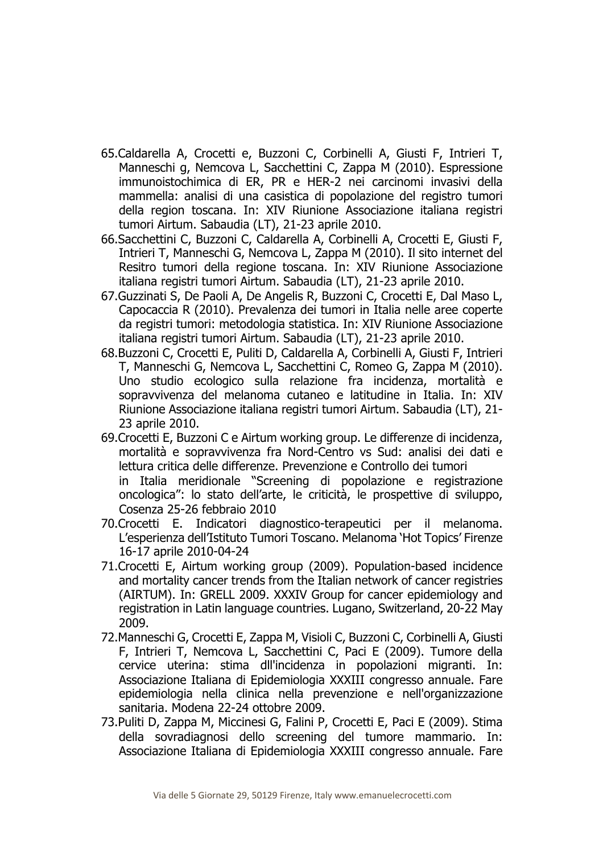- 65.Caldarella A, Crocetti e, Buzzoni C, Corbinelli A, Giusti F, Intrieri T, Manneschi g, Nemcova L, Sacchettini C, Zappa M (2010). Espressione immunoistochimica di ER, PR e HER-2 nei carcinomi invasivi della mammella: analisi di una casistica di popolazione del registro tumori della region toscana. In: XIV Riunione Associazione italiana registri tumori Airtum. Sabaudia (LT), 21-23 aprile 2010.
- 66.Sacchettini C, Buzzoni C, Caldarella A, Corbinelli A, Crocetti E, Giusti F, Intrieri T, Manneschi G, Nemcova L, Zappa M (2010). Il sito internet del Resitro tumori della regione toscana. In: XIV Riunione Associazione italiana registri tumori Airtum. Sabaudia (LT), 21-23 aprile 2010.
- 67.Guzzinati S, De Paoli A, De Angelis R, Buzzoni C, Crocetti E, Dal Maso L, Capocaccia R (2010). Prevalenza dei tumori in Italia nelle aree coperte da registri tumori: metodologia statistica. In: XIV Riunione Associazione italiana registri tumori Airtum. Sabaudia (LT), 21-23 aprile 2010.
- 68.Buzzoni C, Crocetti E, Puliti D, Caldarella A, Corbinelli A, Giusti F, Intrieri T, Manneschi G, Nemcova L, Sacchettini C, Romeo G, Zappa M (2010). Uno studio ecologico sulla relazione fra incidenza, mortalità e sopravvivenza del melanoma cutaneo e latitudine in Italia. In: XIV Riunione Associazione italiana registri tumori Airtum. Sabaudia (LT), 21- 23 aprile 2010.
- 69.Crocetti E, Buzzoni C e Airtum working group. Le differenze di incidenza, mortalità e sopravvivenza fra Nord-Centro vs Sud: analisi dei dati e lettura critica delle differenze. Prevenzione e Controllo dei tumori in Italia meridionale "Screening di popolazione e registrazione oncologica": lo stato dell'arte, le criticità, le prospettive di sviluppo, Cosenza 25-26 febbraio 2010
- 70.Crocetti E. Indicatori diagnostico-terapeutici per il melanoma. L'esperienza dell'Istituto Tumori Toscano. Melanoma 'Hot Topics' Firenze 16-17 aprile 2010-04-24
- 71.Crocetti E, Airtum working group (2009). Population-based incidence and mortality cancer trends from the Italian network of cancer registries (AIRTUM). In: GRELL 2009. XXXIV Group for cancer epidemiology and registration in Latin language countries. Lugano, Switzerland, 20-22 May 2009.
- 72.Manneschi G, Crocetti E, Zappa M, Visioli C, Buzzoni C, Corbinelli A, Giusti F, Intrieri T, Nemcova L, Sacchettini C, Paci E (2009). Tumore della cervice uterina: stima dll'incidenza in popolazioni migranti. In: Associazione Italiana di Epidemiologia XXXIII congresso annuale. Fare epidemiologia nella clinica nella prevenzione e nell'organizzazione sanitaria. Modena 22-24 ottobre 2009.
- 73.Puliti D, Zappa M, Miccinesi G, Falini P, Crocetti E, Paci E (2009). Stima della sovradiagnosi dello screening del tumore mammario. In: Associazione Italiana di Epidemiologia XXXIII congresso annuale. Fare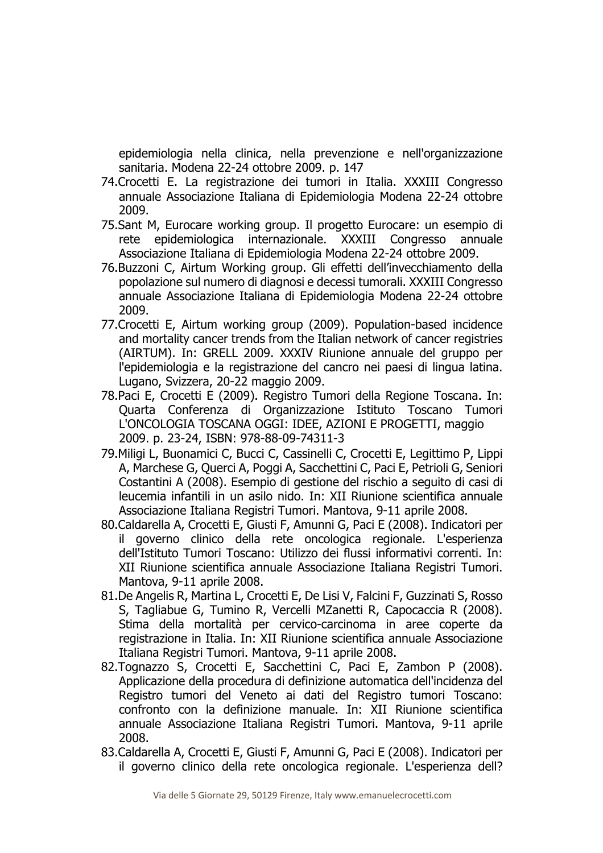epidemiologia nella clinica, nella prevenzione e nell'organizzazione sanitaria. Modena 22-24 ottobre 2009. p. 147

- 74.Crocetti E. La registrazione dei tumori in Italia. XXXIII Congresso annuale Associazione Italiana di Epidemiologia Modena 22-24 ottobre 2009.
- 75.Sant M, Eurocare working group. Il progetto Eurocare: un esempio di rete epidemiologica internazionale. XXXIII Congresso annuale Associazione Italiana di Epidemiologia Modena 22-24 ottobre 2009.
- 76.Buzzoni C, Airtum Working group. Gli effetti dell'invecchiamento della popolazione sul numero di diagnosi e decessi tumorali. XXXIII Congresso annuale Associazione Italiana di Epidemiologia Modena 22-24 ottobre 2009.
- 77.Crocetti E, Airtum working group (2009). Population-based incidence and mortality cancer trends from the Italian network of cancer registries (AIRTUM). In: GRELL 2009. XXXIV Riunione annuale del gruppo per l'epidemiologia e la registrazione del cancro nei paesi di lingua latina. Lugano, Svizzera, 20-22 maggio 2009.
- 78.Paci E, Crocetti E (2009). Registro Tumori della Regione Toscana. In: Quarta Conferenza di Organizzazione Istituto Toscano Tumori L'ONCOLOGIA TOSCANA OGGI: IDEE, AZIONI E PROGETTI, maggio 2009. p. 23-24, ISBN: 978-88-09-74311-3
- 79.Miligi L, Buonamici C, Bucci C, Cassinelli C, Crocetti E, Legittimo P, Lippi A, Marchese G, Querci A, Poggi A, Sacchettini C, Paci E, Petrioli G, Seniori Costantini A (2008). Esempio di gestione del rischio a seguito di casi di leucemia infantili in un asilo nido. In: XII Riunione scientifica annuale Associazione Italiana Registri Tumori. Mantova, 9-11 aprile 2008.
- 80.Caldarella A, Crocetti E, Giusti F, Amunni G, Paci E (2008). Indicatori per il governo clinico della rete oncologica regionale. L'esperienza dell'Istituto Tumori Toscano: Utilizzo dei flussi informativi correnti. In: XII Riunione scientifica annuale Associazione Italiana Registri Tumori. Mantova, 9-11 aprile 2008.
- 81.De Angelis R, Martina L, Crocetti E, De Lisi V, Falcini F, Guzzinati S, Rosso S, Tagliabue G, Tumino R, Vercelli MZanetti R, Capocaccia R (2008). Stima della mortalità per cervico-carcinoma in aree coperte da registrazione in Italia. In: XII Riunione scientifica annuale Associazione Italiana Registri Tumori. Mantova, 9-11 aprile 2008.
- 82.Tognazzo S, Crocetti E, Sacchettini C, Paci E, Zambon P (2008). Applicazione della procedura di definizione automatica dell'incidenza del Registro tumori del Veneto ai dati del Registro tumori Toscano: confronto con la definizione manuale. In: XII Riunione scientifica annuale Associazione Italiana Registri Tumori. Mantova, 9-11 aprile 2008.
- 83.Caldarella A, Crocetti E, Giusti F, Amunni G, Paci E (2008). Indicatori per il governo clinico della rete oncologica regionale. L'esperienza dell?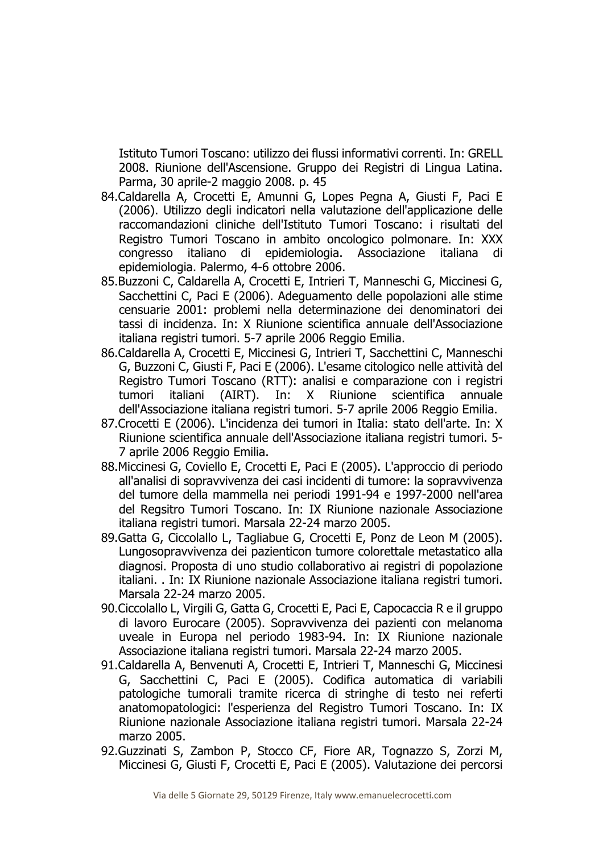Istituto Tumori Toscano: utilizzo dei flussi informativi correnti. In: GRELL 2008. Riunione dell'Ascensione. Gruppo dei Registri di Lingua Latina. Parma, 30 aprile-2 maggio 2008. p. 45

- 84.Caldarella A, Crocetti E, Amunni G, Lopes Pegna A, Giusti F, Paci E (2006). Utilizzo degli indicatori nella valutazione dell'applicazione delle raccomandazioni cliniche dell'Istituto Tumori Toscano: i risultati del Registro Tumori Toscano in ambito oncologico polmonare. In: XXX congresso italiano di epidemiologia. Associazione italiana di epidemiologia. Palermo, 4-6 ottobre 2006.
- 85.Buzzoni C, Caldarella A, Crocetti E, Intrieri T, Manneschi G, Miccinesi G, Sacchettini C, Paci E (2006). Adeguamento delle popolazioni alle stime censuarie 2001: problemi nella determinazione dei denominatori dei tassi di incidenza. In: X Riunione scientifica annuale dell'Associazione italiana registri tumori. 5-7 aprile 2006 Reggio Emilia.
- 86.Caldarella A, Crocetti E, Miccinesi G, Intrieri T, Sacchettini C, Manneschi G, Buzzoni C, Giusti F, Paci E (2006). L'esame citologico nelle attività del Registro Tumori Toscano (RTT): analisi e comparazione con i registri tumori italiani (AIRT). In: X Riunione scientifica annuale dell'Associazione italiana registri tumori. 5-7 aprile 2006 Reggio Emilia.
- 87.Crocetti E (2006). L'incidenza dei tumori in Italia: stato dell'arte. In: X Riunione scientifica annuale dell'Associazione italiana registri tumori. 5- 7 aprile 2006 Reggio Emilia.
- 88.Miccinesi G, Coviello E, Crocetti E, Paci E (2005). L'approccio di periodo all'analisi di sopravvivenza dei casi incidenti di tumore: la sopravvivenza del tumore della mammella nei periodi 1991-94 e 1997-2000 nell'area del Regsitro Tumori Toscano. In: IX Riunione nazionale Associazione italiana registri tumori. Marsala 22-24 marzo 2005.
- 89.Gatta G, Ciccolallo L, Tagliabue G, Crocetti E, Ponz de Leon M (2005). Lungosopravvivenza dei pazienticon tumore colorettale metastatico alla diagnosi. Proposta di uno studio collaborativo ai registri di popolazione italiani. . In: IX Riunione nazionale Associazione italiana registri tumori. Marsala 22-24 marzo 2005.
- 90.Ciccolallo L, Virgili G, Gatta G, Crocetti E, Paci E, Capocaccia R e il gruppo di lavoro Eurocare (2005). Sopravvivenza dei pazienti con melanoma uveale in Europa nel periodo 1983-94. In: IX Riunione nazionale Associazione italiana registri tumori. Marsala 22-24 marzo 2005.
- 91.Caldarella A, Benvenuti A, Crocetti E, Intrieri T, Manneschi G, Miccinesi G, Sacchettini C, Paci E (2005). Codifica automatica di variabili patologiche tumorali tramite ricerca di stringhe di testo nei referti anatomopatologici: l'esperienza del Registro Tumori Toscano. In: IX Riunione nazionale Associazione italiana registri tumori. Marsala 22-24 marzo 2005.
- 92.Guzzinati S, Zambon P, Stocco CF, Fiore AR, Tognazzo S, Zorzi M, Miccinesi G, Giusti F, Crocetti E, Paci E (2005). Valutazione dei percorsi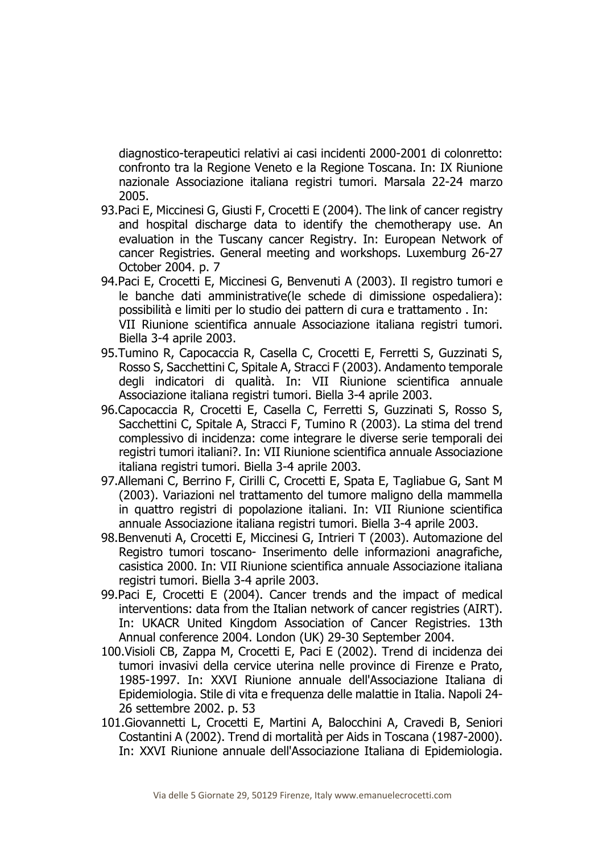diagnostico-terapeutici relativi ai casi incidenti 2000-2001 di colonretto: confronto tra la Regione Veneto e la Regione Toscana. In: IX Riunione nazionale Associazione italiana registri tumori. Marsala 22-24 marzo 2005.

- 93.Paci E, Miccinesi G, Giusti F, Crocetti E (2004). The link of cancer registry and hospital discharge data to identify the chemotherapy use. An evaluation in the Tuscany cancer Registry. In: European Network of cancer Registries. General meeting and workshops. Luxemburg 26-27 October 2004. p. 7
- 94.Paci E, Crocetti E, Miccinesi G, Benvenuti A (2003). Il registro tumori e le banche dati amministrative(le schede di dimissione ospedaliera): possibilità e limiti per lo studio dei pattern di cura e trattamento . In: VII Riunione scientifica annuale Associazione italiana registri tumori. Biella 3-4 aprile 2003.
- 95.Tumino R, Capocaccia R, Casella C, Crocetti E, Ferretti S, Guzzinati S, Rosso S, Sacchettini C, Spitale A, Stracci F (2003). Andamento temporale degli indicatori di qualità. In: VII Riunione scientifica annuale Associazione italiana registri tumori. Biella 3-4 aprile 2003.
- 96.Capocaccia R, Crocetti E, Casella C, Ferretti S, Guzzinati S, Rosso S, Sacchettini C, Spitale A, Stracci F, Tumino R (2003). La stima del trend complessivo di incidenza: come integrare le diverse serie temporali dei registri tumori italiani?. In: VII Riunione scientifica annuale Associazione italiana registri tumori. Biella 3-4 aprile 2003.
- 97.Allemani C, Berrino F, Cirilli C, Crocetti E, Spata E, Tagliabue G, Sant M (2003). Variazioni nel trattamento del tumore maligno della mammella in quattro registri di popolazione italiani. In: VII Riunione scientifica annuale Associazione italiana registri tumori. Biella 3-4 aprile 2003.
- 98.Benvenuti A, Crocetti E, Miccinesi G, Intrieri T (2003). Automazione del Registro tumori toscano- Inserimento delle informazioni anagrafiche, casistica 2000. In: VII Riunione scientifica annuale Associazione italiana registri tumori. Biella 3-4 aprile 2003.
- 99.Paci E, Crocetti E (2004). Cancer trends and the impact of medical interventions: data from the Italian network of cancer registries (AIRT). In: UKACR United Kingdom Association of Cancer Registries. 13th Annual conference 2004. London (UK) 29-30 September 2004.
- 100.Visioli CB, Zappa M, Crocetti E, Paci E (2002). Trend di incidenza dei tumori invasivi della cervice uterina nelle province di Firenze e Prato, 1985-1997. In: XXVI Riunione annuale dell'Associazione Italiana di Epidemiologia. Stile di vita e frequenza delle malattie in Italia. Napoli 24- 26 settembre 2002. p. 53
- 101.Giovannetti L, Crocetti E, Martini A, Balocchini A, Cravedi B, Seniori Costantini A (2002). Trend di mortalità per Aids in Toscana (1987-2000). In: XXVI Riunione annuale dell'Associazione Italiana di Epidemiologia.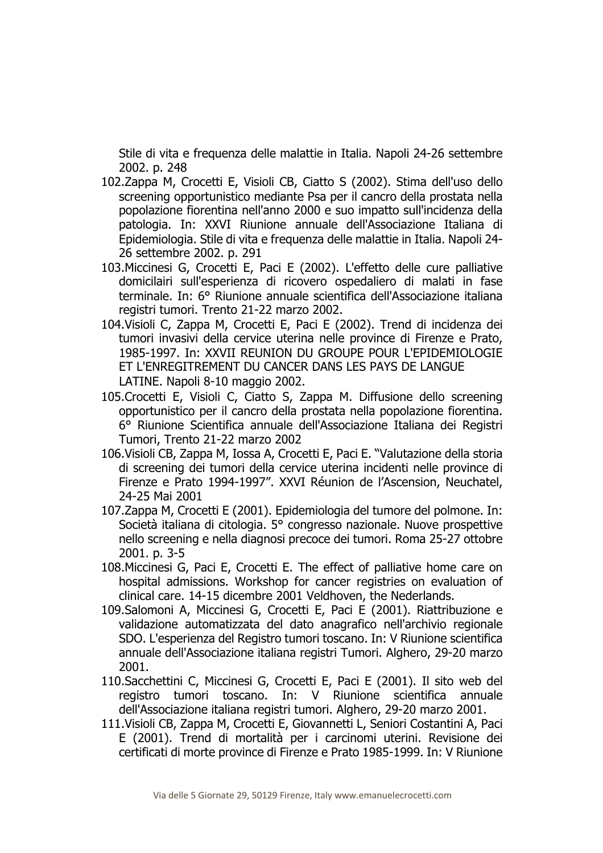Stile di vita e frequenza delle malattie in Italia. Napoli 24-26 settembre 2002. p. 248

- 102.Zappa M, Crocetti E, Visioli CB, Ciatto S (2002). Stima dell'uso dello screening opportunistico mediante Psa per il cancro della prostata nella popolazione fiorentina nell'anno 2000 e suo impatto sull'incidenza della patologia. In: XXVI Riunione annuale dell'Associazione Italiana di Epidemiologia. Stile di vita e frequenza delle malattie in Italia. Napoli 24- 26 settembre 2002. p. 291
- 103.Miccinesi G, Crocetti E, Paci E (2002). L'effetto delle cure palliative domicilairi sull'esperienza di ricovero ospedaliero di malati in fase terminale. In: 6° Riunione annuale scientifica dell'Associazione italiana registri tumori. Trento 21-22 marzo 2002.
- 104.Visioli C, Zappa M, Crocetti E, Paci E (2002). Trend di incidenza dei tumori invasivi della cervice uterina nelle province di Firenze e Prato, 1985-1997. In: XXVII REUNION DU GROUPE POUR L'EPIDEMIOLOGIE ET L'ENREGITREMENT DU CANCER DANS LES PAYS DE LANGUE LATINE. Napoli 8-10 maggio 2002.
- 105.Crocetti E, Visioli C, Ciatto S, Zappa M. Diffusione dello screening opportunistico per il cancro della prostata nella popolazione fiorentina. 6° Riunione Scientifica annuale dell'Associazione Italiana dei Registri Tumori, Trento 21-22 marzo 2002
- 106.Visioli CB, Zappa M, Iossa A, Crocetti E, Paci E. "Valutazione della storia di screening dei tumori della cervice uterina incidenti nelle province di Firenze e Prato 1994-1997". XXVI Réunion de l'Ascension, Neuchatel, 24-25 Mai 2001
- 107.Zappa M, Crocetti E (2001). Epidemiologia del tumore del polmone. In: Società italiana di citologia. 5° congresso nazionale. Nuove prospettive nello screening e nella diagnosi precoce dei tumori. Roma 25-27 ottobre 2001. p. 3-5
- 108.Miccinesi G, Paci E, Crocetti E. The effect of palliative home care on hospital admissions. Workshop for cancer registries on evaluation of clinical care. 14-15 dicembre 2001 Veldhoven, the Nederlands.
- 109.Salomoni A, Miccinesi G, Crocetti E, Paci E (2001). Riattribuzione e validazione automatizzata del dato anagrafico nell'archivio regionale SDO. L'esperienza del Registro tumori toscano. In: V Riunione scientifica annuale dell'Associazione italiana registri Tumori. Alghero, 29-20 marzo 2001.
- 110.Sacchettini C, Miccinesi G, Crocetti E, Paci E (2001). Il sito web del registro tumori toscano. In: V Riunione scientifica annuale dell'Associazione italiana registri tumori. Alghero, 29-20 marzo 2001.
- 111.Visioli CB, Zappa M, Crocetti E, Giovannetti L, Seniori Costantini A, Paci E (2001). Trend di mortalità per i carcinomi uterini. Revisione dei certificati di morte province di Firenze e Prato 1985-1999. In: V Riunione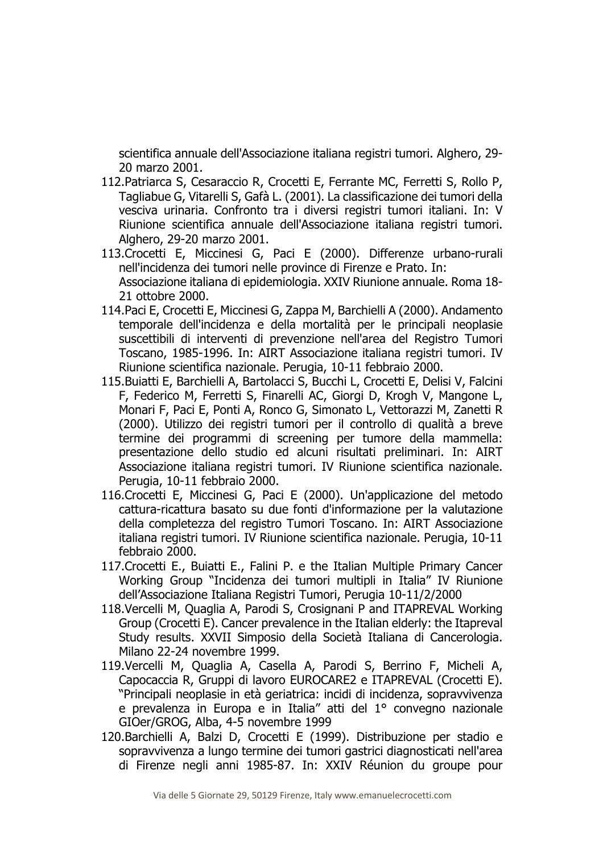scientifica annuale dell'Associazione italiana registri tumori. Alghero, 29- 20 marzo 2001.

- 112.Patriarca S, Cesaraccio R, Crocetti E, Ferrante MC, Ferretti S, Rollo P, Tagliabue G, Vitarelli S, Gafà L. (2001). La classificazione dei tumori della vesciva urinaria. Confronto tra i diversi registri tumori italiani. In: V Riunione scientifica annuale dell'Associazione italiana registri tumori. Alghero, 29-20 marzo 2001.
- 113.Crocetti E, Miccinesi G, Paci E (2000). Differenze urbano-rurali nell'incidenza dei tumori nelle province di Firenze e Prato. In: Associazione italiana di epidemiologia. XXIV Riunione annuale. Roma 18- 21 ottobre 2000.
- 114.Paci E, Crocetti E, Miccinesi G, Zappa M, Barchielli A (2000). Andamento temporale dell'incidenza e della mortalità per le principali neoplasie suscettibili di interventi di prevenzione nell'area del Registro Tumori Toscano, 1985-1996. In: AIRT Associazione italiana registri tumori. IV Riunione scientifica nazionale. Perugia, 10-11 febbraio 2000.
- 115.Buiatti E, Barchielli A, Bartolacci S, Bucchi L, Crocetti E, Delisi V, Falcini F, Federico M, Ferretti S, Finarelli AC, Giorgi D, Krogh V, Mangone L, Monari F, Paci E, Ponti A, Ronco G, Simonato L, Vettorazzi M, Zanetti R (2000). Utilizzo dei registri tumori per il controllo di qualità a breve termine dei programmi di screening per tumore della mammella: presentazione dello studio ed alcuni risultati preliminari. In: AIRT Associazione italiana registri tumori. IV Riunione scientifica nazionale. Perugia, 10-11 febbraio 2000.
- 116.Crocetti E, Miccinesi G, Paci E (2000). Un'applicazione del metodo cattura-ricattura basato su due fonti d'informazione per la valutazione della completezza del registro Tumori Toscano. In: AIRT Associazione italiana registri tumori. IV Riunione scientifica nazionale. Perugia, 10-11 febbraio 2000.
- 117.Crocetti E., Buiatti E., Falini P. e the Italian Multiple Primary Cancer Working Group "Incidenza dei tumori multipli in Italia" IV Riunione dell'Associazione Italiana Registri Tumori, Perugia 10-11/2/2000
- 118.Vercelli M, Quaglia A, Parodi S, Crosignani P and ITAPREVAL Working Group (Crocetti E). Cancer prevalence in the Italian elderly: the Itapreval Study results. XXVII Simposio della Società Italiana di Cancerologia. Milano 22-24 novembre 1999.
- 119.Vercelli M, Quaglia A, Casella A, Parodi S, Berrino F, Micheli A, Capocaccia R, Gruppi di lavoro EUROCARE2 e ITAPREVAL (Crocetti E). "Principali neoplasie in età geriatrica: incidi di incidenza, sopravvivenza e prevalenza in Europa e in Italia" atti del 1° convegno nazionale GIOer/GROG, Alba, 4-5 novembre 1999
- 120.Barchielli A, Balzi D, Crocetti E (1999). Distribuzione per stadio e sopravvivenza a lungo termine dei tumori gastrici diagnosticati nell'area di Firenze negli anni 1985-87. In: XXIV Réunion du groupe pour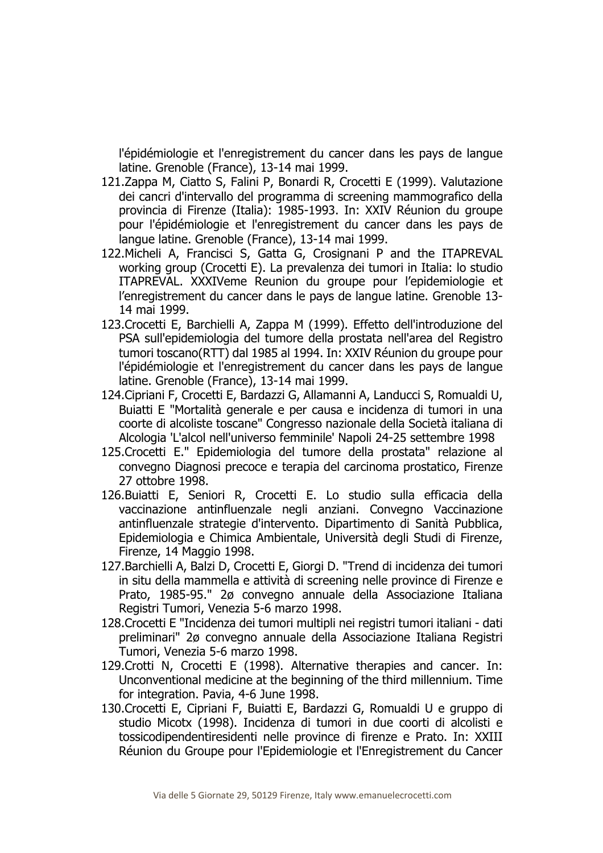l'épidémiologie et l'enregistrement du cancer dans les pays de langue latine. Grenoble (France), 13-14 mai 1999.

- 121.Zappa M, Ciatto S, Falini P, Bonardi R, Crocetti E (1999). Valutazione dei cancri d'intervallo del programma di screening mammografico della provincia di Firenze (Italia): 1985-1993. In: XXIV Réunion du groupe pour l'épidémiologie et l'enregistrement du cancer dans les pays de langue latine. Grenoble (France), 13-14 mai 1999.
- 122.Micheli A, Francisci S, Gatta G, Crosignani P and the ITAPREVAL working group (Crocetti E). La prevalenza dei tumori in Italia: lo studio ITAPREVAL. XXXIVeme Reunion du groupe pour l'epidemiologie et l'enregistrement du cancer dans le pays de langue latine. Grenoble 13- 14 mai 1999.
- 123.Crocetti E, Barchielli A, Zappa M (1999). Effetto dell'introduzione del PSA sull'epidemiologia del tumore della prostata nell'area del Registro tumori toscano(RTT) dal 1985 al 1994. In: XXIV Réunion du groupe pour l'épidémiologie et l'enregistrement du cancer dans les pays de langue latine. Grenoble (France), 13-14 mai 1999.
- 124.Cipriani F, Crocetti E, Bardazzi G, Allamanni A, Landucci S, Romualdi U, Buiatti E "Mortalità generale e per causa e incidenza di tumori in una coorte di alcoliste toscane" Congresso nazionale della Società italiana di Alcologia 'L'alcol nell'universo femminile' Napoli 24-25 settembre 1998
- 125.Crocetti E." Epidemiologia del tumore della prostata" relazione al convegno Diagnosi precoce e terapia del carcinoma prostatico, Firenze 27 ottobre 1998.
- 126.Buiatti E, Seniori R, Crocetti E. Lo studio sulla efficacia della vaccinazione antinfluenzale negli anziani. Convegno Vaccinazione antinfluenzale strategie d'intervento. Dipartimento di Sanità Pubblica, Epidemiologia e Chimica Ambientale, Università degli Studi di Firenze, Firenze, 14 Maggio 1998.
- 127.Barchielli A, Balzi D, Crocetti E, Giorgi D. "Trend di incidenza dei tumori in situ della mammella e attività di screening nelle province di Firenze e Prato, 1985-95." 2ø convegno annuale della Associazione Italiana Registri Tumori, Venezia 5-6 marzo 1998.
- 128.Crocetti E "Incidenza dei tumori multipli nei registri tumori italiani dati preliminari" 2ø convegno annuale della Associazione Italiana Registri Tumori, Venezia 5-6 marzo 1998.
- 129.Crotti N, Crocetti E (1998). Alternative therapies and cancer. In: Unconventional medicine at the beginning of the third millennium. Time for integration. Pavia, 4-6 June 1998.
- 130.Crocetti E, Cipriani F, Buiatti E, Bardazzi G, Romualdi U e gruppo di studio Micotx (1998). Incidenza di tumori in due coorti di alcolisti e tossicodipendentiresidenti nelle province di firenze e Prato. In: XXIII Réunion du Groupe pour l'Epidemiologie et l'Enregistrement du Cancer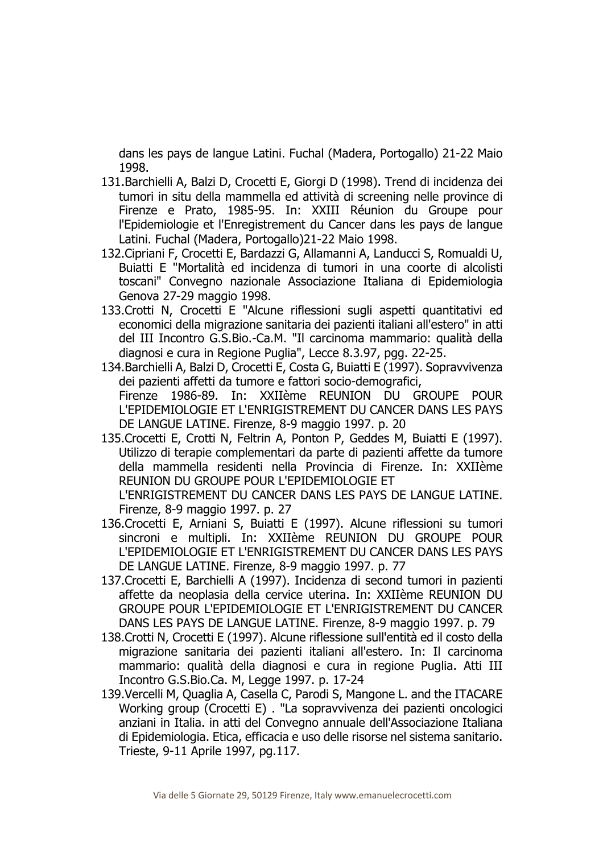dans les pays de langue Latini. Fuchal (Madera, Portogallo) 21-22 Maio 1998.

- 131.Barchielli A, Balzi D, Crocetti E, Giorgi D (1998). Trend di incidenza dei tumori in situ della mammella ed attività di screening nelle province di Firenze e Prato, 1985-95. In: XXIII Réunion du Groupe pour l'Epidemiologie et l'Enregistrement du Cancer dans les pays de langue Latini. Fuchal (Madera, Portogallo)21-22 Maio 1998.
- 132.Cipriani F, Crocetti E, Bardazzi G, Allamanni A, Landucci S, Romualdi U, Buiatti E "Mortalità ed incidenza di tumori in una coorte di alcolisti toscani" Convegno nazionale Associazione Italiana di Epidemiologia Genova 27-29 maggio 1998.
- 133.Crotti N, Crocetti E "Alcune riflessioni sugli aspetti quantitativi ed economici della migrazione sanitaria dei pazienti italiani all'estero" in atti del III Incontro G.S.Bio.-Ca.M. "Il carcinoma mammario: qualità della diagnosi e cura in Regione Puglia", Lecce 8.3.97, pgg. 22-25.
- 134.Barchielli A, Balzi D, Crocetti E, Costa G, Buiatti E (1997). Sopravvivenza dei pazienti affetti da tumore e fattori socio-demografici, Firenze 1986-89. In: XXIIème REUNION DU GROUPE POUR L'EPIDEMIOLOGIE ET L'ENRIGISTREMENT DU CANCER DANS LES PAYS DE LANGUE LATINE. Firenze, 8-9 maggio 1997. p. 20
- 135.Crocetti E, Crotti N, Feltrin A, Ponton P, Geddes M, Buiatti E (1997). Utilizzo di terapie complementari da parte di pazienti affette da tumore della mammella residenti nella Provincia di Firenze. In: XXIIème REUNION DU GROUPE POUR L'EPIDEMIOLOGIE ET

L'ENRIGISTREMENT DU CANCER DANS LES PAYS DE LANGUE LATINE. Firenze, 8-9 maggio 1997. p. 27

- 136.Crocetti E, Arniani S, Buiatti E (1997). Alcune riflessioni su tumori sincroni e multipli. In: XXIIème REUNION DU GROUPE POUR L'EPIDEMIOLOGIE ET L'ENRIGISTREMENT DU CANCER DANS LES PAYS DE LANGUE LATINE. Firenze, 8-9 maggio 1997. p. 77
- 137.Crocetti E, Barchielli A (1997). Incidenza di second tumori in pazienti affette da neoplasia della cervice uterina. In: XXIIème REUNION DU GROUPE POUR L'EPIDEMIOLOGIE ET L'ENRIGISTREMENT DU CANCER DANS LES PAYS DE LANGUE LATINE. Firenze, 8-9 maggio 1997. p. 79
- 138.Crotti N, Crocetti E (1997). Alcune riflessione sull'entità ed il costo della migrazione sanitaria dei pazienti italiani all'estero. In: Il carcinoma mammario: qualità della diagnosi e cura in regione Puglia. Atti III Incontro G.S.Bio.Ca. M, Legge 1997. p. 17-24
- 139.Vercelli M, Quaglia A, Casella C, Parodi S, Mangone L. and the ITACARE Working group (Crocetti E) . "La sopravvivenza dei pazienti oncologici anziani in Italia. in atti del Convegno annuale dell'Associazione Italiana di Epidemiologia. Etica, efficacia e uso delle risorse nel sistema sanitario. Trieste, 9-11 Aprile 1997, pg.117.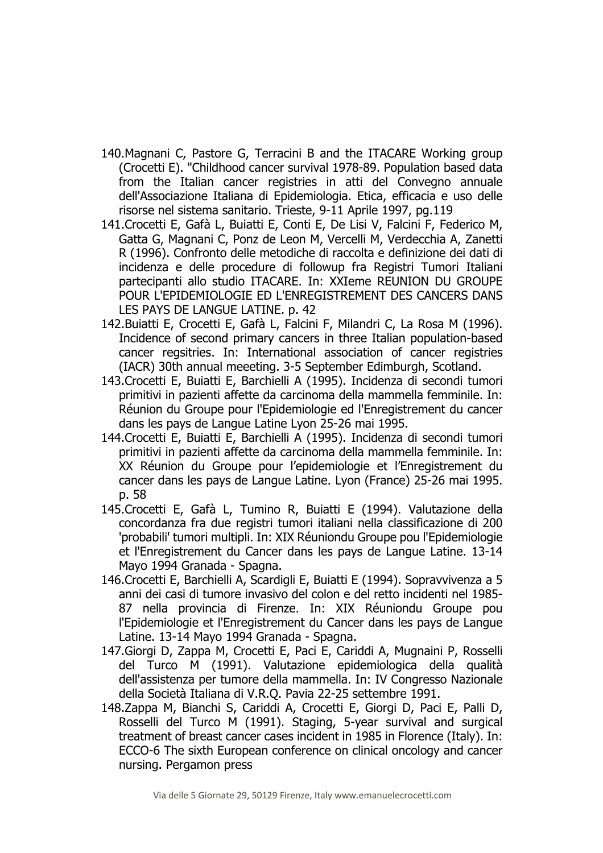- 140.Magnani C, Pastore G, Terracini B and the ITACARE Working group (Crocetti E). "Childhood cancer survival 1978-89. Population based data from the Italian cancer registries in atti del Convegno annuale dell'Associazione Italiana di Epidemiologia. Etica, efficacia e uso delle risorse nel sistema sanitario. Trieste, 9-11 Aprile 1997, pg.119
- 141.Crocetti E, Gafà L, Buiatti E, Conti E, De Lisi V, Falcini F, Federico M, Gatta G, Magnani C, Ponz de Leon M, Vercelli M, Verdecchia A, Zanetti R (1996). Confronto delle metodiche di raccolta e definizione dei dati di incidenza e delle procedure di followup fra Registri Tumori Italiani partecipanti allo studio ITACARE. In: XXIeme REUNION DU GROUPE POUR L'EPIDEMIOLOGIE ED L'ENREGISTREMENT DES CANCERS DANS LES PAYS DE LANGUE LATINE. p. 42
- 142.Buiatti E, Crocetti E, Gafà L, Falcini F, Milandri C, La Rosa M (1996). Incidence of second primary cancers in three Italian population-based cancer regsitries. In: International association of cancer registries (IACR) 30th annual meeeting. 3-5 September Edimburgh, Scotland.
- 143.Crocetti E, Buiatti E, Barchielli A (1995). Incidenza di secondi tumori primitivi in pazienti affette da carcinoma della mammella femminile. In: Réunion du Groupe pour l'Epidemiologie ed l'Enregistrement du cancer dans les pays de Langue Latine Lyon 25-26 mai 1995.
- 144.Crocetti E, Buiatti E, Barchielli A (1995). Incidenza di secondi tumori primitivi in pazienti affette da carcinoma della mammella femminile. In: XX Réunion du Groupe pour l'epidemiologie et l'Enregistrement du cancer dans les pays de Langue Latine. Lyon (France) 25-26 mai 1995. p. 58
- 145.Crocetti E, Gafà L, Tumino R, Buiatti E (1994). Valutazione della concordanza fra due registri tumori italiani nella classificazione di 200 'probabili' tumori multipli. In: XIX Réuniondu Groupe pou l'Epidemiologie et l'Enregistrement du Cancer dans les pays de Langue Latine. 13-14 Mayo 1994 Granada - Spagna.
- 146.Crocetti E, Barchielli A, Scardigli E, Buiatti E (1994). Sopravvivenza a 5 anni dei casi di tumore invasivo del colon e del retto incidenti nel 1985- 87 nella provincia di Firenze. In: XIX Réuniondu Groupe pou l'Epidemiologie et l'Enregistrement du Cancer dans les pays de Langue Latine. 13-14 Mayo 1994 Granada - Spagna.
- 147.Giorgi D, Zappa M, Crocetti E, Paci E, Cariddi A, Mugnaini P, Rosselli del Turco M (1991). Valutazione epidemiologica della qualità dell'assistenza per tumore della mammella. In: IV Congresso Nazionale della Società Italiana di V.R.Q. Pavia 22-25 settembre 1991.
- 148.Zappa M, Bianchi S, Cariddi A, Crocetti E, Giorgi D, Paci E, Palli D, Rosselli del Turco M (1991). Staging, 5-year survival and surgical treatment of breast cancer cases incident in 1985 in Florence (Italy). In: ECCO-6 The sixth European conference on clinical oncology and cancer nursing. Pergamon press